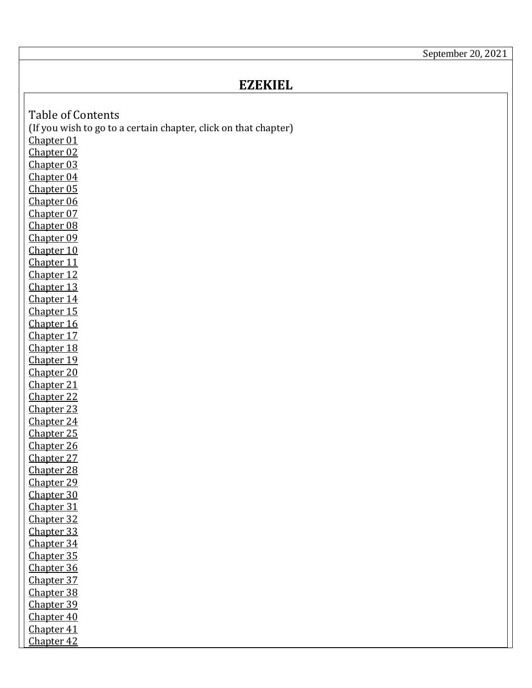September 20, 2021

## **EZEKIEL**

<span id="page-0-18"></span><span id="page-0-17"></span><span id="page-0-16"></span><span id="page-0-15"></span><span id="page-0-14"></span><span id="page-0-13"></span><span id="page-0-12"></span><span id="page-0-11"></span><span id="page-0-10"></span><span id="page-0-9"></span><span id="page-0-8"></span><span id="page-0-7"></span><span id="page-0-6"></span><span id="page-0-5"></span><span id="page-0-4"></span><span id="page-0-3"></span><span id="page-0-2"></span><span id="page-0-1"></span><span id="page-0-0"></span>

| <b>Table of Contents</b>                                        |
|-----------------------------------------------------------------|
| (If you wish to go to a certain chapter, click on that chapter) |
| Chapter 01                                                      |
| Chapter 02                                                      |
| Chapter 03                                                      |
| Chapter 04                                                      |
| Chapter 05                                                      |
| Chapter 06                                                      |
| Chapter 07                                                      |
| Chapter 08                                                      |
| Chapter 09                                                      |
| Chapter 10                                                      |
| Chapter 11                                                      |
| Chapter 12                                                      |
| Chapter 13                                                      |
| Chapter 14                                                      |
| Chapter 15                                                      |
| Chapter 16                                                      |
| Chapter 17                                                      |
| Chapter 18                                                      |
| Chapter 19                                                      |
| Chapter 20                                                      |
| Chapter 21                                                      |
| Chapter 22                                                      |
| Chapter 23                                                      |
| Chapter 24                                                      |
| Chapter 25                                                      |
| Chapter 26                                                      |
| Chapter 27                                                      |
| Chapter 28                                                      |
| Chapter 29                                                      |
| Chapter 30                                                      |
| Chapter 31                                                      |
| Chapter 32                                                      |
| Chapter 33                                                      |
| Chapter 34<br>Chapter 35                                        |
| Chapter 36                                                      |
| Chapter 37                                                      |
| Chapter 38                                                      |
| Chapter 39                                                      |
| Chapter 40                                                      |
| Chapter 41                                                      |
| Chapter 42                                                      |
|                                                                 |

 $\mathsf{I}$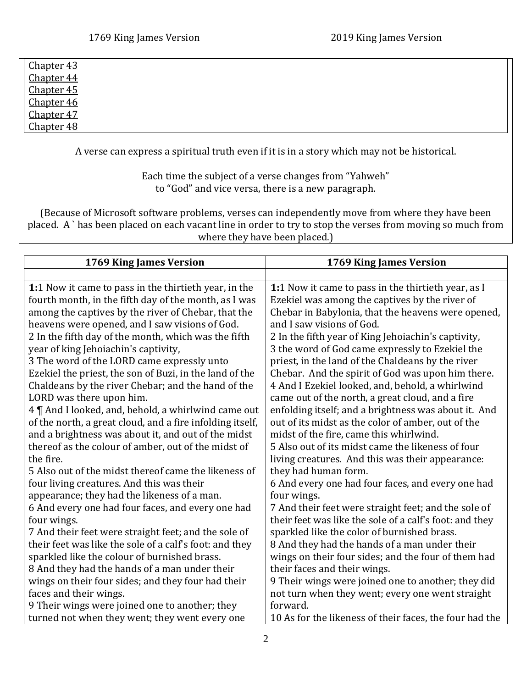| <u>Chapter 43</u> |  |
|-------------------|--|
| Chapter 44        |  |
| <b>Chapter 45</b> |  |
| <u>Chapter 46</u> |  |
| Chapter 47        |  |
| <u>Chapter 48</u> |  |

A verse can express a spiritual truth even if it is in a story which may not be historical.

Each time the subject of a verse changes from "Yahweh" to "God" and vice versa, there is a new paragraph.

(Because of Microsoft software problems, verses can independently move from where they have been placed. A ` has been placed on each vacant line in order to try to stop the verses from moving so much from where they have been placed.)

<span id="page-1-0"></span>

| 1769 King James Version                                   | 1769 King James Version                                 |
|-----------------------------------------------------------|---------------------------------------------------------|
|                                                           |                                                         |
| 1:1 Now it came to pass in the thirtieth year, in the     | 1:1 Now it came to pass in the thirtieth year, as I     |
| fourth month, in the fifth day of the month, as I was     | Ezekiel was among the captives by the river of          |
| among the captives by the river of Chebar, that the       | Chebar in Babylonia, that the heavens were opened,      |
| heavens were opened, and I saw visions of God.            | and I saw visions of God.                               |
| 2 In the fifth day of the month, which was the fifth      | 2 In the fifth year of King Jehoiachin's captivity,     |
| year of king Jehoiachin's captivity,                      | 3 the word of God came expressly to Ezekiel the         |
| 3 The word of the LORD came expressly unto                | priest, in the land of the Chaldeans by the river       |
| Ezekiel the priest, the son of Buzi, in the land of the   | Chebar. And the spirit of God was upon him there.       |
| Chaldeans by the river Chebar; and the hand of the        | 4 And I Ezekiel looked, and, behold, a whirlwind        |
| LORD was there upon him.                                  | came out of the north, a great cloud, and a fire        |
| 4   And I looked, and, behold, a whirlwind came out       | enfolding itself; and a brightness was about it. And    |
| of the north, a great cloud, and a fire infolding itself, | out of its midst as the color of amber, out of the      |
| and a brightness was about it, and out of the midst       | midst of the fire, came this whirlwind.                 |
| thereof as the colour of amber, out of the midst of       | 5 Also out of its midst came the likeness of four       |
| the fire.                                                 | living creatures. And this was their appearance:        |
| 5 Also out of the midst thereof came the likeness of      | they had human form.                                    |
| four living creatures. And this was their                 | 6 And every one had four faces, and every one had       |
| appearance; they had the likeness of a man.               | four wings.                                             |
| 6 And every one had four faces, and every one had         | 7 And their feet were straight feet; and the sole of    |
| four wings.                                               | their feet was like the sole of a calf's foot: and they |
| 7 And their feet were straight feet; and the sole of      | sparkled like the color of burnished brass.             |
| their feet was like the sole of a calf's foot: and they   | 8 And they had the hands of a man under their           |
| sparkled like the colour of burnished brass.              | wings on their four sides; and the four of them had     |
| 8 And they had the hands of a man under their             | their faces and their wings.                            |
| wings on their four sides; and they four had their        | 9 Their wings were joined one to another; they did      |
| faces and their wings.                                    | not turn when they went; every one went straight        |
| 9 Their wings were joined one to another; they            | forward.                                                |
| turned not when they went; they went every one            | 10 As for the likeness of their faces, the four had the |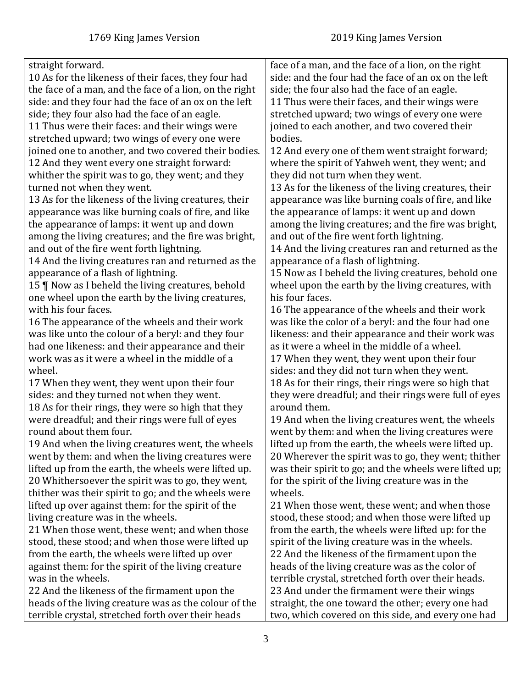| straight forward.                                       | face of a man, and the face of a lion, on the right    |
|---------------------------------------------------------|--------------------------------------------------------|
| 10 As for the likeness of their faces, they four had    | side: and the four had the face of an ox on the left   |
| the face of a man, and the face of a lion, on the right | side; the four also had the face of an eagle.          |
| side: and they four had the face of an ox on the left   | 11 Thus were their faces, and their wings were         |
| side; they four also had the face of an eagle.          | stretched upward; two wings of every one were          |
| 11 Thus were their faces: and their wings were          | joined to each another, and two covered their          |
| stretched upward; two wings of every one were           | bodies.                                                |
| joined one to another, and two covered their bodies.    | 12 And every one of them went straight forward;        |
| 12 And they went every one straight forward:            | where the spirit of Yahweh went, they went; and        |
| whither the spirit was to go, they went; and they       | they did not turn when they went.                      |
| turned not when they went.                              | 13 As for the likeness of the living creatures, their  |
| 13 As for the likeness of the living creatures, their   | appearance was like burning coals of fire, and like    |
| appearance was like burning coals of fire, and like     | the appearance of lamps: it went up and down           |
| the appearance of lamps: it went up and down            | among the living creatures; and the fire was bright,   |
| among the living creatures; and the fire was bright,    | and out of the fire went forth lightning.              |
| and out of the fire went forth lightning.               | 14 And the living creatures ran and returned as the    |
| 14 And the living creatures ran and returned as the     | appearance of a flash of lightning.                    |
| appearance of a flash of lightning.                     | 15 Now as I beheld the living creatures, behold one    |
| 15   Now as I beheld the living creatures, behold       | wheel upon the earth by the living creatures, with     |
| one wheel upon the earth by the living creatures,       | his four faces.                                        |
| with his four faces.                                    | 16 The appearance of the wheels and their work         |
| 16 The appearance of the wheels and their work          | was like the color of a beryl: and the four had one    |
| was like unto the colour of a beryl: and they four      | likeness: and their appearance and their work was      |
| had one likeness: and their appearance and their        | as it were a wheel in the middle of a wheel.           |
| work was as it were a wheel in the middle of a          | 17 When they went, they went upon their four           |
| wheel.                                                  | sides: and they did not turn when they went.           |
| 17 When they went, they went upon their four            | 18 As for their rings, their rings were so high that   |
| sides: and they turned not when they went.              | they were dreadful; and their rings were full of eyes  |
| 18 As for their rings, they were so high that they      | around them.                                           |
| were dreadful; and their rings were full of eyes        | 19 And when the living creatures went, the wheels      |
| round about them four.                                  | went by them: and when the living creatures were       |
| 19 And when the living creatures went, the wheels       | lifted up from the earth, the wheels were lifted up.   |
| went by them: and when the living creatures were        | 20 Wherever the spirit was to go, they went; thither   |
| lifted up from the earth, the wheels were lifted up.    | was their spirit to go; and the wheels were lifted up; |
| 20 Whithersoever the spirit was to go, they went,       | for the spirit of the living creature was in the       |
| thither was their spirit to go; and the wheels were     | wheels.                                                |
| lifted up over against them: for the spirit of the      | 21 When those went, these went; and when those         |
| living creature was in the wheels.                      | stood, these stood; and when those were lifted up      |
| 21 When those went, these went; and when those          | from the earth, the wheels were lifted up: for the     |
|                                                         | spirit of the living creature was in the wheels.       |
| stood, these stood; and when those were lifted up       |                                                        |
| from the earth, the wheels were lifted up over          | 22 And the likeness of the firmament upon the          |
| against them: for the spirit of the living creature     | heads of the living creature was as the color of       |
| was in the wheels.                                      | terrible crystal, stretched forth over their heads.    |
| 22 And the likeness of the firmament upon the           | 23 And under the firmament were their wings            |
| heads of the living creature was as the colour of the   | straight, the one toward the other; every one had      |
| terrible crystal, stretched forth over their heads      | two, which covered on this side, and every one had     |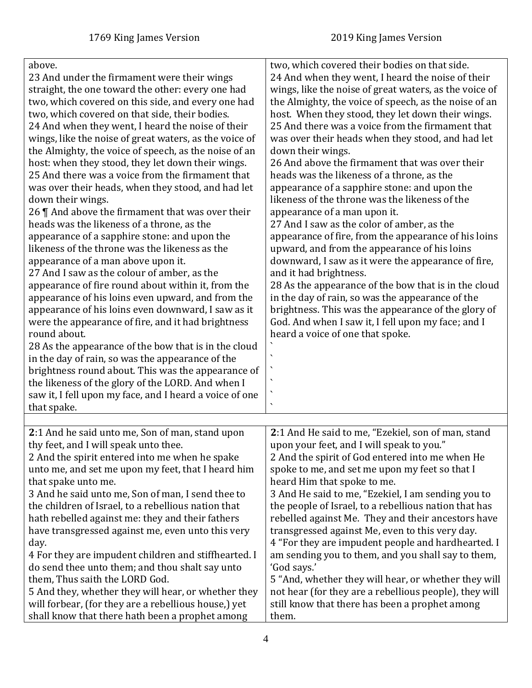<span id="page-3-0"></span>

| above.<br>23 And under the firmament were their wings<br>straight, the one toward the other: every one had<br>two, which covered on this side, and every one had<br>two, which covered on that side, their bodies.<br>24 And when they went, I heard the noise of their<br>wings, like the noise of great waters, as the voice of<br>the Almighty, the voice of speech, as the noise of an<br>host: when they stood, they let down their wings.<br>25 And there was a voice from the firmament that<br>was over their heads, when they stood, and had let<br>down their wings.<br>26    And above the firmament that was over their<br>heads was the likeness of a throne, as the<br>appearance of a sapphire stone: and upon the<br>likeness of the throne was the likeness as the<br>appearance of a man above upon it.<br>27 And I saw as the colour of amber, as the<br>appearance of fire round about within it, from the<br>appearance of his loins even upward, and from the<br>appearance of his loins even downward, I saw as it<br>were the appearance of fire, and it had brightness<br>round about.<br>28 As the appearance of the bow that is in the cloud<br>in the day of rain, so was the appearance of the<br>brightness round about. This was the appearance of<br>the likeness of the glory of the LORD. And when I<br>saw it, I fell upon my face, and I heard a voice of one<br>that spake. | two, which covered their bodies on that side.<br>24 And when they went, I heard the noise of their<br>wings, like the noise of great waters, as the voice of<br>the Almighty, the voice of speech, as the noise of an<br>host. When they stood, they let down their wings.<br>25 And there was a voice from the firmament that<br>was over their heads when they stood, and had let<br>down their wings.<br>26 And above the firmament that was over their<br>heads was the likeness of a throne, as the<br>appearance of a sapphire stone: and upon the<br>likeness of the throne was the likeness of the<br>appearance of a man upon it.<br>27 And I saw as the color of amber, as the<br>appearance of fire, from the appearance of his loins<br>upward, and from the appearance of his loins<br>downward, I saw as it were the appearance of fire,<br>and it had brightness.<br>28 As the appearance of the bow that is in the cloud<br>in the day of rain, so was the appearance of the<br>brightness. This was the appearance of the glory of<br>God. And when I saw it, I fell upon my face; and I<br>heard a voice of one that spoke.<br>$\overline{\phantom{0}}$ |
|------------------------------------------------------------------------------------------------------------------------------------------------------------------------------------------------------------------------------------------------------------------------------------------------------------------------------------------------------------------------------------------------------------------------------------------------------------------------------------------------------------------------------------------------------------------------------------------------------------------------------------------------------------------------------------------------------------------------------------------------------------------------------------------------------------------------------------------------------------------------------------------------------------------------------------------------------------------------------------------------------------------------------------------------------------------------------------------------------------------------------------------------------------------------------------------------------------------------------------------------------------------------------------------------------------------------------------------------------------------------------------------------------------------|---------------------------------------------------------------------------------------------------------------------------------------------------------------------------------------------------------------------------------------------------------------------------------------------------------------------------------------------------------------------------------------------------------------------------------------------------------------------------------------------------------------------------------------------------------------------------------------------------------------------------------------------------------------------------------------------------------------------------------------------------------------------------------------------------------------------------------------------------------------------------------------------------------------------------------------------------------------------------------------------------------------------------------------------------------------------------------------------------------------------------------------------------------------------------|
|                                                                                                                                                                                                                                                                                                                                                                                                                                                                                                                                                                                                                                                                                                                                                                                                                                                                                                                                                                                                                                                                                                                                                                                                                                                                                                                                                                                                                  |                                                                                                                                                                                                                                                                                                                                                                                                                                                                                                                                                                                                                                                                                                                                                                                                                                                                                                                                                                                                                                                                                                                                                                           |
| 2:1 And he said unto me, Son of man, stand upon<br>thy feet, and I will speak unto thee.<br>2 And the spirit entered into me when he spake<br>unto me, and set me upon my feet, that I heard him<br>that spake unto me.<br>3 And he said unto me, Son of man, I send thee to<br>the children of Israel, to a rebellious nation that<br>hath rebelled against me: they and their fathers<br>have transgressed against me, even unto this very<br>day.<br>4 For they are impudent children and stiffhearted. I<br>do send thee unto them; and thou shalt say unto<br>them, Thus saith the LORD God.<br>5 And they, whether they will hear, or whether they<br>will forbear, (for they are a rebellious house,) yet<br>shall know that there hath been a prophet among                                                                                                                                                                                                                                                                                                                                                                                                                                                                                                                                                                                                                                              | 2:1 And He said to me, "Ezekiel, son of man, stand<br>upon your feet, and I will speak to you."<br>2 And the spirit of God entered into me when He<br>spoke to me, and set me upon my feet so that I<br>heard Him that spoke to me.<br>3 And He said to me, "Ezekiel, I am sending you to<br>the people of Israel, to a rebellious nation that has<br>rebelled against Me. They and their ancestors have<br>transgressed against Me, even to this very day.<br>4 "For they are impudent people and hardhearted. I<br>am sending you to them, and you shall say to them,<br>'God says.'<br>5 "And, whether they will hear, or whether they will<br>not hear (for they are a rebellious people), they will<br>still know that there has been a prophet among<br>them.                                                                                                                                                                                                                                                                                                                                                                                                       |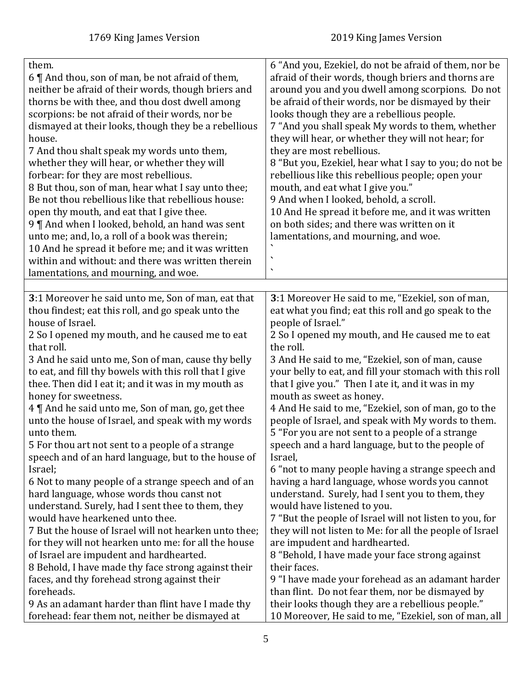<span id="page-4-0"></span>

| them.<br>6 $\P$ And thou, son of man, be not afraid of them,<br>neither be afraid of their words, though briers and<br>thorns be with thee, and thou dost dwell among<br>scorpions: be not afraid of their words, nor be<br>dismayed at their looks, though they be a rebellious<br>house.<br>7 And thou shalt speak my words unto them,<br>whether they will hear, or whether they will<br>forbear: for they are most rebellious.<br>8 But thou, son of man, hear what I say unto thee;<br>Be not thou rebellious like that rebellious house:<br>open thy mouth, and eat that I give thee.<br>9   And when I looked, behold, an hand was sent<br>unto me; and, lo, a roll of a book was therein;<br>10 And he spread it before me; and it was written<br>within and without: and there was written therein<br>lamentations, and mourning, and woe.                                                                                                    | 6 "And you, Ezekiel, do not be afraid of them, nor be<br>afraid of their words, though briers and thorns are<br>around you and you dwell among scorpions. Do not<br>be afraid of their words, nor be dismayed by their<br>looks though they are a rebellious people.<br>7 "And you shall speak My words to them, whether<br>they will hear, or whether they will not hear; for<br>they are most rebellious.<br>8 "But you, Ezekiel, hear what I say to you; do not be<br>rebellious like this rebellious people; open your<br>mouth, and eat what I give you."<br>9 And when I looked, behold, a scroll.<br>10 And He spread it before me, and it was written<br>on both sides; and there was written on it<br>lamentations, and mourning, and woe.<br>$\checkmark$<br>$\blacktriangleleft$                                                                                                                                                                                        |
|--------------------------------------------------------------------------------------------------------------------------------------------------------------------------------------------------------------------------------------------------------------------------------------------------------------------------------------------------------------------------------------------------------------------------------------------------------------------------------------------------------------------------------------------------------------------------------------------------------------------------------------------------------------------------------------------------------------------------------------------------------------------------------------------------------------------------------------------------------------------------------------------------------------------------------------------------------|------------------------------------------------------------------------------------------------------------------------------------------------------------------------------------------------------------------------------------------------------------------------------------------------------------------------------------------------------------------------------------------------------------------------------------------------------------------------------------------------------------------------------------------------------------------------------------------------------------------------------------------------------------------------------------------------------------------------------------------------------------------------------------------------------------------------------------------------------------------------------------------------------------------------------------------------------------------------------------|
|                                                                                                                                                                                                                                                                                                                                                                                                                                                                                                                                                                                                                                                                                                                                                                                                                                                                                                                                                        |                                                                                                                                                                                                                                                                                                                                                                                                                                                                                                                                                                                                                                                                                                                                                                                                                                                                                                                                                                                    |
| 3:1 Moreover he said unto me, Son of man, eat that<br>thou findest; eat this roll, and go speak unto the<br>house of Israel.<br>2 So I opened my mouth, and he caused me to eat<br>that roll.<br>3 And he said unto me, Son of man, cause thy belly<br>to eat, and fill thy bowels with this roll that I give<br>thee. Then did I eat it; and it was in my mouth as<br>honey for sweetness.<br>4    And he said unto me, Son of man, go, get thee<br>unto the house of Israel, and speak with my words<br>unto them.<br>5 For thou art not sent to a people of a strange<br>speech and of an hard language, but to the house of<br>Israel;<br>6 Not to many people of a strange speech and of an<br>hard language, whose words thou canst not<br>understand. Surely, had I sent thee to them, they<br>would have hearkened unto thee.<br>7 But the house of Israel will not hearken unto thee;<br>for they will not hearken unto me: for all the house | 3:1 Moreover He said to me, "Ezekiel, son of man,<br>eat what you find; eat this roll and go speak to the<br>people of Israel."<br>2 So I opened my mouth, and He caused me to eat<br>the roll.<br>3 And He said to me, "Ezekiel, son of man, cause<br>your belly to eat, and fill your stomach with this roll<br>that I give you." Then I ate it, and it was in my<br>mouth as sweet as honey.<br>4 And He said to me, "Ezekiel, son of man, go to the<br>people of Israel, and speak with My words to them.<br>5 "For you are not sent to a people of a strange<br>speech and a hard language, but to the people of<br>Israel,<br>6 "not to many people having a strange speech and<br>having a hard language, whose words you cannot<br>understand. Surely, had I sent you to them, they<br>would have listened to you.<br>7 "But the people of Israel will not listen to you, for<br>they will not listen to Me: for all the people of Israel<br>are impudent and hardhearted. |
| of Israel are impudent and hardhearted.                                                                                                                                                                                                                                                                                                                                                                                                                                                                                                                                                                                                                                                                                                                                                                                                                                                                                                                | 8 "Behold, I have made your face strong against                                                                                                                                                                                                                                                                                                                                                                                                                                                                                                                                                                                                                                                                                                                                                                                                                                                                                                                                    |
| 8 Behold, I have made thy face strong against their<br>faces, and thy forehead strong against their<br>foreheads.<br>9 As an adamant harder than flint have I made thy<br>forehead: fear them not, neither be dismayed at                                                                                                                                                                                                                                                                                                                                                                                                                                                                                                                                                                                                                                                                                                                              | their faces.<br>9 "I have made your forehead as an adamant harder<br>than flint. Do not fear them, nor be dismayed by<br>their looks though they are a rebellious people."<br>10 Moreover, He said to me, "Ezekiel, son of man, all                                                                                                                                                                                                                                                                                                                                                                                                                                                                                                                                                                                                                                                                                                                                                |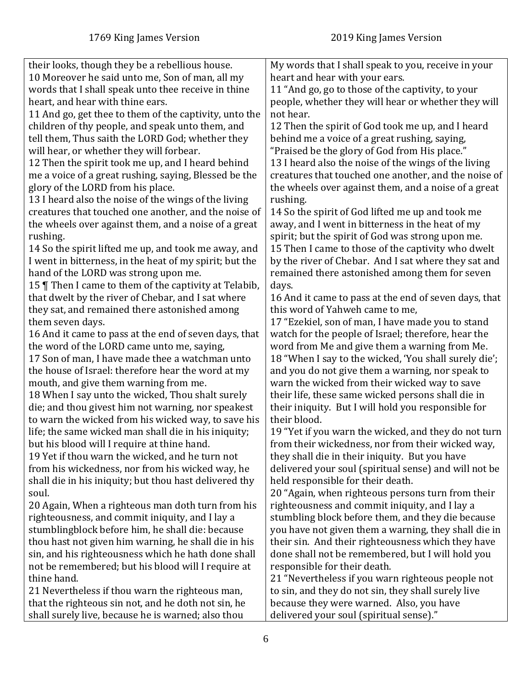| their looks, though they be a rebellious house.                                               | My words that I shall speak to you, receive in your   |
|-----------------------------------------------------------------------------------------------|-------------------------------------------------------|
| 10 Moreover he said unto me, Son of man, all my                                               | heart and hear with your ears.                        |
| words that I shall speak unto thee receive in thine                                           | 11 "And go, go to those of the captivity, to your     |
| heart, and hear with thine ears.                                                              | people, whether they will hear or whether they will   |
| 11 And go, get thee to them of the captivity, unto the                                        | not hear.                                             |
| children of thy people, and speak unto them, and                                              | 12 Then the spirit of God took me up, and I heard     |
| tell them, Thus saith the LORD God; whether they                                              | behind me a voice of a great rushing, saying,         |
| will hear, or whether they will forbear.                                                      | "Praised be the glory of God from His place."         |
| 12 Then the spirit took me up, and I heard behind                                             | 13 I heard also the noise of the wings of the living  |
| me a voice of a great rushing, saying, Blessed be the                                         | creatures that touched one another, and the noise of  |
| glory of the LORD from his place.                                                             | the wheels over against them, and a noise of a great  |
| 13 I heard also the noise of the wings of the living                                          | rushing.                                              |
| creatures that touched one another, and the noise of                                          | 14 So the spirit of God lifted me up and took me      |
| the wheels over against them, and a noise of a great                                          | away, and I went in bitterness in the heat of my      |
| rushing.                                                                                      | spirit; but the spirit of God was strong upon me.     |
| 14 So the spirit lifted me up, and took me away, and                                          | 15 Then I came to those of the captivity who dwelt    |
| I went in bitterness, in the heat of my spirit; but the                                       | by the river of Chebar. And I sat where they sat and  |
| hand of the LORD was strong upon me.                                                          | remained there astonished among them for seven        |
| 15   Then I came to them of the captivity at Telabib,                                         | days.                                                 |
| that dwelt by the river of Chebar, and I sat where                                            | 16 And it came to pass at the end of seven days, that |
| they sat, and remained there astonished among                                                 | this word of Yahweh came to me,                       |
| them seven days.                                                                              | 17 "Ezekiel, son of man, I have made you to stand     |
|                                                                                               | watch for the people of Israel; therefore, hear the   |
| 16 And it came to pass at the end of seven days, that                                         |                                                       |
| the word of the LORD came unto me, saying,<br>17 Son of man, I have made thee a watchman unto | word from Me and give them a warning from Me.         |
|                                                                                               | 18 "When I say to the wicked, 'You shall surely die'; |
| the house of Israel: therefore hear the word at my                                            | and you do not give them a warning, nor speak to      |
| mouth, and give them warning from me.                                                         | warn the wicked from their wicked way to save         |
| 18 When I say unto the wicked, Thou shalt surely                                              | their life, these same wicked persons shall die in    |
| die; and thou givest him not warning, nor speakest                                            | their iniquity. But I will hold you responsible for   |
| to warn the wicked from his wicked way, to save his                                           | their blood.                                          |
| life; the same wicked man shall die in his iniquity;                                          | 19 "Yet if you warn the wicked, and they do not turn  |
| but his blood will I require at thine hand.                                                   | from their wickedness, nor from their wicked way,     |
| 19 Yet if thou warn the wicked, and he turn not                                               | they shall die in their iniquity. But you have        |
| from his wickedness, nor from his wicked way, he                                              | delivered your soul (spiritual sense) and will not be |
| shall die in his iniquity; but thou hast delivered thy                                        | held responsible for their death.                     |
| soul.                                                                                         | 20 "Again, when righteous persons turn from their     |
| 20 Again, When a righteous man doth turn from his                                             | righteousness and commit iniquity, and I lay a        |
| righteousness, and commit iniquity, and I lay a                                               | stumbling block before them, and they die because     |
| stumblingblock before him, he shall die: because                                              | you have not given them a warning, they shall die in  |
| thou hast not given him warning, he shall die in his                                          | their sin. And their righteousness which they have    |
| sin, and his righteousness which he hath done shall                                           | done shall not be remembered, but I will hold you     |
| not be remembered; but his blood will I require at                                            | responsible for their death.                          |
| thine hand.                                                                                   | 21 "Nevertheless if you warn righteous people not     |
| 21 Nevertheless if thou warn the righteous man,                                               | to sin, and they do not sin, they shall surely live   |
| that the righteous sin not, and he doth not sin, he                                           | because they were warned. Also, you have              |
| shall surely live, because he is warned; also thou                                            | delivered your soul (spiritual sense)."               |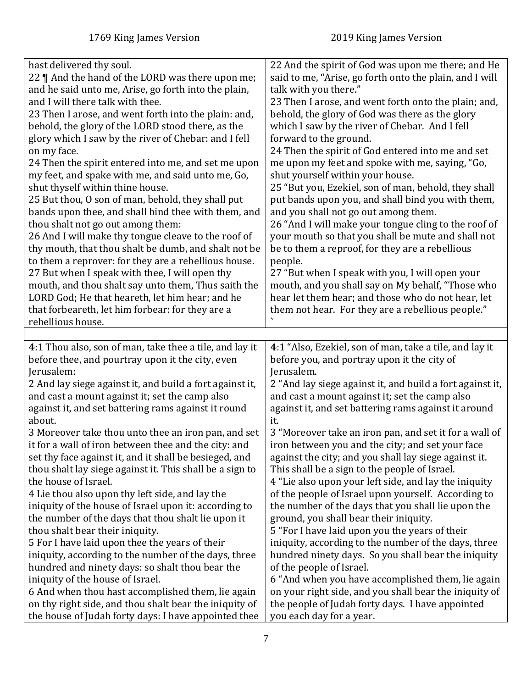<span id="page-6-0"></span>

| hast delivered thy soul.<br>22    And the hand of the LORD was there upon me;<br>and he said unto me, Arise, go forth into the plain,<br>and I will there talk with thee.<br>23 Then I arose, and went forth into the plain: and,<br>behold, the glory of the LORD stood there, as the<br>glory which I saw by the river of Chebar: and I fell<br>on my face.<br>24 Then the spirit entered into me, and set me upon<br>my feet, and spake with me, and said unto me, Go,<br>shut thyself within thine house.<br>25 But thou, O son of man, behold, they shall put<br>bands upon thee, and shall bind thee with them, and<br>thou shalt not go out among them:<br>26 And I will make thy tongue cleave to the roof of<br>thy mouth, that thou shalt be dumb, and shalt not be<br>to them a reprover: for they are a rebellious house.<br>27 But when I speak with thee, I will open thy<br>mouth, and thou shalt say unto them, Thus saith the<br>LORD God; He that heareth, let him hear; and he | 22 And the spirit of God was upon me there; and He<br>said to me, "Arise, go forth onto the plain, and I will<br>talk with you there."<br>23 Then I arose, and went forth onto the plain; and,<br>behold, the glory of God was there as the glory<br>which I saw by the river of Chebar. And I fell<br>forward to the ground.<br>24 Then the spirit of God entered into me and set<br>me upon my feet and spoke with me, saying, "Go,<br>shut yourself within your house.<br>25 "But you, Ezekiel, son of man, behold, they shall<br>put bands upon you, and shall bind you with them,<br>and you shall not go out among them.<br>26 "And I will make your tongue cling to the roof of<br>your mouth so that you shall be mute and shall not<br>be to them a reproof, for they are a rebellious<br>people.<br>27 "But when I speak with you, I will open your<br>mouth, and you shall say on My behalf, "Those who<br>hear let them hear; and those who do not hear, let |
|---------------------------------------------------------------------------------------------------------------------------------------------------------------------------------------------------------------------------------------------------------------------------------------------------------------------------------------------------------------------------------------------------------------------------------------------------------------------------------------------------------------------------------------------------------------------------------------------------------------------------------------------------------------------------------------------------------------------------------------------------------------------------------------------------------------------------------------------------------------------------------------------------------------------------------------------------------------------------------------------------|--------------------------------------------------------------------------------------------------------------------------------------------------------------------------------------------------------------------------------------------------------------------------------------------------------------------------------------------------------------------------------------------------------------------------------------------------------------------------------------------------------------------------------------------------------------------------------------------------------------------------------------------------------------------------------------------------------------------------------------------------------------------------------------------------------------------------------------------------------------------------------------------------------------------------------------------------------------------------|
| that forbeareth, let him forbear: for they are a                                                                                                                                                                                                                                                                                                                                                                                                                                                                                                                                                                                                                                                                                                                                                                                                                                                                                                                                                  | them not hear. For they are a rebellious people."                                                                                                                                                                                                                                                                                                                                                                                                                                                                                                                                                                                                                                                                                                                                                                                                                                                                                                                        |
| rebellious house.                                                                                                                                                                                                                                                                                                                                                                                                                                                                                                                                                                                                                                                                                                                                                                                                                                                                                                                                                                                 |                                                                                                                                                                                                                                                                                                                                                                                                                                                                                                                                                                                                                                                                                                                                                                                                                                                                                                                                                                          |
|                                                                                                                                                                                                                                                                                                                                                                                                                                                                                                                                                                                                                                                                                                                                                                                                                                                                                                                                                                                                   |                                                                                                                                                                                                                                                                                                                                                                                                                                                                                                                                                                                                                                                                                                                                                                                                                                                                                                                                                                          |
| 4:1 Thou also, son of man, take thee a tile, and lay it<br>before thee, and pourtray upon it the city, even                                                                                                                                                                                                                                                                                                                                                                                                                                                                                                                                                                                                                                                                                                                                                                                                                                                                                       | 4:1 "Also, Ezekiel, son of man, take a tile, and lay it                                                                                                                                                                                                                                                                                                                                                                                                                                                                                                                                                                                                                                                                                                                                                                                                                                                                                                                  |
| Jerusalem:<br>2 And lay siege against it, and build a fort against it,<br>and cast a mount against it; set the camp also<br>against it, and set battering rams against it round                                                                                                                                                                                                                                                                                                                                                                                                                                                                                                                                                                                                                                                                                                                                                                                                                   | before you, and portray upon it the city of<br>Jerusalem.<br>2 "And lay siege against it, and build a fort against it,<br>and cast a mount against it; set the camp also<br>against it, and set battering rams against it around                                                                                                                                                                                                                                                                                                                                                                                                                                                                                                                                                                                                                                                                                                                                         |
| about.<br>3 Moreover take thou unto thee an iron pan, and set<br>it for a wall of iron between thee and the city: and                                                                                                                                                                                                                                                                                                                                                                                                                                                                                                                                                                                                                                                                                                                                                                                                                                                                             | it.<br>3 "Moreover take an iron pan, and set it for a wall of<br>iron between you and the city; and set your face                                                                                                                                                                                                                                                                                                                                                                                                                                                                                                                                                                                                                                                                                                                                                                                                                                                        |
| set thy face against it, and it shall be besieged, and<br>thou shalt lay siege against it. This shall be a sign to<br>the house of Israel.<br>4 Lie thou also upon thy left side, and lay the<br>iniquity of the house of Israel upon it: according to<br>the number of the days that thou shalt lie upon it                                                                                                                                                                                                                                                                                                                                                                                                                                                                                                                                                                                                                                                                                      | against the city; and you shall lay siege against it.<br>This shall be a sign to the people of Israel.<br>4 "Lie also upon your left side, and lay the iniquity<br>of the people of Israel upon yourself. According to<br>the number of the days that you shall lie upon the<br>ground, you shall bear their iniquity.                                                                                                                                                                                                                                                                                                                                                                                                                                                                                                                                                                                                                                                   |
| thou shalt bear their iniquity.<br>5 For I have laid upon thee the years of their<br>iniquity, according to the number of the days, three<br>hundred and ninety days: so shalt thou bear the                                                                                                                                                                                                                                                                                                                                                                                                                                                                                                                                                                                                                                                                                                                                                                                                      | 5 "For I have laid upon you the years of their<br>iniquity, according to the number of the days, three<br>hundred ninety days. So you shall bear the iniquity<br>of the people of Israel.                                                                                                                                                                                                                                                                                                                                                                                                                                                                                                                                                                                                                                                                                                                                                                                |
| iniquity of the house of Israel.<br>6 And when thou hast accomplished them, lie again<br>on thy right side, and thou shalt bear the iniquity of                                                                                                                                                                                                                                                                                                                                                                                                                                                                                                                                                                                                                                                                                                                                                                                                                                                   | 6 "And when you have accomplished them, lie again<br>on your right side, and you shall bear the iniquity of<br>the people of Judah forty days. I have appointed                                                                                                                                                                                                                                                                                                                                                                                                                                                                                                                                                                                                                                                                                                                                                                                                          |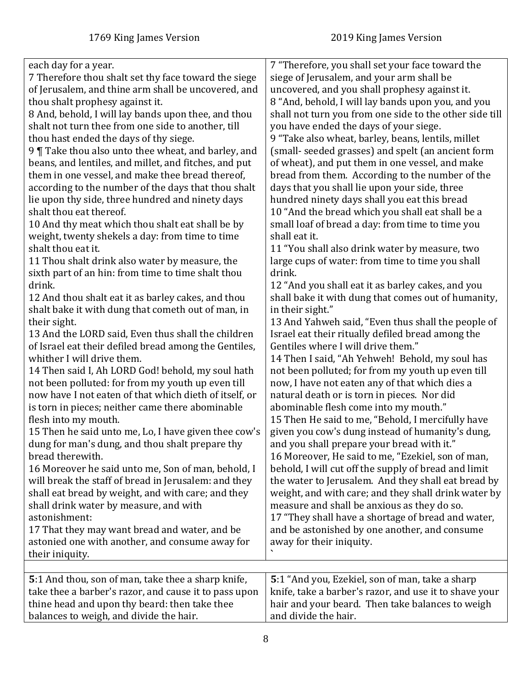<span id="page-7-0"></span>

| each day for a year.<br>7 Therefore thou shalt set thy face toward the siege<br>of Jerusalem, and thine arm shall be uncovered, and<br>thou shalt prophesy against it.<br>8 And, behold, I will lay bands upon thee, and thou<br>shalt not turn thee from one side to another, till<br>thou hast ended the days of thy siege.<br>9 Take thou also unto thee wheat, and barley, and<br>beans, and lentiles, and millet, and fitches, and put<br>them in one vessel, and make thee bread thereof,<br>according to the number of the days that thou shalt<br>lie upon thy side, three hundred and ninety days<br>shalt thou eat thereof.<br>10 And thy meat which thou shalt eat shall be by<br>weight, twenty shekels a day: from time to time<br>shalt thou eat it.<br>11 Thou shalt drink also water by measure, the<br>sixth part of an hin: from time to time shalt thou<br>drink.<br>12 And thou shalt eat it as barley cakes, and thou<br>shalt bake it with dung that cometh out of man, in<br>their sight.<br>13 And the LORD said, Even thus shall the children<br>of Israel eat their defiled bread among the Gentiles,<br>whither I will drive them.<br>14 Then said I, Ah LORD God! behold, my soul hath<br>not been polluted: for from my youth up even till<br>now have I not eaten of that which dieth of itself, or<br>is torn in pieces; neither came there abominable<br>flesh into my mouth.<br>15 Then he said unto me, Lo, I have given thee cow's<br>dung for man's dung, and thou shalt prepare thy<br>bread therewith. | 7 "Therefore, you shall set your face toward the<br>siege of Jerusalem, and your arm shall be<br>uncovered, and you shall prophesy against it.<br>8 "And, behold, I will lay bands upon you, and you<br>shall not turn you from one side to the other side till<br>you have ended the days of your siege.<br>9 "Take also wheat, barley, beans, lentils, millet<br>(small- seeded grasses) and spelt (an ancient form<br>of wheat), and put them in one vessel, and make<br>bread from them. According to the number of the<br>days that you shall lie upon your side, three<br>hundred ninety days shall you eat this bread<br>10 "And the bread which you shall eat shall be a<br>small loaf of bread a day: from time to time you<br>shall eat it.<br>11 "You shall also drink water by measure, two<br>large cups of water: from time to time you shall<br>drink.<br>12 "And you shall eat it as barley cakes, and you<br>shall bake it with dung that comes out of humanity,<br>in their sight."<br>13 And Yahweh said, "Even thus shall the people of<br>Israel eat their ritually defiled bread among the<br>Gentiles where I will drive them."<br>14 Then I said, "Ah Yehweh! Behold, my soul has<br>not been polluted; for from my youth up even till<br>now, I have not eaten any of that which dies a<br>natural death or is torn in pieces. Nor did<br>abominable flesh come into my mouth."<br>15 Then He said to me, "Behold, I mercifully have<br>given you cow's dung instead of humanity's dung,<br>and you shall prepare your bread with it."<br>16 Moreover, He said to me, "Ezekiel, son of man, |
|----------------------------------------------------------------------------------------------------------------------------------------------------------------------------------------------------------------------------------------------------------------------------------------------------------------------------------------------------------------------------------------------------------------------------------------------------------------------------------------------------------------------------------------------------------------------------------------------------------------------------------------------------------------------------------------------------------------------------------------------------------------------------------------------------------------------------------------------------------------------------------------------------------------------------------------------------------------------------------------------------------------------------------------------------------------------------------------------------------------------------------------------------------------------------------------------------------------------------------------------------------------------------------------------------------------------------------------------------------------------------------------------------------------------------------------------------------------------------------------------------------------------------------------------|----------------------------------------------------------------------------------------------------------------------------------------------------------------------------------------------------------------------------------------------------------------------------------------------------------------------------------------------------------------------------------------------------------------------------------------------------------------------------------------------------------------------------------------------------------------------------------------------------------------------------------------------------------------------------------------------------------------------------------------------------------------------------------------------------------------------------------------------------------------------------------------------------------------------------------------------------------------------------------------------------------------------------------------------------------------------------------------------------------------------------------------------------------------------------------------------------------------------------------------------------------------------------------------------------------------------------------------------------------------------------------------------------------------------------------------------------------------------------------------------------------------------------------------------------------------------------------------------------------------------|
|                                                                                                                                                                                                                                                                                                                                                                                                                                                                                                                                                                                                                                                                                                                                                                                                                                                                                                                                                                                                                                                                                                                                                                                                                                                                                                                                                                                                                                                                                                                                              |                                                                                                                                                                                                                                                                                                                                                                                                                                                                                                                                                                                                                                                                                                                                                                                                                                                                                                                                                                                                                                                                                                                                                                                                                                                                                                                                                                                                                                                                                                                                                                                                                      |
| 16 Moreover he said unto me, Son of man, behold, I<br>will break the staff of bread in Jerusalem: and they                                                                                                                                                                                                                                                                                                                                                                                                                                                                                                                                                                                                                                                                                                                                                                                                                                                                                                                                                                                                                                                                                                                                                                                                                                                                                                                                                                                                                                   | behold, I will cut off the supply of bread and limit<br>the water to Jerusalem. And they shall eat bread by                                                                                                                                                                                                                                                                                                                                                                                                                                                                                                                                                                                                                                                                                                                                                                                                                                                                                                                                                                                                                                                                                                                                                                                                                                                                                                                                                                                                                                                                                                          |
| shall eat bread by weight, and with care; and they<br>shall drink water by measure, and with<br>astonishment:<br>17 That they may want bread and water, and be<br>astonied one with another, and consume away for<br>their iniquity.                                                                                                                                                                                                                                                                                                                                                                                                                                                                                                                                                                                                                                                                                                                                                                                                                                                                                                                                                                                                                                                                                                                                                                                                                                                                                                         | weight, and with care; and they shall drink water by<br>measure and shall be anxious as they do so.<br>17 "They shall have a shortage of bread and water,<br>and be astonished by one another, and consume<br>away for their iniquity.                                                                                                                                                                                                                                                                                                                                                                                                                                                                                                                                                                                                                                                                                                                                                                                                                                                                                                                                                                                                                                                                                                                                                                                                                                                                                                                                                                               |
|                                                                                                                                                                                                                                                                                                                                                                                                                                                                                                                                                                                                                                                                                                                                                                                                                                                                                                                                                                                                                                                                                                                                                                                                                                                                                                                                                                                                                                                                                                                                              |                                                                                                                                                                                                                                                                                                                                                                                                                                                                                                                                                                                                                                                                                                                                                                                                                                                                                                                                                                                                                                                                                                                                                                                                                                                                                                                                                                                                                                                                                                                                                                                                                      |
| 5:1 And thou, son of man, take thee a sharp knife,<br>take thee a barber's razor, and cause it to pass upon<br>thine head and upon thy beard: then take thee<br>balances to weigh, and divide the hair.                                                                                                                                                                                                                                                                                                                                                                                                                                                                                                                                                                                                                                                                                                                                                                                                                                                                                                                                                                                                                                                                                                                                                                                                                                                                                                                                      | 5:1 "And you, Ezekiel, son of man, take a sharp<br>knife, take a barber's razor, and use it to shave your<br>hair and your beard. Then take balances to weigh<br>and divide the hair.                                                                                                                                                                                                                                                                                                                                                                                                                                                                                                                                                                                                                                                                                                                                                                                                                                                                                                                                                                                                                                                                                                                                                                                                                                                                                                                                                                                                                                |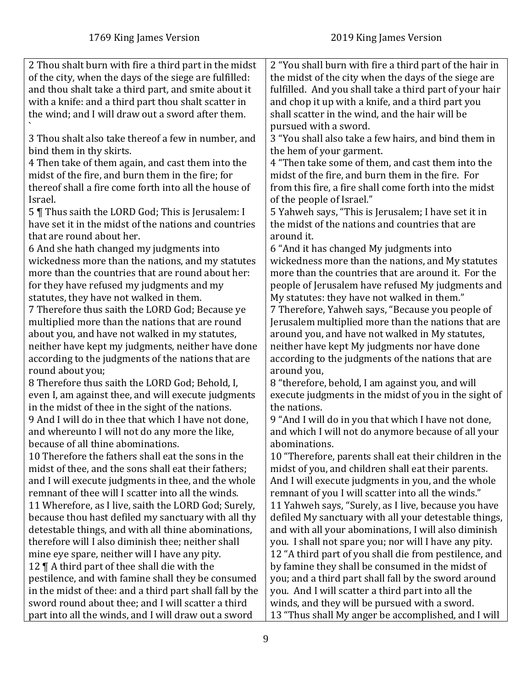| 2 Thou shalt burn with fire a third part in the midst    | 2 "You shall burn with fire a third part of the hair in                  |
|----------------------------------------------------------|--------------------------------------------------------------------------|
| of the city, when the days of the siege are fulfilled:   | the midst of the city when the days of the siege are                     |
| and thou shalt take a third part, and smite about it     | fulfilled. And you shall take a third part of your hair                  |
| with a knife: and a third part thou shalt scatter in     | and chop it up with a knife, and a third part you                        |
| the wind; and I will draw out a sword after them.        | shall scatter in the wind, and the hair will be<br>pursued with a sword. |
| 3 Thou shalt also take thereof a few in number, and      | 3 "You shall also take a few hairs, and bind them in                     |
| bind them in thy skirts.                                 | the hem of your garment.                                                 |
| 4 Then take of them again, and cast them into the        | 4 "Then take some of them, and cast them into the                        |
| midst of the fire, and burn them in the fire; for        | midst of the fire, and burn them in the fire. For                        |
| thereof shall a fire come forth into all the house of    | from this fire, a fire shall come forth into the midst                   |
| Israel.                                                  | of the people of Israel."                                                |
| 5   Thus saith the LORD God; This is Jerusalem: I        | 5 Yahweh says, "This is Jerusalem; I have set it in                      |
| have set it in the midst of the nations and countries    | the midst of the nations and countries that are                          |
| that are round about her.                                | around it.                                                               |
| 6 And she hath changed my judgments into                 | 6 "And it has changed My judgments into                                  |
| wickedness more than the nations, and my statutes        | wickedness more than the nations, and My statutes                        |
| more than the countries that are round about her:        | more than the countries that are around it. For the                      |
| for they have refused my judgments and my                | people of Jerusalem have refused My judgments and                        |
| statutes, they have not walked in them.                  | My statutes: they have not walked in them."                              |
| 7 Therefore thus saith the LORD God; Because ye          | 7 Therefore, Yahweh says, "Because you people of                         |
| multiplied more than the nations that are round          | Jerusalem multiplied more than the nations that are                      |
| about you, and have not walked in my statutes,           | around you, and have not walked in My statutes,                          |
| neither have kept my judgments, neither have done        | neither have kept My judgments nor have done                             |
| according to the judgments of the nations that are       | according to the judgments of the nations that are                       |
| round about you;                                         | around you,                                                              |
| 8 Therefore thus saith the LORD God; Behold, I,          | 8 "therefore, behold, I am against you, and will                         |
| even I, am against thee, and will execute judgments      | execute judgments in the midst of you in the sight of                    |
| in the midst of thee in the sight of the nations.        | the nations.                                                             |
| 9 And I will do in thee that which I have not done,      | 9 "And I will do in you that which I have not done,                      |
| and whereunto I will not do any more the like,           | and which I will not do anymore because of all your                      |
| because of all thine abominations.                       | abominations.                                                            |
| 10 Therefore the fathers shall eat the sons in the       | 10 "Therefore, parents shall eat their children in the                   |
| midst of thee, and the sons shall eat their fathers;     | midst of you, and children shall eat their parents.                      |
| and I will execute judgments in thee, and the whole      | And I will execute judgments in you, and the whole                       |
| remnant of thee will I scatter into all the winds.       | remnant of you I will scatter into all the winds."                       |
| 11 Wherefore, as I live, saith the LORD God; Surely,     | 11 Yahweh says, "Surely, as I live, because you have                     |
| because thou hast defiled my sanctuary with all thy      | defiled My sanctuary with all your detestable things,                    |
| detestable things, and with all thine abominations,      | and with all your abominations, I will also diminish                     |
| therefore will I also diminish thee; neither shall       | you. I shall not spare you; nor will I have any pity.                    |
| mine eye spare, neither will I have any pity.            | 12 "A third part of you shall die from pestilence, and                   |
| 12 $\P$ A third part of thee shall die with the          | by famine they shall be consumed in the midst of                         |
| pestilence, and with famine shall they be consumed       | you; and a third part shall fall by the sword around                     |
| in the midst of thee: and a third part shall fall by the | you. And I will scatter a third part into all the                        |
| sword round about thee; and I will scatter a third       | winds, and they will be pursued with a sword.                            |
| part into all the winds, and I will draw out a sword     | 13 "Thus shall My anger be accomplished, and I will                      |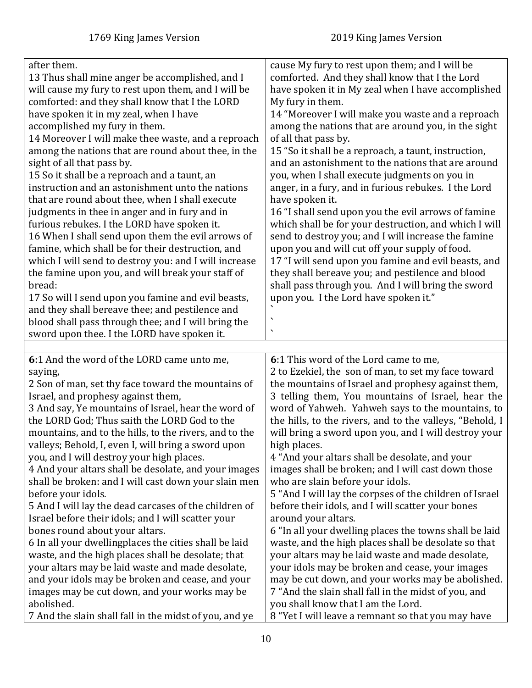<span id="page-9-0"></span>

| after them.<br>13 Thus shall mine anger be accomplished, and I<br>will cause my fury to rest upon them, and I will be<br>comforted: and they shall know that I the LORD<br>have spoken it in my zeal, when I have<br>accomplished my fury in them.<br>14 Moreover I will make thee waste, and a reproach<br>among the nations that are round about thee, in the<br>sight of all that pass by.<br>15 So it shall be a reproach and a taunt, an<br>instruction and an astonishment unto the nations<br>that are round about thee, when I shall execute<br>judgments in thee in anger and in fury and in<br>furious rebukes. I the LORD have spoken it.<br>16 When I shall send upon them the evil arrows of<br>famine, which shall be for their destruction, and<br>which I will send to destroy you: and I will increase<br>the famine upon you, and will break your staff of<br>bread:<br>17 So will I send upon you famine and evil beasts,<br>and they shall bereave thee; and pestilence and<br>blood shall pass through thee; and I will bring the<br>sword upon thee. I the LORD have spoken it. | cause My fury to rest upon them; and I will be<br>comforted. And they shall know that I the Lord<br>have spoken it in My zeal when I have accomplished<br>My fury in them.<br>14 "Moreover I will make you waste and a reproach<br>among the nations that are around you, in the sight<br>of all that pass by.<br>15 "So it shall be a reproach, a taunt, instruction,<br>and an astonishment to the nations that are around<br>you, when I shall execute judgments on you in<br>anger, in a fury, and in furious rebukes. I the Lord<br>have spoken it.<br>16 "I shall send upon you the evil arrows of famine<br>which shall be for your destruction, and which I will<br>send to destroy you; and I will increase the famine<br>upon you and will cut off your supply of food.<br>17 "I will send upon you famine and evil beasts, and<br>they shall bereave you; and pestilence and blood<br>shall pass through you. And I will bring the sword<br>upon you. I the Lord have spoken it."<br>╮ |
|-------------------------------------------------------------------------------------------------------------------------------------------------------------------------------------------------------------------------------------------------------------------------------------------------------------------------------------------------------------------------------------------------------------------------------------------------------------------------------------------------------------------------------------------------------------------------------------------------------------------------------------------------------------------------------------------------------------------------------------------------------------------------------------------------------------------------------------------------------------------------------------------------------------------------------------------------------------------------------------------------------------------------------------------------------------------------------------------------------|---------------------------------------------------------------------------------------------------------------------------------------------------------------------------------------------------------------------------------------------------------------------------------------------------------------------------------------------------------------------------------------------------------------------------------------------------------------------------------------------------------------------------------------------------------------------------------------------------------------------------------------------------------------------------------------------------------------------------------------------------------------------------------------------------------------------------------------------------------------------------------------------------------------------------------------------------------------------------------------------------|
|                                                                                                                                                                                                                                                                                                                                                                                                                                                                                                                                                                                                                                                                                                                                                                                                                                                                                                                                                                                                                                                                                                       |                                                                                                                                                                                                                                                                                                                                                                                                                                                                                                                                                                                                                                                                                                                                                                                                                                                                                                                                                                                                   |
| 6:1 And the word of the LORD came unto me,<br>saying,<br>2 Son of man, set thy face toward the mountains of<br>Israel, and prophesy against them,<br>3 And say, Ye mountains of Israel, hear the word of<br>the LORD God; Thus saith the LORD God to the<br>mountains, and to the hills, to the rivers, and to the<br>valleys; Behold, I, even I, will bring a sword upon<br>you, and I will destroy your high places.<br>4 And your altars shall be desolate, and your images<br>shall be broken: and I will cast down your slain men<br>before your idols.<br>5 And I will lay the dead carcases of the children of<br>Israel before their idols; and I will scatter your<br>bones round about your altars.<br>6 In all your dwellingplaces the cities shall be laid<br>waste, and the high places shall be desolate; that<br>your altars may be laid waste and made desolate,                                                                                                                                                                                                                      | 6:1 This word of the Lord came to me,<br>2 to Ezekiel, the son of man, to set my face toward<br>the mountains of Israel and prophesy against them,<br>3 telling them, You mountains of Israel, hear the<br>word of Yahweh. Yahweh says to the mountains, to<br>the hills, to the rivers, and to the valleys, "Behold, I<br>will bring a sword upon you, and I will destroy your<br>high places.<br>4 "And your altars shall be desolate, and your<br>images shall be broken; and I will cast down those<br>who are slain before your idols.<br>5 "And I will lay the corpses of the children of Israel<br>before their idols, and I will scatter your bones<br>around your altars.<br>6 "In all your dwelling places the towns shall be laid<br>waste, and the high places shall be desolate so that<br>your altars may be laid waste and made desolate,<br>your idols may be broken and cease, your images                                                                                       |
| and your idols may be broken and cease, and your<br>images may be cut down, and your works may be<br>abolished.<br>7 And the slain shall fall in the midst of you, and ye                                                                                                                                                                                                                                                                                                                                                                                                                                                                                                                                                                                                                                                                                                                                                                                                                                                                                                                             | may be cut down, and your works may be abolished.<br>7 "And the slain shall fall in the midst of you, and<br>you shall know that I am the Lord.<br>8 "Yet I will leave a remnant so that you may have                                                                                                                                                                                                                                                                                                                                                                                                                                                                                                                                                                                                                                                                                                                                                                                             |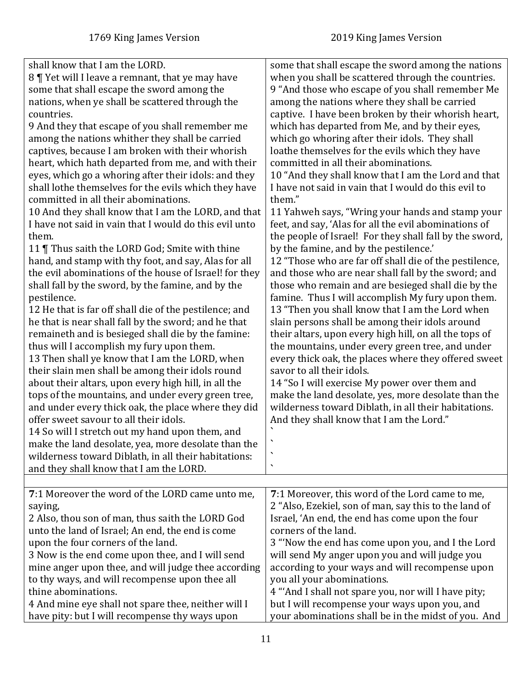<span id="page-10-0"></span>

| shall know that I am the LORD.<br>8   Yet will I leave a remnant, that ye may have<br>some that shall escape the sword among the<br>nations, when ye shall be scattered through the<br>countries.<br>9 And they that escape of you shall remember me<br>among the nations whither they shall be carried<br>captives, because I am broken with their whorish<br>heart, which hath departed from me, and with their<br>eyes, which go a whoring after their idols: and they<br>shall lothe themselves for the evils which they have<br>committed in all their abominations.<br>10 And they shall know that I am the LORD, and that<br>I have not said in vain that I would do this evil unto<br>them.<br>11   Thus saith the LORD God; Smite with thine<br>hand, and stamp with thy foot, and say, Alas for all<br>the evil abominations of the house of Israel! for they<br>shall fall by the sword, by the famine, and by the<br>pestilence.<br>12 He that is far off shall die of the pestilence; and<br>he that is near shall fall by the sword; and he that<br>remaineth and is besieged shall die by the famine:<br>thus will I accomplish my fury upon them.<br>13 Then shall ye know that I am the LORD, when<br>their slain men shall be among their idols round<br>about their altars, upon every high hill, in all the<br>tops of the mountains, and under every green tree,<br>and under every thick oak, the place where they did<br>offer sweet savour to all their idols.<br>14 So will I stretch out my hand upon them, and<br>make the land desolate, yea, more desolate than the<br>wilderness toward Diblath, in all their habitations:<br>and they shall know that I am the LORD. | some that shall escape the sword among the nations<br>when you shall be scattered through the countries.<br>9 "And those who escape of you shall remember Me<br>among the nations where they shall be carried<br>captive. I have been broken by their whorish heart,<br>which has departed from Me, and by their eyes,<br>which go whoring after their idols. They shall<br>loathe themselves for the evils which they have<br>committed in all their abominations.<br>10 "And they shall know that I am the Lord and that<br>I have not said in vain that I would do this evil to<br>them."<br>11 Yahweh says, "Wring your hands and stamp your<br>feet, and say, 'Alas for all the evil abominations of<br>the people of Israel! For they shall fall by the sword,<br>by the famine, and by the pestilence.'<br>12 "Those who are far off shall die of the pestilence,<br>and those who are near shall fall by the sword; and<br>those who remain and are besieged shall die by the<br>famine. Thus I will accomplish My fury upon them.<br>13 "Then you shall know that I am the Lord when<br>slain persons shall be among their idols around<br>their altars, upon every high hill, on all the tops of<br>the mountains, under every green tree, and under<br>every thick oak, the places where they offered sweet<br>savor to all their idols.<br>14 "So I will exercise My power over them and<br>make the land desolate, yes, more desolate than the<br>wilderness toward Diblath, in all their habitations.<br>And they shall know that I am the Lord."<br>$\overline{\phantom{a}}$<br>$\overline{\phantom{a}}$ |
|-----------------------------------------------------------------------------------------------------------------------------------------------------------------------------------------------------------------------------------------------------------------------------------------------------------------------------------------------------------------------------------------------------------------------------------------------------------------------------------------------------------------------------------------------------------------------------------------------------------------------------------------------------------------------------------------------------------------------------------------------------------------------------------------------------------------------------------------------------------------------------------------------------------------------------------------------------------------------------------------------------------------------------------------------------------------------------------------------------------------------------------------------------------------------------------------------------------------------------------------------------------------------------------------------------------------------------------------------------------------------------------------------------------------------------------------------------------------------------------------------------------------------------------------------------------------------------------------------------------------------------------------------------------------------------------------------------|-------------------------------------------------------------------------------------------------------------------------------------------------------------------------------------------------------------------------------------------------------------------------------------------------------------------------------------------------------------------------------------------------------------------------------------------------------------------------------------------------------------------------------------------------------------------------------------------------------------------------------------------------------------------------------------------------------------------------------------------------------------------------------------------------------------------------------------------------------------------------------------------------------------------------------------------------------------------------------------------------------------------------------------------------------------------------------------------------------------------------------------------------------------------------------------------------------------------------------------------------------------------------------------------------------------------------------------------------------------------------------------------------------------------------------------------------------------------------------------------------------------------------------------------------------------------------------------------------------------------------|
| 7:1 Moreover the word of the LORD came unto me,                                                                                                                                                                                                                                                                                                                                                                                                                                                                                                                                                                                                                                                                                                                                                                                                                                                                                                                                                                                                                                                                                                                                                                                                                                                                                                                                                                                                                                                                                                                                                                                                                                                     | 7:1 Moreover, this word of the Lord came to me,                                                                                                                                                                                                                                                                                                                                                                                                                                                                                                                                                                                                                                                                                                                                                                                                                                                                                                                                                                                                                                                                                                                                                                                                                                                                                                                                                                                                                                                                                                                                                                         |
| saying,                                                                                                                                                                                                                                                                                                                                                                                                                                                                                                                                                                                                                                                                                                                                                                                                                                                                                                                                                                                                                                                                                                                                                                                                                                                                                                                                                                                                                                                                                                                                                                                                                                                                                             | 2 "Also, Ezekiel, son of man, say this to the land of                                                                                                                                                                                                                                                                                                                                                                                                                                                                                                                                                                                                                                                                                                                                                                                                                                                                                                                                                                                                                                                                                                                                                                                                                                                                                                                                                                                                                                                                                                                                                                   |
| 2 Also, thou son of man, thus saith the LORD God                                                                                                                                                                                                                                                                                                                                                                                                                                                                                                                                                                                                                                                                                                                                                                                                                                                                                                                                                                                                                                                                                                                                                                                                                                                                                                                                                                                                                                                                                                                                                                                                                                                    | Israel, 'An end, the end has come upon the four                                                                                                                                                                                                                                                                                                                                                                                                                                                                                                                                                                                                                                                                                                                                                                                                                                                                                                                                                                                                                                                                                                                                                                                                                                                                                                                                                                                                                                                                                                                                                                         |
| unto the land of Israel; An end, the end is come                                                                                                                                                                                                                                                                                                                                                                                                                                                                                                                                                                                                                                                                                                                                                                                                                                                                                                                                                                                                                                                                                                                                                                                                                                                                                                                                                                                                                                                                                                                                                                                                                                                    | corners of the land.                                                                                                                                                                                                                                                                                                                                                                                                                                                                                                                                                                                                                                                                                                                                                                                                                                                                                                                                                                                                                                                                                                                                                                                                                                                                                                                                                                                                                                                                                                                                                                                                    |
| upon the four corners of the land.                                                                                                                                                                                                                                                                                                                                                                                                                                                                                                                                                                                                                                                                                                                                                                                                                                                                                                                                                                                                                                                                                                                                                                                                                                                                                                                                                                                                                                                                                                                                                                                                                                                                  | 3 "Now the end has come upon you, and I the Lord                                                                                                                                                                                                                                                                                                                                                                                                                                                                                                                                                                                                                                                                                                                                                                                                                                                                                                                                                                                                                                                                                                                                                                                                                                                                                                                                                                                                                                                                                                                                                                        |
| 3 Now is the end come upon thee, and I will send                                                                                                                                                                                                                                                                                                                                                                                                                                                                                                                                                                                                                                                                                                                                                                                                                                                                                                                                                                                                                                                                                                                                                                                                                                                                                                                                                                                                                                                                                                                                                                                                                                                    | will send My anger upon you and will judge you                                                                                                                                                                                                                                                                                                                                                                                                                                                                                                                                                                                                                                                                                                                                                                                                                                                                                                                                                                                                                                                                                                                                                                                                                                                                                                                                                                                                                                                                                                                                                                          |
| mine anger upon thee, and will judge thee according                                                                                                                                                                                                                                                                                                                                                                                                                                                                                                                                                                                                                                                                                                                                                                                                                                                                                                                                                                                                                                                                                                                                                                                                                                                                                                                                                                                                                                                                                                                                                                                                                                                 | according to your ways and will recompense upon                                                                                                                                                                                                                                                                                                                                                                                                                                                                                                                                                                                                                                                                                                                                                                                                                                                                                                                                                                                                                                                                                                                                                                                                                                                                                                                                                                                                                                                                                                                                                                         |
| to thy ways, and will recompense upon thee all                                                                                                                                                                                                                                                                                                                                                                                                                                                                                                                                                                                                                                                                                                                                                                                                                                                                                                                                                                                                                                                                                                                                                                                                                                                                                                                                                                                                                                                                                                                                                                                                                                                      | you all your abominations.                                                                                                                                                                                                                                                                                                                                                                                                                                                                                                                                                                                                                                                                                                                                                                                                                                                                                                                                                                                                                                                                                                                                                                                                                                                                                                                                                                                                                                                                                                                                                                                              |
| thine abominations.                                                                                                                                                                                                                                                                                                                                                                                                                                                                                                                                                                                                                                                                                                                                                                                                                                                                                                                                                                                                                                                                                                                                                                                                                                                                                                                                                                                                                                                                                                                                                                                                                                                                                 | 4 "And I shall not spare you, nor will I have pity;                                                                                                                                                                                                                                                                                                                                                                                                                                                                                                                                                                                                                                                                                                                                                                                                                                                                                                                                                                                                                                                                                                                                                                                                                                                                                                                                                                                                                                                                                                                                                                     |
| 4 And mine eye shall not spare thee, neither will I                                                                                                                                                                                                                                                                                                                                                                                                                                                                                                                                                                                                                                                                                                                                                                                                                                                                                                                                                                                                                                                                                                                                                                                                                                                                                                                                                                                                                                                                                                                                                                                                                                                 | but I will recompense your ways upon you, and                                                                                                                                                                                                                                                                                                                                                                                                                                                                                                                                                                                                                                                                                                                                                                                                                                                                                                                                                                                                                                                                                                                                                                                                                                                                                                                                                                                                                                                                                                                                                                           |
| have pity: but I will recompense thy ways upon                                                                                                                                                                                                                                                                                                                                                                                                                                                                                                                                                                                                                                                                                                                                                                                                                                                                                                                                                                                                                                                                                                                                                                                                                                                                                                                                                                                                                                                                                                                                                                                                                                                      | your abominations shall be in the midst of you. And                                                                                                                                                                                                                                                                                                                                                                                                                                                                                                                                                                                                                                                                                                                                                                                                                                                                                                                                                                                                                                                                                                                                                                                                                                                                                                                                                                                                                                                                                                                                                                     |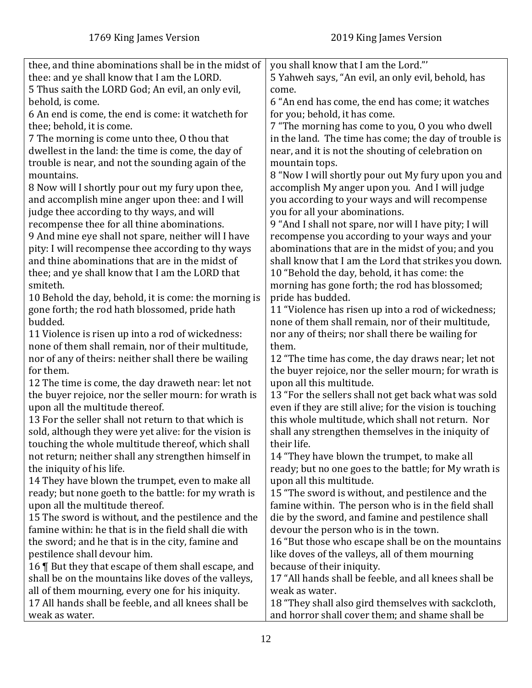| thee, and thine abominations shall be in the midst of                                                     | you shall know that I am the Lord."'                     |
|-----------------------------------------------------------------------------------------------------------|----------------------------------------------------------|
| thee: and ye shall know that I am the LORD.                                                               | 5 Yahweh says, "An evil, an only evil, behold, has       |
| 5 Thus saith the LORD God; An evil, an only evil,                                                         | come.                                                    |
| behold, is come.                                                                                          | 6 "An end has come, the end has come; it watches         |
| 6 An end is come, the end is come: it watcheth for                                                        | for you; behold, it has come.                            |
| thee; behold, it is come.                                                                                 | 7 "The morning has come to you, O you who dwell          |
| 7 The morning is come unto thee, 0 thou that                                                              | in the land. The time has come; the day of trouble is    |
| dwellest in the land: the time is come, the day of                                                        | near, and it is not the shouting of celebration on       |
| trouble is near, and not the sounding again of the                                                        | mountain tops.                                           |
| mountains.                                                                                                | 8 "Now I will shortly pour out My fury upon you and      |
| 8 Now will I shortly pour out my fury upon thee,                                                          | accomplish My anger upon you. And I will judge           |
| and accomplish mine anger upon thee: and I will                                                           | you according to your ways and will recompense           |
| judge thee according to thy ways, and will                                                                | you for all your abominations.                           |
| recompense thee for all thine abominations.                                                               | 9 "And I shall not spare, nor will I have pity; I will   |
| 9 And mine eye shall not spare, neither will I have                                                       | recompense you according to your ways and your           |
| pity: I will recompense thee according to thy ways                                                        | abominations that are in the midst of you; and you       |
| and thine abominations that are in the midst of                                                           | shall know that I am the Lord that strikes you down.     |
| thee; and ye shall know that I am the LORD that                                                           | 10 "Behold the day, behold, it has come: the             |
| smiteth.                                                                                                  |                                                          |
|                                                                                                           | morning has gone forth; the rod has blossomed;           |
| 10 Behold the day, behold, it is come: the morning is                                                     | pride has budded.                                        |
| gone forth; the rod hath blossomed, pride hath                                                            | 11 "Violence has risen up into a rod of wickedness;      |
| budded.                                                                                                   | none of them shall remain, nor of their multitude,       |
| 11 Violence is risen up into a rod of wickedness:                                                         | nor any of theirs; nor shall there be wailing for        |
| none of them shall remain, nor of their multitude,                                                        | them.                                                    |
| nor of any of theirs: neither shall there be wailing                                                      | 12 "The time has come, the day draws near; let not       |
| for them.                                                                                                 | the buyer rejoice, nor the seller mourn; for wrath is    |
| 12 The time is come, the day draweth near: let not                                                        | upon all this multitude.                                 |
| the buyer rejoice, nor the seller mourn: for wrath is                                                     | 13 "For the sellers shall not get back what was sold     |
| upon all the multitude thereof.                                                                           | even if they are still alive; for the vision is touching |
| 13 For the seller shall not return to that which is                                                       | this whole multitude, which shall not return. Nor        |
| sold, although they were yet alive: for the vision is                                                     | shall any strengthen themselves in the iniquity of       |
| touching the whole multitude thereof, which shall                                                         | their life.                                              |
| not return; neither shall any strengthen himself in                                                       | 14 "They have blown the trumpet, to make all             |
| the iniquity of his life.                                                                                 | ready; but no one goes to the battle; for My wrath is    |
| 14 They have blown the trumpet, even to make all                                                          | upon all this multitude.                                 |
| ready; but none goeth to the battle: for my wrath is                                                      | 15 "The sword is without, and pestilence and the         |
| upon all the multitude thereof.                                                                           | famine within. The person who is in the field shall      |
| 15 The sword is without, and the pestilence and the                                                       | die by the sword, and famine and pestilence shall        |
| famine within: he that is in the field shall die with                                                     | devour the person who is in the town.                    |
| the sword; and he that is in the city, famine and                                                         | 16 "But those who escape shall be on the mountains       |
| pestilence shall devour him.                                                                              | like doves of the valleys, all of them mourning          |
| 16   But they that escape of them shall escape, and                                                       | because of their iniquity.                               |
| shall be on the mountains like doves of the valleys,                                                      | 17 "All hands shall be feeble, and all knees shall be    |
|                                                                                                           | weak as water.                                           |
| all of them mourning, every one for his iniquity.<br>17 All hands shall be feeble, and all knees shall be | 18 "They shall also gird themselves with sackcloth,      |
|                                                                                                           |                                                          |
| weak as water.                                                                                            | and horror shall cover them; and shame shall be          |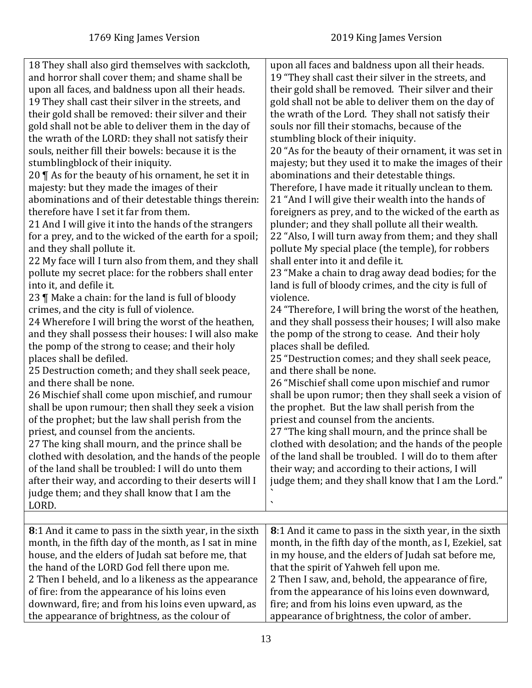<span id="page-12-0"></span>

| 18 They shall also gird themselves with sackcloth,              | upon all faces and baldness upon all their heads.        |
|-----------------------------------------------------------------|----------------------------------------------------------|
| and horror shall cover them; and shame shall be                 | 19 "They shall cast their silver in the streets, and     |
| upon all faces, and baldness upon all their heads.              | their gold shall be removed. Their silver and their      |
| 19 They shall cast their silver in the streets, and             | gold shall not be able to deliver them on the day of     |
| their gold shall be removed: their silver and their             | the wrath of the Lord. They shall not satisfy their      |
| gold shall not be able to deliver them in the day of            | souls nor fill their stomachs, because of the            |
| the wrath of the LORD: they shall not satisfy their             | stumbling block of their iniquity.                       |
| souls, neither fill their bowels: because it is the             | 20 "As for the beauty of their ornament, it was set in   |
| stumblingblock of their iniquity.                               | majesty; but they used it to make the images of their    |
| 20 $\P$ As for the beauty of his ornament, he set it in         | abominations and their detestable things.                |
| majesty: but they made the images of their                      | Therefore, I have made it ritually unclean to them.      |
| abominations and of their detestable things therein:            | 21 "And I will give their wealth into the hands of       |
| therefore have I set it far from them.                          | foreigners as prey, and to the wicked of the earth as    |
| 21 And I will give it into the hands of the strangers           | plunder; and they shall pollute all their wealth.        |
| for a prey, and to the wicked of the earth for a spoil;         | 22 "Also, I will turn away from them; and they shall     |
| and they shall pollute it.                                      | pollute My special place (the temple), for robbers       |
| 22 My face will I turn also from them, and they shall           | shall enter into it and defile it.                       |
| pollute my secret place: for the robbers shall enter            | 23 "Make a chain to drag away dead bodies; for the       |
| into it, and defile it.                                         | land is full of bloody crimes, and the city is full of   |
| 23   Make a chain: for the land is full of bloody               | violence.                                                |
| crimes, and the city is full of violence.                       | 24 "Therefore, I will bring the worst of the heathen,    |
| 24 Wherefore I will bring the worst of the heathen,             | and they shall possess their houses; I will also make    |
| and they shall possess their houses: I will also make           | the pomp of the strong to cease. And their holy          |
| the pomp of the strong to cease; and their holy                 | places shall be defiled.                                 |
| places shall be defiled.                                        | 25 "Destruction comes; and they shall seek peace,        |
| 25 Destruction cometh; and they shall seek peace,               | and there shall be none.                                 |
| and there shall be none.                                        | 26 "Mischief shall come upon mischief and rumor          |
| 26 Mischief shall come upon mischief, and rumour                | shall be upon rumor; then they shall seek a vision of    |
| shall be upon rumour; then shall they seek a vision             | the prophet. But the law shall perish from the           |
| of the prophet; but the law shall perish from the               | priest and counsel from the ancients.                    |
| priest, and counsel from the ancients.                          | 27 "The king shall mourn, and the prince shall be        |
| 27 The king shall mourn, and the prince shall be                | clothed with desolation; and the hands of the people     |
| clothed with desolation, and the hands of the people            | of the land shall be troubled. I will do to them after   |
| of the land shall be troubled: I will do unto them              | their way; and according to their actions, I will        |
| after their way, and according to their deserts will I          | judge them; and they shall know that I am the Lord."     |
| judge them; and they shall know that I am the                   |                                                          |
| LORD.                                                           |                                                          |
|                                                                 |                                                          |
| <b>8</b> :1 And it came to pass in the sixth year, in the sixth | 8:1 And it came to pass in the sixth year, in the sixth  |
| month, in the fifth day of the month, as I sat in mine          | month, in the fifth day of the month, as I, Ezekiel, sat |
| house, and the elders of Judah sat before me, that              | in my house, and the elders of Judah sat before me,      |
| the hand of the LORD God fell there upon me.                    | that the spirit of Yahweh fell upon me.                  |
| 2 Then I beheld, and lo a likeness as the appearance            | 2 Then I saw, and, behold, the appearance of fire,       |
| of fire: from the appearance of his loins even                  | from the appearance of his loins even downward,          |
| downward, fire; and from his loins even upward, as              | fire; and from his loins even upward, as the             |
| the appearance of brightness, as the colour of                  | appearance of brightness, the color of amber.            |
|                                                                 |                                                          |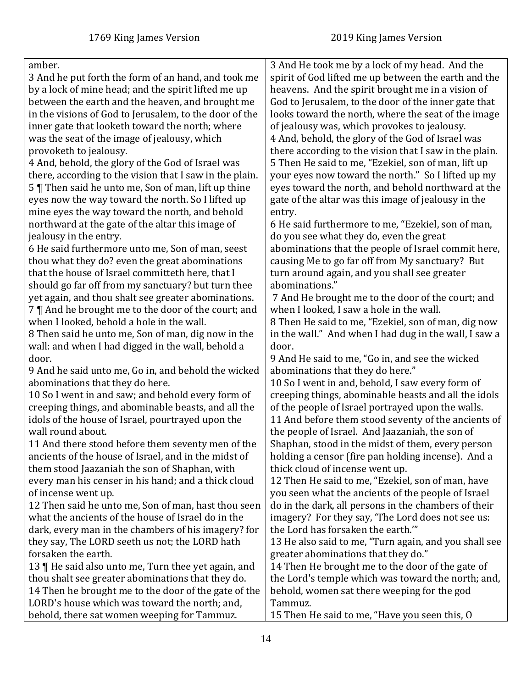| amber.                                                  | 3 And He took me by a lock of my head. And the         |
|---------------------------------------------------------|--------------------------------------------------------|
| 3 And he put forth the form of an hand, and took me     | spirit of God lifted me up between the earth and the   |
| by a lock of mine head; and the spirit lifted me up     | heavens. And the spirit brought me in a vision of      |
| between the earth and the heaven, and brought me        | God to Jerusalem, to the door of the inner gate that   |
| in the visions of God to Jerusalem, to the door of the  | looks toward the north, where the seat of the image    |
| inner gate that looketh toward the north; where         | of jealousy was, which provokes to jealousy.           |
| was the seat of the image of jealousy, which            | 4 And, behold, the glory of the God of Israel was      |
|                                                         |                                                        |
| provoketh to jealousy.                                  | there according to the vision that I saw in the plain. |
| 4 And, behold, the glory of the God of Israel was       | 5 Then He said to me, "Ezekiel, son of man, lift up    |
| there, according to the vision that I saw in the plain. | your eyes now toward the north." So I lifted up my     |
| 5   Then said he unto me, Son of man, lift up thine     | eyes toward the north, and behold northward at the     |
| eyes now the way toward the north. So I lifted up       | gate of the altar was this image of jealousy in the    |
| mine eyes the way toward the north, and behold          | entry.                                                 |
| northward at the gate of the altar this image of        | 6 He said furthermore to me, "Ezekiel, son of man,     |
| jealousy in the entry.                                  | do you see what they do, even the great                |
| 6 He said furthermore unto me, Son of man, seest        | abominations that the people of Israel commit here,    |
| thou what they do? even the great abominations          | causing Me to go far off from My sanctuary? But        |
| that the house of Israel committeth here, that I        | turn around again, and you shall see greater           |
| should go far off from my sanctuary? but turn thee      | abominations."                                         |
| yet again, and thou shalt see greater abominations.     | 7 And He brought me to the door of the court; and      |
| 7    And he brought me to the door of the court; and    | when I looked, I saw a hole in the wall.               |
| when I looked, behold a hole in the wall.               | 8 Then He said to me, "Ezekiel, son of man, dig now    |
| 8 Then said he unto me, Son of man, dig now in the      | in the wall." And when I had dug in the wall, I saw a  |
| wall: and when I had digged in the wall, behold a       | door.                                                  |
| door.                                                   | 9 And He said to me, "Go in, and see the wicked        |
| 9 And he said unto me, Go in, and behold the wicked     | abominations that they do here."                       |
| abominations that they do here.                         | 10 So I went in and, behold, I saw every form of       |
| 10 So I went in and saw; and behold every form of       | creeping things, abominable beasts and all the idols   |
| creeping things, and abominable beasts, and all the     | of the people of Israel portrayed upon the walls.      |
| idols of the house of Israel, pourtrayed upon the       | 11 And before them stood seventy of the ancients of    |
| wall round about.                                       | the people of Israel. And Jaazaniah, the son of        |
| 11 And there stood before them seventy men of the       | Shaphan, stood in the midst of them, every person      |
| ancients of the house of Israel, and in the midst of    | holding a censor (fire pan holding incense). And a     |
| them stood Jaazaniah the son of Shaphan, with           | thick cloud of incense went up.                        |
| every man his censer in his hand; and a thick cloud     | 12 Then He said to me, "Ezekiel, son of man, have      |
| of incense went up.                                     | you seen what the ancients of the people of Israel     |
| 12 Then said he unto me, Son of man, hast thou seen     | do in the dark, all persons in the chambers of their   |
| what the ancients of the house of Israel do in the      | imagery? For they say, 'The Lord does not see us:      |
| dark, every man in the chambers of his imagery? for     | the Lord has forsaken the earth."                      |
| they say, The LORD seeth us not; the LORD hath          | 13 He also said to me, "Turn again, and you shall see  |
| forsaken the earth.                                     | greater abominations that they do."                    |
| 13   He said also unto me, Turn thee yet again, and     | 14 Then He brought me to the door of the gate of       |
| thou shalt see greater abominations that they do.       | the Lord's temple which was toward the north; and,     |
| 14 Then he brought me to the door of the gate of the    | behold, women sat there weeping for the god            |
| LORD's house which was toward the north; and,           | Tammuz.                                                |
|                                                         |                                                        |
| behold, there sat women weeping for Tammuz.             | 15 Then He said to me, "Have you seen this, O          |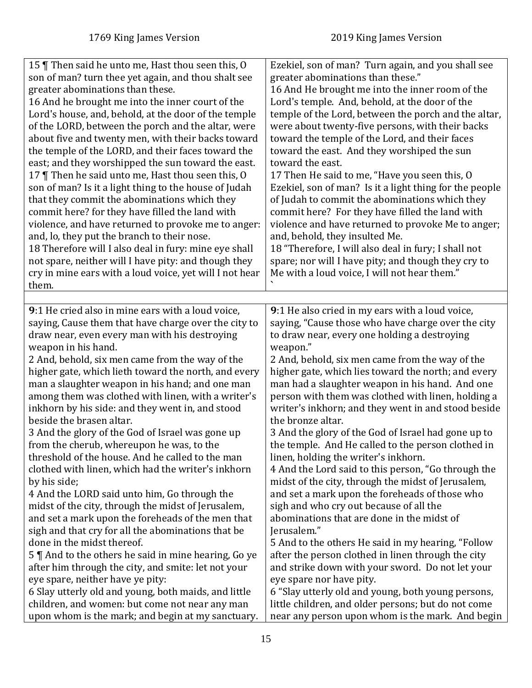<span id="page-14-0"></span>

| 15   Then said he unto me, Hast thou seen this, O<br>son of man? turn thee yet again, and thou shalt see<br>greater abominations than these.<br>16 And he brought me into the inner court of the<br>Lord's house, and, behold, at the door of the temple<br>of the LORD, between the porch and the altar, were<br>about five and twenty men, with their backs toward<br>the temple of the LORD, and their faces toward the<br>east; and they worshipped the sun toward the east.<br>17   Then he said unto me, Hast thou seen this, O<br>son of man? Is it a light thing to the house of Judah<br>that they commit the abominations which they<br>commit here? for they have filled the land with<br>violence, and have returned to provoke me to anger:<br>and, lo, they put the branch to their nose.<br>18 Therefore will I also deal in fury: mine eye shall<br>not spare, neither will I have pity: and though they<br>cry in mine ears with a loud voice, yet will I not hear<br>them. | Ezekiel, son of man? Turn again, and you shall see<br>greater abominations than these."<br>16 And He brought me into the inner room of the<br>Lord's temple. And, behold, at the door of the<br>temple of the Lord, between the porch and the altar,<br>were about twenty-five persons, with their backs<br>toward the temple of the Lord, and their faces<br>toward the east. And they worshiped the sun<br>toward the east.<br>17 Then He said to me, "Have you seen this, O<br>Ezekiel, son of man? Is it a light thing for the people<br>of Judah to commit the abominations which they<br>commit here? For they have filled the land with<br>violence and have returned to provoke Me to anger;<br>and, behold, they insulted Me.<br>18 "Therefore, I will also deal in fury; I shall not<br>spare; nor will I have pity; and though they cry to<br>Me with a loud voice, I will not hear them." |
|----------------------------------------------------------------------------------------------------------------------------------------------------------------------------------------------------------------------------------------------------------------------------------------------------------------------------------------------------------------------------------------------------------------------------------------------------------------------------------------------------------------------------------------------------------------------------------------------------------------------------------------------------------------------------------------------------------------------------------------------------------------------------------------------------------------------------------------------------------------------------------------------------------------------------------------------------------------------------------------------|-------------------------------------------------------------------------------------------------------------------------------------------------------------------------------------------------------------------------------------------------------------------------------------------------------------------------------------------------------------------------------------------------------------------------------------------------------------------------------------------------------------------------------------------------------------------------------------------------------------------------------------------------------------------------------------------------------------------------------------------------------------------------------------------------------------------------------------------------------------------------------------------------------|
|                                                                                                                                                                                                                                                                                                                                                                                                                                                                                                                                                                                                                                                                                                                                                                                                                                                                                                                                                                                              |                                                                                                                                                                                                                                                                                                                                                                                                                                                                                                                                                                                                                                                                                                                                                                                                                                                                                                       |
| 9:1 He cried also in mine ears with a loud voice,                                                                                                                                                                                                                                                                                                                                                                                                                                                                                                                                                                                                                                                                                                                                                                                                                                                                                                                                            | 9:1 He also cried in my ears with a loud voice,                                                                                                                                                                                                                                                                                                                                                                                                                                                                                                                                                                                                                                                                                                                                                                                                                                                       |
| saying, Cause them that have charge over the city to                                                                                                                                                                                                                                                                                                                                                                                                                                                                                                                                                                                                                                                                                                                                                                                                                                                                                                                                         | saying, "Cause those who have charge over the city                                                                                                                                                                                                                                                                                                                                                                                                                                                                                                                                                                                                                                                                                                                                                                                                                                                    |
| draw near, even every man with his destroying                                                                                                                                                                                                                                                                                                                                                                                                                                                                                                                                                                                                                                                                                                                                                                                                                                                                                                                                                | to draw near, every one holding a destroying                                                                                                                                                                                                                                                                                                                                                                                                                                                                                                                                                                                                                                                                                                                                                                                                                                                          |
| weapon in his hand.                                                                                                                                                                                                                                                                                                                                                                                                                                                                                                                                                                                                                                                                                                                                                                                                                                                                                                                                                                          | weapon."                                                                                                                                                                                                                                                                                                                                                                                                                                                                                                                                                                                                                                                                                                                                                                                                                                                                                              |
| 2 And, behold, six men came from the way of the                                                                                                                                                                                                                                                                                                                                                                                                                                                                                                                                                                                                                                                                                                                                                                                                                                                                                                                                              | 2 And, behold, six men came from the way of the                                                                                                                                                                                                                                                                                                                                                                                                                                                                                                                                                                                                                                                                                                                                                                                                                                                       |
| higher gate, which lieth toward the north, and every                                                                                                                                                                                                                                                                                                                                                                                                                                                                                                                                                                                                                                                                                                                                                                                                                                                                                                                                         | higher gate, which lies toward the north; and every                                                                                                                                                                                                                                                                                                                                                                                                                                                                                                                                                                                                                                                                                                                                                                                                                                                   |
| man a slaughter weapon in his hand; and one man                                                                                                                                                                                                                                                                                                                                                                                                                                                                                                                                                                                                                                                                                                                                                                                                                                                                                                                                              | man had a slaughter weapon in his hand. And one                                                                                                                                                                                                                                                                                                                                                                                                                                                                                                                                                                                                                                                                                                                                                                                                                                                       |
| among them was clothed with linen, with a writer's                                                                                                                                                                                                                                                                                                                                                                                                                                                                                                                                                                                                                                                                                                                                                                                                                                                                                                                                           | person with them was clothed with linen, holding a                                                                                                                                                                                                                                                                                                                                                                                                                                                                                                                                                                                                                                                                                                                                                                                                                                                    |
| inkhorn by his side: and they went in, and stood                                                                                                                                                                                                                                                                                                                                                                                                                                                                                                                                                                                                                                                                                                                                                                                                                                                                                                                                             | writer's inkhorn; and they went in and stood beside                                                                                                                                                                                                                                                                                                                                                                                                                                                                                                                                                                                                                                                                                                                                                                                                                                                   |
| beside the brasen altar.                                                                                                                                                                                                                                                                                                                                                                                                                                                                                                                                                                                                                                                                                                                                                                                                                                                                                                                                                                     | the bronze altar.                                                                                                                                                                                                                                                                                                                                                                                                                                                                                                                                                                                                                                                                                                                                                                                                                                                                                     |
| 3 And the glory of the God of Israel was gone up                                                                                                                                                                                                                                                                                                                                                                                                                                                                                                                                                                                                                                                                                                                                                                                                                                                                                                                                             | 3 And the glory of the God of Israel had gone up to                                                                                                                                                                                                                                                                                                                                                                                                                                                                                                                                                                                                                                                                                                                                                                                                                                                   |
| from the cherub, whereupon he was, to the                                                                                                                                                                                                                                                                                                                                                                                                                                                                                                                                                                                                                                                                                                                                                                                                                                                                                                                                                    | the temple. And He called to the person clothed in                                                                                                                                                                                                                                                                                                                                                                                                                                                                                                                                                                                                                                                                                                                                                                                                                                                    |
| threshold of the house. And he called to the man                                                                                                                                                                                                                                                                                                                                                                                                                                                                                                                                                                                                                                                                                                                                                                                                                                                                                                                                             | linen, holding the writer's inkhorn.                                                                                                                                                                                                                                                                                                                                                                                                                                                                                                                                                                                                                                                                                                                                                                                                                                                                  |
| clothed with linen, which had the writer's inkhorn                                                                                                                                                                                                                                                                                                                                                                                                                                                                                                                                                                                                                                                                                                                                                                                                                                                                                                                                           | 4 And the Lord said to this person, "Go through the                                                                                                                                                                                                                                                                                                                                                                                                                                                                                                                                                                                                                                                                                                                                                                                                                                                   |
| by his side;                                                                                                                                                                                                                                                                                                                                                                                                                                                                                                                                                                                                                                                                                                                                                                                                                                                                                                                                                                                 | midst of the city, through the midst of Jerusalem,                                                                                                                                                                                                                                                                                                                                                                                                                                                                                                                                                                                                                                                                                                                                                                                                                                                    |
| 4 And the LORD said unto him, Go through the                                                                                                                                                                                                                                                                                                                                                                                                                                                                                                                                                                                                                                                                                                                                                                                                                                                                                                                                                 | and set a mark upon the foreheads of those who                                                                                                                                                                                                                                                                                                                                                                                                                                                                                                                                                                                                                                                                                                                                                                                                                                                        |
| midst of the city, through the midst of Jerusalem,                                                                                                                                                                                                                                                                                                                                                                                                                                                                                                                                                                                                                                                                                                                                                                                                                                                                                                                                           | sigh and who cry out because of all the                                                                                                                                                                                                                                                                                                                                                                                                                                                                                                                                                                                                                                                                                                                                                                                                                                                               |
| and set a mark upon the foreheads of the men that                                                                                                                                                                                                                                                                                                                                                                                                                                                                                                                                                                                                                                                                                                                                                                                                                                                                                                                                            | abominations that are done in the midst of                                                                                                                                                                                                                                                                                                                                                                                                                                                                                                                                                                                                                                                                                                                                                                                                                                                            |
| sigh and that cry for all the abominations that be                                                                                                                                                                                                                                                                                                                                                                                                                                                                                                                                                                                                                                                                                                                                                                                                                                                                                                                                           | Jerusalem."                                                                                                                                                                                                                                                                                                                                                                                                                                                                                                                                                                                                                                                                                                                                                                                                                                                                                           |
| done in the midst thereof.                                                                                                                                                                                                                                                                                                                                                                                                                                                                                                                                                                                                                                                                                                                                                                                                                                                                                                                                                                   | 5 And to the others He said in my hearing, "Follow                                                                                                                                                                                                                                                                                                                                                                                                                                                                                                                                                                                                                                                                                                                                                                                                                                                    |
| 5    And to the others he said in mine hearing, Go ye                                                                                                                                                                                                                                                                                                                                                                                                                                                                                                                                                                                                                                                                                                                                                                                                                                                                                                                                        | after the person clothed in linen through the city                                                                                                                                                                                                                                                                                                                                                                                                                                                                                                                                                                                                                                                                                                                                                                                                                                                    |
| after him through the city, and smite: let not your                                                                                                                                                                                                                                                                                                                                                                                                                                                                                                                                                                                                                                                                                                                                                                                                                                                                                                                                          | and strike down with your sword. Do not let your                                                                                                                                                                                                                                                                                                                                                                                                                                                                                                                                                                                                                                                                                                                                                                                                                                                      |
| eye spare, neither have ye pity:                                                                                                                                                                                                                                                                                                                                                                                                                                                                                                                                                                                                                                                                                                                                                                                                                                                                                                                                                             | eye spare nor have pity.                                                                                                                                                                                                                                                                                                                                                                                                                                                                                                                                                                                                                                                                                                                                                                                                                                                                              |
| 6 Slay utterly old and young, both maids, and little                                                                                                                                                                                                                                                                                                                                                                                                                                                                                                                                                                                                                                                                                                                                                                                                                                                                                                                                         | 6 "Slay utterly old and young, both young persons,                                                                                                                                                                                                                                                                                                                                                                                                                                                                                                                                                                                                                                                                                                                                                                                                                                                    |
| children, and women: but come not near any man                                                                                                                                                                                                                                                                                                                                                                                                                                                                                                                                                                                                                                                                                                                                                                                                                                                                                                                                               | little children, and older persons; but do not come                                                                                                                                                                                                                                                                                                                                                                                                                                                                                                                                                                                                                                                                                                                                                                                                                                                   |
| upon whom is the mark; and begin at my sanctuary.                                                                                                                                                                                                                                                                                                                                                                                                                                                                                                                                                                                                                                                                                                                                                                                                                                                                                                                                            | near any person upon whom is the mark. And begin                                                                                                                                                                                                                                                                                                                                                                                                                                                                                                                                                                                                                                                                                                                                                                                                                                                      |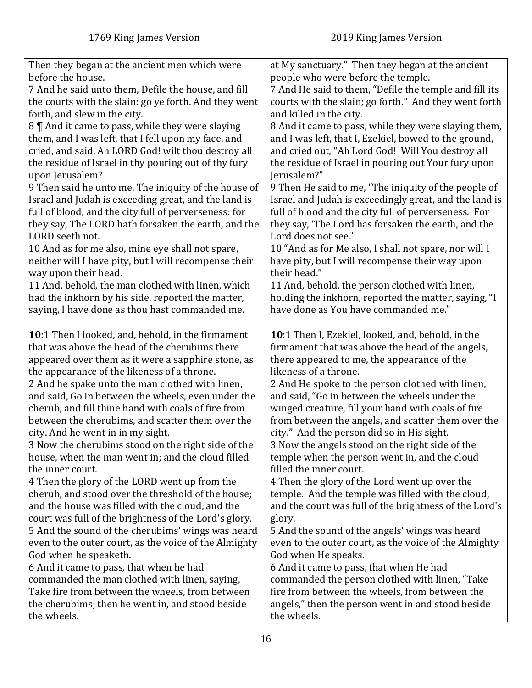<span id="page-15-0"></span>

| Then they began at the ancient men which were         | at My sanctuary." Then they began at the ancient       |
|-------------------------------------------------------|--------------------------------------------------------|
| before the house.                                     | people who were before the temple.                     |
| 7 And he said unto them, Defile the house, and fill   | 7 And He said to them, "Defile the temple and fill its |
| the courts with the slain: go ye forth. And they went | courts with the slain; go forth." And they went forth  |
| forth, and slew in the city.                          | and killed in the city.                                |
| 8    And it came to pass, while they were slaying     | 8 And it came to pass, while they were slaying them,   |
| them, and I was left, that I fell upon my face, and   | and I was left, that I, Ezekiel, bowed to the ground,  |
| cried, and said, Ah LORD God! wilt thou destroy all   | and cried out, "Ah Lord God! Will You destroy all      |
| the residue of Israel in thy pouring out of thy fury  | the residue of Israel in pouring out Your fury upon    |
| upon Jerusalem?                                       | Jerusalem?"                                            |
| 9 Then said he unto me, The iniquity of the house of  | 9 Then He said to me, "The iniquity of the people of   |
| Israel and Judah is exceeding great, and the land is  | Israel and Judah is exceedingly great, and the land is |
| full of blood, and the city full of perverseness: for | full of blood and the city full of perverseness. For   |
| they say, The LORD hath forsaken the earth, and the   | they say, 'The Lord has forsaken the earth, and the    |
| LORD seeth not.                                       | Lord does not see.'                                    |
| 10 And as for me also, mine eye shall not spare,      | 10 "And as for Me also, I shall not spare, nor will I  |
| neither will I have pity, but I will recompense their | have pity, but I will recompense their way upon        |
| way upon their head.                                  | their head."                                           |
| 11 And, behold, the man clothed with linen, which     | 11 And, behold, the person clothed with linen,         |
| had the inkhorn by his side, reported the matter,     | holding the inkhorn, reported the matter, saying, "I   |
| saying, I have done as thou hast commanded me.        | have done as You have commanded me."                   |
|                                                       |                                                        |
| 10:1 Then I looked, and, behold, in the firmament     | 10:1 Then I, Ezekiel, looked, and, behold, in the      |
| that was above the head of the cherubims there        | firmament that was above the head of the angels,       |
| appeared over them as it were a sapphire stone, as    | there appeared to me, the appearance of the            |
| the appearance of the likeness of a throne.           | likeness of a throne.                                  |
| 2 And he spake unto the man clothed with linen,       | 2 And He spoke to the person clothed with linen,       |
| and said, Go in between the wheels, even under the    | and said, "Go in between the wheels under the          |
| cherub, and fill thine hand with coals of fire from   | winged creature, fill your hand with coals of fire     |
| between the cherubims, and scatter them over the      | from between the angels, and scatter them over the     |
| city. And he went in in my sight.                     | city." And the person did so in His sight.             |
| 3 Now the cherubims stood on the right side of the    | 3 Now the angels stood on the right side of the        |
| house, when the man went in; and the cloud filled     | temple when the person went in, and the cloud          |
| the inner court.                                      | filled the inner court.                                |
| 4 Then the glory of the LORD went up from the         | 4 Then the glory of the Lord went up over the          |
| cherub, and stood over the threshold of the house;    | temple. And the temple was filled with the cloud,      |
| and the house was filled with the cloud, and the      | and the court was full of the brightness of the Lord's |
| court was full of the brightness of the Lord's glory. | glory.                                                 |
| 5 And the sound of the cherubims' wings was heard     | 5 And the sound of the angels' wings was heard         |
| even to the outer court, as the voice of the Almighty | even to the outer court, as the voice of the Almighty  |
| God when he speaketh.                                 | God when He speaks.                                    |
| 6 And it came to pass, that when he had               | 6 And it came to pass, that when He had                |
| commanded the man clothed with linen, saying,         | commanded the person clothed with linen, "Take         |
| Take fire from between the wheels, from between       | fire from between the wheels, from between the         |
| the cherubims; then he went in, and stood beside      | angels," then the person went in and stood beside      |
| the wheels.                                           | the wheels.                                            |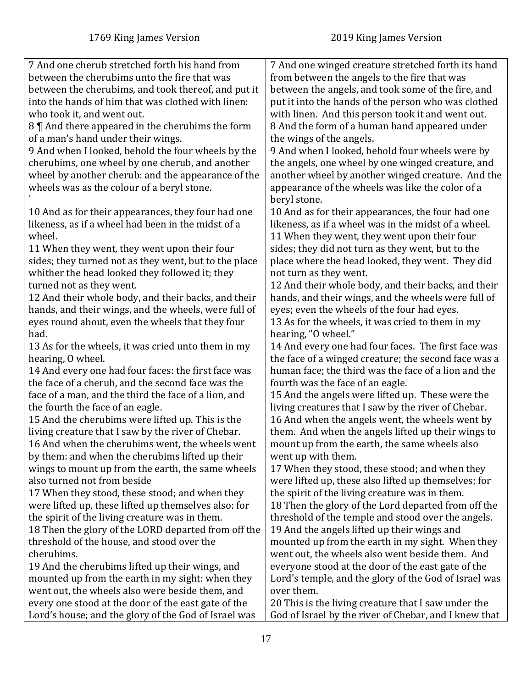| 7 And one cherub stretched forth his hand from        | 7 And one winged creature stretched forth its hand    |
|-------------------------------------------------------|-------------------------------------------------------|
| between the cherubims unto the fire that was          | from between the angels to the fire that was          |
| between the cherubims, and took thereof, and put it   | between the angels, and took some of the fire, and    |
| into the hands of him that was clothed with linen:    | put it into the hands of the person who was clothed   |
| who took it, and went out.                            | with linen. And this person took it and went out.     |
| 8    And there appeared in the cherubims the form     | 8 And the form of a human hand appeared under         |
| of a man's hand under their wings.                    | the wings of the angels.                              |
| 9 And when I looked, behold the four wheels by the    | 9 And when I looked, behold four wheels were by       |
| cherubims, one wheel by one cherub, and another       | the angels, one wheel by one winged creature, and     |
| wheel by another cherub: and the appearance of the    | another wheel by another winged creature. And the     |
| wheels was as the colour of a beryl stone.            | appearance of the wheels was like the color of a      |
|                                                       | beryl stone.                                          |
| 10 And as for their appearances, they four had one    | 10 And as for their appearances, the four had one     |
| likeness, as if a wheel had been in the midst of a    | likeness, as if a wheel was in the midst of a wheel.  |
| wheel.                                                | 11 When they went, they went upon their four          |
| 11 When they went, they went upon their four          | sides; they did not turn as they went, but to the     |
| sides; they turned not as they went, but to the place | place where the head looked, they went. They did      |
| whither the head looked they followed it; they        | not turn as they went.                                |
| turned not as they went.                              | 12 And their whole body, and their backs, and their   |
| 12 And their whole body, and their backs, and their   | hands, and their wings, and the wheels were full of   |
| hands, and their wings, and the wheels, were full of  | eyes; even the wheels of the four had eyes.           |
| eyes round about, even the wheels that they four      | 13 As for the wheels, it was cried to them in my      |
| had.                                                  | hearing, "O wheel."                                   |
| 13 As for the wheels, it was cried unto them in my    | 14 And every one had four faces. The first face was   |
| hearing, 0 wheel.                                     | the face of a winged creature; the second face was a  |
| 14 And every one had four faces: the first face was   | human face; the third was the face of a lion and the  |
| the face of a cherub, and the second face was the     | fourth was the face of an eagle.                      |
| face of a man, and the third the face of a lion, and  | 15 And the angels were lifted up. These were the      |
| the fourth the face of an eagle.                      | living creatures that I saw by the river of Chebar.   |
| 15 And the cherubims were lifted up. This is the      | 16 And when the angels went, the wheels went by       |
| living creature that I saw by the river of Chebar.    | them. And when the angels lifted up their wings to    |
| 16 And when the cherubims went, the wheels went       | mount up from the earth, the same wheels also         |
| by them: and when the cherubims lifted up their       | went up with them.                                    |
| wings to mount up from the earth, the same wheels     | 17 When they stood, these stood; and when they        |
| also turned not from beside                           | were lifted up, these also lifted up themselves; for  |
| 17 When they stood, these stood; and when they        | the spirit of the living creature was in them.        |
| were lifted up, these lifted up themselves also: for  | 18 Then the glory of the Lord departed from off the   |
| the spirit of the living creature was in them.        | threshold of the temple and stood over the angels.    |
| 18 Then the glory of the LORD departed from off the   | 19 And the angels lifted up their wings and           |
| threshold of the house, and stood over the            | mounted up from the earth in my sight. When they      |
| cherubims.                                            | went out, the wheels also went beside them. And       |
| 19 And the cherubims lifted up their wings, and       | everyone stood at the door of the east gate of the    |
| mounted up from the earth in my sight: when they      | Lord's temple, and the glory of the God of Israel was |
| went out, the wheels also were beside them, and       | over them.                                            |
| every one stood at the door of the east gate of the   | 20 This is the living creature that I saw under the   |
| Lord's house; and the glory of the God of Israel was  | God of Israel by the river of Chebar, and I knew that |
|                                                       |                                                       |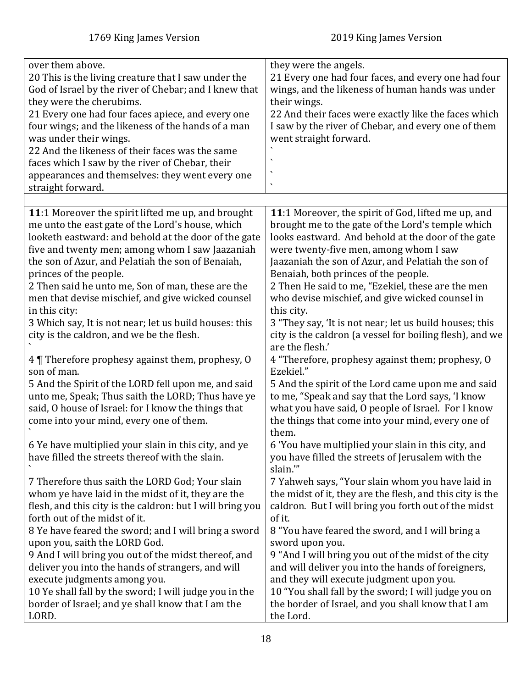<span id="page-17-0"></span>

| over them above.<br>20 This is the living creature that I saw under the<br>God of Israel by the river of Chebar; and I knew that<br>they were the cherubims.<br>21 Every one had four faces apiece, and every one<br>four wings; and the likeness of the hands of a man<br>was under their wings.<br>22 And the likeness of their faces was the same<br>faces which I saw by the river of Chebar, their<br>appearances and themselves: they went every one<br>straight forward.                                                    | they were the angels.<br>21 Every one had four faces, and every one had four<br>wings, and the likeness of human hands was under<br>their wings.<br>22 And their faces were exactly like the faces which<br>I saw by the river of Chebar, and every one of them<br>went straight forward.                                                                                                                                                                                                                                                           |
|------------------------------------------------------------------------------------------------------------------------------------------------------------------------------------------------------------------------------------------------------------------------------------------------------------------------------------------------------------------------------------------------------------------------------------------------------------------------------------------------------------------------------------|-----------------------------------------------------------------------------------------------------------------------------------------------------------------------------------------------------------------------------------------------------------------------------------------------------------------------------------------------------------------------------------------------------------------------------------------------------------------------------------------------------------------------------------------------------|
|                                                                                                                                                                                                                                                                                                                                                                                                                                                                                                                                    |                                                                                                                                                                                                                                                                                                                                                                                                                                                                                                                                                     |
| 11:1 Moreover the spirit lifted me up, and brought<br>me unto the east gate of the Lord's house, which<br>looketh eastward: and behold at the door of the gate<br>five and twenty men; among whom I saw Jaazaniah<br>the son of Azur, and Pelatiah the son of Benaiah,<br>princes of the people.<br>2 Then said he unto me, Son of man, these are the<br>men that devise mischief, and give wicked counsel<br>in this city:<br>3 Which say, It is not near; let us build houses: this<br>city is the caldron, and we be the flesh. | 11:1 Moreover, the spirit of God, lifted me up, and<br>brought me to the gate of the Lord's temple which<br>looks eastward. And behold at the door of the gate<br>were twenty-five men, among whom I saw<br>Jaazaniah the son of Azur, and Pelatiah the son of<br>Benaiah, both princes of the people.<br>2 Then He said to me, "Ezekiel, these are the men<br>who devise mischief, and give wicked counsel in<br>this city.<br>3 "They say, 'It is not near; let us build houses; this<br>city is the caldron (a vessel for boiling flesh), and we |
| 4 Therefore prophesy against them, prophesy, 0<br>son of man.                                                                                                                                                                                                                                                                                                                                                                                                                                                                      | are the flesh.'<br>4 "Therefore, prophesy against them; prophesy, O<br>Ezekiel."                                                                                                                                                                                                                                                                                                                                                                                                                                                                    |
| 5 And the Spirit of the LORD fell upon me, and said<br>unto me, Speak; Thus saith the LORD; Thus have ye<br>said, O house of Israel: for I know the things that<br>come into your mind, every one of them.                                                                                                                                                                                                                                                                                                                         | 5 And the spirit of the Lord came upon me and said<br>to me, "Speak and say that the Lord says, 'I know<br>what you have said, O people of Israel. For I know<br>the things that come into your mind, every one of<br>them.                                                                                                                                                                                                                                                                                                                         |
| 6 Ye have multiplied your slain in this city, and ye<br>have filled the streets thereof with the slain.                                                                                                                                                                                                                                                                                                                                                                                                                            | 6 'You have multiplied your slain in this city, and<br>you have filled the streets of Jerusalem with the<br>slain."                                                                                                                                                                                                                                                                                                                                                                                                                                 |
| 7 Therefore thus saith the LORD God; Your slain<br>whom ye have laid in the midst of it, they are the<br>flesh, and this city is the caldron: but I will bring you<br>forth out of the midst of it.<br>8 Ye have feared the sword; and I will bring a sword                                                                                                                                                                                                                                                                        | 7 Yahweh says, "Your slain whom you have laid in<br>the midst of it, they are the flesh, and this city is the<br>caldron. But I will bring you forth out of the midst<br>of it.<br>8 "You have feared the sword, and I will bring a                                                                                                                                                                                                                                                                                                                 |
| upon you, saith the LORD God.<br>9 And I will bring you out of the midst thereof, and<br>deliver you into the hands of strangers, and will<br>execute judgments among you.<br>10 Ye shall fall by the sword; I will judge you in the<br>border of Israel; and ye shall know that I am the<br>LORD.                                                                                                                                                                                                                                 | sword upon you.<br>9 "And I will bring you out of the midst of the city<br>and will deliver you into the hands of foreigners,<br>and they will execute judgment upon you.<br>10 "You shall fall by the sword; I will judge you on<br>the border of Israel, and you shall know that I am<br>the Lord.                                                                                                                                                                                                                                                |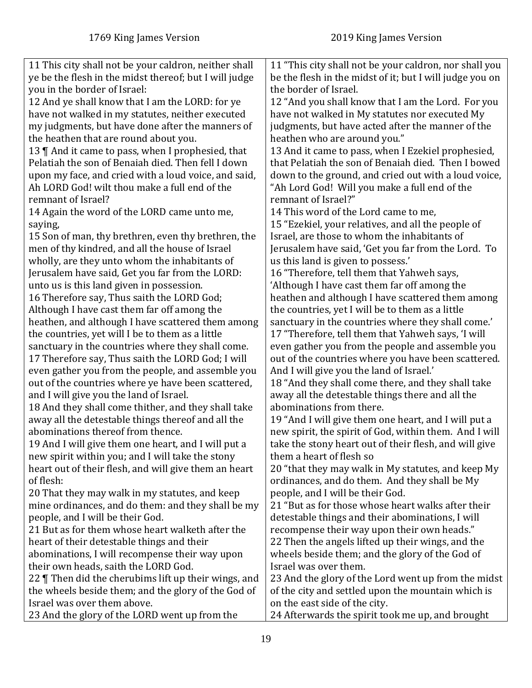| 11 This city shall not be your caldron, neither shall  | 11 "This city shall not be your caldron, nor shall you   |
|--------------------------------------------------------|----------------------------------------------------------|
| ye be the flesh in the midst thereof; but I will judge | be the flesh in the midst of it; but I will judge you on |
| you in the border of Israel:                           | the border of Israel.                                    |
| 12 And ye shall know that I am the LORD: for ye        | 12 "And you shall know that I am the Lord. For you       |
| have not walked in my statutes, neither executed       | have not walked in My statutes nor executed My           |
| my judgments, but have done after the manners of       | judgments, but have acted after the manner of the        |
| the heathen that are round about you.                  | heathen who are around you."                             |
| 13    And it came to pass, when I prophesied, that     | 13 And it came to pass, when I Ezekiel prophesied,       |
| Pelatiah the son of Benaiah died. Then fell I down     | that Pelatiah the son of Benaiah died. Then I bowed      |
| upon my face, and cried with a loud voice, and said,   | down to the ground, and cried out with a loud voice,     |
| Ah LORD God! wilt thou make a full end of the          | "Ah Lord God! Will you make a full end of the            |
| remnant of Israel?                                     | remnant of Israel?"                                      |
| 14 Again the word of the LORD came unto me,            | 14 This word of the Lord came to me,                     |
| saying,                                                | 15 "Ezekiel, your relatives, and all the people of       |
| 15 Son of man, thy brethren, even thy brethren, the    | Israel, are those to whom the inhabitants of             |
| men of thy kindred, and all the house of Israel        | Jerusalem have said, 'Get you far from the Lord. To      |
| wholly, are they unto whom the inhabitants of          | us this land is given to possess.'                       |
| Jerusalem have said, Get you far from the LORD:        | 16 "Therefore, tell them that Yahweh says,               |
| unto us is this land given in possession.              | 'Although I have cast them far off among the             |
| 16 Therefore say, Thus saith the LORD God;             | heathen and although I have scattered them among         |
| Although I have cast them far off among the            | the countries, yet I will be to them as a little         |
| heathen, and although I have scattered them among      | sanctuary in the countries where they shall come.'       |
| the countries, yet will I be to them as a little       | 17 "Therefore, tell them that Yahweh says, 'I will       |
| sanctuary in the countries where they shall come.      | even gather you from the people and assemble you         |
| 17 Therefore say, Thus saith the LORD God; I will      | out of the countries where you have been scattered.      |
| even gather you from the people, and assemble you      | And I will give you the land of Israel.'                 |
| out of the countries where ye have been scattered,     | 18 "And they shall come there, and they shall take       |
| and I will give you the land of Israel.                | away all the detestable things there and all the         |
| 18 And they shall come thither, and they shall take    | abominations from there.                                 |
| away all the detestable things thereof and all the     | 19 "And I will give them one heart, and I will put a     |
| abominations thereof from thence.                      | new spirit, the spirit of God, within them. And I will   |
| 19 And I will give them one heart, and I will put a    | take the stony heart out of their flesh, and will give   |
| new spirit within you; and I will take the stony       | them a heart of flesh so                                 |
| heart out of their flesh, and will give them an heart  | 20 "that they may walk in My statutes, and keep My       |
| of flesh:                                              | ordinances, and do them. And they shall be My            |
| 20 That they may walk in my statutes, and keep         | people, and I will be their God.                         |
| mine ordinances, and do them: and they shall be my     | 21 "But as for those whose heart walks after their       |
| people, and I will be their God.                       | detestable things and their abominations, I will         |
| 21 But as for them whose heart walketh after the       | recompense their way upon their own heads."              |
| heart of their detestable things and their             | 22 Then the angels lifted up their wings, and the        |
| abominations, I will recompense their way upon         | wheels beside them; and the glory of the God of          |
| their own heads, saith the LORD God.                   | Israel was over them.                                    |
| 22   Then did the cherubims lift up their wings, and   | 23 And the glory of the Lord went up from the midst      |
| the wheels beside them; and the glory of the God of    | of the city and settled upon the mountain which is       |
| Israel was over them above.                            | on the east side of the city.                            |
| 23 And the glory of the LORD went up from the          | 24 Afterwards the spirit took me up, and brought         |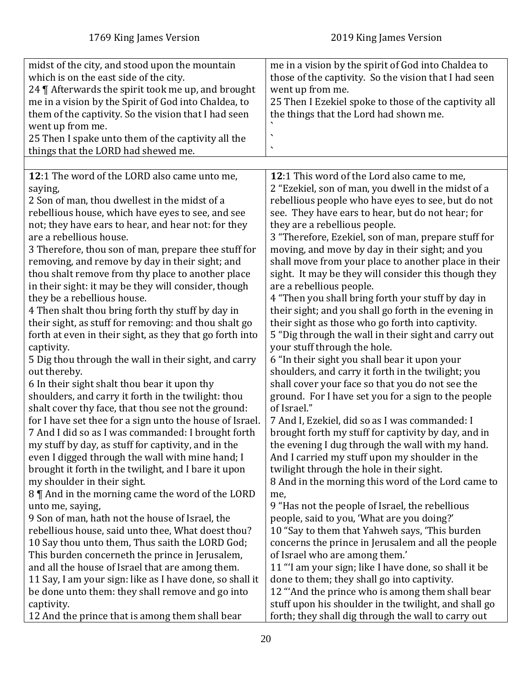<span id="page-19-0"></span>

| midst of the city, and stood upon the mountain<br>which is on the east side of the city.<br>24   Afterwards the spirit took me up, and brought<br>me in a vision by the Spirit of God into Chaldea, to<br>them of the captivity. So the vision that I had seen<br>went up from me.<br>25 Then I spake unto them of the captivity all the<br>things that the LORD had shewed me.                                                                                                                                                                                                                                                                                                                                                                                                                                                                                                                                                                                                                                                                                                                                                                                                                                                                                                                                                                                                                                                                                                                | me in a vision by the spirit of God into Chaldea to<br>those of the captivity. So the vision that I had seen<br>went up from me.<br>25 Then I Ezekiel spoke to those of the captivity all<br>the things that the Lord had shown me.<br>$\blacktriangledown$                                                                                                                                                                                                                                                                                                                                                                                                                                                                                                                                                                                                                                                                                                                                                                                                                                                                                                                                                                                                                                                                                                                                                                                                                                                                           |
|------------------------------------------------------------------------------------------------------------------------------------------------------------------------------------------------------------------------------------------------------------------------------------------------------------------------------------------------------------------------------------------------------------------------------------------------------------------------------------------------------------------------------------------------------------------------------------------------------------------------------------------------------------------------------------------------------------------------------------------------------------------------------------------------------------------------------------------------------------------------------------------------------------------------------------------------------------------------------------------------------------------------------------------------------------------------------------------------------------------------------------------------------------------------------------------------------------------------------------------------------------------------------------------------------------------------------------------------------------------------------------------------------------------------------------------------------------------------------------------------|---------------------------------------------------------------------------------------------------------------------------------------------------------------------------------------------------------------------------------------------------------------------------------------------------------------------------------------------------------------------------------------------------------------------------------------------------------------------------------------------------------------------------------------------------------------------------------------------------------------------------------------------------------------------------------------------------------------------------------------------------------------------------------------------------------------------------------------------------------------------------------------------------------------------------------------------------------------------------------------------------------------------------------------------------------------------------------------------------------------------------------------------------------------------------------------------------------------------------------------------------------------------------------------------------------------------------------------------------------------------------------------------------------------------------------------------------------------------------------------------------------------------------------------|
|                                                                                                                                                                                                                                                                                                                                                                                                                                                                                                                                                                                                                                                                                                                                                                                                                                                                                                                                                                                                                                                                                                                                                                                                                                                                                                                                                                                                                                                                                                |                                                                                                                                                                                                                                                                                                                                                                                                                                                                                                                                                                                                                                                                                                                                                                                                                                                                                                                                                                                                                                                                                                                                                                                                                                                                                                                                                                                                                                                                                                                                       |
| 12:1 The word of the LORD also came unto me,<br>saying,<br>2 Son of man, thou dwellest in the midst of a<br>rebellious house, which have eyes to see, and see<br>not; they have ears to hear, and hear not: for they<br>are a rebellious house.<br>3 Therefore, thou son of man, prepare thee stuff for<br>removing, and remove by day in their sight; and<br>thou shalt remove from thy place to another place<br>in their sight: it may be they will consider, though<br>they be a rebellious house.<br>4 Then shalt thou bring forth thy stuff by day in<br>their sight, as stuff for removing: and thou shalt go<br>forth at even in their sight, as they that go forth into<br>captivity.<br>5 Dig thou through the wall in their sight, and carry<br>out thereby.<br>6 In their sight shalt thou bear it upon thy<br>shoulders, and carry it forth in the twilight: thou<br>shalt cover thy face, that thou see not the ground:<br>for I have set thee for a sign unto the house of Israel.<br>7 And I did so as I was commanded: I brought forth<br>my stuff by day, as stuff for captivity, and in the<br>even I digged through the wall with mine hand; I<br>brought it forth in the twilight, and I bare it upon<br>my shoulder in their sight.<br>8    And in the morning came the word of the LORD<br>unto me, saying,<br>9 Son of man, hath not the house of Israel, the<br>rebellious house, said unto thee, What doest thou?<br>10 Say thou unto them, Thus saith the LORD God; | 12:1 This word of the Lord also came to me,<br>2 "Ezekiel, son of man, you dwell in the midst of a<br>rebellious people who have eyes to see, but do not<br>see. They have ears to hear, but do not hear; for<br>they are a rebellious people.<br>3 "Therefore, Ezekiel, son of man, prepare stuff for<br>moving, and move by day in their sight; and you<br>shall move from your place to another place in their<br>sight. It may be they will consider this though they<br>are a rebellious people.<br>4 "Then you shall bring forth your stuff by day in<br>their sight; and you shall go forth in the evening in<br>their sight as those who go forth into captivity.<br>5 "Dig through the wall in their sight and carry out<br>your stuff through the hole.<br>6 "In their sight you shall bear it upon your<br>shoulders, and carry it forth in the twilight; you<br>shall cover your face so that you do not see the<br>ground. For I have set you for a sign to the people<br>of Israel."<br>7 And I, Ezekiel, did so as I was commanded: I<br>brought forth my stuff for captivity by day, and in<br>the evening I dug through the wall with my hand.<br>And I carried my stuff upon my shoulder in the<br>twilight through the hole in their sight.<br>8 And in the morning this word of the Lord came to<br>me,<br>9 "Has not the people of Israel, the rebellious<br>people, said to you, 'What are you doing?'<br>10 "Say to them that Yahweh says, 'This burden<br>concerns the prince in Jerusalem and all the people |
| This burden concerneth the prince in Jerusalem,                                                                                                                                                                                                                                                                                                                                                                                                                                                                                                                                                                                                                                                                                                                                                                                                                                                                                                                                                                                                                                                                                                                                                                                                                                                                                                                                                                                                                                                | of Israel who are among them.'                                                                                                                                                                                                                                                                                                                                                                                                                                                                                                                                                                                                                                                                                                                                                                                                                                                                                                                                                                                                                                                                                                                                                                                                                                                                                                                                                                                                                                                                                                        |
| and all the house of Israel that are among them.                                                                                                                                                                                                                                                                                                                                                                                                                                                                                                                                                                                                                                                                                                                                                                                                                                                                                                                                                                                                                                                                                                                                                                                                                                                                                                                                                                                                                                               | 11 "'I am your sign; like I have done, so shall it be                                                                                                                                                                                                                                                                                                                                                                                                                                                                                                                                                                                                                                                                                                                                                                                                                                                                                                                                                                                                                                                                                                                                                                                                                                                                                                                                                                                                                                                                                 |
| 11 Say, I am your sign: like as I have done, so shall it                                                                                                                                                                                                                                                                                                                                                                                                                                                                                                                                                                                                                                                                                                                                                                                                                                                                                                                                                                                                                                                                                                                                                                                                                                                                                                                                                                                                                                       | done to them; they shall go into captivity.                                                                                                                                                                                                                                                                                                                                                                                                                                                                                                                                                                                                                                                                                                                                                                                                                                                                                                                                                                                                                                                                                                                                                                                                                                                                                                                                                                                                                                                                                           |
|                                                                                                                                                                                                                                                                                                                                                                                                                                                                                                                                                                                                                                                                                                                                                                                                                                                                                                                                                                                                                                                                                                                                                                                                                                                                                                                                                                                                                                                                                                |                                                                                                                                                                                                                                                                                                                                                                                                                                                                                                                                                                                                                                                                                                                                                                                                                                                                                                                                                                                                                                                                                                                                                                                                                                                                                                                                                                                                                                                                                                                                       |
| be done unto them: they shall remove and go into                                                                                                                                                                                                                                                                                                                                                                                                                                                                                                                                                                                                                                                                                                                                                                                                                                                                                                                                                                                                                                                                                                                                                                                                                                                                                                                                                                                                                                               | 12 "And the prince who is among them shall bear                                                                                                                                                                                                                                                                                                                                                                                                                                                                                                                                                                                                                                                                                                                                                                                                                                                                                                                                                                                                                                                                                                                                                                                                                                                                                                                                                                                                                                                                                       |
| captivity.                                                                                                                                                                                                                                                                                                                                                                                                                                                                                                                                                                                                                                                                                                                                                                                                                                                                                                                                                                                                                                                                                                                                                                                                                                                                                                                                                                                                                                                                                     | stuff upon his shoulder in the twilight, and shall go                                                                                                                                                                                                                                                                                                                                                                                                                                                                                                                                                                                                                                                                                                                                                                                                                                                                                                                                                                                                                                                                                                                                                                                                                                                                                                                                                                                                                                                                                 |
| 12 And the prince that is among them shall bear                                                                                                                                                                                                                                                                                                                                                                                                                                                                                                                                                                                                                                                                                                                                                                                                                                                                                                                                                                                                                                                                                                                                                                                                                                                                                                                                                                                                                                                | forth; they shall dig through the wall to carry out                                                                                                                                                                                                                                                                                                                                                                                                                                                                                                                                                                                                                                                                                                                                                                                                                                                                                                                                                                                                                                                                                                                                                                                                                                                                                                                                                                                                                                                                                   |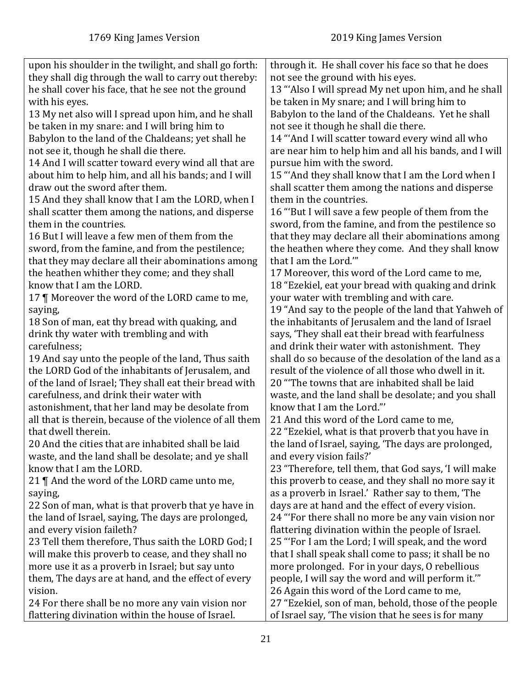| upon his shoulder in the twilight, and shall go forth:   | through it. He shall cover his face so that he does    |
|----------------------------------------------------------|--------------------------------------------------------|
| they shall dig through the wall to carry out thereby:    | not see the ground with his eyes.                      |
| he shall cover his face, that he see not the ground      | 13 "Also I will spread My net upon him, and he shall   |
| with his eyes.                                           | be taken in My snare; and I will bring him to          |
| 13 My net also will I spread upon him, and he shall      | Babylon to the land of the Chaldeans. Yet he shall     |
| be taken in my snare: and I will bring him to            | not see it though he shall die there.                  |
| Babylon to the land of the Chaldeans; yet shall he       | 14 "And I will scatter toward every wind all who       |
| not see it, though he shall die there.                   | are near him to help him and all his bands, and I will |
| 14 And I will scatter toward every wind all that are     | pursue him with the sword.                             |
| about him to help him, and all his bands; and I will     | 15 "And they shall know that I am the Lord when I      |
| draw out the sword after them.                           | shall scatter them among the nations and disperse      |
| 15 And they shall know that I am the LORD, when I        | them in the countries.                                 |
| shall scatter them among the nations, and disperse       | 16 "But I will save a few people of them from the      |
| them in the countries.                                   | sword, from the famine, and from the pestilence so     |
| 16 But I will leave a few men of them from the           | that they may declare all their abominations among     |
| sword, from the famine, and from the pestilence;         | the heathen where they come. And they shall know       |
| that they may declare all their abominations among       | that I am the Lord.""                                  |
| the heathen whither they come; and they shall            | 17 Moreover, this word of the Lord came to me,         |
| know that I am the LORD.                                 | 18 "Ezekiel, eat your bread with quaking and drink     |
| 17   Moreover the word of the LORD came to me,           | your water with trembling and with care.               |
| saying,                                                  | 19 "And say to the people of the land that Yahweh of   |
| 18 Son of man, eat thy bread with quaking, and           | the inhabitants of Jerusalem and the land of Israel    |
| drink thy water with trembling and with                  | says, 'They shall eat their bread with fearfulness     |
| carefulness;                                             | and drink their water with astonishment. They          |
| 19 And say unto the people of the land, Thus saith       | shall do so because of the desolation of the land as a |
| the LORD God of the inhabitants of Jerusalem, and        | result of the violence of all those who dwell in it.   |
| of the land of Israel; They shall eat their bread with   | 20 "The towns that are inhabited shall be laid         |
| carefulness, and drink their water with                  | waste, and the land shall be desolate; and you shall   |
| astonishment, that her land may be desolate from         | know that I am the Lord."                              |
| all that is therein, because of the violence of all them | 21 And this word of the Lord came to me,               |
| that dwell therein.                                      | 22 "Ezekiel, what is that proverb that you have in     |
| 20 And the cities that are inhabited shall be laid       | the land of Israel, saying, 'The days are prolonged,   |
| waste, and the land shall be desolate; and ye shall      | and every vision fails?'                               |
| know that I am the LORD.                                 | 23 "Therefore, tell them, that God says, 'I will make  |
| 21 ¶ And the word of the LORD came unto me,              | this proverb to cease, and they shall no more say it   |
| saying,                                                  | as a proverb in Israel.' Rather say to them, 'The      |
| 22 Son of man, what is that proverb that ye have in      | days are at hand and the effect of every vision.       |
| the land of Israel, saying, The days are prolonged,      | 24 "For there shall no more be any vain vision nor     |
| and every vision faileth?                                | flattering divination within the people of Israel.     |
| 23 Tell them therefore, Thus saith the LORD God; I       | 25 "For I am the Lord; I will speak, and the word      |
| will make this proverb to cease, and they shall no       | that I shall speak shall come to pass; it shall be no  |
| more use it as a proverb in Israel; but say unto         | more prolonged. For in your days, O rebellious         |
| them, The days are at hand, and the effect of every      | people, I will say the word and will perform it."      |
| vision.                                                  | 26 Again this word of the Lord came to me,             |
| 24 For there shall be no more any vain vision nor        | 27 "Ezekiel, son of man, behold, those of the people   |
| flattering divination within the house of Israel.        | of Israel say, 'The vision that he sees is for many    |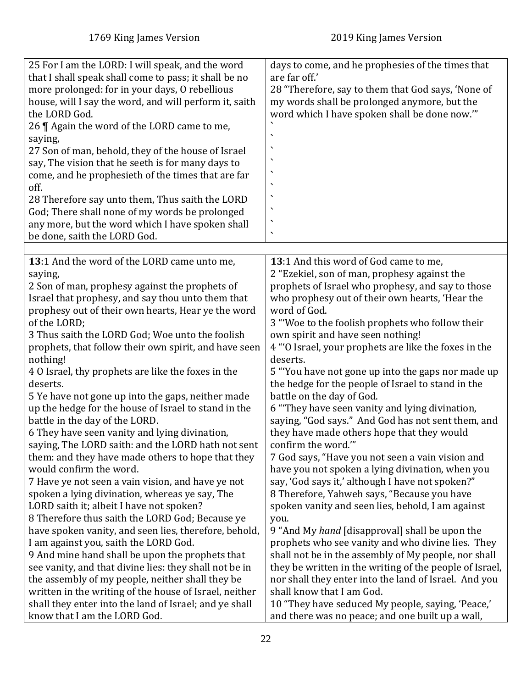<span id="page-21-0"></span>

| 25 For I am the LORD: I will speak, and the word<br>that I shall speak shall come to pass; it shall be no<br>more prolonged: for in your days, O rebellious<br>house, will I say the word, and will perform it, saith<br>the LORD God.<br>26   Again the word of the LORD came to me,<br>saying,<br>27 Son of man, behold, they of the house of Israel<br>say, The vision that he seeth is for many days to<br>come, and he prophesieth of the times that are far<br>off.<br>28 Therefore say unto them, Thus saith the LORD<br>God; There shall none of my words be prolonged<br>any more, but the word which I have spoken shall<br>be done, saith the LORD God. | days to come, and he prophesies of the times that<br>are far off.'<br>28 "Therefore, say to them that God says, 'None of<br>my words shall be prolonged anymore, but the<br>word which I have spoken shall be done now."<br>٠<br>٠<br>٠<br>$\checkmark$<br>$\checkmark$ |
|--------------------------------------------------------------------------------------------------------------------------------------------------------------------------------------------------------------------------------------------------------------------------------------------------------------------------------------------------------------------------------------------------------------------------------------------------------------------------------------------------------------------------------------------------------------------------------------------------------------------------------------------------------------------|-------------------------------------------------------------------------------------------------------------------------------------------------------------------------------------------------------------------------------------------------------------------------|
| 13:1 And the word of the LORD came unto me,                                                                                                                                                                                                                                                                                                                                                                                                                                                                                                                                                                                                                        | 13:1 And this word of God came to me,                                                                                                                                                                                                                                   |
| saying,                                                                                                                                                                                                                                                                                                                                                                                                                                                                                                                                                                                                                                                            | 2 "Ezekiel, son of man, prophesy against the                                                                                                                                                                                                                            |
| 2 Son of man, prophesy against the prophets of                                                                                                                                                                                                                                                                                                                                                                                                                                                                                                                                                                                                                     | prophets of Israel who prophesy, and say to those                                                                                                                                                                                                                       |
| Israel that prophesy, and say thou unto them that                                                                                                                                                                                                                                                                                                                                                                                                                                                                                                                                                                                                                  | who prophesy out of their own hearts, 'Hear the                                                                                                                                                                                                                         |
| prophesy out of their own hearts, Hear ye the word                                                                                                                                                                                                                                                                                                                                                                                                                                                                                                                                                                                                                 | word of God.                                                                                                                                                                                                                                                            |
| of the LORD;                                                                                                                                                                                                                                                                                                                                                                                                                                                                                                                                                                                                                                                       | 3 "Woe to the foolish prophets who follow their                                                                                                                                                                                                                         |
| 3 Thus saith the LORD God; Woe unto the foolish                                                                                                                                                                                                                                                                                                                                                                                                                                                                                                                                                                                                                    | own spirit and have seen nothing!                                                                                                                                                                                                                                       |
| prophets, that follow their own spirit, and have seen                                                                                                                                                                                                                                                                                                                                                                                                                                                                                                                                                                                                              | 4 "O Israel, your prophets are like the foxes in the                                                                                                                                                                                                                    |
| nothing!                                                                                                                                                                                                                                                                                                                                                                                                                                                                                                                                                                                                                                                           | deserts.                                                                                                                                                                                                                                                                |
| 4 0 Israel, thy prophets are like the foxes in the                                                                                                                                                                                                                                                                                                                                                                                                                                                                                                                                                                                                                 | 5 "You have not gone up into the gaps nor made up                                                                                                                                                                                                                       |
| deserts.                                                                                                                                                                                                                                                                                                                                                                                                                                                                                                                                                                                                                                                           | the hedge for the people of Israel to stand in the                                                                                                                                                                                                                      |
| 5 Ye have not gone up into the gaps, neither made                                                                                                                                                                                                                                                                                                                                                                                                                                                                                                                                                                                                                  | battle on the day of God.                                                                                                                                                                                                                                               |
| up the hedge for the house of Israel to stand in the                                                                                                                                                                                                                                                                                                                                                                                                                                                                                                                                                                                                               | 6 "They have seen vanity and lying divination,                                                                                                                                                                                                                          |
| battle in the day of the LORD.                                                                                                                                                                                                                                                                                                                                                                                                                                                                                                                                                                                                                                     | saying, "God says." And God has not sent them, and                                                                                                                                                                                                                      |
| 6 They have seen vanity and lying divination,                                                                                                                                                                                                                                                                                                                                                                                                                                                                                                                                                                                                                      | they have made others hope that they would                                                                                                                                                                                                                              |
| saying, The LORD saith: and the LORD hath not sent                                                                                                                                                                                                                                                                                                                                                                                                                                                                                                                                                                                                                 | confirm the word.""                                                                                                                                                                                                                                                     |
| them: and they have made others to hope that they                                                                                                                                                                                                                                                                                                                                                                                                                                                                                                                                                                                                                  | 7 God says, "Have you not seen a vain vision and                                                                                                                                                                                                                        |
| would confirm the word.                                                                                                                                                                                                                                                                                                                                                                                                                                                                                                                                                                                                                                            | have you not spoken a lying divination, when you                                                                                                                                                                                                                        |
| 7 Have ye not seen a vain vision, and have ye not                                                                                                                                                                                                                                                                                                                                                                                                                                                                                                                                                                                                                  | say, 'God says it,' although I have not spoken?"                                                                                                                                                                                                                        |
| spoken a lying divination, whereas ye say, The                                                                                                                                                                                                                                                                                                                                                                                                                                                                                                                                                                                                                     | 8 Therefore, Yahweh says, "Because you have                                                                                                                                                                                                                             |
| LORD saith it; albeit I have not spoken?                                                                                                                                                                                                                                                                                                                                                                                                                                                                                                                                                                                                                           | spoken vanity and seen lies, behold, I am against                                                                                                                                                                                                                       |
| 8 Therefore thus saith the LORD God; Because ye                                                                                                                                                                                                                                                                                                                                                                                                                                                                                                                                                                                                                    | you.                                                                                                                                                                                                                                                                    |
| have spoken vanity, and seen lies, therefore, behold,                                                                                                                                                                                                                                                                                                                                                                                                                                                                                                                                                                                                              | 9 "And My hand [disapproval] shall be upon the                                                                                                                                                                                                                          |
| I am against you, saith the LORD God.                                                                                                                                                                                                                                                                                                                                                                                                                                                                                                                                                                                                                              | prophets who see vanity and who divine lies. They                                                                                                                                                                                                                       |
| 9 And mine hand shall be upon the prophets that                                                                                                                                                                                                                                                                                                                                                                                                                                                                                                                                                                                                                    | shall not be in the assembly of My people, nor shall                                                                                                                                                                                                                    |
| see vanity, and that divine lies: they shall not be in                                                                                                                                                                                                                                                                                                                                                                                                                                                                                                                                                                                                             | they be written in the writing of the people of Israel,                                                                                                                                                                                                                 |
| the assembly of my people, neither shall they be                                                                                                                                                                                                                                                                                                                                                                                                                                                                                                                                                                                                                   | nor shall they enter into the land of Israel. And you                                                                                                                                                                                                                   |
| written in the writing of the house of Israel, neither                                                                                                                                                                                                                                                                                                                                                                                                                                                                                                                                                                                                             | shall know that I am God.                                                                                                                                                                                                                                               |
| shall they enter into the land of Israel; and ye shall                                                                                                                                                                                                                                                                                                                                                                                                                                                                                                                                                                                                             | 10 "They have seduced My people, saying, 'Peace,'                                                                                                                                                                                                                       |
| know that I am the LORD God.                                                                                                                                                                                                                                                                                                                                                                                                                                                                                                                                                                                                                                       | and there was no peace; and one built up a wall,                                                                                                                                                                                                                        |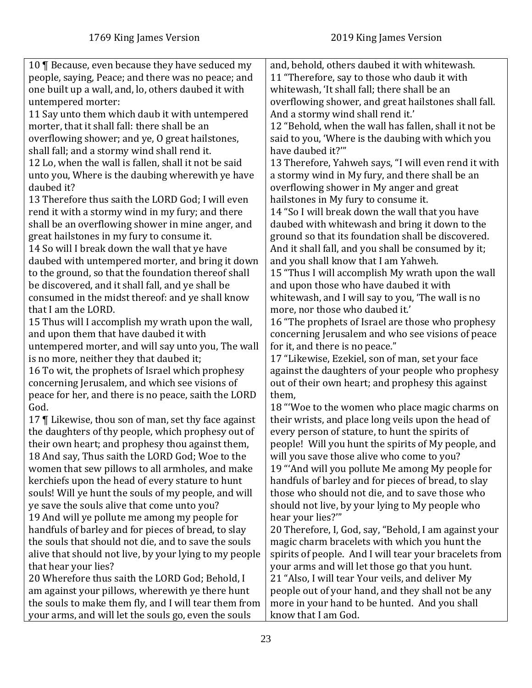| 10   Because, even because they have seduced my        | and, behold, others daubed it with whitewash.          |
|--------------------------------------------------------|--------------------------------------------------------|
| people, saying, Peace; and there was no peace; and     | 11 "Therefore, say to those who daub it with           |
| one built up a wall, and, lo, others daubed it with    | whitewash, 'It shall fall; there shall be an           |
| untempered morter:                                     | overflowing shower, and great hailstones shall fall.   |
| 11 Say unto them which daub it with untempered         | And a stormy wind shall rend it.'                      |
| morter, that it shall fall: there shall be an          | 12 "Behold, when the wall has fallen, shall it not be  |
| overflowing shower; and ye, O great hailstones,        | said to you, 'Where is the daubing with which you      |
| shall fall; and a stormy wind shall rend it.           | have daubed it?""                                      |
| 12 Lo, when the wall is fallen, shall it not be said   | 13 Therefore, Yahweh says, "I will even rend it with   |
| unto you, Where is the daubing wherewith ye have       | a stormy wind in My fury, and there shall be an        |
| daubed it?                                             | overflowing shower in My anger and great               |
| 13 Therefore thus saith the LORD God; I will even      | hailstones in My fury to consume it.                   |
| rend it with a stormy wind in my fury; and there       | 14 "So I will break down the wall that you have        |
| shall be an overflowing shower in mine anger, and      | daubed with whitewash and bring it down to the         |
| great hailstones in my fury to consume it.             | ground so that its foundation shall be discovered.     |
| 14 So will I break down the wall that ye have          | And it shall fall, and you shall be consumed by it;    |
| daubed with untempered morter, and bring it down       | and you shall know that I am Yahweh.                   |
| to the ground, so that the foundation thereof shall    | 15 "Thus I will accomplish My wrath upon the wall      |
| be discovered, and it shall fall, and ye shall be      | and upon those who have daubed it with                 |
| consumed in the midst thereof: and ye shall know       | whitewash, and I will say to you, 'The wall is no      |
| that I am the LORD.                                    | more, nor those who daubed it.'                        |
| 15 Thus will I accomplish my wrath upon the wall,      | 16 "The prophets of Israel are those who prophesy      |
| and upon them that have daubed it with                 | concerning Jerusalem and who see visions of peace      |
| untempered morter, and will say unto you, The wall     | for it, and there is no peace."                        |
| is no more, neither they that daubed it;               | 17 "Likewise, Ezekiel, son of man, set your face       |
| 16 To wit, the prophets of Israel which prophesy       | against the daughters of your people who prophesy      |
| concerning Jerusalem, and which see visions of         | out of their own heart; and prophesy this against      |
| peace for her, and there is no peace, saith the LORD   | them,                                                  |
| God.                                                   | 18 "Woe to the women who place magic charms on         |
| 17   Likewise, thou son of man, set thy face against   | their wrists, and place long veils upon the head of    |
| the daughters of thy people, which prophesy out of     | every person of stature, to hunt the spirits of        |
| their own heart; and prophesy thou against them,       | people! Will you hunt the spirits of My people, and    |
| 18 And say, Thus saith the LORD God; Woe to the        | will you save those alive who come to you?             |
| women that sew pillows to all armholes, and make       | 19 "And will you pollute Me among My people for        |
| kerchiefs upon the head of every stature to hunt       | handfuls of barley and for pieces of bread, to slay    |
| souls! Will ye hunt the souls of my people, and will   | those who should not die, and to save those who        |
| ye save the souls alive that come unto you?            | should not live, by your lying to My people who        |
| 19 And will ye pollute me among my people for          | hear your lies?"                                       |
| handfuls of barley and for pieces of bread, to slay    | 20 Therefore, I, God, say, "Behold, I am against your  |
| the souls that should not die, and to save the souls   | magic charm bracelets with which you hunt the          |
| alive that should not live, by your lying to my people | spirits of people. And I will tear your bracelets from |
| that hear your lies?                                   | your arms and will let those go that you hunt.         |
| 20 Wherefore thus saith the LORD God; Behold, I        | 21 "Also, I will tear Your veils, and deliver My       |
| am against your pillows, wherewith ye there hunt       | people out of your hand, and they shall not be any     |
| the souls to make them fly, and I will tear them from  | more in your hand to be hunted. And you shall          |
| your arms, and will let the souls go, even the souls   | know that I am God.                                    |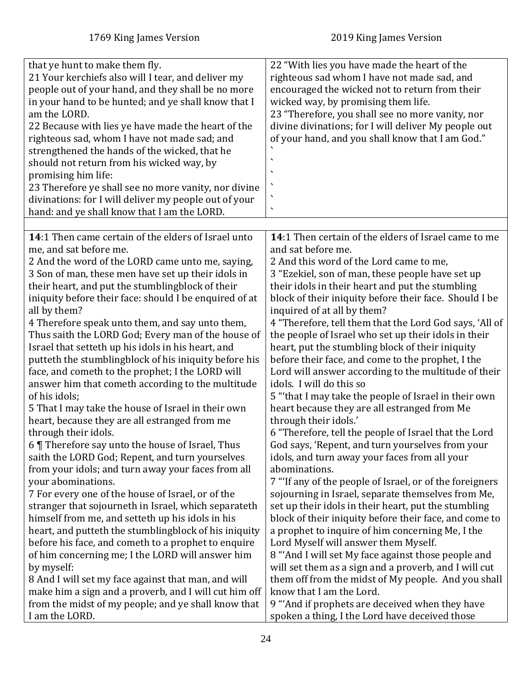<span id="page-23-0"></span>

| that ye hunt to make them fly.<br>21 Your kerchiefs also will I tear, and deliver my<br>people out of your hand, and they shall be no more<br>in your hand to be hunted; and ye shall know that I<br>am the LORD.<br>22 Because with lies ye have made the heart of the<br>righteous sad, whom I have not made sad; and<br>strengthened the hands of the wicked, that he<br>should not return from his wicked way, by<br>promising him life:<br>23 Therefore ye shall see no more vanity, nor divine | 22 "With lies you have made the heart of the<br>righteous sad whom I have not made sad, and<br>encouraged the wicked not to return from their<br>wicked way, by promising them life.<br>23 "Therefore, you shall see no more vanity, nor<br>divine divinations; for I will deliver My people out<br>of your hand, and you shall know that I am God." |
|------------------------------------------------------------------------------------------------------------------------------------------------------------------------------------------------------------------------------------------------------------------------------------------------------------------------------------------------------------------------------------------------------------------------------------------------------------------------------------------------------|------------------------------------------------------------------------------------------------------------------------------------------------------------------------------------------------------------------------------------------------------------------------------------------------------------------------------------------------------|
| divinations: for I will deliver my people out of your<br>hand: and ye shall know that I am the LORD.                                                                                                                                                                                                                                                                                                                                                                                                 |                                                                                                                                                                                                                                                                                                                                                      |
|                                                                                                                                                                                                                                                                                                                                                                                                                                                                                                      |                                                                                                                                                                                                                                                                                                                                                      |
| 14:1 Then came certain of the elders of Israel unto                                                                                                                                                                                                                                                                                                                                                                                                                                                  | 14:1 Then certain of the elders of Israel came to me                                                                                                                                                                                                                                                                                                 |
| me, and sat before me.                                                                                                                                                                                                                                                                                                                                                                                                                                                                               | and sat before me.                                                                                                                                                                                                                                                                                                                                   |
| 2 And the word of the LORD came unto me, saying,                                                                                                                                                                                                                                                                                                                                                                                                                                                     | 2 And this word of the Lord came to me,                                                                                                                                                                                                                                                                                                              |
| 3 Son of man, these men have set up their idols in                                                                                                                                                                                                                                                                                                                                                                                                                                                   | 3 "Ezekiel, son of man, these people have set up                                                                                                                                                                                                                                                                                                     |
| their heart, and put the stumblingblock of their                                                                                                                                                                                                                                                                                                                                                                                                                                                     | their idols in their heart and put the stumbling                                                                                                                                                                                                                                                                                                     |
| iniquity before their face: should I be enquired of at                                                                                                                                                                                                                                                                                                                                                                                                                                               | block of their iniquity before their face. Should I be                                                                                                                                                                                                                                                                                               |
| all by them?                                                                                                                                                                                                                                                                                                                                                                                                                                                                                         | inquired of at all by them?                                                                                                                                                                                                                                                                                                                          |
| 4 Therefore speak unto them, and say unto them,                                                                                                                                                                                                                                                                                                                                                                                                                                                      | 4 "Therefore, tell them that the Lord God says, 'All of                                                                                                                                                                                                                                                                                              |
| Thus saith the LORD God; Every man of the house of                                                                                                                                                                                                                                                                                                                                                                                                                                                   | the people of Israel who set up their idols in their                                                                                                                                                                                                                                                                                                 |
| Israel that setteth up his idols in his heart, and                                                                                                                                                                                                                                                                                                                                                                                                                                                   | heart, put the stumbling block of their iniquity                                                                                                                                                                                                                                                                                                     |
| putteth the stumblingblock of his iniquity before his                                                                                                                                                                                                                                                                                                                                                                                                                                                | before their face, and come to the prophet, I the                                                                                                                                                                                                                                                                                                    |
| face, and cometh to the prophet; I the LORD will                                                                                                                                                                                                                                                                                                                                                                                                                                                     | Lord will answer according to the multitude of their                                                                                                                                                                                                                                                                                                 |
| answer him that cometh according to the multitude                                                                                                                                                                                                                                                                                                                                                                                                                                                    | idols. I will do this so                                                                                                                                                                                                                                                                                                                             |
| of his idols;                                                                                                                                                                                                                                                                                                                                                                                                                                                                                        | 5 "that I may take the people of Israel in their own                                                                                                                                                                                                                                                                                                 |
| 5 That I may take the house of Israel in their own                                                                                                                                                                                                                                                                                                                                                                                                                                                   | heart because they are all estranged from Me                                                                                                                                                                                                                                                                                                         |
| heart, because they are all estranged from me                                                                                                                                                                                                                                                                                                                                                                                                                                                        | through their idols.'                                                                                                                                                                                                                                                                                                                                |
| through their idols.                                                                                                                                                                                                                                                                                                                                                                                                                                                                                 | 6 "Therefore, tell the people of Israel that the Lord                                                                                                                                                                                                                                                                                                |
| 6 Therefore say unto the house of Israel, Thus                                                                                                                                                                                                                                                                                                                                                                                                                                                       | God says, 'Repent, and turn yourselves from your                                                                                                                                                                                                                                                                                                     |
| saith the LORD God; Repent, and turn yourselves                                                                                                                                                                                                                                                                                                                                                                                                                                                      | idols, and turn away your faces from all your                                                                                                                                                                                                                                                                                                        |
| from your idols; and turn away your faces from all                                                                                                                                                                                                                                                                                                                                                                                                                                                   | abominations.                                                                                                                                                                                                                                                                                                                                        |
| your abominations.                                                                                                                                                                                                                                                                                                                                                                                                                                                                                   | 7 "If any of the people of Israel, or of the foreigners                                                                                                                                                                                                                                                                                              |
| 7 For every one of the house of Israel, or of the                                                                                                                                                                                                                                                                                                                                                                                                                                                    | sojourning in Israel, separate themselves from Me,                                                                                                                                                                                                                                                                                                   |
| stranger that sojourneth in Israel, which separateth                                                                                                                                                                                                                                                                                                                                                                                                                                                 | set up their idols in their heart, put the stumbling                                                                                                                                                                                                                                                                                                 |
| himself from me, and setteth up his idols in his                                                                                                                                                                                                                                                                                                                                                                                                                                                     | block of their iniquity before their face, and come to                                                                                                                                                                                                                                                                                               |
| heart, and putteth the stumblingblock of his iniquity                                                                                                                                                                                                                                                                                                                                                                                                                                                | a prophet to inquire of him concerning Me, I the                                                                                                                                                                                                                                                                                                     |
| before his face, and cometh to a prophet to enquire                                                                                                                                                                                                                                                                                                                                                                                                                                                  | Lord Myself will answer them Myself.                                                                                                                                                                                                                                                                                                                 |
| of him concerning me; I the LORD will answer him                                                                                                                                                                                                                                                                                                                                                                                                                                                     | 8 "And I will set My face against those people and                                                                                                                                                                                                                                                                                                   |
| by myself:                                                                                                                                                                                                                                                                                                                                                                                                                                                                                           | will set them as a sign and a proverb, and I will cut                                                                                                                                                                                                                                                                                                |
| 8 And I will set my face against that man, and will                                                                                                                                                                                                                                                                                                                                                                                                                                                  | them off from the midst of My people. And you shall                                                                                                                                                                                                                                                                                                  |
| make him a sign and a proverb, and I will cut him off                                                                                                                                                                                                                                                                                                                                                                                                                                                | know that I am the Lord.                                                                                                                                                                                                                                                                                                                             |
| from the midst of my people; and ye shall know that                                                                                                                                                                                                                                                                                                                                                                                                                                                  | 9 "And if prophets are deceived when they have                                                                                                                                                                                                                                                                                                       |
| I am the LORD.                                                                                                                                                                                                                                                                                                                                                                                                                                                                                       | spoken a thing, I the Lord have deceived those                                                                                                                                                                                                                                                                                                       |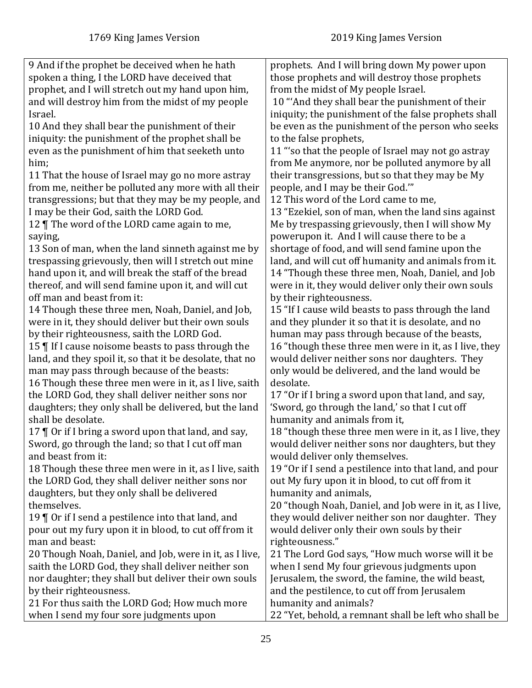| 9 And if the prophet be deceived when he hath                | prophets. And I will bring down My power upon           |
|--------------------------------------------------------------|---------------------------------------------------------|
| spoken a thing, I the LORD have deceived that                | those prophets and will destroy those prophets          |
| prophet, and I will stretch out my hand upon him,            | from the midst of My people Israel.                     |
| and will destroy him from the midst of my people             | 10 "And they shall bear the punishment of their         |
| Israel.                                                      | iniquity; the punishment of the false prophets shall    |
| 10 And they shall bear the punishment of their               | be even as the punishment of the person who seeks       |
| iniquity: the punishment of the prophet shall be             | to the false prophets,                                  |
| even as the punishment of him that seeketh unto              | 11 "'so that the people of Israel may not go astray     |
| him;                                                         | from Me anymore, nor be polluted anymore by all         |
| 11 That the house of Israel may go no more astray            | their transgressions, but so that they may be My        |
| from me, neither be polluted any more with all their         | people, and I may be their God."                        |
| transgressions; but that they may be my people, and          | 12 This word of the Lord came to me,                    |
| I may be their God, saith the LORD God.                      | 13 "Ezekiel, son of man, when the land sins against     |
| 12   The word of the LORD came again to me,                  | Me by trespassing grievously, then I will show My       |
| saying,                                                      | powerupon it. And I will cause there to be a            |
| 13 Son of man, when the land sinneth against me by           | shortage of food, and will send famine upon the         |
| trespassing grievously, then will I stretch out mine         | land, and will cut off humanity and animals from it.    |
| hand upon it, and will break the staff of the bread          | 14 "Though these three men, Noah, Daniel, and Job       |
| thereof, and will send famine upon it, and will cut          | were in it, they would deliver only their own souls     |
| off man and beast from it:                                   | by their righteousness.                                 |
| 14 Though these three men, Noah, Daniel, and Job,            | 15 "If I cause wild beasts to pass through the land     |
| were in it, they should deliver but their own souls          | and they plunder it so that it is desolate, and no      |
| by their righteousness, saith the LORD God.                  | human may pass through because of the beasts,           |
| 15   If I cause noisome beasts to pass through the           | 16 "though these three men were in it, as I live, they  |
| land, and they spoil it, so that it be desolate, that no     | would deliver neither sons nor daughters. They          |
| man may pass through because of the beasts:                  | only would be delivered, and the land would be          |
| 16 Though these three men were in it, as I live, saith       | desolate.                                               |
| the LORD God, they shall deliver neither sons nor            | 17 "Or if I bring a sword upon that land, and say,      |
| daughters; they only shall be delivered, but the land        | 'Sword, go through the land,' so that I cut off         |
| shall be desolate.                                           | humanity and animals from it,                           |
| 17 ¶ Or if I bring a sword upon that land, and say,          | 18 "though these three men were in it, as I live, they  |
| Sword, go through the land; so that I cut off man            | would deliver neither sons nor daughters, but they      |
| and beast from it:                                           | would deliver only themselves.                          |
| 18 Though these three men were in it, as I live, saith       | 19 "Or if I send a pestilence into that land, and pour  |
| the LORD God, they shall deliver neither sons nor            | out My fury upon it in blood, to cut off from it        |
| daughters, but they only shall be delivered                  | humanity and animals,                                   |
| themselves.                                                  | 20 "though Noah, Daniel, and Job were in it, as I live, |
| 19 $\parallel$ Or if I send a pestilence into that land, and | they would deliver neither son nor daughter. They       |
| pour out my fury upon it in blood, to cut off from it        | would deliver only their own souls by their             |
| man and beast:                                               | righteousness."                                         |
| 20 Though Noah, Daniel, and Job, were in it, as I live,      | 21 The Lord God says, "How much worse will it be        |
| saith the LORD God, they shall deliver neither son           | when I send My four grievous judgments upon             |
| nor daughter; they shall but deliver their own souls         | Jerusalem, the sword, the famine, the wild beast,       |
| by their righteousness.                                      | and the pestilence, to cut off from Jerusalem           |
| 21 For thus saith the LORD God; How much more                | humanity and animals?                                   |
| when I send my four sore judgments upon                      | 22 "Yet, behold, a remnant shall be left who shall be   |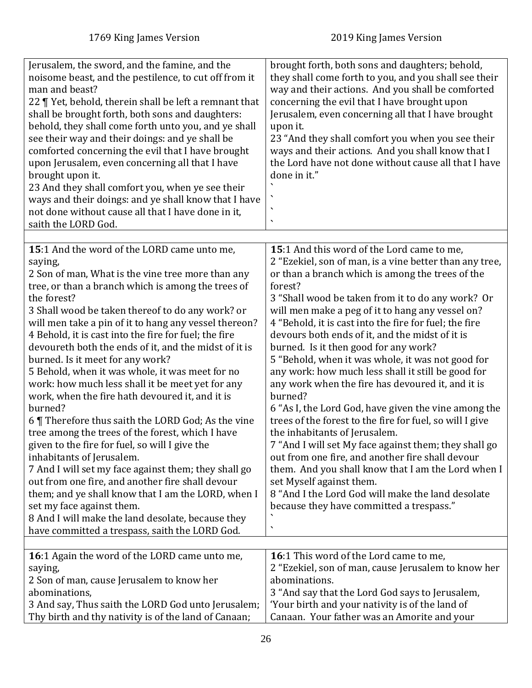<span id="page-25-1"></span><span id="page-25-0"></span>

| Jerusalem, the sword, and the famine, and the<br>noisome beast, and the pestilence, to cut off from it<br>man and beast?<br>22 ¶ Yet, behold, therein shall be left a remnant that<br>shall be brought forth, both sons and daughters:<br>behold, they shall come forth unto you, and ye shall<br>see their way and their doings: and ye shall be<br>comforted concerning the evil that I have brought<br>upon Jerusalem, even concerning all that I have<br>brought upon it.<br>23 And they shall comfort you, when ye see their<br>ways and their doings: and ye shall know that I have<br>not done without cause all that I have done in it,<br>saith the LORD God.                                                                                                                                                                                                                                                                                                                                                                                                                                                | brought forth, both sons and daughters; behold,<br>they shall come forth to you, and you shall see their<br>way and their actions. And you shall be comforted<br>concerning the evil that I have brought upon<br>Jerusalem, even concerning all that I have brought<br>upon it.<br>23 "And they shall comfort you when you see their<br>ways and their actions. And you shall know that I<br>the Lord have not done without cause all that I have<br>done in it."                                                                                                                                                                                                                                                                                                                                                                                                                                                                                                                                                                                                   |
|-----------------------------------------------------------------------------------------------------------------------------------------------------------------------------------------------------------------------------------------------------------------------------------------------------------------------------------------------------------------------------------------------------------------------------------------------------------------------------------------------------------------------------------------------------------------------------------------------------------------------------------------------------------------------------------------------------------------------------------------------------------------------------------------------------------------------------------------------------------------------------------------------------------------------------------------------------------------------------------------------------------------------------------------------------------------------------------------------------------------------|---------------------------------------------------------------------------------------------------------------------------------------------------------------------------------------------------------------------------------------------------------------------------------------------------------------------------------------------------------------------------------------------------------------------------------------------------------------------------------------------------------------------------------------------------------------------------------------------------------------------------------------------------------------------------------------------------------------------------------------------------------------------------------------------------------------------------------------------------------------------------------------------------------------------------------------------------------------------------------------------------------------------------------------------------------------------|
|                                                                                                                                                                                                                                                                                                                                                                                                                                                                                                                                                                                                                                                                                                                                                                                                                                                                                                                                                                                                                                                                                                                       |                                                                                                                                                                                                                                                                                                                                                                                                                                                                                                                                                                                                                                                                                                                                                                                                                                                                                                                                                                                                                                                                     |
| 15:1 And the word of the LORD came unto me,<br>saying,<br>2 Son of man, What is the vine tree more than any<br>tree, or than a branch which is among the trees of<br>the forest?<br>3 Shall wood be taken thereof to do any work? or<br>will men take a pin of it to hang any vessel thereon?<br>4 Behold, it is cast into the fire for fuel; the fire<br>devoureth both the ends of it, and the midst of it is<br>burned. Is it meet for any work?<br>5 Behold, when it was whole, it was meet for no<br>work: how much less shall it be meet yet for any<br>work, when the fire hath devoured it, and it is<br>burned?<br>6 Therefore thus saith the LORD God; As the vine<br>tree among the trees of the forest, which I have<br>given to the fire for fuel, so will I give the<br>inhabitants of Jerusalem.<br>7 And I will set my face against them; they shall go<br>out from one fire, and another fire shall devour<br>them; and ye shall know that I am the LORD, when I<br>set my face against them.<br>8 And I will make the land desolate, because they<br>have committed a trespass, saith the LORD God. | 15:1 And this word of the Lord came to me,<br>2 "Ezekiel, son of man, is a vine better than any tree,<br>or than a branch which is among the trees of the<br>forest?<br>3 "Shall wood be taken from it to do any work? Or<br>will men make a peg of it to hang any vessel on?<br>4 "Behold, it is cast into the fire for fuel; the fire<br>devours both ends of it, and the midst of it is<br>burned. Is it then good for any work?<br>5 "Behold, when it was whole, it was not good for<br>any work: how much less shall it still be good for<br>any work when the fire has devoured it, and it is<br>burned?<br>6 "As I, the Lord God, have given the vine among the<br>trees of the forest to the fire for fuel, so will I give<br>the inhabitants of Jerusalem.<br>7 "And I will set My face against them; they shall go<br>out from one fire, and another fire shall devour<br>them. And you shall know that I am the Lord when I<br>set Myself against them.<br>8 "And I the Lord God will make the land desolate<br>because they have committed a trespass." |
| 16:1 Again the word of the LORD came unto me,                                                                                                                                                                                                                                                                                                                                                                                                                                                                                                                                                                                                                                                                                                                                                                                                                                                                                                                                                                                                                                                                         | <b>16:1 This word of the Lord came to me,</b>                                                                                                                                                                                                                                                                                                                                                                                                                                                                                                                                                                                                                                                                                                                                                                                                                                                                                                                                                                                                                       |
| saying,                                                                                                                                                                                                                                                                                                                                                                                                                                                                                                                                                                                                                                                                                                                                                                                                                                                                                                                                                                                                                                                                                                               | 2 "Ezekiel, son of man, cause Jerusalem to know her                                                                                                                                                                                                                                                                                                                                                                                                                                                                                                                                                                                                                                                                                                                                                                                                                                                                                                                                                                                                                 |
| 2 Son of man, cause Jerusalem to know her                                                                                                                                                                                                                                                                                                                                                                                                                                                                                                                                                                                                                                                                                                                                                                                                                                                                                                                                                                                                                                                                             | abominations.                                                                                                                                                                                                                                                                                                                                                                                                                                                                                                                                                                                                                                                                                                                                                                                                                                                                                                                                                                                                                                                       |
| abominations,                                                                                                                                                                                                                                                                                                                                                                                                                                                                                                                                                                                                                                                                                                                                                                                                                                                                                                                                                                                                                                                                                                         | 3 "And say that the Lord God says to Jerusalem,                                                                                                                                                                                                                                                                                                                                                                                                                                                                                                                                                                                                                                                                                                                                                                                                                                                                                                                                                                                                                     |
| 3 And say, Thus saith the LORD God unto Jerusalem;<br>Thy birth and thy nativity is of the land of Canaan;                                                                                                                                                                                                                                                                                                                                                                                                                                                                                                                                                                                                                                                                                                                                                                                                                                                                                                                                                                                                            | 'Your birth and your nativity is of the land of<br>Canaan. Your father was an Amorite and your                                                                                                                                                                                                                                                                                                                                                                                                                                                                                                                                                                                                                                                                                                                                                                                                                                                                                                                                                                      |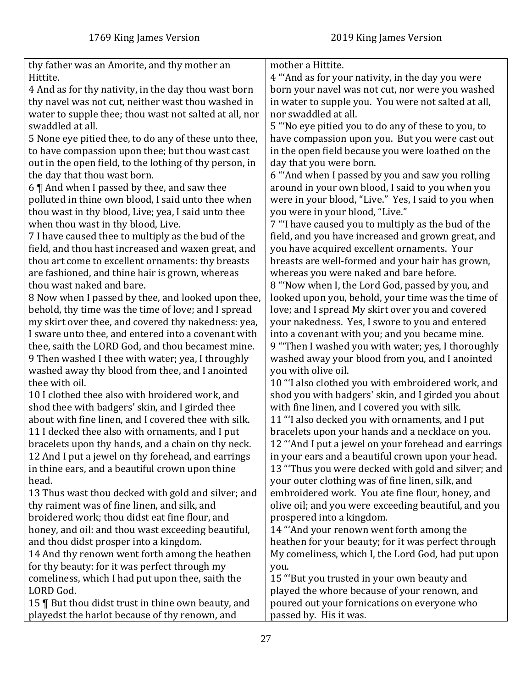| thy father was an Amorite, and thy mother an            | mother a Hittite.                                    |
|---------------------------------------------------------|------------------------------------------------------|
| Hittite.                                                | 4 "And as for your nativity, in the day you were     |
| 4 And as for thy nativity, in the day thou wast born    | born your navel was not cut, nor were you washed     |
| thy navel was not cut, neither wast thou washed in      | in water to supple you. You were not salted at all,  |
| water to supple thee; thou wast not salted at all, nor  | nor swaddled at all.                                 |
| swaddled at all.                                        | 5 "No eye pitied you to do any of these to you, to   |
| 5 None eye pitied thee, to do any of these unto thee,   | have compassion upon you. But you were cast out      |
| to have compassion upon thee; but thou wast cast        | in the open field because you were loathed on the    |
| out in the open field, to the lothing of thy person, in | day that you were born.                              |
| the day that thou wast born.                            | 6 "And when I passed by you and saw you rolling      |
| 6   And when I passed by thee, and saw thee             | around in your own blood, I said to you when you     |
| polluted in thine own blood, I said unto thee when      | were in your blood, "Live." Yes, I said to you when  |
| thou wast in thy blood, Live; yea, I said unto thee     | you were in your blood, "Live."                      |
| when thou wast in thy blood, Live.                      | 7 "I have caused you to multiply as the bud of the   |
| 7 I have caused thee to multiply as the bud of the      | field, and you have increased and grown great, and   |
| field, and thou hast increased and waxen great, and     | you have acquired excellent ornaments. Your          |
| thou art come to excellent ornaments: thy breasts       | breasts are well-formed and your hair has grown,     |
| are fashioned, and thine hair is grown, whereas         | whereas you were naked and bare before.              |
| thou wast naked and bare.                               | 8 "Now when I, the Lord God, passed by you, and      |
| 8 Now when I passed by thee, and looked upon thee,      | looked upon you, behold, your time was the time of   |
| behold, thy time was the time of love; and I spread     | love; and I spread My skirt over you and covered     |
| my skirt over thee, and covered thy nakedness: yea,     | your nakedness. Yes, I swore to you and entered      |
| I sware unto thee, and entered into a covenant with     | into a covenant with you; and you became mine.       |
| thee, saith the LORD God, and thou becamest mine.       | 9 "Then I washed you with water; yes, I thoroughly   |
| 9 Then washed I thee with water; yea, I throughly       | washed away your blood from you, and I anointed      |
| washed away thy blood from thee, and I anointed         | you with olive oil.                                  |
| thee with oil.                                          | 10 "I also clothed you with embroidered work, and    |
| 10 I clothed thee also with broidered work, and         | shod you with badgers' skin, and I girded you about  |
| shod thee with badgers' skin, and I girded thee         | with fine linen, and I covered you with silk.        |
| about with fine linen, and I covered thee with silk.    | 11 "I also decked you with ornaments, and I put      |
| 11 I decked thee also with ornaments, and I put         | bracelets upon your hands and a necklace on you.     |
| bracelets upon thy hands, and a chain on thy neck.      | 12 "And I put a jewel on your forehead and earrings  |
| 12 And I put a jewel on thy forehead, and earrings      | in your ears and a beautiful crown upon your head.   |
| in thine ears, and a beautiful crown upon thine         | 13 "Thus you were decked with gold and silver; and   |
| head.                                                   | your outer clothing was of fine linen, silk, and     |
| 13 Thus wast thou decked with gold and silver; and      | embroidered work. You ate fine flour, honey, and     |
| thy raiment was of fine linen, and silk, and            | olive oil; and you were exceeding beautiful, and you |
| broidered work; thou didst eat fine flour, and          | prospered into a kingdom.                            |
| honey, and oil: and thou wast exceeding beautiful,      | 14 "And your renown went forth among the             |
| and thou didst prosper into a kingdom.                  | heathen for your beauty; for it was perfect through  |
| 14 And thy renown went forth among the heathen          | My comeliness, which I, the Lord God, had put upon   |
| for thy beauty: for it was perfect through my           | you.                                                 |
| comeliness, which I had put upon thee, saith the        | 15 "But you trusted in your own beauty and           |
| LORD God.                                               | played the whore because of your renown, and         |
| 15   But thou didst trust in thine own beauty, and      | poured out your fornications on everyone who         |
| playedst the harlot because of thy renown, and          | passed by. His it was.                               |
|                                                         |                                                      |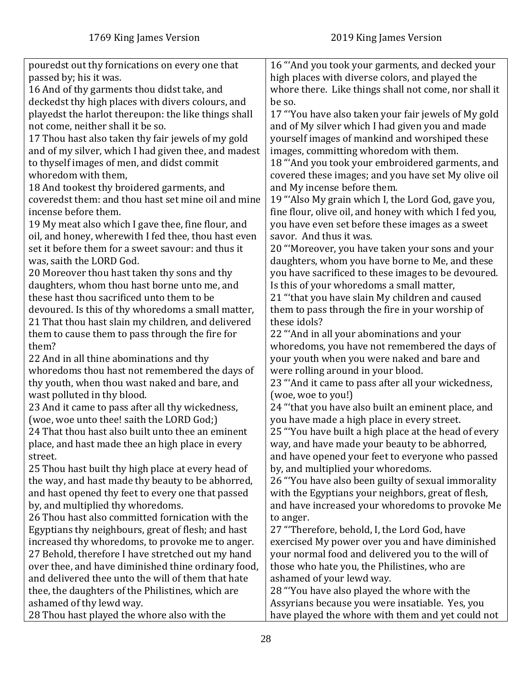| pouredst out thy fornications on every one that      | 16 "'And you took your garments, and decked your       |
|------------------------------------------------------|--------------------------------------------------------|
| passed by; his it was.                               | high places with diverse colors, and played the        |
| 16 And of thy garments thou didst take, and          | whore there. Like things shall not come, nor shall it  |
| deckedst thy high places with divers colours, and    | be so.                                                 |
| playedst the harlot thereupon: the like things shall | 17 "You have also taken your fair jewels of My gold    |
| not come, neither shall it be so.                    | and of My silver which I had given you and made        |
| 17 Thou hast also taken thy fair jewels of my gold   | yourself images of mankind and worshiped these         |
| and of my silver, which I had given thee, and madest | images, committing whoredom with them.                 |
| to thyself images of men, and didst commit           | 18 "'And you took your embroidered garments, and       |
| whoredom with them,                                  | covered these images; and you have set My olive oil    |
| 18 And tookest thy broidered garments, and           | and My incense before them.                            |
| coveredst them: and thou hast set mine oil and mine  | 19 "Also My grain which I, the Lord God, gave you,     |
| incense before them.                                 | fine flour, olive oil, and honey with which I fed you, |
| 19 My meat also which I gave thee, fine flour, and   | you have even set before these images as a sweet       |
| oil, and honey, wherewith I fed thee, thou hast even | savor. And thus it was.                                |
| set it before them for a sweet savour: and thus it   | 20 "Moreover, you have taken your sons and your        |
| was, saith the LORD God.                             | daughters, whom you have borne to Me, and these        |
| 20 Moreover thou hast taken thy sons and thy         | you have sacrificed to these images to be devoured.    |
| daughters, whom thou hast borne unto me, and         | Is this of your whoredoms a small matter,              |
| these hast thou sacrificed unto them to be           | 21 "'that you have slain My children and caused        |
| devoured. Is this of thy whoredoms a small matter,   | them to pass through the fire in your worship of       |
| 21 That thou hast slain my children, and delivered   | these idols?                                           |
| them to cause them to pass through the fire for      | 22 "And in all your abominations and your              |
| them?                                                | whoredoms, you have not remembered the days of         |
| 22 And in all thine abominations and thy             | your youth when you were naked and bare and            |
| whoredoms thou hast not remembered the days of       | were rolling around in your blood.                     |
| thy youth, when thou wast naked and bare, and        | 23 "And it came to pass after all your wickedness,     |
| wast polluted in thy blood.                          | (woe, woe to you!)                                     |
| 23 And it came to pass after all thy wickedness,     | 24 "that you have also built an eminent place, and     |
| (woe, woe unto thee! saith the LORD God;)            | you have made a high place in every street.            |
| 24 That thou hast also built unto thee an eminent    | 25 "You have built a high place at the head of every   |
| place, and hast made thee an high place in every     | way, and have made your beauty to be abhorred,         |
| street.                                              | and have opened your feet to everyone who passed       |
| 25 Thou hast built thy high place at every head of   | by, and multiplied your whoredoms.                     |
| the way, and hast made thy beauty to be abhorred,    | 26 "You have also been guilty of sexual immorality     |
| and hast opened thy feet to every one that passed    | with the Egyptians your neighbors, great of flesh,     |
| by, and multiplied thy whoredoms.                    | and have increased your whoredoms to provoke Me        |
| 26 Thou hast also committed fornication with the     | to anger.                                              |
| Egyptians thy neighbours, great of flesh; and hast   | 27 "Therefore, behold, I, the Lord God, have           |
| increased thy whoredoms, to provoke me to anger.     | exercised My power over you and have diminished        |
| 27 Behold, therefore I have stretched out my hand    | your normal food and delivered you to the will of      |
| over thee, and have diminished thine ordinary food,  | those who hate you, the Philistines, who are           |
| and delivered thee unto the will of them that hate   | ashamed of your lewd way.                              |
| thee, the daughters of the Philistines, which are    | 28 "You have also played the whore with the            |
| ashamed of thy lewd way.                             | Assyrians because you were insatiable. Yes, you        |
| 28 Thou hast played the whore also with the          | have played the whore with them and yet could not      |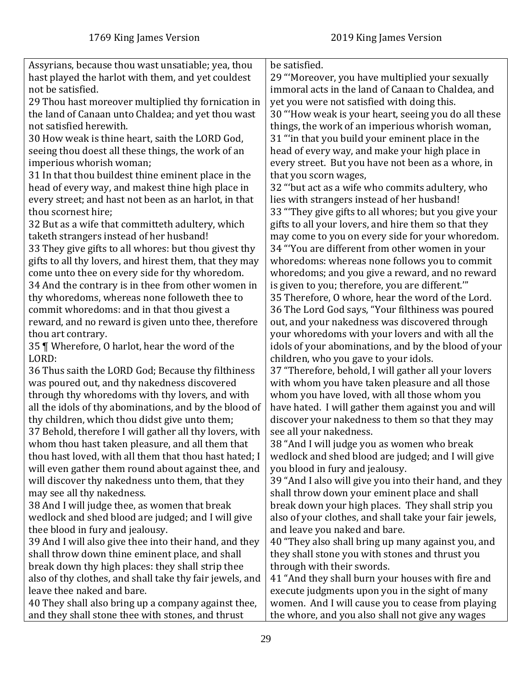| Assyrians, because thou wast unsatiable; yea, thou       | be satisfied.                                          |
|----------------------------------------------------------|--------------------------------------------------------|
| hast played the harlot with them, and yet couldest       | 29 "Moreover, you have multiplied your sexually        |
| not be satisfied.                                        | immoral acts in the land of Canaan to Chaldea, and     |
| 29 Thou hast moreover multiplied thy fornication in      | yet you were not satisfied with doing this.            |
| the land of Canaan unto Chaldea; and yet thou wast       | 30 "How weak is your heart, seeing you do all these    |
| not satisfied herewith.                                  | things, the work of an imperious whorish woman,        |
| 30 How weak is thine heart, saith the LORD God,          | 31 "in that you build your eminent place in the        |
| seeing thou doest all these things, the work of an       | head of every way, and make your high place in         |
| imperious whorish woman;                                 | every street. But you have not been as a whore, in     |
| 31 In that thou buildest thine eminent place in the      | that you scorn wages,                                  |
| head of every way, and makest thine high place in        | 32 "but act as a wife who commits adultery, who        |
| every street; and hast not been as an harlot, in that    | lies with strangers instead of her husband!            |
| thou scornest hire;                                      | 33 "They give gifts to all whores; but you give your   |
| 32 But as a wife that committeth adultery, which         | gifts to all your lovers, and hire them so that they   |
| taketh strangers instead of her husband!                 | may come to you on every side for your whoredom.       |
| 33 They give gifts to all whores: but thou givest thy    | 34 "You are different from other women in your         |
| gifts to all thy lovers, and hirest them, that they may  | whoredoms: whereas none follows you to commit          |
| come unto thee on every side for thy whoredom.           | whoredoms; and you give a reward, and no reward        |
| 34 And the contrary is in thee from other women in       | is given to you; therefore, you are different."        |
| thy whoredoms, whereas none followeth thee to            | 35 Therefore, O whore, hear the word of the Lord.      |
| commit whoredoms: and in that thou givest a              | 36 The Lord God says, "Your filthiness was poured      |
| reward, and no reward is given unto thee, therefore      | out, and your nakedness was discovered through         |
| thou art contrary.                                       | your whoredoms with your lovers and with all the       |
| 35   Wherefore, O harlot, hear the word of the           | idols of your abominations, and by the blood of your   |
| LORD:                                                    | children, who you gave to your idols.                  |
| 36 Thus saith the LORD God; Because thy filthiness       | 37 "Therefore, behold, I will gather all your lovers   |
| was poured out, and thy nakedness discovered             | with whom you have taken pleasure and all those        |
| through thy whoredoms with thy lovers, and with          | whom you have loved, with all those whom you           |
| all the idols of thy abominations, and by the blood of   | have hated. I will gather them against you and will    |
| thy children, which thou didst give unto them;           | discover your nakedness to them so that they may       |
| 37 Behold, therefore I will gather all thy lovers, with  | see all your nakedness.                                |
| whom thou hast taken pleasure, and all them that         | 38 "And I will judge you as women who break            |
| thou hast loved, with all them that thou hast hated; I   | wedlock and shed blood are judged; and I will give     |
| will even gather them round about against thee, and      | you blood in fury and jealousy.                        |
| will discover thy nakedness unto them, that they         | 39 "And I also will give you into their hand, and they |
| may see all thy nakedness.                               | shall throw down your eminent place and shall          |
| 38 And I will judge thee, as women that break            | break down your high places. They shall strip you      |
| wedlock and shed blood are judged; and I will give       | also of your clothes, and shall take your fair jewels, |
| thee blood in fury and jealousy.                         | and leave you naked and bare.                          |
| 39 And I will also give thee into their hand, and they   | 40 "They also shall bring up many against you, and     |
| shall throw down thine eminent place, and shall          | they shall stone you with stones and thrust you        |
| break down thy high places: they shall strip thee        | through with their swords.                             |
| also of thy clothes, and shall take thy fair jewels, and | 41 "And they shall burn your houses with fire and      |
| leave thee naked and bare.                               | execute judgments upon you in the sight of many        |
| 40 They shall also bring up a company against thee,      | women. And I will cause you to cease from playing      |
| and they shall stone thee with stones, and thrust        | the whore, and you also shall not give any wages       |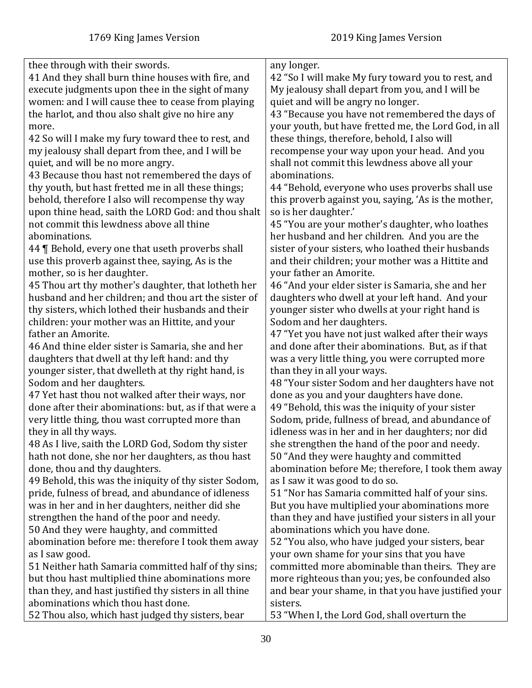| thee through with their swords.                        | any longer.                                           |
|--------------------------------------------------------|-------------------------------------------------------|
| 41 And they shall burn thine houses with fire, and     | 42 "So I will make My fury toward you to rest, and    |
| execute judgments upon thee in the sight of many       | My jealousy shall depart from you, and I will be      |
| women: and I will cause thee to cease from playing     | quiet and will be angry no longer.                    |
| the harlot, and thou also shalt give no hire any       | 43 "Because you have not remembered the days of       |
| more.                                                  | your youth, but have fretted me, the Lord God, in all |
| 42 So will I make my fury toward thee to rest, and     | these things, therefore, behold, I also will          |
| my jealousy shall depart from thee, and I will be      | recompense your way upon your head. And you           |
| quiet, and will be no more angry.                      | shall not commit this lewdness above all your         |
| 43 Because thou hast not remembered the days of        | abominations.                                         |
| thy youth, but hast fretted me in all these things;    | 44 "Behold, everyone who uses proverbs shall use      |
| behold, therefore I also will recompense thy way       | this proverb against you, saying, 'As is the mother,  |
| upon thine head, saith the LORD God: and thou shalt    | so is her daughter.'                                  |
| not commit this lewdness above all thine               | 45 "You are your mother's daughter, who loathes       |
| abominations.                                          | her husband and her children. And you are the         |
| 44   Behold, every one that useth proverbs shall       | sister of your sisters, who loathed their husbands    |
| use this proverb against thee, saying, As is the       | and their children; your mother was a Hittite and     |
| mother, so is her daughter.                            | your father an Amorite.                               |
| 45 Thou art thy mother's daughter, that lotheth her    | 46 "And your elder sister is Samaria, she and her     |
| husband and her children; and thou art the sister of   | daughters who dwell at your left hand. And your       |
| thy sisters, which lothed their husbands and their     | younger sister who dwells at your right hand is       |
| children: your mother was an Hittite, and your         | Sodom and her daughters.                              |
| father an Amorite.                                     |                                                       |
|                                                        | 47 "Yet you have not just walked after their ways     |
| 46 And thine elder sister is Samaria, she and her      | and done after their abominations. But, as if that    |
| daughters that dwell at thy left hand: and thy         | was a very little thing, you were corrupted more      |
| younger sister, that dwelleth at thy right hand, is    | than they in all your ways.                           |
| Sodom and her daughters.                               | 48 "Your sister Sodom and her daughters have not      |
| 47 Yet hast thou not walked after their ways, nor      | done as you and your daughters have done.             |
| done after their abominations: but, as if that were a  | 49 "Behold, this was the iniquity of your sister      |
| very little thing, thou wast corrupted more than       | Sodom, pride, fullness of bread, and abundance of     |
| they in all thy ways.                                  | idleness was in her and in her daughters; nor did     |
| 48 As I live, saith the LORD God, Sodom thy sister     | she strengthen the hand of the poor and needy.        |
| hath not done, she nor her daughters, as thou hast     | 50 "And they were haughty and committed               |
| done, thou and thy daughters.                          | abomination before Me; therefore, I took them away    |
| 49 Behold, this was the iniquity of thy sister Sodom,  | as I saw it was good to do so.                        |
| pride, fulness of bread, and abundance of idleness     | 51 "Nor has Samaria committed half of your sins.      |
| was in her and in her daughters, neither did she       | But you have multiplied your abominations more        |
| strengthen the hand of the poor and needy.             | than they and have justified your sisters in all your |
| 50 And they were haughty, and committed                | abominations which you have done.                     |
| abomination before me: therefore I took them away      | 52 "You also, who have judged your sisters, bear      |
| as I saw good.                                         | your own shame for your sins that you have            |
| 51 Neither hath Samaria committed half of thy sins;    | committed more abominable than theirs. They are       |
| but thou hast multiplied thine abominations more       | more righteous than you; yes, be confounded also      |
| than they, and hast justified thy sisters in all thine | and bear your shame, in that you have justified your  |
| abominations which thou hast done.                     | sisters.                                              |
| 52 Thou also, which hast judged thy sisters, bear      | 53 "When I, the Lord God, shall overturn the          |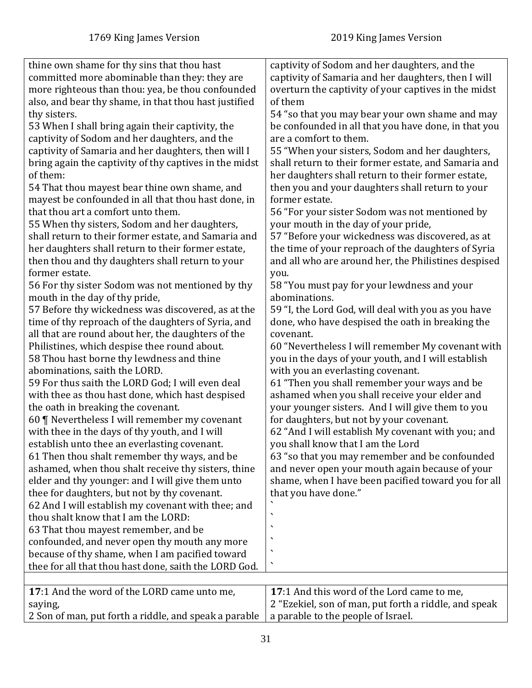<span id="page-30-0"></span>

| thine own shame for thy sins that thou hast            | captivity of Sodom and her daughters, and the         |
|--------------------------------------------------------|-------------------------------------------------------|
| committed more abominable than they: they are          | captivity of Samaria and her daughters, then I will   |
| more righteous than thou: yea, be thou confounded      | overturn the captivity of your captives in the midst  |
| also, and bear thy shame, in that thou hast justified  | of them                                               |
| thy sisters.                                           | 54 "so that you may bear your own shame and may       |
| 53 When I shall bring again their captivity, the       | be confounded in all that you have done, in that you  |
| captivity of Sodom and her daughters, and the          | are a comfort to them.                                |
| captivity of Samaria and her daughters, then will I    | 55 "When your sisters, Sodom and her daughters,       |
| bring again the captivity of thy captives in the midst | shall return to their former estate, and Samaria and  |
| of them:                                               | her daughters shall return to their former estate,    |
| 54 That thou mayest bear thine own shame, and          | then you and your daughters shall return to your      |
| mayest be confounded in all that thou hast done, in    | former estate.                                        |
| that thou art a comfort unto them.                     | 56 "For your sister Sodom was not mentioned by        |
| 55 When thy sisters, Sodom and her daughters,          | your mouth in the day of your pride,                  |
| shall return to their former estate, and Samaria and   | 57 "Before your wickedness was discovered, as at      |
| her daughters shall return to their former estate,     | the time of your reproach of the daughters of Syria   |
| then thou and thy daughters shall return to your       | and all who are around her, the Philistines despised  |
| former estate.                                         | you.                                                  |
| 56 For thy sister Sodom was not mentioned by thy       | 58 "You must pay for your lewdness and your           |
| mouth in the day of thy pride,                         | abominations.                                         |
| 57 Before thy wickedness was discovered, as at the     | 59 "I, the Lord God, will deal with you as you have   |
|                                                        |                                                       |
| time of thy reproach of the daughters of Syria, and    | done, who have despised the oath in breaking the      |
| all that are round about her, the daughters of the     | covenant.                                             |
| Philistines, which despise thee round about.           | 60 "Nevertheless I will remember My covenant with     |
| 58 Thou hast borne thy lewdness and thine              | you in the days of your youth, and I will establish   |
| abominations, saith the LORD.                          | with you an everlasting covenant.                     |
| 59 For thus saith the LORD God; I will even deal       | 61 "Then you shall remember your ways and be          |
| with thee as thou hast done, which hast despised       | ashamed when you shall receive your elder and         |
| the oath in breaking the covenant.                     | your younger sisters. And I will give them to you     |
| 60   Nevertheless I will remember my covenant          | for daughters, but not by your covenant.              |
| with thee in the days of thy youth, and I will         | 62 "And I will establish My covenant with you; and    |
| establish unto thee an everlasting covenant.           | you shall know that I am the Lord                     |
| 61 Then thou shalt remember thy ways, and be           | 63 "so that you may remember and be confounded        |
| ashamed, when thou shalt receive thy sisters, thine    | and never open your mouth again because of your       |
| elder and thy younger: and I will give them unto       | shame, when I have been pacified toward you for all   |
| thee for daughters, but not by thy covenant.           | that you have done."                                  |
| 62 And I will establish my covenant with thee; and     |                                                       |
| thou shalt know that I am the LORD:                    | ٦                                                     |
| 63 That thou mayest remember, and be                   |                                                       |
| confounded, and never open thy mouth any more          | ٠                                                     |
| because of thy shame, when I am pacified toward        | $\overline{\phantom{0}}$                              |
| thee for all that thou hast done, saith the LORD God.  | $\overline{\phantom{a}}$                              |
|                                                        |                                                       |
| 17:1 And the word of the LORD came unto me,            | 17:1 And this word of the Lord came to me,            |
| saying,                                                | 2 "Ezekiel, son of man, put forth a riddle, and speak |
| 2 Son of man, put forth a riddle, and speak a parable  | a parable to the people of Israel.                    |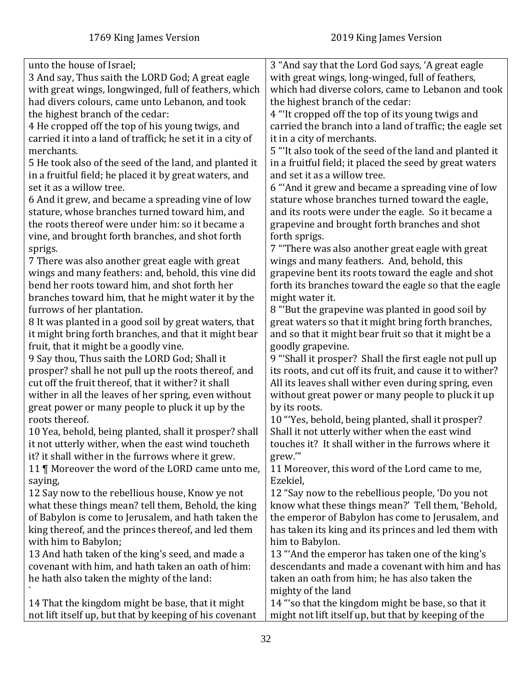| unto the house of Israel;                                  | 3 "And say that the Lord God says, 'A great eagle                                                |
|------------------------------------------------------------|--------------------------------------------------------------------------------------------------|
| 3 And say, Thus saith the LORD God; A great eagle          | with great wings, long-winged, full of feathers,                                                 |
| with great wings, longwinged, full of feathers, which      | which had diverse colors, came to Lebanon and took                                               |
| had divers colours, came unto Lebanon, and took            | the highest branch of the cedar:                                                                 |
| the highest branch of the cedar:                           | 4 "It cropped off the top of its young twigs and                                                 |
| 4 He cropped off the top of his young twigs, and           | carried the branch into a land of traffic; the eagle set                                         |
| carried it into a land of traffick; he set it in a city of | it in a city of merchants.                                                                       |
| merchants.                                                 | 5 "It also took of the seed of the land and planted it                                           |
| 5 He took also of the seed of the land, and planted it     | in a fruitful field; it placed the seed by great waters                                          |
| in a fruitful field; he placed it by great waters, and     | and set it as a willow tree.                                                                     |
| set it as a willow tree.                                   | 6 "And it grew and became a spreading vine of low                                                |
| 6 And it grew, and became a spreading vine of low          | stature whose branches turned toward the eagle,                                                  |
| stature, whose branches turned toward him, and             | and its roots were under the eagle. So it became a                                               |
| the roots thereof were under him: so it became a           | grapevine and brought forth branches and shot                                                    |
| vine, and brought forth branches, and shot forth           | forth sprigs.                                                                                    |
|                                                            | 7 "There was also another great eagle with great                                                 |
| sprigs.                                                    |                                                                                                  |
| 7 There was also another great eagle with great            | wings and many feathers. And, behold, this<br>grapevine bent its roots toward the eagle and shot |
| wings and many feathers: and, behold, this vine did        |                                                                                                  |
| bend her roots toward him, and shot forth her              | forth its branches toward the eagle so that the eagle                                            |
| branches toward him, that he might water it by the         | might water it.                                                                                  |
| furrows of her plantation.                                 | 8 "But the grapevine was planted in good soil by                                                 |
| 8 It was planted in a good soil by great waters, that      | great waters so that it might bring forth branches,                                              |
| it might bring forth branches, and that it might bear      | and so that it might bear fruit so that it might be a                                            |
| fruit, that it might be a goodly vine.                     | goodly grapevine.                                                                                |
| 9 Say thou, Thus saith the LORD God; Shall it              | 9 "Shall it prosper? Shall the first eagle not pull up                                           |
| prosper? shall he not pull up the roots thereof, and       | its roots, and cut off its fruit, and cause it to wither?                                        |
| cut off the fruit thereof, that it wither? it shall        | All its leaves shall wither even during spring, even                                             |
| wither in all the leaves of her spring, even without       | without great power or many people to pluck it up                                                |
| great power or many people to pluck it up by the           | by its roots.                                                                                    |
| roots thereof.                                             | 10 "Yes, behold, being planted, shall it prosper?                                                |
| 10 Yea, behold, being planted, shall it prosper? shall     | Shall it not utterly wither when the east wind                                                   |
| it not utterly wither, when the east wind toucheth         | touches it? It shall wither in the furrows where it                                              |
| it? it shall wither in the furrows where it grew.          | grew."                                                                                           |
| 11   Moreover the word of the LORD came unto me,           | 11 Moreover, this word of the Lord came to me,                                                   |
| saying,                                                    | Ezekiel,                                                                                         |
| 12 Say now to the rebellious house, Know ye not            | 12 "Say now to the rebellious people, 'Do you not                                                |
| what these things mean? tell them, Behold, the king        | know what these things mean?' Tell them, 'Behold,                                                |
| of Babylon is come to Jerusalem, and hath taken the        | the emperor of Babylon has come to Jerusalem, and                                                |
| king thereof, and the princes thereof, and led them        | has taken its king and its princes and led them with                                             |
| with him to Babylon;                                       | him to Babylon.                                                                                  |
| 13 And hath taken of the king's seed, and made a           | 13 "And the emperor has taken one of the king's                                                  |
| covenant with him, and hath taken an oath of him:          | descendants and made a covenant with him and has                                                 |
| he hath also taken the mighty of the land:                 | taken an oath from him; he has also taken the                                                    |
|                                                            | mighty of the land                                                                               |
| 14 That the kingdom might be base, that it might           | 14 "'so that the kingdom might be base, so that it                                               |
| not lift itself up, but that by keeping of his covenant    | might not lift itself up, but that by keeping of the                                             |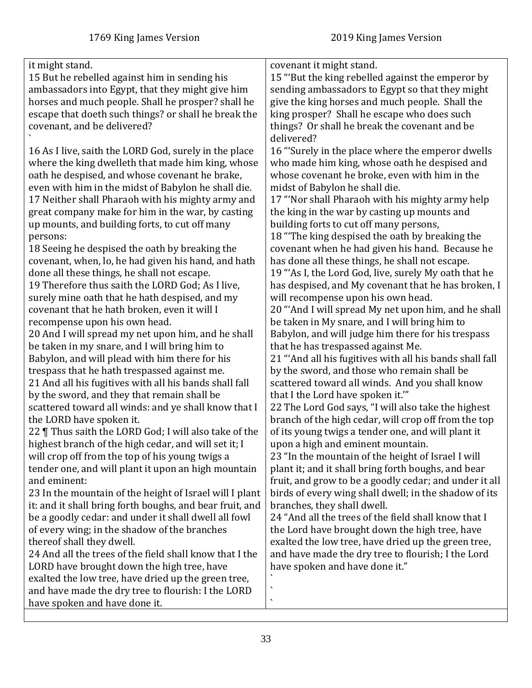| it might stand.                                          | covenant it might stand.                                |
|----------------------------------------------------------|---------------------------------------------------------|
| 15 But he rebelled against him in sending his            | 15 "But the king rebelled against the emperor by        |
| ambassadors into Egypt, that they might give him         | sending ambassadors to Egypt so that they might         |
| horses and much people. Shall he prosper? shall he       | give the king horses and much people. Shall the         |
| escape that doeth such things? or shall he break the     | king prosper? Shall he escape who does such             |
| covenant, and be delivered?                              | things? Or shall he break the covenant and be           |
|                                                          | delivered?                                              |
| 16 As I live, saith the LORD God, surely in the place    | 16 "Surely in the place where the emperor dwells        |
| where the king dwelleth that made him king, whose        | who made him king, whose oath he despised and           |
| oath he despised, and whose covenant he brake,           | whose covenant he broke, even with him in the           |
| even with him in the midst of Babylon he shall die.      | midst of Babylon he shall die.                          |
| 17 Neither shall Pharaoh with his mighty army and        | 17 "Nor shall Pharaoh with his mighty army help         |
| great company make for him in the war, by casting        | the king in the war by casting up mounts and            |
| up mounts, and building forts, to cut off many           | building forts to cut off many persons,                 |
| persons:                                                 | 18 "The king despised the oath by breaking the          |
| 18 Seeing he despised the oath by breaking the           | covenant when he had given his hand. Because he         |
| covenant, when, lo, he had given his hand, and hath      | has done all these things, he shall not escape.         |
| done all these things, he shall not escape.              | 19 "As I, the Lord God, live, surely My oath that he    |
| 19 Therefore thus saith the LORD God; As I live,         | has despised, and My covenant that he has broken, I     |
| surely mine oath that he hath despised, and my           | will recompense upon his own head.                      |
| covenant that he hath broken, even it will I             | 20 "And I will spread My net upon him, and he shall     |
| recompense upon his own head.                            | be taken in My snare, and I will bring him to           |
| 20 And I will spread my net upon him, and he shall       | Babylon, and will judge him there for his trespass      |
| be taken in my snare, and I will bring him to            | that he has trespassed against Me.                      |
| Babylon, and will plead with him there for his           | 21 "And all his fugitives with all his bands shall fall |
| trespass that he hath trespassed against me.             | by the sword, and those who remain shall be             |
| 21 And all his fugitives with all his bands shall fall   | scattered toward all winds. And you shall know          |
| by the sword, and they that remain shall be              | that I the Lord have spoken it.""                       |
| scattered toward all winds: and ye shall know that I     | 22 The Lord God says, "I will also take the highest     |
| the LORD have spoken it.                                 | branch of the high cedar, will crop off from the top    |
| 22   Thus saith the LORD God; I will also take of the    | of its young twigs a tender one, and will plant it      |
| highest branch of the high cedar, and will set it; I     | upon a high and eminent mountain.                       |
| will crop off from the top of his young twigs a          | 23 "In the mountain of the height of Israel I will      |
| tender one, and will plant it upon an high mountain      | plant it; and it shall bring forth boughs, and bear     |
| and eminent:                                             | fruit, and grow to be a goodly cedar; and under it all  |
| 23 In the mountain of the height of Israel will I plant  | birds of every wing shall dwell; in the shadow of its   |
| it: and it shall bring forth boughs, and bear fruit, and | branches, they shall dwell.                             |
| be a goodly cedar: and under it shall dwell all fowl     | 24 "And all the trees of the field shall know that I    |
| of every wing; in the shadow of the branches             | the Lord have brought down the high tree, have          |
| thereof shall they dwell.                                | exalted the low tree, have dried up the green tree,     |
| 24 And all the trees of the field shall know that I the  | and have made the dry tree to flourish; I the Lord      |
| LORD have brought down the high tree, have               | have spoken and have done it."                          |
| exalted the low tree, have dried up the green tree,      | $\boldsymbol{\checkmark}$                               |
| and have made the dry tree to flourish: I the LORD       | $\bar{\mathbf{v}}$                                      |
| have spoken and have done it.                            |                                                         |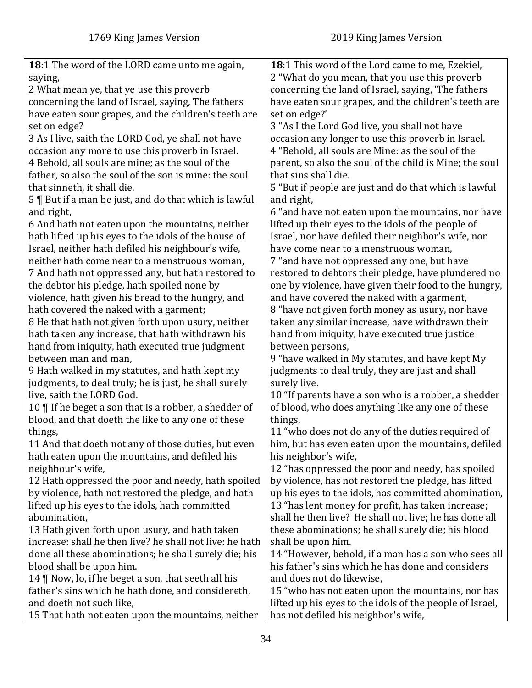<span id="page-33-0"></span>

| 18:1 The word of the LORD came unto me again,                                                              | 18:1 This word of the Lord came to me, Ezekiel,          |
|------------------------------------------------------------------------------------------------------------|----------------------------------------------------------|
| saying,                                                                                                    | 2 "What do you mean, that you use this proverb           |
| 2 What mean ye, that ye use this proverb                                                                   | concerning the land of Israel, saying, 'The fathers      |
| concerning the land of Israel, saying, The fathers                                                         | have eaten sour grapes, and the children's teeth are     |
| have eaten sour grapes, and the children's teeth are                                                       | set on edge?'                                            |
| set on edge?                                                                                               | 3 "As I the Lord God live, you shall not have            |
| 3 As I live, saith the LORD God, ye shall not have                                                         | occasion any longer to use this proverb in Israel.       |
| occasion any more to use this proverb in Israel.                                                           | 4 "Behold, all souls are Mine: as the soul of the        |
| 4 Behold, all souls are mine; as the soul of the                                                           | parent, so also the soul of the child is Mine; the soul  |
| father, so also the soul of the son is mine: the soul                                                      | that sins shall die.                                     |
| that sinneth, it shall die.                                                                                | 5 "But if people are just and do that which is lawful    |
| 5   But if a man be just, and do that which is lawful                                                      | and right,                                               |
| and right,                                                                                                 | 6 "and have not eaten upon the mountains, nor have       |
|                                                                                                            | lifted up their eyes to the idols of the people of       |
| 6 And hath not eaten upon the mountains, neither                                                           |                                                          |
| hath lifted up his eyes to the idols of the house of<br>Israel, neither hath defiled his neighbour's wife, | Israel, nor have defiled their neighbor's wife, nor      |
|                                                                                                            | have come near to a menstruous woman,                    |
| neither hath come near to a menstruous woman,                                                              | 7 "and have not oppressed any one, but have              |
| 7 And hath not oppressed any, but hath restored to                                                         | restored to debtors their pledge, have plundered no      |
| the debtor his pledge, hath spoiled none by                                                                | one by violence, have given their food to the hungry,    |
| violence, hath given his bread to the hungry, and                                                          | and have covered the naked with a garment,               |
| hath covered the naked with a garment;                                                                     | 8 "have not given forth money as usury, nor have         |
| 8 He that hath not given forth upon usury, neither                                                         | taken any similar increase, have withdrawn their         |
| hath taken any increase, that hath withdrawn his                                                           | hand from iniquity, have executed true justice           |
| hand from iniquity, hath executed true judgment                                                            | between persons,                                         |
| between man and man,                                                                                       | 9 "have walked in My statutes, and have kept My          |
| 9 Hath walked in my statutes, and hath kept my                                                             | judgments to deal truly, they are just and shall         |
| judgments, to deal truly; he is just, he shall surely                                                      | surely live.                                             |
| live, saith the LORD God.                                                                                  | 10 "If parents have a son who is a robber, a shedder     |
| 10 $\P$ If he beget a son that is a robber, a shedder of                                                   | of blood, who does anything like any one of these        |
| blood, and that doeth the like to any one of these                                                         | things,                                                  |
| things,                                                                                                    | 11 "who does not do any of the duties required of        |
| 11 And that doeth not any of those duties, but even                                                        | him, but has even eaten upon the mountains, defiled      |
| hath eaten upon the mountains, and defiled his                                                             | his neighbor's wife,                                     |
| neighbour's wife,                                                                                          | 12 "has oppressed the poor and needy, has spoiled        |
| 12 Hath oppressed the poor and needy, hath spoiled                                                         | by violence, has not restored the pledge, has lifted     |
| by violence, hath not restored the pledge, and hath                                                        | up his eyes to the idols, has committed abomination,     |
| lifted up his eyes to the idols, hath committed                                                            | 13 "has lent money for profit, has taken increase;       |
| abomination,                                                                                               | shall he then live? He shall not live; he has done all   |
| 13 Hath given forth upon usury, and hath taken                                                             | these abominations; he shall surely die; his blood       |
| increase: shall he then live? he shall not live: he hath                                                   | shall be upon him.                                       |
| done all these abominations; he shall surely die; his                                                      | 14 "However, behold, if a man has a son who sees all     |
| blood shall be upon him.                                                                                   | his father's sins which he has done and considers        |
| 14 $\P$ Now, lo, if he beget a son, that seeth all his                                                     | and does not do likewise,                                |
| father's sins which he hath done, and considereth,                                                         | 15 "who has not eaten upon the mountains, nor has        |
| and doeth not such like,                                                                                   | lifted up his eyes to the idols of the people of Israel, |
| 15 That hath not eaten upon the mountains, neither                                                         | has not defiled his neighbor's wife,                     |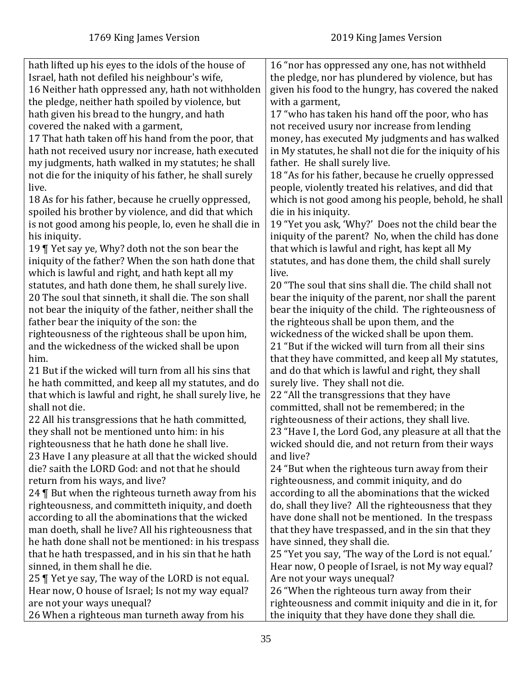| hath lifted up his eyes to the idols of the house of     | 16 "nor has oppressed any one, has not withheld          |
|----------------------------------------------------------|----------------------------------------------------------|
| Israel, hath not defiled his neighbour's wife,           | the pledge, nor has plundered by violence, but has       |
| 16 Neither hath oppressed any, hath not withholden       | given his food to the hungry, has covered the naked      |
| the pledge, neither hath spoiled by violence, but        | with a garment,                                          |
| hath given his bread to the hungry, and hath             | 17 "who has taken his hand off the poor, who has         |
| covered the naked with a garment,                        | not received usury nor increase from lending             |
| 17 That hath taken off his hand from the poor, that      | money, has executed My judgments and has walked          |
| hath not received usury nor increase, hath executed      | in My statutes, he shall not die for the iniquity of his |
| my judgments, hath walked in my statutes; he shall       | father. He shall surely live.                            |
| not die for the iniquity of his father, he shall surely  | 18 "As for his father, because he cruelly oppressed      |
| live.                                                    | people, violently treated his relatives, and did that    |
| 18 As for his father, because he cruelly oppressed,      | which is not good among his people, behold, he shall     |
| spoiled his brother by violence, and did that which      | die in his iniquity.                                     |
| is not good among his people, lo, even he shall die in   | 19 "Yet you ask, 'Why?' Does not the child bear the      |
| his iniquity.                                            | iniquity of the parent? No, when the child has done      |
| 19   Yet say ye, Why? doth not the son bear the          | that which is lawful and right, has kept all My          |
| iniquity of the father? When the son hath done that      | statutes, and has done them, the child shall surely      |
| which is lawful and right, and hath kept all my          | live.                                                    |
| statutes, and hath done them, he shall surely live.      | 20 "The soul that sins shall die. The child shall not    |
| 20 The soul that sinneth, it shall die. The son shall    | bear the iniquity of the parent, nor shall the parent    |
| not bear the iniquity of the father, neither shall the   | bear the iniquity of the child. The righteousness of     |
| father bear the iniquity of the son: the                 | the righteous shall be upon them, and the                |
| righteousness of the righteous shall be upon him,        | wickedness of the wicked shall be upon them.             |
| and the wickedness of the wicked shall be upon           | 21 "But if the wicked will turn from all their sins      |
| him.                                                     | that they have committed, and keep all My statutes,      |
| 21 But if the wicked will turn from all his sins that    | and do that which is lawful and right, they shall        |
| he hath committed, and keep all my statutes, and do      | surely live. They shall not die.                         |
| that which is lawful and right, he shall surely live, he | 22 "All the transgressions that they have                |
| shall not die.                                           | committed, shall not be remembered; in the               |
| 22 All his transgressions that he hath committed,        | righteousness of their actions, they shall live.         |
| they shall not be mentioned unto him: in his             | 23 "Have I, the Lord God, any pleasure at all that the   |
| righteousness that he hath done he shall live            | wicked should die, and not return from their ways        |
| 23 Have I any pleasure at all that the wicked should     | and live?                                                |
| die? saith the LORD God: and not that he should          | 24 "But when the righteous turn away from their          |
| return from his ways, and live?                          | righteousness, and commit iniquity, and do               |
| 24   But when the righteous turneth away from his        | according to all the abominations that the wicked        |
| righteousness, and committeth iniquity, and doeth        | do, shall they live? All the righteousness that they     |
| according to all the abominations that the wicked        | have done shall not be mentioned. In the trespass        |
| man doeth, shall he live? All his righteousness that     | that they have trespassed, and in the sin that they      |
| he hath done shall not be mentioned: in his trespass     | have sinned, they shall die.                             |
| that he hath trespassed, and in his sin that he hath     | 25 "Yet you say, 'The way of the Lord is not equal.'     |
| sinned, in them shall he die.                            | Hear now, O people of Israel, is not My way equal?       |
| 25   Yet ye say, The way of the LORD is not equal.       | Are not your ways unequal?                               |
| Hear now, O house of Israel; Is not my way equal?        | 26 "When the righteous turn away from their              |
| are not your ways unequal?                               | righteousness and commit iniquity and die in it, for     |
| 26 When a righteous man turneth away from his            | the iniquity that they have done they shall die.         |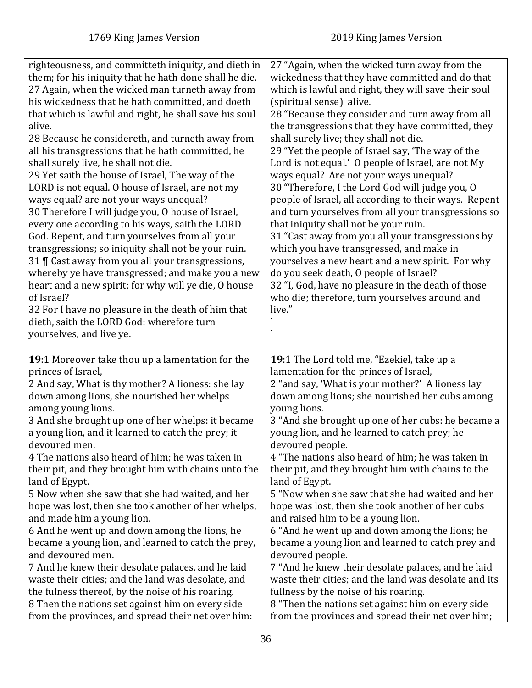<span id="page-35-0"></span>

| righteousness, and committeth iniquity, and dieth in                                                  | 27 "Again, when the wicked turn away from the         |
|-------------------------------------------------------------------------------------------------------|-------------------------------------------------------|
| them; for his iniquity that he hath done shall he die.                                                | wickedness that they have committed and do that       |
|                                                                                                       |                                                       |
| 27 Again, when the wicked man turneth away from                                                       | which is lawful and right, they will save their soul  |
| his wickedness that he hath committed, and doeth                                                      | (spiritual sense) alive.                              |
| that which is lawful and right, he shall save his soul                                                | 28 "Because they consider and turn away from all      |
| alive.                                                                                                | the transgressions that they have committed, they     |
| 28 Because he considereth, and turneth away from                                                      | shall surely live; they shall not die.                |
| all his transgressions that he hath committed, he                                                     | 29 "Yet the people of Israel say, 'The way of the     |
| shall surely live, he shall not die.                                                                  | Lord is not equal.' O people of Israel, are not My    |
| 29 Yet saith the house of Israel, The way of the                                                      | ways equal? Are not your ways unequal?                |
| LORD is not equal. O house of Israel, are not my                                                      | 30 "Therefore, I the Lord God will judge you, O       |
| ways equal? are not your ways unequal?                                                                | people of Israel, all according to their ways. Repent |
| 30 Therefore I will judge you, O house of Israel,                                                     | and turn yourselves from all your transgressions so   |
| every one according to his ways, saith the LORD                                                       | that iniquity shall not be your ruin.                 |
| God. Repent, and turn yourselves from all your                                                        | 31 "Cast away from you all your transgressions by     |
| transgressions; so iniquity shall not be your ruin.                                                   | which you have transgressed, and make in              |
| 31   Cast away from you all your transgressions,                                                      | yourselves a new heart and a new spirit. For why      |
|                                                                                                       |                                                       |
| whereby ye have transgressed; and make you a new                                                      | do you seek death, O people of Israel?                |
| heart and a new spirit: for why will ye die, O house                                                  | 32 "I, God, have no pleasure in the death of those    |
| of Israel?                                                                                            | who die; therefore, turn yourselves around and        |
| 32 For I have no pleasure in the death of him that                                                    | live."                                                |
| dieth, saith the LORD God: wherefore turn                                                             |                                                       |
| yourselves, and live ye.                                                                              |                                                       |
|                                                                                                       |                                                       |
|                                                                                                       |                                                       |
| 19:1 Moreover take thou up a lamentation for the                                                      | 19:1 The Lord told me, "Ezekiel, take up a            |
| princes of Israel,                                                                                    | lamentation for the princes of Israel,                |
|                                                                                                       |                                                       |
| 2 And say, What is thy mother? A lioness: she lay                                                     | 2 "and say, 'What is your mother?' A lioness lay      |
| down among lions, she nourished her whelps                                                            | down among lions; she nourished her cubs among        |
| among young lions.                                                                                    | young lions.                                          |
| 3 And she brought up one of her whelps: it became                                                     | 3 "And she brought up one of her cubs: he became a    |
| a young lion, and it learned to catch the prey; it                                                    | young lion, and he learned to catch prey; he          |
| devoured men                                                                                          | devoured people.                                      |
| 4 The nations also heard of him; he was taken in                                                      | 4 "The nations also heard of him; he was taken in     |
| their pit, and they brought him with chains unto the                                                  | their pit, and they brought him with chains to the    |
| land of Egypt.                                                                                        | land of Egypt.                                        |
| 5 Now when she saw that she had waited, and her                                                       | 5 "Now when she saw that she had waited and her       |
| hope was lost, then she took another of her whelps,                                                   | hope was lost, then she took another of her cubs      |
| and made him a young lion.                                                                            | and raised him to be a young lion.                    |
| 6 And he went up and down among the lions, he                                                         | 6 "And he went up and down among the lions; he        |
| became a young lion, and learned to catch the prey,                                                   | became a young lion and learned to catch prey and     |
| and devoured men.                                                                                     | devoured people.                                      |
| 7 And he knew their desolate palaces, and he laid                                                     | 7 "And he knew their desolate palaces, and he laid    |
| waste their cities; and the land was desolate, and                                                    | waste their cities; and the land was desolate and its |
|                                                                                                       | fullness by the noise of his roaring.                 |
| the fulness thereof, by the noise of his roaring.<br>8 Then the nations set against him on every side | 8 "Then the nations set against him on every side     |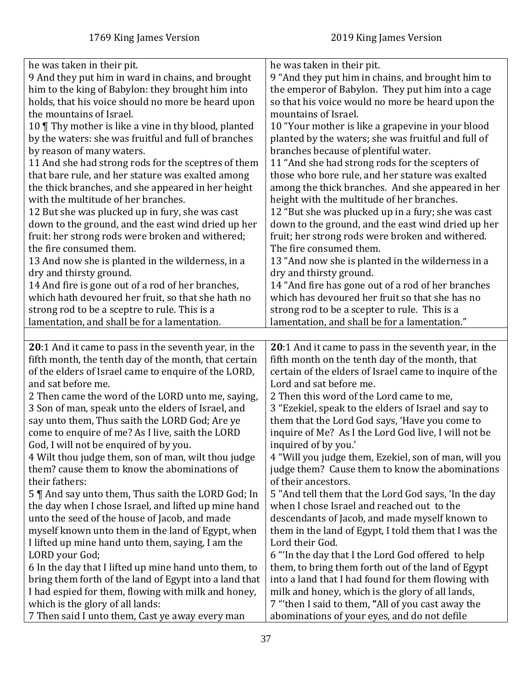| he was taken in their pit.                                                          | he was taken in their pit.                                                                        |
|-------------------------------------------------------------------------------------|---------------------------------------------------------------------------------------------------|
| 9 And they put him in ward in chains, and brought                                   | 9 "And they put him in chains, and brought him to                                                 |
| him to the king of Babylon: they brought him into                                   | the emperor of Babylon. They put him into a cage                                                  |
| holds, that his voice should no more be heard upon                                  | so that his voice would no more be heard upon the                                                 |
| the mountains of Israel.                                                            | mountains of Israel.                                                                              |
| 10 Thy mother is like a vine in thy blood, planted                                  | 10 "Your mother is like a grapevine in your blood                                                 |
| by the waters: she was fruitful and full of branches                                | planted by the waters; she was fruitful and full of                                               |
| by reason of many waters.                                                           | branches because of plentiful water.                                                              |
| 11 And she had strong rods for the sceptres of them                                 | 11 "And she had strong rods for the scepters of                                                   |
| that bare rule, and her stature was exalted among                                   | those who bore rule, and her stature was exalted                                                  |
| the thick branches, and she appeared in her height                                  | among the thick branches. And she appeared in her                                                 |
| with the multitude of her branches.                                                 | height with the multitude of her branches.                                                        |
| 12 But she was plucked up in fury, she was cast                                     | 12 "But she was plucked up in a fury; she was cast                                                |
| down to the ground, and the east wind dried up her                                  | down to the ground, and the east wind dried up her                                                |
| fruit: her strong rods were broken and withered;                                    | fruit; her strong rods were broken and withered.                                                  |
| the fire consumed them.                                                             | The fire consumed them.                                                                           |
| 13 And now she is planted in the wilderness, in a                                   | 13 "And now she is planted in the wilderness in a                                                 |
| dry and thirsty ground.                                                             | dry and thirsty ground.                                                                           |
| 14 And fire is gone out of a rod of her branches,                                   | 14 "And fire has gone out of a rod of her branches                                                |
| which hath devoured her fruit, so that she hath no                                  | which has devoured her fruit so that she has no                                                   |
| strong rod to be a sceptre to rule. This is a                                       | strong rod to be a scepter to rule. This is a                                                     |
| lamentation, and shall be for a lamentation.                                        | lamentation, and shall be for a lamentation."                                                     |
|                                                                                     |                                                                                                   |
| 20:1 And it came to pass in the seventh year, in the                                | 20:1 And it came to pass in the seventh year, in the                                              |
|                                                                                     |                                                                                                   |
|                                                                                     |                                                                                                   |
| fifth month, the tenth day of the month, that certain                               | fifth month on the tenth day of the month, that                                                   |
| of the elders of Israel came to enquire of the LORD,                                | certain of the elders of Israel came to inquire of the                                            |
| and sat before me.                                                                  | Lord and sat before me.                                                                           |
| 2 Then came the word of the LORD unto me, saying,                                   | 2 Then this word of the Lord came to me,                                                          |
| 3 Son of man, speak unto the elders of Israel, and                                  | 3 "Ezekiel, speak to the elders of Israel and say to                                              |
| say unto them, Thus saith the LORD God; Are ye                                      | them that the Lord God says, 'Have you come to                                                    |
| come to enquire of me? As I live, saith the LORD                                    | inquire of Me? As I the Lord God live, I will not be                                              |
| God, I will not be enquired of by you.                                              | inquired of by you.'                                                                              |
| 4 Wilt thou judge them, son of man, wilt thou judge                                 | 4 "Will you judge them, Ezekiel, son of man, will you                                             |
| them? cause them to know the abominations of                                        | judge them? Cause them to know the abominations                                                   |
| their fathers:                                                                      | of their ancestors.                                                                               |
| 5    And say unto them, Thus saith the LORD God; In                                 | 5 "And tell them that the Lord God says, 'In the day                                              |
| the day when I chose Israel, and lifted up mine hand                                | when I chose Israel and reached out to the                                                        |
| unto the seed of the house of Jacob, and made                                       | descendants of Jacob, and made myself known to                                                    |
| myself known unto them in the land of Egypt, when                                   | them in the land of Egypt, I told them that I was the                                             |
| I lifted up mine hand unto them, saying, I am the                                   | Lord their God.                                                                                   |
| LORD your God;                                                                      | 6 "In the day that I the Lord God offered to help                                                 |
| 6 In the day that I lifted up mine hand unto them, to                               | them, to bring them forth out of the land of Egypt                                                |
| bring them forth of the land of Egypt into a land that                              | into a land that I had found for them flowing with                                                |
| I had espied for them, flowing with milk and honey,                                 | milk and honey, which is the glory of all lands,                                                  |
| which is the glory of all lands:<br>7 Then said I unto them, Cast ye away every man | 7 "then I said to them, "All of you cast away the<br>abominations of your eyes, and do not defile |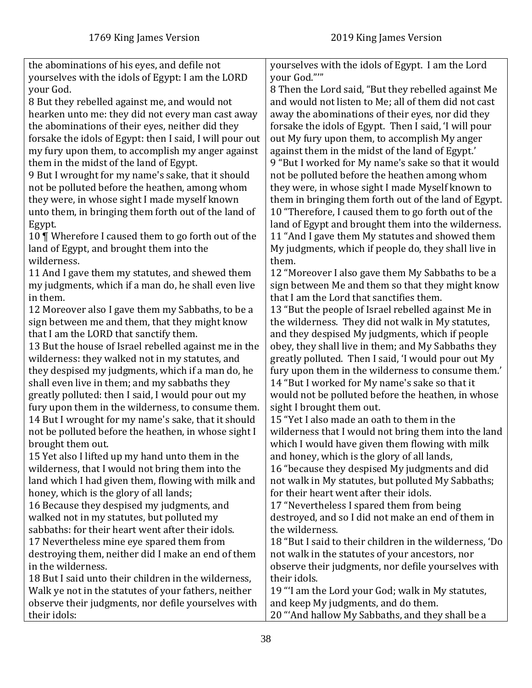| the abominations of his eyes, and defile not<br>yourselves with the idols of Egypt: I am the LORD<br>your God. | yourselves with the idols of Egypt. I am the Lord<br>your God.""<br>8 Then the Lord said, "But they rebelled against Me |
|----------------------------------------------------------------------------------------------------------------|-------------------------------------------------------------------------------------------------------------------------|
| 8 But they rebelled against me, and would not<br>hearken unto me: they did not every man cast away             | and would not listen to Me; all of them did not cast<br>away the abominations of their eyes, nor did they               |
| the abominations of their eyes, neither did they                                                               | forsake the idols of Egypt. Then I said, 'I will pour                                                                   |
| forsake the idols of Egypt: then I said, I will pour out                                                       | out My fury upon them, to accomplish My anger                                                                           |
| my fury upon them, to accomplish my anger against                                                              | against them in the midst of the land of Egypt.'                                                                        |
| them in the midst of the land of Egypt.                                                                        | 9 "But I worked for My name's sake so that it would                                                                     |
| 9 But I wrought for my name's sake, that it should<br>not be polluted before the heathen, among whom           | not be polluted before the heathen among whom<br>they were, in whose sight I made Myself known to                       |
| they were, in whose sight I made myself known                                                                  | them in bringing them forth out of the land of Egypt.                                                                   |
| unto them, in bringing them forth out of the land of                                                           | 10 "Therefore, I caused them to go forth out of the                                                                     |
| Egypt.                                                                                                         | land of Egypt and brought them into the wilderness.                                                                     |
| 10   Wherefore I caused them to go forth out of the                                                            | 11 "And I gave them My statutes and showed them                                                                         |
| land of Egypt, and brought them into the                                                                       | My judgments, which if people do, they shall live in                                                                    |
| wilderness.                                                                                                    | them.                                                                                                                   |
| 11 And I gave them my statutes, and shewed them<br>my judgments, which if a man do, he shall even live         | 12 "Moreover I also gave them My Sabbaths to be a<br>sign between Me and them so that they might know                   |
| in them.                                                                                                       | that I am the Lord that sanctifies them.                                                                                |
| 12 Moreover also I gave them my Sabbaths, to be a                                                              | 13 "But the people of Israel rebelled against Me in                                                                     |
| sign between me and them, that they might know                                                                 | the wilderness. They did not walk in My statutes,                                                                       |
| that I am the LORD that sanctify them.                                                                         | and they despised My judgments, which if people                                                                         |
| 13 But the house of Israel rebelled against me in the                                                          | obey, they shall live in them; and My Sabbaths they                                                                     |
| wilderness: they walked not in my statutes, and                                                                | greatly polluted. Then I said, 'I would pour out My                                                                     |
| they despised my judgments, which if a man do, he<br>shall even live in them; and my sabbaths they             | fury upon them in the wilderness to consume them.'<br>14 "But I worked for My name's sake so that it                    |
| greatly polluted: then I said, I would pour out my                                                             | would not be polluted before the heathen, in whose                                                                      |
| fury upon them in the wilderness, to consume them.                                                             | sight I brought them out.                                                                                               |
| 14 But I wrought for my name's sake, that it should                                                            | 15 "Yet I also made an oath to them in the                                                                              |
| not be polluted before the heathen, in whose sight I                                                           | wilderness that I would not bring them into the land                                                                    |
| brought them out.                                                                                              | which I would have given them flowing with milk                                                                         |
| 15 Yet also I lifted up my hand unto them in the                                                               | and honey, which is the glory of all lands,                                                                             |
| wilderness, that I would not bring them into the<br>land which I had given them, flowing with milk and         | 16 "because they despised My judgments and did<br>not walk in My statutes, but polluted My Sabbaths;                    |
| honey, which is the glory of all lands;                                                                        | for their heart went after their idols.                                                                                 |
| 16 Because they despised my judgments, and                                                                     | 17 "Nevertheless I spared them from being                                                                               |
| walked not in my statutes, but polluted my                                                                     | destroyed, and so I did not make an end of them in                                                                      |
| sabbaths: for their heart went after their idols.                                                              | the wilderness.                                                                                                         |
| 17 Nevertheless mine eye spared them from                                                                      | 18 "But I said to their children in the wilderness, 'Do                                                                 |
| destroying them, neither did I make an end of them<br>in the wilderness.                                       | not walk in the statutes of your ancestors, nor<br>observe their judgments, nor defile yourselves with                  |
| 18 But I said unto their children in the wilderness,                                                           | their idols.                                                                                                            |
| Walk ye not in the statutes of your fathers, neither                                                           | 19 "I am the Lord your God; walk in My statutes,                                                                        |
| observe their judgments, nor defile yourselves with                                                            | and keep My judgments, and do them.                                                                                     |
| their idols:                                                                                                   | 20 "And hallow My Sabbaths, and they shall be a                                                                         |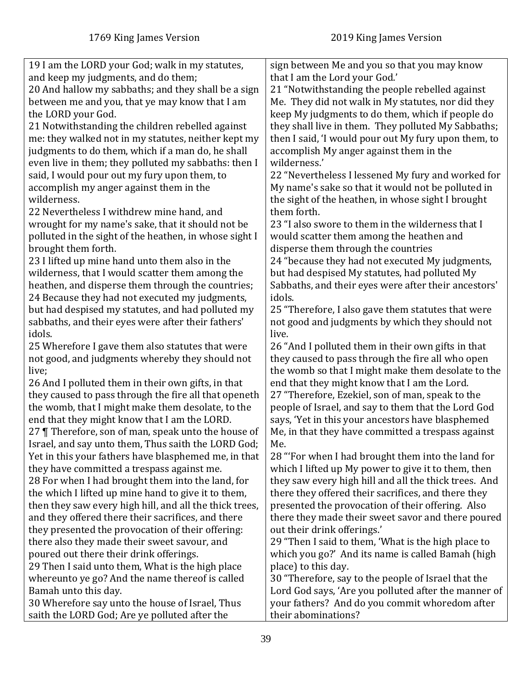| 19 I am the LORD your God; walk in my statutes,         | sign between Me and you so that you may know          |
|---------------------------------------------------------|-------------------------------------------------------|
| and keep my judgments, and do them;                     | that I am the Lord your God.'                         |
| 20 And hallow my sabbaths; and they shall be a sign     | 21 "Notwithstanding the people rebelled against       |
| between me and you, that ye may know that I am          | Me. They did not walk in My statutes, nor did they    |
| the LORD your God.                                      | keep My judgments to do them, which if people do      |
| 21 Notwithstanding the children rebelled against        | they shall live in them. They polluted My Sabbaths;   |
| me: they walked not in my statutes, neither kept my     | then I said, 'I would pour out My fury upon them, to  |
| judgments to do them, which if a man do, he shall       | accomplish My anger against them in the               |
| even live in them; they polluted my sabbaths: then I    | wilderness.'                                          |
| said, I would pour out my fury upon them, to            | 22 "Nevertheless I lessened My fury and worked for    |
| accomplish my anger against them in the                 | My name's sake so that it would not be polluted in    |
| wilderness.                                             | the sight of the heathen, in whose sight I brought    |
| 22 Nevertheless I withdrew mine hand, and               | them forth.                                           |
| wrought for my name's sake, that it should not be       | 23 "I also swore to them in the wilderness that I     |
| polluted in the sight of the heathen, in whose sight I  | would scatter them among the heathen and              |
| brought them forth.                                     | disperse them through the countries                   |
| 23 I lifted up mine hand unto them also in the          | 24 "because they had not executed My judgments,       |
| wilderness, that I would scatter them among the         | but had despised My statutes, had polluted My         |
| heathen, and disperse them through the countries;       | Sabbaths, and their eyes were after their ancestors'  |
| 24 Because they had not executed my judgments,          | idols.                                                |
| but had despised my statutes, and had polluted my       | 25 "Therefore, I also gave them statutes that were    |
| sabbaths, and their eyes were after their fathers'      | not good and judgments by which they should not       |
| idols.                                                  | live.                                                 |
| 25 Wherefore I gave them also statutes that were        | 26 "And I polluted them in their own gifts in that    |
| not good, and judgments whereby they should not         | they caused to pass through the fire all who open     |
| live;                                                   | the womb so that I might make them desolate to the    |
| 26 And I polluted them in their own gifts, in that      | end that they might know that I am the Lord.          |
| they caused to pass through the fire all that openeth   | 27 "Therefore, Ezekiel, son of man, speak to the      |
| the womb, that I might make them desolate, to the       | people of Israel, and say to them that the Lord God   |
| end that they might know that I am the LORD.            | says, 'Yet in this your ancestors have blasphemed     |
| 27   Therefore, son of man, speak unto the house of     | Me, in that they have committed a trespass against    |
| Israel, and say unto them, Thus saith the LORD God;     | Me.                                                   |
| Yet in this your fathers have blasphemed me, in that    | 28 "For when I had brought them into the land for     |
| they have committed a trespass against me.              | which I lifted up My power to give it to them, then   |
| 28 For when I had brought them into the land, for       | they saw every high hill and all the thick trees. And |
| the which I lifted up mine hand to give it to them,     | there they offered their sacrifices, and there they   |
| then they saw every high hill, and all the thick trees, | presented the provocation of their offering. Also     |
| and they offered there their sacrifices, and there      | there they made their sweet savor and there poured    |
| they presented the provocation of their offering:       | out their drink offerings.'                           |
| there also they made their sweet savour, and            | 29 "Then I said to them, 'What is the high place to   |
| poured out there their drink offerings.                 | which you go?' And its name is called Bamah (high     |
| 29 Then I said unto them, What is the high place        | place) to this day.                                   |
| whereunto ye go? And the name thereof is called         | 30 "Therefore, say to the people of Israel that the   |
| Bamah unto this day.                                    | Lord God says, 'Are you polluted after the manner of  |
| 30 Wherefore say unto the house of Israel, Thus         | your fathers? And do you commit whoredom after        |
| saith the LORD God; Are ye polluted after the           | their abominations?                                   |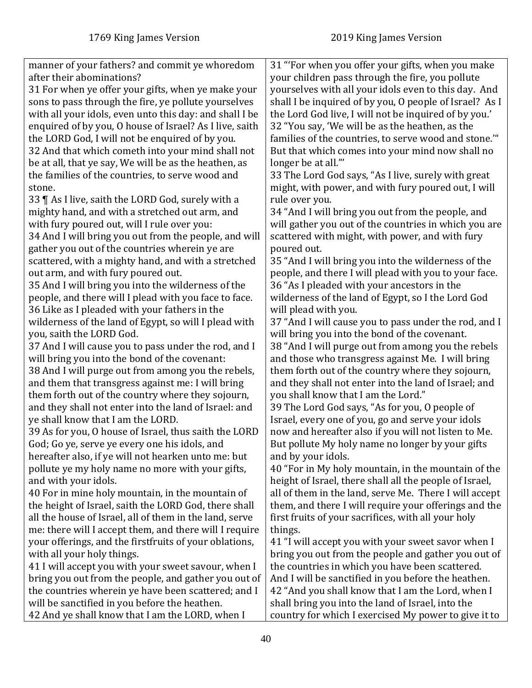| manner of your fathers? and commit ye whoredom          | 31 "For when you offer your gifts, when you make        |
|---------------------------------------------------------|---------------------------------------------------------|
| after their abominations?                               | your children pass through the fire, you pollute        |
| 31 For when ye offer your gifts, when ye make your      | yourselves with all your idols even to this day. And    |
| sons to pass through the fire, ye pollute yourselves    | shall I be inquired of by you, O people of Israel? As I |
| with all your idols, even unto this day: and shall I be | the Lord God live, I will not be inquired of by you.'   |
| enquired of by you, O house of Israel? As I live, saith | 32 "You say, 'We will be as the heathen, as the         |
| the LORD God, I will not be enquired of by you.         | families of the countries, to serve wood and stone."    |
| 32 And that which cometh into your mind shall not       | But that which comes into your mind now shall no        |
| be at all, that ye say, We will be as the heathen, as   | longer be at all."                                      |
| the families of the countries, to serve wood and        | 33 The Lord God says, "As I live, surely with great     |
| stone.                                                  | might, with power, and with fury poured out, I will     |
| 33   As I live, saith the LORD God, surely with a       | rule over you.                                          |
| mighty hand, and with a stretched out arm, and          | 34 "And I will bring you out from the people, and       |
| with fury poured out, will I rule over you:             | will gather you out of the countries in which you are   |
| 34 And I will bring you out from the people, and will   | scattered with might, with power, and with fury         |
| gather you out of the countries wherein ye are          | poured out.                                             |
| scattered, with a mighty hand, and with a stretched     | 35 "And I will bring you into the wilderness of the     |
| out arm, and with fury poured out.                      | people, and there I will plead with you to your face.   |
| 35 And I will bring you into the wilderness of the      | 36 "As I pleaded with your ancestors in the             |
| people, and there will I plead with you face to face.   | wilderness of the land of Egypt, so I the Lord God      |
| 36 Like as I pleaded with your fathers in the           | will plead with you.                                    |
| wilderness of the land of Egypt, so will I plead with   | 37 "And I will cause you to pass under the rod, and I   |
| you, saith the LORD God.                                | will bring you into the bond of the covenant.           |
| 37 And I will cause you to pass under the rod, and I    | 38 "And I will purge out from among you the rebels      |
| will bring you into the bond of the covenant:           | and those who transgress against Me. I will bring       |
| 38 And I will purge out from among you the rebels,      | them forth out of the country where they sojourn,       |
| and them that transgress against me: I will bring       | and they shall not enter into the land of Israel; and   |
| them forth out of the country where they sojourn,       | you shall know that I am the Lord."                     |
| and they shall not enter into the land of Israel: and   | 39 The Lord God says, "As for you, O people of          |
| ye shall know that I am the LORD.                       | Israel, every one of you, go and serve your idols       |
| 39 As for you, O house of Israel, thus saith the LORD   | now and hereafter also if you will not listen to Me.    |
| God; Go ye, serve ye every one his idols, and           | But pollute My holy name no longer by your gifts        |
| hereafter also, if ye will not hearken unto me: but     | and by your idols.                                      |
| pollute ye my holy name no more with your gifts,        | 40 "For in My holy mountain, in the mountain of the     |
| and with your idols.                                    | height of Israel, there shall all the people of Israel, |
| 40 For in mine holy mountain, in the mountain of        | all of them in the land, serve Me. There I will accept  |
| the height of Israel, saith the LORD God, there shall   | them, and there I will require your offerings and the   |
| all the house of Israel, all of them in the land, serve | first fruits of your sacrifices, with all your holy     |
| me: there will I accept them, and there will I require  | things.                                                 |
| your offerings, and the firstfruits of your oblations,  | 41 "I will accept you with your sweet savor when I      |
|                                                         |                                                         |
| with all your holy things.                              | bring you out from the people and gather you out of     |
| 41 I will accept you with your sweet savour, when I     | the countries in which you have been scattered.         |
| bring you out from the people, and gather you out of    | And I will be sanctified in you before the heathen.     |
| the countries wherein ye have been scattered; and I     | 42 "And you shall know that I am the Lord, when I       |
| will be sanctified in you before the heathen.           | shall bring you into the land of Israel, into the       |
| 42 And ye shall know that I am the LORD, when I         | country for which I exercised My power to give it to    |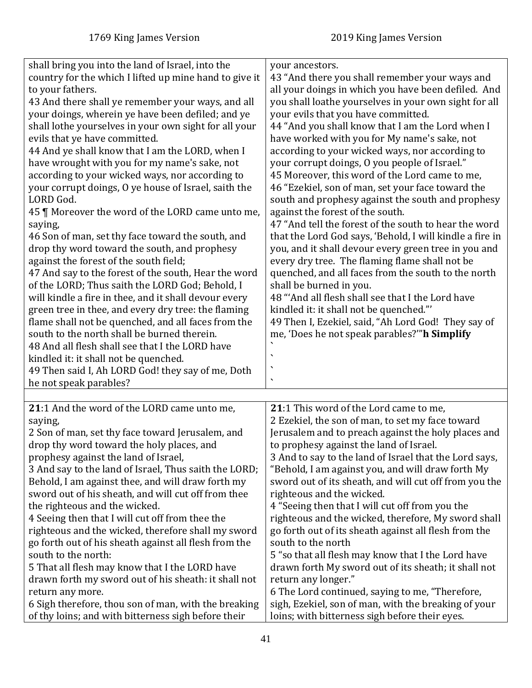| shall bring you into the land of Israel, into the<br>country for the which I lifted up mine hand to give it<br>to your fathers.<br>43 And there shall ye remember your ways, and all<br>your doings, wherein ye have been defiled; and ye<br>shall lothe yourselves in your own sight for all your<br>evils that ye have committed.<br>44 And ye shall know that I am the LORD, when I<br>have wrought with you for my name's sake, not<br>according to your wicked ways, nor according to<br>your corrupt doings, O ye house of Israel, saith the<br>LORD God.<br>45   Moreover the word of the LORD came unto me,<br>saying,<br>46 Son of man, set thy face toward the south, and<br>drop thy word toward the south, and prophesy<br>against the forest of the south field;<br>47 And say to the forest of the south, Hear the word<br>of the LORD; Thus saith the LORD God; Behold, I<br>will kindle a fire in thee, and it shall devour every<br>green tree in thee, and every dry tree: the flaming<br>flame shall not be quenched, and all faces from the<br>south to the north shall be burned therein.<br>48 And all flesh shall see that I the LORD have<br>kindled it: it shall not be quenched.<br>49 Then said I, Ah LORD God! they say of me, Doth<br>he not speak parables? | your ancestors.<br>43 "And there you shall remember your ways and<br>all your doings in which you have been defiled. And<br>you shall loathe yourselves in your own sight for all<br>your evils that you have committed.<br>44 "And you shall know that I am the Lord when I<br>have worked with you for My name's sake, not<br>according to your wicked ways, nor according to<br>your corrupt doings, O you people of Israel."<br>45 Moreover, this word of the Lord came to me,<br>46 "Ezekiel, son of man, set your face toward the<br>south and prophesy against the south and prophesy<br>against the forest of the south.<br>47 "And tell the forest of the south to hear the word<br>that the Lord God says, 'Behold, I will kindle a fire in<br>you, and it shall devour every green tree in you and<br>every dry tree. The flaming flame shall not be<br>quenched, and all faces from the south to the north<br>shall be burned in you.<br>48 "And all flesh shall see that I the Lord have<br>kindled it: it shall not be quenched."<br>49 Then I, Ezekiel, said, "Ah Lord God! They say of<br>me, 'Does he not speak parables?" h Simplify<br>٠<br>$\overline{\phantom{a}}$ |
|-------------------------------------------------------------------------------------------------------------------------------------------------------------------------------------------------------------------------------------------------------------------------------------------------------------------------------------------------------------------------------------------------------------------------------------------------------------------------------------------------------------------------------------------------------------------------------------------------------------------------------------------------------------------------------------------------------------------------------------------------------------------------------------------------------------------------------------------------------------------------------------------------------------------------------------------------------------------------------------------------------------------------------------------------------------------------------------------------------------------------------------------------------------------------------------------------------------------------------------------------------------------------------------------|-----------------------------------------------------------------------------------------------------------------------------------------------------------------------------------------------------------------------------------------------------------------------------------------------------------------------------------------------------------------------------------------------------------------------------------------------------------------------------------------------------------------------------------------------------------------------------------------------------------------------------------------------------------------------------------------------------------------------------------------------------------------------------------------------------------------------------------------------------------------------------------------------------------------------------------------------------------------------------------------------------------------------------------------------------------------------------------------------------------------------------------------------------------------------------------------|
| 21:1 And the word of the LORD came unto me,                                                                                                                                                                                                                                                                                                                                                                                                                                                                                                                                                                                                                                                                                                                                                                                                                                                                                                                                                                                                                                                                                                                                                                                                                                               | 21:1 This word of the Lord came to me,                                                                                                                                                                                                                                                                                                                                                                                                                                                                                                                                                                                                                                                                                                                                                                                                                                                                                                                                                                                                                                                                                                                                                  |
| saying,                                                                                                                                                                                                                                                                                                                                                                                                                                                                                                                                                                                                                                                                                                                                                                                                                                                                                                                                                                                                                                                                                                                                                                                                                                                                                   | 2 Ezekiel, the son of man, to set my face toward                                                                                                                                                                                                                                                                                                                                                                                                                                                                                                                                                                                                                                                                                                                                                                                                                                                                                                                                                                                                                                                                                                                                        |
| 2 Son of man, set thy face toward Jerusalem, and                                                                                                                                                                                                                                                                                                                                                                                                                                                                                                                                                                                                                                                                                                                                                                                                                                                                                                                                                                                                                                                                                                                                                                                                                                          | Jerusalem and to preach against the holy places and                                                                                                                                                                                                                                                                                                                                                                                                                                                                                                                                                                                                                                                                                                                                                                                                                                                                                                                                                                                                                                                                                                                                     |
| drop thy word toward the holy places, and                                                                                                                                                                                                                                                                                                                                                                                                                                                                                                                                                                                                                                                                                                                                                                                                                                                                                                                                                                                                                                                                                                                                                                                                                                                 | to prophesy against the land of Israel.                                                                                                                                                                                                                                                                                                                                                                                                                                                                                                                                                                                                                                                                                                                                                                                                                                                                                                                                                                                                                                                                                                                                                 |
| prophesy against the land of Israel,                                                                                                                                                                                                                                                                                                                                                                                                                                                                                                                                                                                                                                                                                                                                                                                                                                                                                                                                                                                                                                                                                                                                                                                                                                                      | 3 And to say to the land of Israel that the Lord says,                                                                                                                                                                                                                                                                                                                                                                                                                                                                                                                                                                                                                                                                                                                                                                                                                                                                                                                                                                                                                                                                                                                                  |
| 3 And say to the land of Israel, Thus saith the LORD;                                                                                                                                                                                                                                                                                                                                                                                                                                                                                                                                                                                                                                                                                                                                                                                                                                                                                                                                                                                                                                                                                                                                                                                                                                     | "Behold, I am against you, and will draw forth My                                                                                                                                                                                                                                                                                                                                                                                                                                                                                                                                                                                                                                                                                                                                                                                                                                                                                                                                                                                                                                                                                                                                       |
| Behold, I am against thee, and will draw forth my                                                                                                                                                                                                                                                                                                                                                                                                                                                                                                                                                                                                                                                                                                                                                                                                                                                                                                                                                                                                                                                                                                                                                                                                                                         | sword out of its sheath, and will cut off from you the                                                                                                                                                                                                                                                                                                                                                                                                                                                                                                                                                                                                                                                                                                                                                                                                                                                                                                                                                                                                                                                                                                                                  |
| sword out of his sheath, and will cut off from thee                                                                                                                                                                                                                                                                                                                                                                                                                                                                                                                                                                                                                                                                                                                                                                                                                                                                                                                                                                                                                                                                                                                                                                                                                                       | righteous and the wicked.                                                                                                                                                                                                                                                                                                                                                                                                                                                                                                                                                                                                                                                                                                                                                                                                                                                                                                                                                                                                                                                                                                                                                               |
| the righteous and the wicked.                                                                                                                                                                                                                                                                                                                                                                                                                                                                                                                                                                                                                                                                                                                                                                                                                                                                                                                                                                                                                                                                                                                                                                                                                                                             | 4 "Seeing then that I will cut off from you the                                                                                                                                                                                                                                                                                                                                                                                                                                                                                                                                                                                                                                                                                                                                                                                                                                                                                                                                                                                                                                                                                                                                         |
| 4 Seeing then that I will cut off from thee the                                                                                                                                                                                                                                                                                                                                                                                                                                                                                                                                                                                                                                                                                                                                                                                                                                                                                                                                                                                                                                                                                                                                                                                                                                           | righteous and the wicked, therefore, My sword shall                                                                                                                                                                                                                                                                                                                                                                                                                                                                                                                                                                                                                                                                                                                                                                                                                                                                                                                                                                                                                                                                                                                                     |
| righteous and the wicked, therefore shall my sword                                                                                                                                                                                                                                                                                                                                                                                                                                                                                                                                                                                                                                                                                                                                                                                                                                                                                                                                                                                                                                                                                                                                                                                                                                        | go forth out of its sheath against all flesh from the                                                                                                                                                                                                                                                                                                                                                                                                                                                                                                                                                                                                                                                                                                                                                                                                                                                                                                                                                                                                                                                                                                                                   |
| go forth out of his sheath against all flesh from the                                                                                                                                                                                                                                                                                                                                                                                                                                                                                                                                                                                                                                                                                                                                                                                                                                                                                                                                                                                                                                                                                                                                                                                                                                     | south to the north                                                                                                                                                                                                                                                                                                                                                                                                                                                                                                                                                                                                                                                                                                                                                                                                                                                                                                                                                                                                                                                                                                                                                                      |
| south to the north:                                                                                                                                                                                                                                                                                                                                                                                                                                                                                                                                                                                                                                                                                                                                                                                                                                                                                                                                                                                                                                                                                                                                                                                                                                                                       | 5 "so that all flesh may know that I the Lord have                                                                                                                                                                                                                                                                                                                                                                                                                                                                                                                                                                                                                                                                                                                                                                                                                                                                                                                                                                                                                                                                                                                                      |
| 5 That all flesh may know that I the LORD have                                                                                                                                                                                                                                                                                                                                                                                                                                                                                                                                                                                                                                                                                                                                                                                                                                                                                                                                                                                                                                                                                                                                                                                                                                            | drawn forth My sword out of its sheath; it shall not                                                                                                                                                                                                                                                                                                                                                                                                                                                                                                                                                                                                                                                                                                                                                                                                                                                                                                                                                                                                                                                                                                                                    |
| drawn forth my sword out of his sheath: it shall not                                                                                                                                                                                                                                                                                                                                                                                                                                                                                                                                                                                                                                                                                                                                                                                                                                                                                                                                                                                                                                                                                                                                                                                                                                      | return any longer."                                                                                                                                                                                                                                                                                                                                                                                                                                                                                                                                                                                                                                                                                                                                                                                                                                                                                                                                                                                                                                                                                                                                                                     |
| return any more.                                                                                                                                                                                                                                                                                                                                                                                                                                                                                                                                                                                                                                                                                                                                                                                                                                                                                                                                                                                                                                                                                                                                                                                                                                                                          | 6 The Lord continued, saying to me, "Therefore,                                                                                                                                                                                                                                                                                                                                                                                                                                                                                                                                                                                                                                                                                                                                                                                                                                                                                                                                                                                                                                                                                                                                         |
| 6 Sigh therefore, thou son of man, with the breaking                                                                                                                                                                                                                                                                                                                                                                                                                                                                                                                                                                                                                                                                                                                                                                                                                                                                                                                                                                                                                                                                                                                                                                                                                                      | sigh, Ezekiel, son of man, with the breaking of your                                                                                                                                                                                                                                                                                                                                                                                                                                                                                                                                                                                                                                                                                                                                                                                                                                                                                                                                                                                                                                                                                                                                    |
| of thy loins; and with bitterness sigh before their                                                                                                                                                                                                                                                                                                                                                                                                                                                                                                                                                                                                                                                                                                                                                                                                                                                                                                                                                                                                                                                                                                                                                                                                                                       | loins; with bitterness sigh before their eyes.                                                                                                                                                                                                                                                                                                                                                                                                                                                                                                                                                                                                                                                                                                                                                                                                                                                                                                                                                                                                                                                                                                                                          |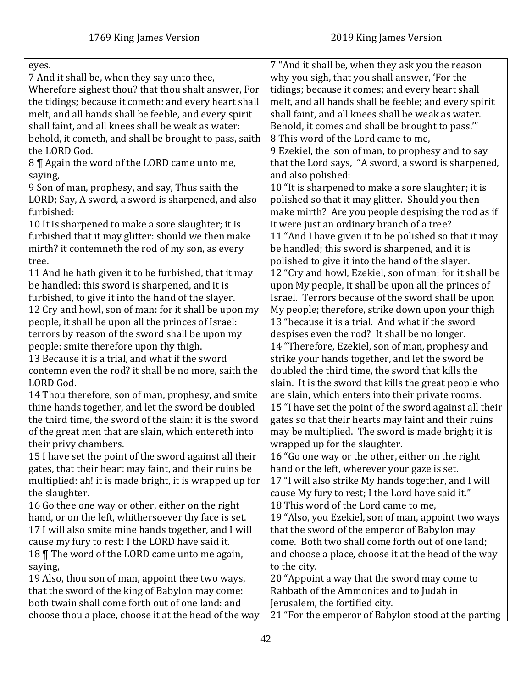| eyes.                                                   | 7 "And it shall be, when they ask you the reason        |
|---------------------------------------------------------|---------------------------------------------------------|
| 7 And it shall be, when they say unto thee,             | why you sigh, that you shall answer, 'For the           |
| Wherefore sighest thou? that thou shalt answer, For     | tidings; because it comes; and every heart shall        |
| the tidings; because it cometh: and every heart shall   | melt, and all hands shall be feeble; and every spirit   |
| melt, and all hands shall be feeble, and every spirit   | shall faint, and all knees shall be weak as water.      |
| shall faint, and all knees shall be weak as water:      | Behold, it comes and shall be brought to pass."         |
| behold, it cometh, and shall be brought to pass, saith  | 8 This word of the Lord came to me,                     |
| the LORD God.                                           | 9 Ezekiel, the son of man, to prophesy and to say       |
| 8 ¶ Again the word of the LORD came unto me,            | that the Lord says, "A sword, a sword is sharpened,     |
| saying,                                                 | and also polished:                                      |
| 9 Son of man, prophesy, and say, Thus saith the         | 10 "It is sharpened to make a sore slaughter; it is     |
| LORD; Say, A sword, a sword is sharpened, and also      | polished so that it may glitter. Should you then        |
| furbished:                                              | make mirth? Are you people despising the rod as if      |
| 10 It is sharpened to make a sore slaughter; it is      | it were just an ordinary branch of a tree?              |
| furbished that it may glitter: should we then make      | 11 "And I have given it to be polished so that it may   |
| mirth? it contemneth the rod of my son, as every        | be handled; this sword is sharpened, and it is          |
| tree.                                                   | polished to give it into the hand of the slayer.        |
| 11 And he hath given it to be furbished, that it may    | 12 "Cry and howl, Ezekiel, son of man; for it shall be  |
| be handled: this sword is sharpened, and it is          | upon My people, it shall be upon all the princes of     |
| furbished, to give it into the hand of the slayer.      | Israel. Terrors because of the sword shall be upon      |
| 12 Cry and howl, son of man: for it shall be upon my    | My people; therefore, strike down upon your thigh       |
| people, it shall be upon all the princes of Israel:     | 13 "because it is a trial. And what if the sword        |
| terrors by reason of the sword shall be upon my         | despises even the rod? It shall be no longer.           |
| people: smite therefore upon thy thigh.                 | 14 "Therefore, Ezekiel, son of man, prophesy and        |
| 13 Because it is a trial, and what if the sword         | strike your hands together, and let the sword be        |
| contemn even the rod? it shall be no more, saith the    | doubled the third time, the sword that kills the        |
| LORD God.                                               | slain. It is the sword that kills the great people who  |
| 14 Thou therefore, son of man, prophesy, and smite      | are slain, which enters into their private rooms.       |
| thine hands together, and let the sword be doubled      | 15 "I have set the point of the sword against all their |
| the third time, the sword of the slain: it is the sword | gates so that their hearts may faint and their ruins    |
| of the great men that are slain, which entereth into    | may be multiplied. The sword is made bright; it is      |
| their privy chambers.                                   | wrapped up for the slaughter.                           |
| 15 I have set the point of the sword against all their  | 16 "Go one way or the other, either on the right        |
| gates, that their heart may faint, and their ruins be   | hand or the left, wherever your gaze is set.            |
| multiplied: ah! it is made bright, it is wrapped up for | 17 "I will also strike My hands together, and I will    |
| the slaughter.                                          | cause My fury to rest; I the Lord have said it."        |
| 16 Go thee one way or other, either on the right        | 18 This word of the Lord came to me,                    |
| hand, or on the left, whithersoever thy face is set.    | 19 "Also, you Ezekiel, son of man, appoint two ways     |
| 17 I will also smite mine hands together, and I will    | that the sword of the emperor of Babylon may            |
| cause my fury to rest: I the LORD have said it.         | come. Both two shall come forth out of one land;        |
| 18   The word of the LORD came unto me again,           | and choose a place, choose it at the head of the way    |
| saying,                                                 | to the city.                                            |
| 19 Also, thou son of man, appoint thee two ways,        | 20 "Appoint a way that the sword may come to            |
| that the sword of the king of Babylon may come:         | Rabbath of the Ammonites and to Judah in                |
| both twain shall come forth out of one land: and        | Jerusalem, the fortified city.                          |
| choose thou a place, choose it at the head of the way   | 21 "For the emperor of Babylon stood at the parting     |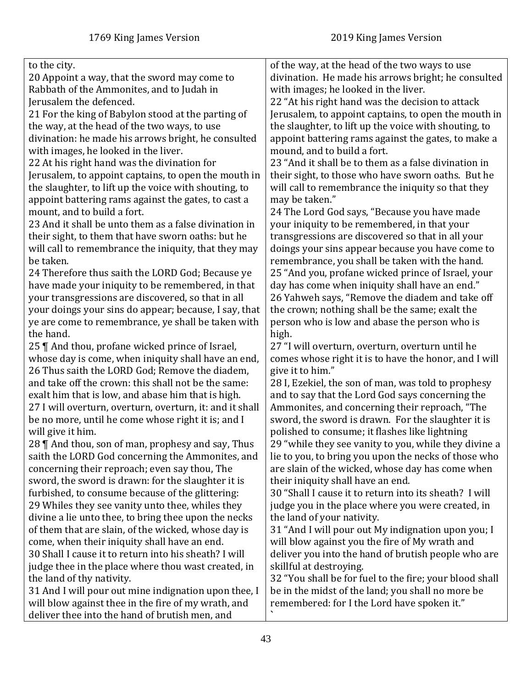| to the city.                                             | of the way, at the head of the two ways to use          |
|----------------------------------------------------------|---------------------------------------------------------|
| 20 Appoint a way, that the sword may come to             | divination. He made his arrows bright; he consulted     |
| Rabbath of the Ammonites, and to Judah in                | with images; he looked in the liver.                    |
| Jerusalem the defenced.                                  | 22 "At his right hand was the decision to attack        |
| 21 For the king of Babylon stood at the parting of       | Jerusalem, to appoint captains, to open the mouth in    |
| the way, at the head of the two ways, to use             | the slaughter, to lift up the voice with shouting, to   |
| divination: he made his arrows bright, he consulted      | appoint battering rams against the gates, to make a     |
| with images, he looked in the liver.                     | mound, and to build a fort.                             |
| 22 At his right hand was the divination for              | 23 "And it shall be to them as a false divination in    |
| Jerusalem, to appoint captains, to open the mouth in     | their sight, to those who have sworn oaths. But he      |
| the slaughter, to lift up the voice with shouting, to    | will call to remembrance the iniquity so that they      |
| appoint battering rams against the gates, to cast a      | may be taken."                                          |
| mount, and to build a fort.                              | 24 The Lord God says, "Because you have made            |
| 23 And it shall be unto them as a false divination in    | your iniquity to be remembered, in that your            |
| their sight, to them that have sworn oaths: but he       | transgressions are discovered so that in all your       |
| will call to remembrance the iniquity, that they may     | doings your sins appear because you have come to        |
| be taken.                                                | remembrance, you shall be taken with the hand.          |
| 24 Therefore thus saith the LORD God; Because ye         | 25 "And you, profane wicked prince of Israel, your      |
| have made your iniquity to be remembered, in that        | day has come when iniquity shall have an end."          |
| your transgressions are discovered, so that in all       | 26 Yahweh says, "Remove the diadem and take off         |
| your doings your sins do appear; because, I say, that    | the crown; nothing shall be the same; exalt the         |
| ye are come to remembrance, ye shall be taken with       | person who is low and abase the person who is           |
| the hand.                                                | high.                                                   |
| 25    And thou, profane wicked prince of Israel,         | 27 "I will overturn, overturn, overturn until he        |
| whose day is come, when iniquity shall have an end,      | comes whose right it is to have the honor, and I will   |
| 26 Thus saith the LORD God; Remove the diadem,           | give it to him."                                        |
| and take off the crown: this shall not be the same:      | 28 I, Ezekiel, the son of man, was told to prophesy     |
| exalt him that is low, and abase him that is high.       | and to say that the Lord God says concerning the        |
| 27 I will overturn, overturn, overturn, it: and it shall | Ammonites, and concerning their reproach, "The          |
| be no more, until he come whose right it is; and I       | sword, the sword is drawn. For the slaughter it is      |
| will give it him.                                        | polished to consume; it flashes like lightning          |
| 28    And thou, son of man, prophesy and say, Thus       | 29 "while they see vanity to you, while they divine a   |
| saith the LORD God concerning the Ammonites, and         | lie to you, to bring you upon the necks of those who    |
| concerning their reproach; even say thou, The            | are slain of the wicked, whose day has come when        |
| sword, the sword is drawn: for the slaughter it is       | their iniquity shall have an end.                       |
| furbished, to consume because of the glittering:         | 30 "Shall I cause it to return into its sheath? I will  |
| 29 Whiles they see vanity unto thee, whiles they         | judge you in the place where you were created, in       |
| divine a lie unto thee, to bring thee upon the necks     | the land of your nativity.                              |
| of them that are slain, of the wicked, whose day is      | 31 "And I will pour out My indignation upon you; I      |
| come, when their iniquity shall have an end.             | will blow against you the fire of My wrath and          |
| 30 Shall I cause it to return into his sheath? I will    | deliver you into the hand of brutish people who are     |
| judge thee in the place where thou wast created, in      | skillful at destroying.                                 |
| the land of thy nativity.                                | 32 "You shall be for fuel to the fire; your blood shall |
| 31 And I will pour out mine indignation upon thee, I     | be in the midst of the land; you shall no more be       |
| will blow against thee in the fire of my wrath, and      | remembered: for I the Lord have spoken it."             |
| deliver thee into the hand of brutish men, and           |                                                         |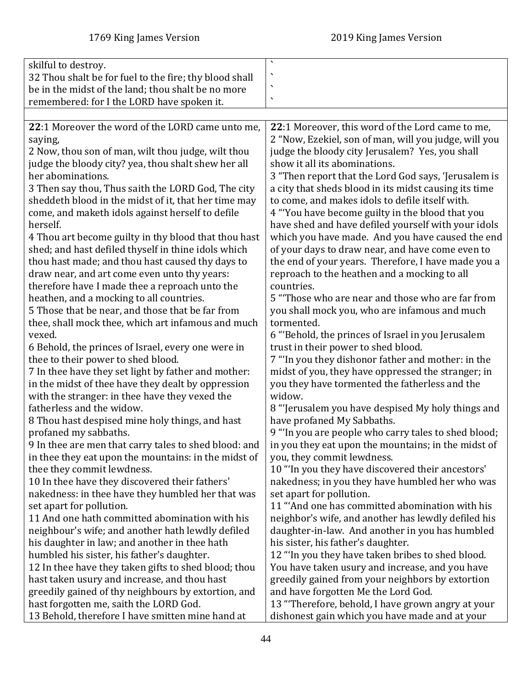|                                                        | $\blacktriangledown$                                  |
|--------------------------------------------------------|-------------------------------------------------------|
| skilful to destroy.                                    | ٠                                                     |
| 32 Thou shalt be for fuel to the fire; thy blood shall | ╮                                                     |
| be in the midst of the land; thou shalt be no more     |                                                       |
| remembered: for I the LORD have spoken it.             | $\blacktriangledown$                                  |
|                                                        |                                                       |
| 22:1 Moreover the word of the LORD came unto me,       | 22:1 Moreover, this word of the Lord came to me,      |
| saying,                                                | 2 "Now, Ezekiel, son of man, will you judge, will you |
| 2 Now, thou son of man, wilt thou judge, wilt thou     | judge the bloody city Jerusalem? Yes, you shall       |
| judge the bloody city? yea, thou shalt shew her all    | show it all its abominations.                         |
| her abominations.                                      | 3 "Then report that the Lord God says, 'Jerusalem is  |
| 3 Then say thou, Thus saith the LORD God, The city     | a city that sheds blood in its midst causing its time |
| sheddeth blood in the midst of it, that her time may   | to come, and makes idols to defile itself with.       |
| come, and maketh idols against herself to defile       | 4 "You have become guilty in the blood that you       |
| herself.                                               | have shed and have defiled yourself with your idols   |
| 4 Thou art become guilty in thy blood that thou hast   | which you have made. And you have caused the end      |
| shed; and hast defiled thyself in thine idols which    | of your days to draw near, and have come even to      |
| thou hast made; and thou hast caused thy days to       | the end of your years. Therefore, I have made you a   |
| draw near, and art come even unto thy years:           | reproach to the heathen and a mocking to all          |
| therefore have I made thee a reproach unto the         | countries.                                            |
| heathen, and a mocking to all countries.               | 5 "Those who are near and those who are far from      |
| 5 Those that be near, and those that be far from       | you shall mock you, who are infamous and much         |
| thee, shall mock thee, which art infamous and much     | tormented.                                            |
| vexed.                                                 | 6 "Behold, the princes of Israel in you Jerusalem     |
| 6 Behold, the princes of Israel, every one were in     | trust in their power to shed blood.                   |
| thee to their power to shed blood.                     | 7 "In you they dishonor father and mother: in the     |
| 7 In thee have they set light by father and mother:    | midst of you, they have oppressed the stranger; in    |
| in the midst of thee have they dealt by oppression     | you they have tormented the fatherless and the        |
| with the stranger: in thee have they vexed the         | widow.                                                |
| fatherless and the widow.                              | 8 "Jerusalem you have despised My holy things and     |
| 8 Thou hast despised mine holy things, and hast        | have profaned My Sabbaths.                            |
| profaned my sabbaths.                                  | 9 "In you are people who carry tales to shed blood;   |
| 9 In thee are men that carry tales to shed blood: and  | in you they eat upon the mountains; in the midst of   |
| in thee they eat upon the mountains: in the midst of   | you, they commit lewdness.                            |
| thee they commit lewdness.                             | 10 "In you they have discovered their ancestors'      |
| 10 In thee have they discovered their fathers'         | nakedness; in you they have humbled her who was       |
| nakedness: in thee have they humbled her that was      | set apart for pollution.                              |
| set apart for pollution.                               | 11 "And one has committed abomination with his        |
| 11 And one hath committed abomination with his         | neighbor's wife, and another has lewdly defiled his   |
| neighbour's wife; and another hath lewdly defiled      | daughter-in-law. And another in you has humbled       |
| his daughter in law; and another in thee hath          | his sister, his father's daughter.                    |
| humbled his sister, his father's daughter.             | 12 "In you they have taken bribes to shed blood.      |
| 12 In thee have they taken gifts to shed blood; thou   | You have taken usury and increase, and you have       |
| hast taken usury and increase, and thou hast           | greedily gained from your neighbors by extortion      |
| greedily gained of thy neighbours by extortion, and    | and have forgotten Me the Lord God.                   |
| hast forgotten me, saith the LORD God.                 | 13 "Therefore, behold, I have grown angry at your     |
| 13 Behold, therefore I have smitten mine hand at       | dishonest gain which you have made and at your        |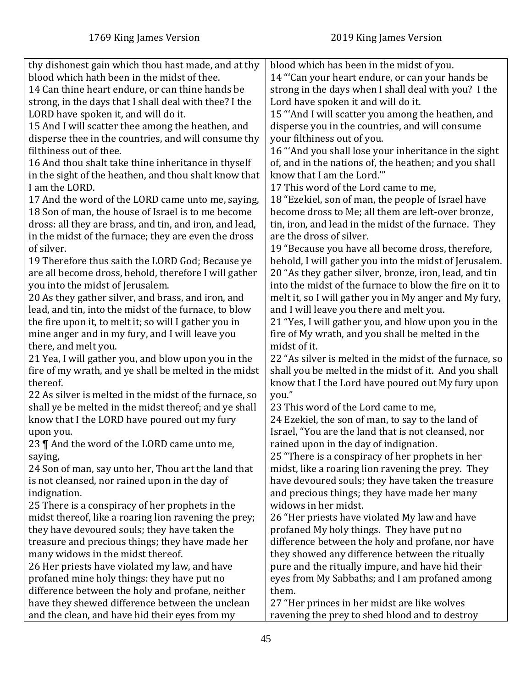| thy dishonest gain which thou hast made, and at thy<br>blood which hath been in the midst of thee.<br>14 Can thine heart endure, or can thine hands be<br>strong, in the days that I shall deal with thee? I the<br>LORD have spoken it, and will do it.<br>15 And I will scatter thee among the heathen, and<br>disperse thee in the countries, and will consume thy | blood which has been in the midst of you.<br>14 "Can your heart endure, or can your hands be<br>strong in the days when I shall deal with you? I the<br>Lord have spoken it and will do it.<br>15 "And I will scatter you among the heathen, and<br>disperse you in the countries, and will consume<br>your filthiness out of you. |
|-----------------------------------------------------------------------------------------------------------------------------------------------------------------------------------------------------------------------------------------------------------------------------------------------------------------------------------------------------------------------|------------------------------------------------------------------------------------------------------------------------------------------------------------------------------------------------------------------------------------------------------------------------------------------------------------------------------------|
| filthiness out of thee.                                                                                                                                                                                                                                                                                                                                               | 16 "And you shall lose your inheritance in the sight                                                                                                                                                                                                                                                                               |
| 16 And thou shalt take thine inheritance in thyself                                                                                                                                                                                                                                                                                                                   | of, and in the nations of, the heathen; and you shall                                                                                                                                                                                                                                                                              |
| in the sight of the heathen, and thou shalt know that                                                                                                                                                                                                                                                                                                                 | know that I am the Lord."                                                                                                                                                                                                                                                                                                          |
| I am the LORD.                                                                                                                                                                                                                                                                                                                                                        | 17 This word of the Lord came to me,                                                                                                                                                                                                                                                                                               |
| 17 And the word of the LORD came unto me, saying,                                                                                                                                                                                                                                                                                                                     | 18 "Ezekiel, son of man, the people of Israel have                                                                                                                                                                                                                                                                                 |
| 18 Son of man, the house of Israel is to me become                                                                                                                                                                                                                                                                                                                    | become dross to Me; all them are left-over bronze,                                                                                                                                                                                                                                                                                 |
| dross: all they are brass, and tin, and iron, and lead,                                                                                                                                                                                                                                                                                                               | tin, iron, and lead in the midst of the furnace. They                                                                                                                                                                                                                                                                              |
| in the midst of the furnace; they are even the dross                                                                                                                                                                                                                                                                                                                  | are the dross of silver.                                                                                                                                                                                                                                                                                                           |
| of silver.                                                                                                                                                                                                                                                                                                                                                            | 19 "Because you have all become dross, therefore,                                                                                                                                                                                                                                                                                  |
| 19 Therefore thus saith the LORD God; Because ye                                                                                                                                                                                                                                                                                                                      | behold, I will gather you into the midst of Jerusalem.                                                                                                                                                                                                                                                                             |
| are all become dross, behold, therefore I will gather                                                                                                                                                                                                                                                                                                                 | 20 "As they gather silver, bronze, iron, lead, and tin                                                                                                                                                                                                                                                                             |
| you into the midst of Jerusalem.                                                                                                                                                                                                                                                                                                                                      | into the midst of the furnace to blow the fire on it to                                                                                                                                                                                                                                                                            |
| 20 As they gather silver, and brass, and iron, and                                                                                                                                                                                                                                                                                                                    | melt it, so I will gather you in My anger and My fury,                                                                                                                                                                                                                                                                             |
| lead, and tin, into the midst of the furnace, to blow                                                                                                                                                                                                                                                                                                                 | and I will leave you there and melt you.                                                                                                                                                                                                                                                                                           |
| the fire upon it, to melt it; so will I gather you in                                                                                                                                                                                                                                                                                                                 | 21 "Yes, I will gather you, and blow upon you in the                                                                                                                                                                                                                                                                               |
| mine anger and in my fury, and I will leave you                                                                                                                                                                                                                                                                                                                       | fire of My wrath, and you shall be melted in the                                                                                                                                                                                                                                                                                   |
| there, and melt you.                                                                                                                                                                                                                                                                                                                                                  | midst of it.                                                                                                                                                                                                                                                                                                                       |
| 21 Yea, I will gather you, and blow upon you in the                                                                                                                                                                                                                                                                                                                   | 22 "As silver is melted in the midst of the furnace, so                                                                                                                                                                                                                                                                            |
| fire of my wrath, and ye shall be melted in the midst                                                                                                                                                                                                                                                                                                                 | shall you be melted in the midst of it. And you shall                                                                                                                                                                                                                                                                              |
| thereof.                                                                                                                                                                                                                                                                                                                                                              | know that I the Lord have poured out My fury upon                                                                                                                                                                                                                                                                                  |
| 22 As silver is melted in the midst of the furnace, so                                                                                                                                                                                                                                                                                                                | you."                                                                                                                                                                                                                                                                                                                              |
| shall ye be melted in the midst thereof; and ye shall                                                                                                                                                                                                                                                                                                                 | 23 This word of the Lord came to me,                                                                                                                                                                                                                                                                                               |
| know that I the LORD have poured out my fury                                                                                                                                                                                                                                                                                                                          | 24 Ezekiel, the son of man, to say to the land of                                                                                                                                                                                                                                                                                  |
| upon you.                                                                                                                                                                                                                                                                                                                                                             | Israel, "You are the land that is not cleansed, nor                                                                                                                                                                                                                                                                                |
| 23    And the word of the LORD came unto me,                                                                                                                                                                                                                                                                                                                          | rained upon in the day of indignation.<br>25 "There is a conspiracy of her prophets in her                                                                                                                                                                                                                                         |
| saying,<br>24 Son of man, say unto her, Thou art the land that                                                                                                                                                                                                                                                                                                        | midst, like a roaring lion ravening the prey. They                                                                                                                                                                                                                                                                                 |
| is not cleansed, nor rained upon in the day of                                                                                                                                                                                                                                                                                                                        | have devoured souls; they have taken the treasure                                                                                                                                                                                                                                                                                  |
| indignation.                                                                                                                                                                                                                                                                                                                                                          | and precious things; they have made her many                                                                                                                                                                                                                                                                                       |
| 25 There is a conspiracy of her prophets in the                                                                                                                                                                                                                                                                                                                       | widows in her midst.                                                                                                                                                                                                                                                                                                               |
| midst thereof, like a roaring lion ravening the prey;                                                                                                                                                                                                                                                                                                                 | 26 "Her priests have violated My law and have                                                                                                                                                                                                                                                                                      |
| they have devoured souls; they have taken the                                                                                                                                                                                                                                                                                                                         | profaned My holy things. They have put no                                                                                                                                                                                                                                                                                          |
| treasure and precious things; they have made her                                                                                                                                                                                                                                                                                                                      | difference between the holy and profane, nor have                                                                                                                                                                                                                                                                                  |
| many widows in the midst thereof.                                                                                                                                                                                                                                                                                                                                     | they showed any difference between the ritually                                                                                                                                                                                                                                                                                    |
| 26 Her priests have violated my law, and have                                                                                                                                                                                                                                                                                                                         | pure and the ritually impure, and have hid their                                                                                                                                                                                                                                                                                   |
| profaned mine holy things: they have put no                                                                                                                                                                                                                                                                                                                           | eyes from My Sabbaths; and I am profaned among                                                                                                                                                                                                                                                                                     |
| difference between the holy and profane, neither                                                                                                                                                                                                                                                                                                                      | them.                                                                                                                                                                                                                                                                                                                              |
| have they shewed difference between the unclean                                                                                                                                                                                                                                                                                                                       | 27 "Her princes in her midst are like wolves                                                                                                                                                                                                                                                                                       |
| and the clean, and have hid their eyes from my                                                                                                                                                                                                                                                                                                                        | ravening the prey to shed blood and to destroy                                                                                                                                                                                                                                                                                     |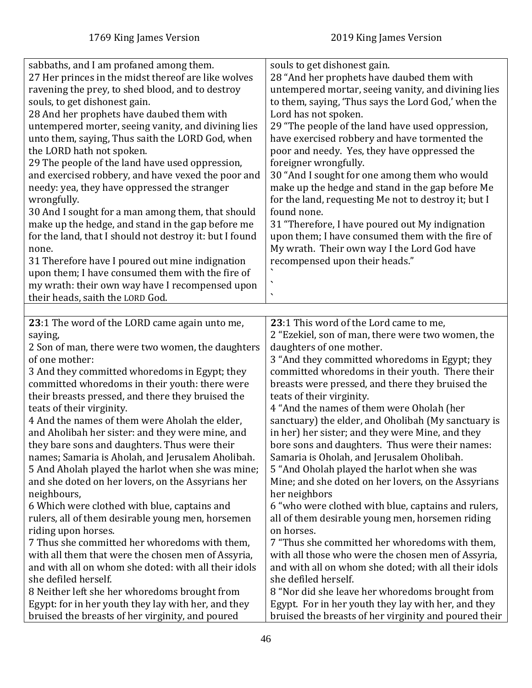| sabbaths, and I am profaned among them.<br>souls to get dishonest gain.                                      |  |
|--------------------------------------------------------------------------------------------------------------|--|
| 27 Her princes in the midst thereof are like wolves<br>28 "And her prophets have daubed them with            |  |
| untempered mortar, seeing vanity, and divining lies<br>ravening the prey, to shed blood, and to destroy      |  |
| souls, to get dishonest gain.                                                                                |  |
| to them, saying, 'Thus says the Lord God,' when the                                                          |  |
| 28 And her prophets have daubed them with<br>Lord has not spoken.                                            |  |
| untempered morter, seeing vanity, and divining lies<br>29 "The people of the land have used oppression,      |  |
| have exercised robbery and have tormented the<br>unto them, saying, Thus saith the LORD God, when            |  |
| the LORD hath not spoken.<br>poor and needy. Yes, they have oppressed the                                    |  |
| 29 The people of the land have used oppression,<br>foreigner wrongfully.                                     |  |
| and exercised robbery, and have vexed the poor and<br>30 "And I sought for one among them who would          |  |
| make up the hedge and stand in the gap before Me<br>needy: yea, they have oppressed the stranger             |  |
| for the land, requesting Me not to destroy it; but I<br>wrongfully.                                          |  |
| 30 And I sought for a man among them, that should<br>found none.                                             |  |
| make up the hedge, and stand in the gap before me<br>31 "Therefore, I have poured out My indignation         |  |
| for the land, that I should not destroy it: but I found<br>upon them; I have consumed them with the fire of  |  |
| My wrath. Their own way I the Lord God have<br>none.                                                         |  |
| recompensed upon their heads."<br>31 Therefore have I poured out mine indignation                            |  |
| upon them; I have consumed them with the fire of                                                             |  |
| $\boldsymbol{\checkmark}$<br>my wrath: their own way have I recompensed upon                                 |  |
| $\overline{\phantom{a}}$<br>their heads, saith the LORD God.                                                 |  |
|                                                                                                              |  |
| 23:1 The word of the LORD came again unto me,<br>23:1 This word of the Lord came to me,                      |  |
| 2 "Ezekiel, son of man, there were two women, the<br>saying,                                                 |  |
| 2 Son of man, there were two women, the daughters<br>daughters of one mother.                                |  |
| of one mother:<br>3 "And they committed whoredoms in Egypt; they                                             |  |
| 3 And they committed whoredoms in Egypt; they<br>committed whoredoms in their youth. There their             |  |
| committed whoredoms in their youth: there were<br>breasts were pressed, and there they bruised the           |  |
| their breasts pressed, and there they bruised the<br>teats of their virginity.                               |  |
| teats of their virginity.<br>4 "And the names of them were Oholah (her                                       |  |
| 4 And the names of them were Aholah the elder,<br>sanctuary) the elder, and Oholibah (My sanctuary is        |  |
| and Aholibah her sister: and they were mine, and<br>in her) her sister; and they were Mine, and they         |  |
| they bare sons and daughters. Thus were their<br>bore sons and daughters. Thus were their names:             |  |
| names; Samaria is Aholah, and Jerusalem Aholibah.<br>Samaria is Oholah, and Jerusalem Oholibah.              |  |
| 5 And Aholah played the harlot when she was mine;<br>5 "And Oholah played the harlot when she was            |  |
| and she doted on her lovers, on the Assyrians her<br>Mine; and she doted on her lovers, on the Assyrians     |  |
| her neighbors<br>neighbours,                                                                                 |  |
| 6 Which were clothed with blue, captains and<br>6 "who were clothed with blue, captains and rulers,          |  |
| all of them desirable young men, horsemen riding<br>rulers, all of them desirable young men, horsemen        |  |
| riding upon horses.<br>on horses.                                                                            |  |
| 7 Thus she committed her whoredoms with them,<br>7 "Thus she committed her whoredoms with them,              |  |
| with all those who were the chosen men of Assyria,<br>with all them that were the chosen men of Assyria,     |  |
| and with all on whom she doted: with all their idols<br>and with all on whom she doted; with all their idols |  |
| she defiled herself.<br>she defiled herself.                                                                 |  |
| 8 Neither left she her whoredoms brought from<br>8 "Nor did she leave her whoredoms brought from             |  |
| Egypt: for in her youth they lay with her, and they<br>Egypt. For in her youth they lay with her, and they   |  |
| bruised the breasts of her virginity, and poured<br>bruised the breasts of her virginity and poured their    |  |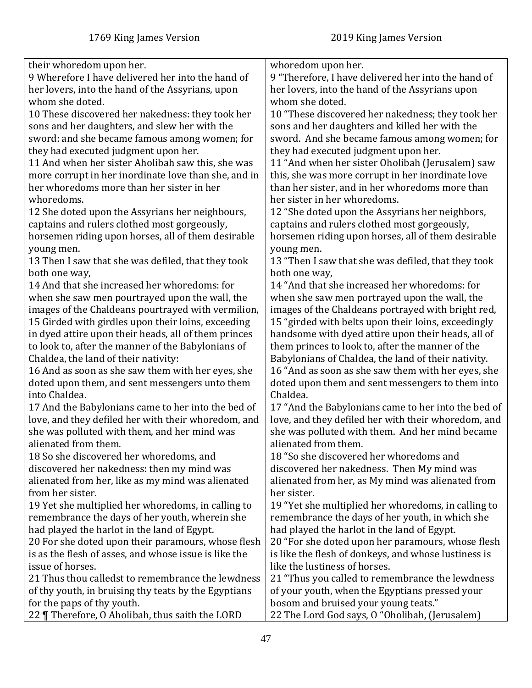| their whoredom upon her.                              | whoredom upon her.                                   |
|-------------------------------------------------------|------------------------------------------------------|
| 9 Wherefore I have delivered her into the hand of     | 9 "Therefore, I have delivered her into the hand of  |
| her lovers, into the hand of the Assyrians, upon      | her lovers, into the hand of the Assyrians upon      |
| whom she doted.                                       | whom she doted.                                      |
| 10 These discovered her nakedness: they took her      | 10 "These discovered her nakedness; they took her    |
| sons and her daughters, and slew her with the         | sons and her daughters and killed her with the       |
| sword: and she became famous among women; for         | sword. And she became famous among women; for        |
| they had executed judgment upon her.                  | they had executed judgment upon her.                 |
| 11 And when her sister Aholibah saw this, she was     | 11 "And when her sister Oholibah (Jerusalem) saw     |
| more corrupt in her inordinate love than she, and in  | this, she was more corrupt in her inordinate love    |
| her whoredoms more than her sister in her             | than her sister, and in her whoredoms more than      |
| whoredoms.                                            | her sister in her whoredoms.                         |
| 12 She doted upon the Assyrians her neighbours,       | 12 "She doted upon the Assyrians her neighbors,      |
| captains and rulers clothed most gorgeously,          | captains and rulers clothed most gorgeously,         |
| horsemen riding upon horses, all of them desirable    | horsemen riding upon horses, all of them desirable   |
| young men.                                            | young men.                                           |
| 13 Then I saw that she was defiled, that they took    | 13 "Then I saw that she was defiled, that they took  |
| both one way,                                         | both one way,                                        |
| 14 And that she increased her whoredoms: for          | 14 "And that she increased her whoredoms: for        |
| when she saw men pourtrayed upon the wall, the        | when she saw men portrayed upon the wall, the        |
| images of the Chaldeans pourtrayed with vermilion,    | images of the Chaldeans portrayed with bright red,   |
| 15 Girded with girdles upon their loins, exceeding    | 15 "girded with belts upon their loins, exceedingly  |
| in dyed attire upon their heads, all of them princes  | handsome with dyed attire upon their heads, all of   |
| to look to, after the manner of the Babylonians of    | them princes to look to, after the manner of the     |
| Chaldea, the land of their nativity:                  | Babylonians of Chaldea, the land of their nativity.  |
| 16 And as soon as she saw them with her eyes, she     | 16 "And as soon as she saw them with her eyes, she   |
| doted upon them, and sent messengers unto them        | doted upon them and sent messengers to them into     |
| into Chaldea.                                         | Chaldea.                                             |
| 17 And the Babylonians came to her into the bed of    | 17 "And the Babylonians came to her into the bed of  |
| love, and they defiled her with their whoredom, and   | love, and they defiled her with their whoredom, and  |
| she was polluted with them, and her mind was          | she was polluted with them. And her mind became      |
| alienated from them.                                  | alienated from them.                                 |
| 18 So she discovered her whoredoms, and               | 18 "So she discovered her whoredoms and              |
| discovered her nakedness: then my mind was            | discovered her nakedness. Then My mind was           |
| alienated from her, like as my mind was alienated     | alienated from her, as My mind was alienated from    |
| from her sister.                                      | her sister.                                          |
| 19 Yet she multiplied her whoredoms, in calling to    | 19 "Yet she multiplied her whoredoms, in calling to  |
| remembrance the days of her youth, wherein she        | remembrance the days of her youth, in which she      |
| had played the harlot in the land of Egypt.           | had played the harlot in the land of Egypt.          |
| 20 For she doted upon their paramours, whose flesh    | 20 "For she doted upon her paramours, whose flesh    |
| is as the flesh of asses, and whose issue is like the | is like the flesh of donkeys, and whose lustiness is |
| issue of horses.                                      | like the lustiness of horses.                        |
| 21 Thus thou calledst to remembrance the lewdness     | 21 "Thus you called to remembrance the lewdness      |
| of thy youth, in bruising thy teats by the Egyptians  | of your youth, when the Egyptians pressed your       |
| for the paps of thy youth.                            | bosom and bruised your young teats."                 |
| 22   Therefore, O Aholibah, thus saith the LORD       | 22 The Lord God says, O "Oholibah, (Jerusalem)       |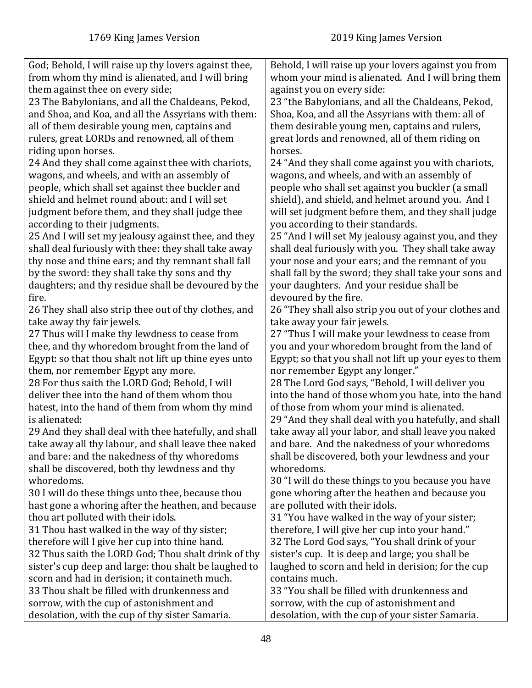| God; Behold, I will raise up thy lovers against thee, | Behold, I will raise up your lovers against you from   |
|-------------------------------------------------------|--------------------------------------------------------|
| from whom thy mind is alienated, and I will bring     | whom your mind is alienated. And I will bring them     |
| them against thee on every side;                      | against you on every side:                             |
| 23 The Babylonians, and all the Chaldeans, Pekod,     | 23 "the Babylonians, and all the Chaldeans, Pekod,     |
| and Shoa, and Koa, and all the Assyrians with them:   | Shoa, Koa, and all the Assyrians with them: all of     |
| all of them desirable young men, captains and         | them desirable young men, captains and rulers,         |
| rulers, great LORDs and renowned, all of them         | great lords and renowned, all of them riding on        |
| riding upon horses.                                   | horses.                                                |
| 24 And they shall come against thee with chariots,    | 24 "And they shall come against you with chariots,     |
| wagons, and wheels, and with an assembly of           | wagons, and wheels, and with an assembly of            |
| people, which shall set against thee buckler and      | people who shall set against you buckler (a small      |
| shield and helmet round about: and I will set         | shield), and shield, and helmet around you. And I      |
| judgment before them, and they shall judge thee       | will set judgment before them, and they shall judge    |
| according to their judgments.                         | you according to their standards.                      |
| 25 And I will set my jealousy against thee, and they  | 25 "And I will set My jealousy against you, and they   |
| shall deal furiously with thee: they shall take away  | shall deal furiously with you. They shall take away    |
| thy nose and thine ears; and thy remnant shall fall   | your nose and your ears; and the remnant of you        |
| by the sword: they shall take thy sons and thy        | shall fall by the sword; they shall take your sons and |
| daughters; and thy residue shall be devoured by the   | your daughters. And your residue shall be              |
| fire.                                                 | devoured by the fire.                                  |
| 26 They shall also strip thee out of thy clothes, and | 26 "They shall also strip you out of your clothes and  |
| take away thy fair jewels.                            | take away your fair jewels.                            |
| 27 Thus will I make thy lewdness to cease from        | 27 "Thus I will make your lewdness to cease from       |
| thee, and thy whoredom brought from the land of       | you and your whoredom brought from the land of         |
| Egypt: so that thou shalt not lift up thine eyes unto | Egypt; so that you shall not lift up your eyes to them |
| them, nor remember Egypt any more.                    | nor remember Egypt any longer."                        |
| 28 For thus saith the LORD God; Behold, I will        | 28 The Lord God says, "Behold, I will deliver you      |
| deliver thee into the hand of them whom thou          | into the hand of those whom you hate, into the hand    |
| hatest, into the hand of them from whom thy mind      | of those from whom your mind is alienated.             |
| is alienated:                                         | 29 "And they shall deal with you hatefully, and shall  |
| 29 And they shall deal with thee hatefully, and shall | take away all your labor, and shall leave you naked    |
| take away all thy labour, and shall leave thee naked  | and bare. And the nakedness of your whoredoms          |
| and bare: and the nakedness of thy whoredoms          | shall be discovered, both your lewdness and your       |
| shall be discovered, both thy lewdness and thy        | whoredoms.                                             |
| whoredoms.                                            | 30 "I will do these things to you because you have     |
| 30 I will do these things unto thee, because thou     | gone whoring after the heathen and because you         |
| hast gone a whoring after the heathen, and because    | are polluted with their idols.                         |
| thou art polluted with their idols.                   | 31 "You have walked in the way of your sister;         |
| 31 Thou hast walked in the way of thy sister;         | therefore, I will give her cup into your hand."        |
| therefore will I give her cup into thine hand.        | 32 The Lord God says, "You shall drink of your         |
| 32 Thus saith the LORD God; Thou shalt drink of thy   | sister's cup. It is deep and large; you shall be       |
| sister's cup deep and large: thou shalt be laughed to | laughed to scorn and held in derision; for the cup     |
| scorn and had in derision; it containeth much.        | contains much.                                         |
| 33 Thou shalt be filled with drunkenness and          | 33 "You shall be filled with drunkenness and           |
| sorrow, with the cup of astonishment and              | sorrow, with the cup of astonishment and               |
| desolation, with the cup of thy sister Samaria.       | desolation, with the cup of your sister Samaria.       |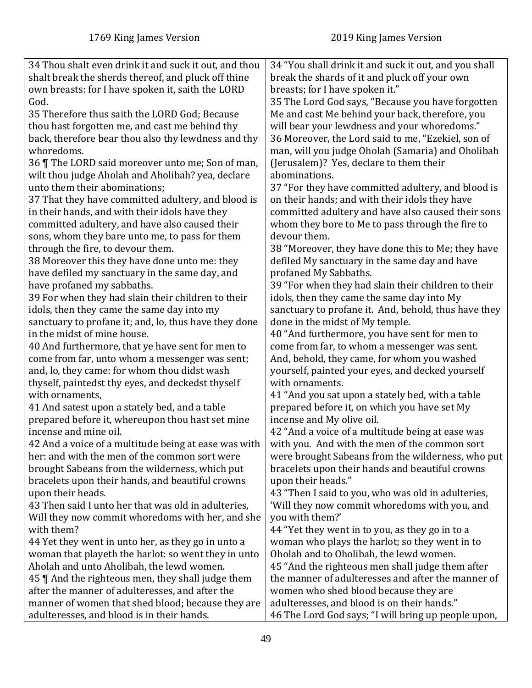| 34 Thou shalt even drink it and suck it out, and thou<br>shalt break the sherds thereof, and pluck off thine<br>own breasts: for I have spoken it, saith the LORD | 34 "You shall drink it and suck it out, and you shall<br>break the shards of it and pluck off your own<br>breasts; for I have spoken it." |
|-------------------------------------------------------------------------------------------------------------------------------------------------------------------|-------------------------------------------------------------------------------------------------------------------------------------------|
| God.                                                                                                                                                              | 35 The Lord God says, "Because you have forgotten                                                                                         |
| 35 Therefore thus saith the LORD God; Because                                                                                                                     | Me and cast Me behind your back, therefore, you                                                                                           |
| thou hast forgotten me, and cast me behind thy                                                                                                                    | will bear your lewdness and your whoredoms."                                                                                              |
|                                                                                                                                                                   |                                                                                                                                           |
| back, therefore bear thou also thy lewdness and thy                                                                                                               | 36 Moreover, the Lord said to me, "Ezekiel, son of                                                                                        |
| whoredoms.                                                                                                                                                        | man, will you judge Oholah (Samaria) and Oholibah                                                                                         |
| 36   The LORD said moreover unto me; Son of man,                                                                                                                  | (Jerusalem)? Yes, declare to them their                                                                                                   |
| wilt thou judge Aholah and Aholibah? yea, declare                                                                                                                 | abominations.                                                                                                                             |
| unto them their abominations;                                                                                                                                     | 37 "For they have committed adultery, and blood is                                                                                        |
| 37 That they have committed adultery, and blood is                                                                                                                | on their hands; and with their idols they have                                                                                            |
| in their hands, and with their idols have they                                                                                                                    | committed adultery and have also caused their sons                                                                                        |
|                                                                                                                                                                   |                                                                                                                                           |
| committed adultery, and have also caused their                                                                                                                    | whom they bore to Me to pass through the fire to                                                                                          |
| sons, whom they bare unto me, to pass for them                                                                                                                    | devour them.                                                                                                                              |
| through the fire, to devour them.                                                                                                                                 | 38 "Moreover, they have done this to Me; they have                                                                                        |
| 38 Moreover this they have done unto me: they                                                                                                                     | defiled My sanctuary in the same day and have                                                                                             |
| have defiled my sanctuary in the same day, and                                                                                                                    | profaned My Sabbaths.                                                                                                                     |
| have profaned my sabbaths.                                                                                                                                        | 39 "For when they had slain their children to their                                                                                       |
| 39 For when they had slain their children to their                                                                                                                | idols, then they came the same day into My                                                                                                |
| idols, then they came the same day into my                                                                                                                        | sanctuary to profane it. And, behold, thus have they                                                                                      |
| sanctuary to profane it; and, lo, thus have they done                                                                                                             | done in the midst of My temple.                                                                                                           |
| in the midst of mine house.                                                                                                                                       | 40 "And furthermore, you have sent for men to                                                                                             |
| 40 And furthermore, that ye have sent for men to                                                                                                                  | come from far, to whom a messenger was sent.                                                                                              |
| come from far, unto whom a messenger was sent;                                                                                                                    | And, behold, they came, for whom you washed                                                                                               |
| and, lo, they came: for whom thou didst wash                                                                                                                      | yourself, painted your eyes, and decked yourself                                                                                          |
| thyself, paintedst thy eyes, and deckedst thyself                                                                                                                 | with ornaments.                                                                                                                           |
| with ornaments,                                                                                                                                                   | 41 "And you sat upon a stately bed, with a table                                                                                          |
| 41 And satest upon a stately bed, and a table                                                                                                                     | prepared before it, on which you have set My                                                                                              |
| prepared before it, whereupon thou hast set mine                                                                                                                  | incense and My olive oil.                                                                                                                 |
| incense and mine oil.                                                                                                                                             | 42 "And a voice of a multitude being at ease was                                                                                          |
| 42 And a voice of a multitude being at ease was with                                                                                                              | with you. And with the men of the common sort                                                                                             |
| her: and with the men of the common sort were                                                                                                                     | were brought Sabeans from the wilderness, who put                                                                                         |
| brought Sabeans from the wilderness, which put                                                                                                                    | bracelets upon their hands and beautiful crowns                                                                                           |
| bracelets upon their hands, and beautiful crowns                                                                                                                  | upon their heads."                                                                                                                        |
| upon their heads.                                                                                                                                                 | 43 "Then I said to you, who was old in adulteries,                                                                                        |
| 43 Then said I unto her that was old in adulteries,                                                                                                               | 'Will they now commit whoredoms with you, and                                                                                             |
| Will they now commit whoredoms with her, and she                                                                                                                  | you with them?'                                                                                                                           |
| with them?                                                                                                                                                        | 44 "Yet they went in to you, as they go in to a                                                                                           |
| 44 Yet they went in unto her, as they go in unto a                                                                                                                | woman who plays the harlot; so they went in to                                                                                            |
| woman that playeth the harlot: so went they in unto                                                                                                               | Oholah and to Oholibah, the lewd women.                                                                                                   |
| Aholah and unto Aholibah, the lewd women.                                                                                                                         | 45 "And the righteous men shall judge them after                                                                                          |
| 45    And the righteous men, they shall judge them                                                                                                                | the manner of adulteresses and after the manner of                                                                                        |
| after the manner of adulteresses, and after the                                                                                                                   | women who shed blood because they are                                                                                                     |
| manner of women that shed blood; because they are                                                                                                                 | adulteresses, and blood is on their hands."                                                                                               |
| adulteresses, and blood is in their hands.                                                                                                                        | 46 The Lord God says; "I will bring up people upon,                                                                                       |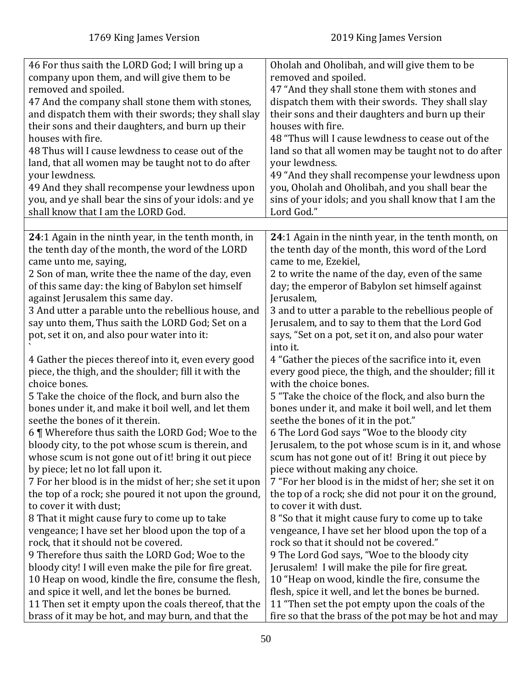| 46 For thus saith the LORD God; I will bring up a                                                                                                                                                                                                                                                                                                                                                                                            | Oholah and Oholibah, and will give them to be                                                                                                                                                                                                                                                                                                                                                                                        |
|----------------------------------------------------------------------------------------------------------------------------------------------------------------------------------------------------------------------------------------------------------------------------------------------------------------------------------------------------------------------------------------------------------------------------------------------|--------------------------------------------------------------------------------------------------------------------------------------------------------------------------------------------------------------------------------------------------------------------------------------------------------------------------------------------------------------------------------------------------------------------------------------|
| company upon them, and will give them to be                                                                                                                                                                                                                                                                                                                                                                                                  | removed and spoiled.                                                                                                                                                                                                                                                                                                                                                                                                                 |
| removed and spoiled.                                                                                                                                                                                                                                                                                                                                                                                                                         | 47 "And they shall stone them with stones and                                                                                                                                                                                                                                                                                                                                                                                        |
| 47 And the company shall stone them with stones,                                                                                                                                                                                                                                                                                                                                                                                             | dispatch them with their swords. They shall slay                                                                                                                                                                                                                                                                                                                                                                                     |
| and dispatch them with their swords; they shall slay                                                                                                                                                                                                                                                                                                                                                                                         | their sons and their daughters and burn up their                                                                                                                                                                                                                                                                                                                                                                                     |
| their sons and their daughters, and burn up their                                                                                                                                                                                                                                                                                                                                                                                            | houses with fire.                                                                                                                                                                                                                                                                                                                                                                                                                    |
| houses with fire.                                                                                                                                                                                                                                                                                                                                                                                                                            | 48 "Thus will I cause lewdness to cease out of the                                                                                                                                                                                                                                                                                                                                                                                   |
| 48 Thus will I cause lewdness to cease out of the                                                                                                                                                                                                                                                                                                                                                                                            | land so that all women may be taught not to do after                                                                                                                                                                                                                                                                                                                                                                                 |
| land, that all women may be taught not to do after                                                                                                                                                                                                                                                                                                                                                                                           | your lewdness.                                                                                                                                                                                                                                                                                                                                                                                                                       |
| your lewdness.                                                                                                                                                                                                                                                                                                                                                                                                                               | 49 "And they shall recompense your lewdness upon                                                                                                                                                                                                                                                                                                                                                                                     |
| 49 And they shall recompense your lewdness upon                                                                                                                                                                                                                                                                                                                                                                                              | you, Oholah and Oholibah, and you shall bear the                                                                                                                                                                                                                                                                                                                                                                                     |
| you, and ye shall bear the sins of your idols: and ye                                                                                                                                                                                                                                                                                                                                                                                        | sins of your idols; and you shall know that I am the                                                                                                                                                                                                                                                                                                                                                                                 |
| shall know that I am the LORD God.                                                                                                                                                                                                                                                                                                                                                                                                           | Lord God."                                                                                                                                                                                                                                                                                                                                                                                                                           |
|                                                                                                                                                                                                                                                                                                                                                                                                                                              |                                                                                                                                                                                                                                                                                                                                                                                                                                      |
| 24:1 Again in the ninth year, in the tenth month, in<br>the tenth day of the month, the word of the LORD<br>came unto me, saying,<br>2 Son of man, write thee the name of the day, even<br>of this same day: the king of Babylon set himself<br>against Jerusalem this same day.<br>3 And utter a parable unto the rebellious house, and<br>say unto them, Thus saith the LORD God; Set on a<br>pot, set it on, and also pour water into it: | 24:1 Again in the ninth year, in the tenth month, on<br>the tenth day of the month, this word of the Lord<br>came to me, Ezekiel,<br>2 to write the name of the day, even of the same<br>day; the emperor of Babylon set himself against<br>Jerusalem,<br>3 and to utter a parable to the rebellious people of<br>Jerusalem, and to say to them that the Lord God<br>says, "Set on a pot, set it on, and also pour water<br>into it. |
| 4 Gather the pieces thereof into it, even every good                                                                                                                                                                                                                                                                                                                                                                                         | 4 "Gather the pieces of the sacrifice into it, even                                                                                                                                                                                                                                                                                                                                                                                  |
| piece, the thigh, and the shoulder; fill it with the                                                                                                                                                                                                                                                                                                                                                                                         | every good piece, the thigh, and the shoulder; fill it                                                                                                                                                                                                                                                                                                                                                                               |
| choice bones.                                                                                                                                                                                                                                                                                                                                                                                                                                | with the choice bones.                                                                                                                                                                                                                                                                                                                                                                                                               |
| 5 Take the choice of the flock, and burn also the                                                                                                                                                                                                                                                                                                                                                                                            | 5 "Take the choice of the flock, and also burn the                                                                                                                                                                                                                                                                                                                                                                                   |
| bones under it, and make it boil well, and let them                                                                                                                                                                                                                                                                                                                                                                                          | bones under it, and make it boil well, and let them                                                                                                                                                                                                                                                                                                                                                                                  |
| seethe the bones of it therein.                                                                                                                                                                                                                                                                                                                                                                                                              | seethe the bones of it in the pot."                                                                                                                                                                                                                                                                                                                                                                                                  |
| 6   Wherefore thus saith the LORD God; Woe to the                                                                                                                                                                                                                                                                                                                                                                                            | 6 The Lord God says "Woe to the bloody city                                                                                                                                                                                                                                                                                                                                                                                          |
| bloody city, to the pot whose scum is therein, and                                                                                                                                                                                                                                                                                                                                                                                           | Jerusalem, to the pot whose scum is in it, and whose                                                                                                                                                                                                                                                                                                                                                                                 |
| whose scum is not gone out of it! bring it out piece                                                                                                                                                                                                                                                                                                                                                                                         | scum has not gone out of it! Bring it out piece by                                                                                                                                                                                                                                                                                                                                                                                   |
| by piece; let no lot fall upon it.                                                                                                                                                                                                                                                                                                                                                                                                           | piece without making any choice.                                                                                                                                                                                                                                                                                                                                                                                                     |
| 7 For her blood is in the midst of her; she set it upon                                                                                                                                                                                                                                                                                                                                                                                      | 7 "For her blood is in the midst of her; she set it on                                                                                                                                                                                                                                                                                                                                                                               |
| the top of a rock; she poured it not upon the ground,                                                                                                                                                                                                                                                                                                                                                                                        | the top of a rock; she did not pour it on the ground,                                                                                                                                                                                                                                                                                                                                                                                |
| to cover it with dust;                                                                                                                                                                                                                                                                                                                                                                                                                       | to cover it with dust.                                                                                                                                                                                                                                                                                                                                                                                                               |
| 8 That it might cause fury to come up to take                                                                                                                                                                                                                                                                                                                                                                                                | 8 "So that it might cause fury to come up to take                                                                                                                                                                                                                                                                                                                                                                                    |
| vengeance; I have set her blood upon the top of a                                                                                                                                                                                                                                                                                                                                                                                            | vengeance, I have set her blood upon the top of a                                                                                                                                                                                                                                                                                                                                                                                    |
| rock, that it should not be covered.                                                                                                                                                                                                                                                                                                                                                                                                         | rock so that it should not be covered."                                                                                                                                                                                                                                                                                                                                                                                              |
| 9 Therefore thus saith the LORD God; Woe to the                                                                                                                                                                                                                                                                                                                                                                                              | 9 The Lord God says, "Woe to the bloody city                                                                                                                                                                                                                                                                                                                                                                                         |
| bloody city! I will even make the pile for fire great.                                                                                                                                                                                                                                                                                                                                                                                       | Jerusalem! I will make the pile for fire great.                                                                                                                                                                                                                                                                                                                                                                                      |
| 10 Heap on wood, kindle the fire, consume the flesh,                                                                                                                                                                                                                                                                                                                                                                                         | 10 "Heap on wood, kindle the fire, consume the                                                                                                                                                                                                                                                                                                                                                                                       |
| and spice it well, and let the bones be burned.                                                                                                                                                                                                                                                                                                                                                                                              | flesh, spice it well, and let the bones be burned.                                                                                                                                                                                                                                                                                                                                                                                   |
| 11 Then set it empty upon the coals thereof, that the                                                                                                                                                                                                                                                                                                                                                                                        | 11 "Then set the pot empty upon the coals of the                                                                                                                                                                                                                                                                                                                                                                                     |
| brass of it may be hot, and may burn, and that the                                                                                                                                                                                                                                                                                                                                                                                           | fire so that the brass of the pot may be hot and may                                                                                                                                                                                                                                                                                                                                                                                 |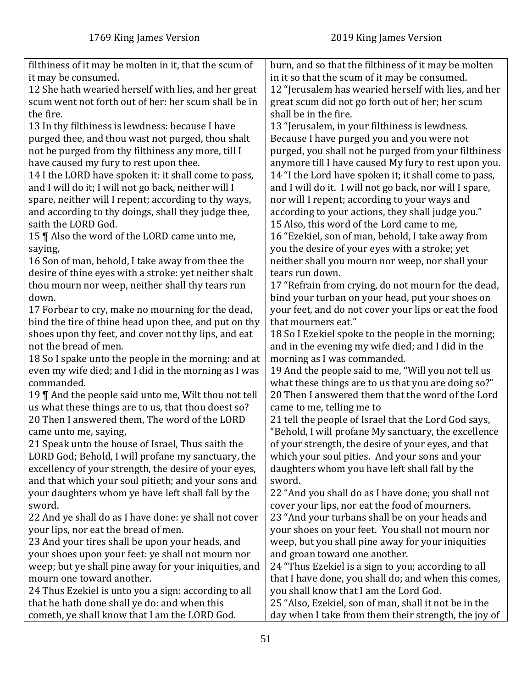| filthiness of it may be molten in it, that the scum of | burn, and so that the filthiness of it may be molten    |
|--------------------------------------------------------|---------------------------------------------------------|
| it may be consumed.                                    | in it so that the scum of it may be consumed.           |
| 12 She hath wearied herself with lies, and her great   | 12 "Jerusalem has wearied herself with lies, and her    |
| scum went not forth out of her: her scum shall be in   | great scum did not go forth out of her; her scum        |
| the fire.                                              | shall be in the fire.                                   |
|                                                        |                                                         |
| 13 In thy filthiness is lewdness: because I have       | 13 "Jerusalem, in your filthiness is lewdness.          |
| purged thee, and thou wast not purged, thou shalt      | Because I have purged you and you were not              |
| not be purged from thy filthiness any more, till I     | purged, you shall not be purged from your filthiness    |
| have caused my fury to rest upon thee.                 | anymore till I have caused My fury to rest upon you.    |
| 14 I the LORD have spoken it: it shall come to pass,   | 14 "I the Lord have spoken it; it shall come to pass,   |
| and I will do it; I will not go back, neither will I   | and I will do it. I will not go back, nor will I spare, |
| spare, neither will I repent; according to thy ways,   | nor will I repent; according to your ways and           |
| and according to thy doings, shall they judge thee,    | according to your actions, they shall judge you."       |
| saith the LORD God.                                    | 15 Also, this word of the Lord came to me,              |
| 15    Also the word of the LORD came unto me,          | 16 "Ezekiel, son of man, behold, I take away from       |
| saying,                                                | you the desire of your eyes with a stroke; yet          |
| 16 Son of man, behold, I take away from thee the       | neither shall you mourn nor weep, nor shall your        |
| desire of thine eyes with a stroke: yet neither shalt  | tears run down.                                         |
| thou mourn nor weep, neither shall thy tears run       | 17 "Refrain from crying, do not mourn for the dead,     |
| down.                                                  | bind your turban on your head, put your shoes on        |
| 17 Forbear to cry, make no mourning for the dead,      | your feet, and do not cover your lips or eat the food   |
| bind the tire of thine head upon thee, and put on thy  | that mourners eat."                                     |
| shoes upon thy feet, and cover not thy lips, and eat   | 18 So I Ezekiel spoke to the people in the morning;     |
| not the bread of men.                                  | and in the evening my wife died; and I did in the       |
| 18 So I spake unto the people in the morning: and at   | morning as I was commanded.                             |
| even my wife died; and I did in the morning as I was   | 19 And the people said to me, "Will you not tell us     |
| commanded.                                             | what these things are to us that you are doing so?"     |
| 19    And the people said unto me, Wilt thou not tell  | 20 Then I answered them that the word of the Lord       |
| us what these things are to us, that thou doest so?    | came to me, telling me to                               |
| 20 Then I answered them, The word of the LORD          | 21 tell the people of Israel that the Lord God says,    |
| came unto me, saying,                                  | "Behold, I will profane My sanctuary, the excellence    |
| 21 Speak unto the house of Israel, Thus saith the      | of your strength, the desire of your eyes, and that     |
| LORD God; Behold, I will profane my sanctuary, the     | which your soul pities. And your sons and your          |
| excellency of your strength, the desire of your eyes,  | daughters whom you have left shall fall by the          |
| and that which your soul pitieth; and your sons and    | sword.                                                  |
| your daughters whom ye have left shall fall by the     | 22 "And you shall do as I have done; you shall not      |
| sword.                                                 | cover your lips, nor eat the food of mourners.          |
| 22 And ye shall do as I have done: ye shall not cover  | 23 "And your turbans shall be on your heads and         |
| your lips, nor eat the bread of men.                   | your shoes on your feet. You shall not mourn nor        |
| 23 And your tires shall be upon your heads, and        | weep, but you shall pine away for your iniquities       |
| your shoes upon your feet: ye shall not mourn nor      | and groan toward one another.                           |
| weep; but ye shall pine away for your iniquities, and  | 24 "Thus Ezekiel is a sign to you; according to all     |
| mourn one toward another.                              | that I have done, you shall do; and when this comes,    |
| 24 Thus Ezekiel is unto you a sign: according to all   | you shall know that I am the Lord God.                  |
| that he hath done shall ye do: and when this           | 25 "Also, Ezekiel, son of man, shall it not be in the   |
|                                                        |                                                         |
| cometh, ye shall know that I am the LORD God.          | day when I take from them their strength, the joy of    |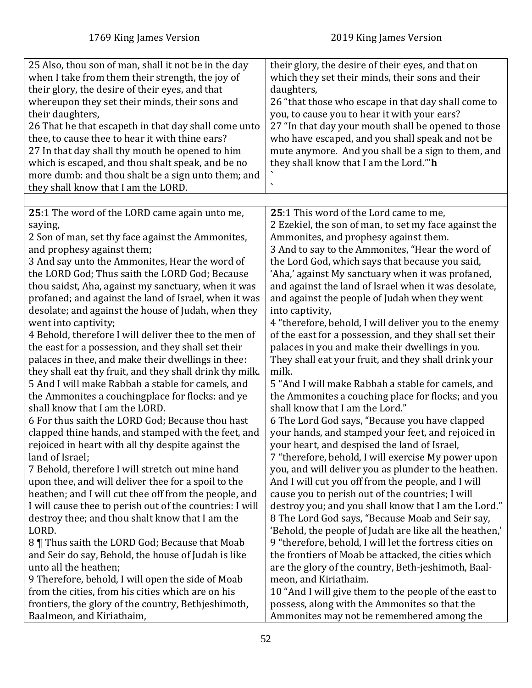| 25 Also, thou son of man, shall it not be in the day<br>when I take from them their strength, the joy of<br>their glory, the desire of their eyes, and that<br>whereupon they set their minds, their sons and<br>their daughters,<br>26 That he that escapeth in that day shall come unto<br>thee, to cause thee to hear it with thine ears?<br>27 In that day shall thy mouth be opened to him<br>which is escaped, and thou shalt speak, and be no<br>more dumb: and thou shalt be a sign unto them; and<br>they shall know that I am the LORD. | their glory, the desire of their eyes, and that on<br>which they set their minds, their sons and their<br>daughters,<br>26 "that those who escape in that day shall come to<br>you, to cause you to hear it with your ears?<br>27 "In that day your mouth shall be opened to those<br>who have escaped, and you shall speak and not be<br>mute anymore. And you shall be a sign to them, and<br>they shall know that I am the Lord."'h<br>$\overline{\phantom{a}}$ |
|---------------------------------------------------------------------------------------------------------------------------------------------------------------------------------------------------------------------------------------------------------------------------------------------------------------------------------------------------------------------------------------------------------------------------------------------------------------------------------------------------------------------------------------------------|--------------------------------------------------------------------------------------------------------------------------------------------------------------------------------------------------------------------------------------------------------------------------------------------------------------------------------------------------------------------------------------------------------------------------------------------------------------------|
| 25:1 The word of the LORD came again unto me,                                                                                                                                                                                                                                                                                                                                                                                                                                                                                                     | 25:1 This word of the Lord came to me,                                                                                                                                                                                                                                                                                                                                                                                                                             |
| saying,                                                                                                                                                                                                                                                                                                                                                                                                                                                                                                                                           | 2 Ezekiel, the son of man, to set my face against the                                                                                                                                                                                                                                                                                                                                                                                                              |
| 2 Son of man, set thy face against the Ammonites,                                                                                                                                                                                                                                                                                                                                                                                                                                                                                                 | Ammonites, and prophesy against them.                                                                                                                                                                                                                                                                                                                                                                                                                              |
| and prophesy against them;                                                                                                                                                                                                                                                                                                                                                                                                                                                                                                                        | 3 And to say to the Ammonites, "Hear the word of                                                                                                                                                                                                                                                                                                                                                                                                                   |
| 3 And say unto the Ammonites, Hear the word of                                                                                                                                                                                                                                                                                                                                                                                                                                                                                                    | the Lord God, which says that because you said,                                                                                                                                                                                                                                                                                                                                                                                                                    |
| the LORD God; Thus saith the LORD God; Because                                                                                                                                                                                                                                                                                                                                                                                                                                                                                                    | 'Aha,' against My sanctuary when it was profaned,                                                                                                                                                                                                                                                                                                                                                                                                                  |
| thou saidst, Aha, against my sanctuary, when it was                                                                                                                                                                                                                                                                                                                                                                                                                                                                                               | and against the land of Israel when it was desolate,                                                                                                                                                                                                                                                                                                                                                                                                               |
| profaned; and against the land of Israel, when it was                                                                                                                                                                                                                                                                                                                                                                                                                                                                                             | and against the people of Judah when they went                                                                                                                                                                                                                                                                                                                                                                                                                     |
| desolate; and against the house of Judah, when they                                                                                                                                                                                                                                                                                                                                                                                                                                                                                               | into captivity,                                                                                                                                                                                                                                                                                                                                                                                                                                                    |
| went into captivity;                                                                                                                                                                                                                                                                                                                                                                                                                                                                                                                              | 4 "therefore, behold, I will deliver you to the enemy                                                                                                                                                                                                                                                                                                                                                                                                              |
| 4 Behold, therefore I will deliver thee to the men of                                                                                                                                                                                                                                                                                                                                                                                                                                                                                             | of the east for a possession, and they shall set their                                                                                                                                                                                                                                                                                                                                                                                                             |
| the east for a possession, and they shall set their                                                                                                                                                                                                                                                                                                                                                                                                                                                                                               | palaces in you and make their dwellings in you.                                                                                                                                                                                                                                                                                                                                                                                                                    |
| palaces in thee, and make their dwellings in thee:                                                                                                                                                                                                                                                                                                                                                                                                                                                                                                | They shall eat your fruit, and they shall drink your                                                                                                                                                                                                                                                                                                                                                                                                               |
| they shall eat thy fruit, and they shall drink thy milk.                                                                                                                                                                                                                                                                                                                                                                                                                                                                                          | milk.                                                                                                                                                                                                                                                                                                                                                                                                                                                              |
| 5 And I will make Rabbah a stable for camels, and                                                                                                                                                                                                                                                                                                                                                                                                                                                                                                 | 5 "And I will make Rabbah a stable for camels, and                                                                                                                                                                                                                                                                                                                                                                                                                 |
| the Ammonites a couchingplace for flocks: and ye                                                                                                                                                                                                                                                                                                                                                                                                                                                                                                  | the Ammonites a couching place for flocks; and you                                                                                                                                                                                                                                                                                                                                                                                                                 |
| shall know that I am the LORD.                                                                                                                                                                                                                                                                                                                                                                                                                                                                                                                    | shall know that I am the Lord."                                                                                                                                                                                                                                                                                                                                                                                                                                    |
| 6 For thus saith the LORD God; Because thou hast                                                                                                                                                                                                                                                                                                                                                                                                                                                                                                  | 6 The Lord God says, "Because you have clapped                                                                                                                                                                                                                                                                                                                                                                                                                     |
| clapped thine hands, and stamped with the feet, and                                                                                                                                                                                                                                                                                                                                                                                                                                                                                               | your hands, and stamped your feet, and rejoiced in                                                                                                                                                                                                                                                                                                                                                                                                                 |
| rejoiced in heart with all thy despite against the                                                                                                                                                                                                                                                                                                                                                                                                                                                                                                | your heart, and despised the land of Israel,                                                                                                                                                                                                                                                                                                                                                                                                                       |
| land of Israel;                                                                                                                                                                                                                                                                                                                                                                                                                                                                                                                                   | 7 "therefore, behold, I will exercise My power upon                                                                                                                                                                                                                                                                                                                                                                                                                |
| 7 Behold, therefore I will stretch out mine hand                                                                                                                                                                                                                                                                                                                                                                                                                                                                                                  | you, and will deliver you as plunder to the heathen.                                                                                                                                                                                                                                                                                                                                                                                                               |
| upon thee, and will deliver thee for a spoil to the                                                                                                                                                                                                                                                                                                                                                                                                                                                                                               | And I will cut you off from the people, and I will                                                                                                                                                                                                                                                                                                                                                                                                                 |
| heathen; and I will cut thee off from the people, and                                                                                                                                                                                                                                                                                                                                                                                                                                                                                             | cause you to perish out of the countries; I will                                                                                                                                                                                                                                                                                                                                                                                                                   |
| I will cause thee to perish out of the countries: I will                                                                                                                                                                                                                                                                                                                                                                                                                                                                                          | destroy you; and you shall know that I am the Lord."                                                                                                                                                                                                                                                                                                                                                                                                               |
| destroy thee; and thou shalt know that I am the                                                                                                                                                                                                                                                                                                                                                                                                                                                                                                   | 8 The Lord God says, "Because Moab and Seir say,                                                                                                                                                                                                                                                                                                                                                                                                                   |
| LORD.                                                                                                                                                                                                                                                                                                                                                                                                                                                                                                                                             | 'Behold, the people of Judah are like all the heathen,'                                                                                                                                                                                                                                                                                                                                                                                                            |
| 8 Thus saith the LORD God; Because that Moab                                                                                                                                                                                                                                                                                                                                                                                                                                                                                                      | 9 "therefore, behold, I will let the fortress cities on                                                                                                                                                                                                                                                                                                                                                                                                            |
| and Seir do say, Behold, the house of Judah is like                                                                                                                                                                                                                                                                                                                                                                                                                                                                                               | the frontiers of Moab be attacked, the cities which                                                                                                                                                                                                                                                                                                                                                                                                                |
| unto all the heathen;                                                                                                                                                                                                                                                                                                                                                                                                                                                                                                                             | are the glory of the country, Beth-jeshimoth, Baal-                                                                                                                                                                                                                                                                                                                                                                                                                |
| 9 Therefore, behold, I will open the side of Moab                                                                                                                                                                                                                                                                                                                                                                                                                                                                                                 | meon, and Kiriathaim.                                                                                                                                                                                                                                                                                                                                                                                                                                              |
| from the cities, from his cities which are on his                                                                                                                                                                                                                                                                                                                                                                                                                                                                                                 | 10 "And I will give them to the people of the east to                                                                                                                                                                                                                                                                                                                                                                                                              |
| frontiers, the glory of the country, Bethjeshimoth,                                                                                                                                                                                                                                                                                                                                                                                                                                                                                               | possess, along with the Ammonites so that the                                                                                                                                                                                                                                                                                                                                                                                                                      |
| Baalmeon, and Kiriathaim,                                                                                                                                                                                                                                                                                                                                                                                                                                                                                                                         | Ammonites may not be remembered among the                                                                                                                                                                                                                                                                                                                                                                                                                          |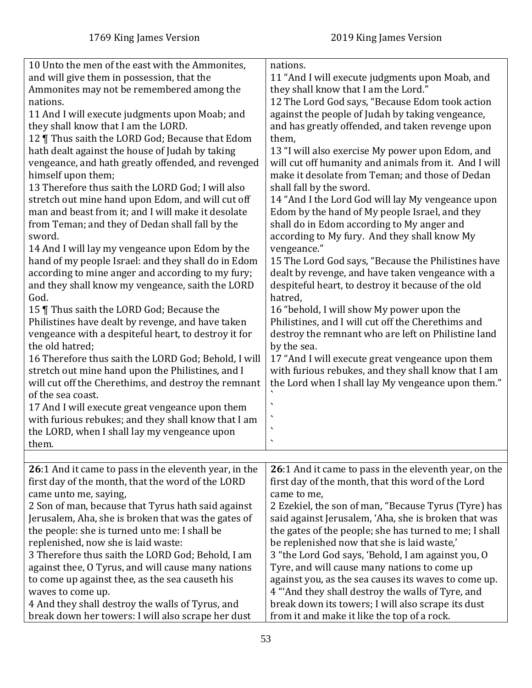| 10 Unto the men of the east with the Ammonites,       | nations.                                               |
|-------------------------------------------------------|--------------------------------------------------------|
| and will give them in possession, that the            | 11 "And I will execute judgments upon Moab, and        |
| Ammonites may not be remembered among the             | they shall know that I am the Lord."                   |
| nations.                                              | 12 The Lord God says, "Because Edom took action        |
| 11 And I will execute judgments upon Moab; and        | against the people of Judah by taking vengeance,       |
| they shall know that I am the LORD.                   | and has greatly offended, and taken revenge upon       |
| 12   Thus saith the LORD God; Because that Edom       | them,                                                  |
| hath dealt against the house of Judah by taking       | 13 "I will also exercise My power upon Edom, and       |
| vengeance, and hath greatly offended, and revenged    | will cut off humanity and animals from it. And I will  |
| himself upon them;                                    | make it desolate from Teman; and those of Dedan        |
| 13 Therefore thus saith the LORD God; I will also     | shall fall by the sword.                               |
| stretch out mine hand upon Edom, and will cut off     | 14 "And I the Lord God will lay My vengeance upon      |
| man and beast from it; and I will make it desolate    | Edom by the hand of My people Israel, and they         |
| from Teman; and they of Dedan shall fall by the       | shall do in Edom according to My anger and             |
| sword.                                                | according to My fury. And they shall know My           |
| 14 And I will lay my vengeance upon Edom by the       | vengeance."                                            |
| hand of my people Israel: and they shall do in Edom   | 15 The Lord God says, "Because the Philistines have    |
| according to mine anger and according to my fury;     | dealt by revenge, and have taken vengeance with a      |
| and they shall know my vengeance, saith the LORD      | despiteful heart, to destroy it because of the old     |
| God.                                                  | hatred,                                                |
| 15   Thus saith the LORD God; Because the             | 16 "behold, I will show My power upon the              |
| Philistines have dealt by revenge, and have taken     | Philistines, and I will cut off the Cherethims and     |
| vengeance with a despiteful heart, to destroy it for  | destroy the remnant who are left on Philistine land    |
| the old hatred;                                       | by the sea.                                            |
| 16 Therefore thus saith the LORD God; Behold, I will  | 17 "And I will execute great vengeance upon them       |
| stretch out mine hand upon the Philistines, and I     | with furious rebukes, and they shall know that I am    |
| will cut off the Cherethims, and destroy the remnant  | the Lord when I shall lay My vengeance upon them."     |
| of the sea coast.                                     |                                                        |
| 17 And I will execute great vengeance upon them       |                                                        |
| with furious rebukes; and they shall know that I am   |                                                        |
| the LORD, when I shall lay my vengeance upon          |                                                        |
| them.                                                 |                                                        |
|                                                       |                                                        |
| 26:1 And it came to pass in the eleventh year, in the | 26:1 And it came to pass in the eleventh year, on the  |
| first day of the month, that the word of the LORD     | first day of the month, that this word of the Lord     |
| came unto me, saying,                                 | came to me,                                            |
| 2 Son of man, because that Tyrus hath said against    | 2 Ezekiel, the son of man, "Because Tyrus (Tyre) has   |
| Jerusalem, Aha, she is broken that was the gates of   | said against Jerusalem, 'Aha, she is broken that was   |
| the people: she is turned unto me: I shall be         | the gates of the people; she has turned to me; I shall |
| replenished, now she is laid waste:                   | be replenished now that she is laid waste,'            |
| 3 Therefore thus saith the LORD God; Behold, I am     | 3 "the Lord God says, 'Behold, I am against you, O     |
| against thee, O Tyrus, and will cause many nations    | Tyre, and will cause many nations to come up           |
| to come up against thee, as the sea causeth his       | against you, as the sea causes its waves to come up.   |
| waves to come up.                                     | 4 "And they shall destroy the walls of Tyre, and       |
| 4 And they shall destroy the walls of Tyrus, and      | break down its towers; I will also scrape its dust     |
| break down her towers: I will also scrape her dust    | from it and make it like the top of a rock.            |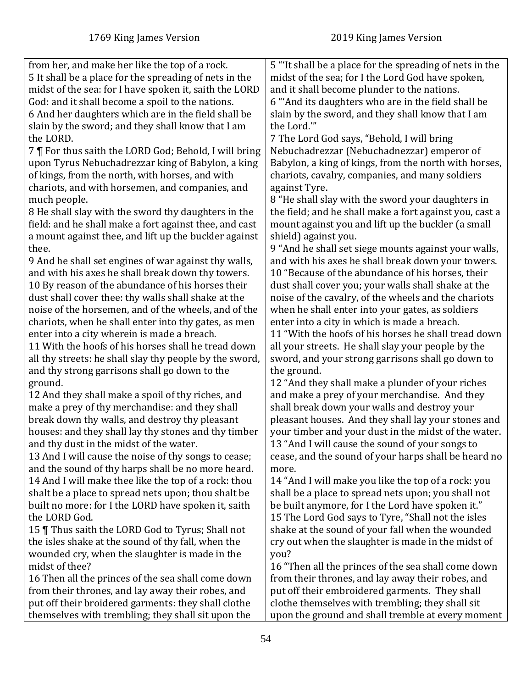| from her, and make her like the top of a rock.          | 5 "It shall be a place for the spreading of nets in the |
|---------------------------------------------------------|---------------------------------------------------------|
| 5 It shall be a place for the spreading of nets in the  | midst of the sea; for I the Lord God have spoken,       |
| midst of the sea: for I have spoken it, saith the LORD  | and it shall become plunder to the nations.             |
| God: and it shall become a spoil to the nations.        | 6 "And its daughters who are in the field shall be      |
| 6 And her daughters which are in the field shall be     | slain by the sword, and they shall know that I am       |
| slain by the sword; and they shall know that I am       | the Lord."                                              |
| the LORD.                                               | 7 The Lord God says, "Behold, I will bring              |
| 7   For thus saith the LORD God; Behold, I will bring   | Nebuchadrezzar (Nebuchadnezzar) emperor of              |
| upon Tyrus Nebuchadrezzar king of Babylon, a king       | Babylon, a king of kings, from the north with horses,   |
| of kings, from the north, with horses, and with         | chariots, cavalry, companies, and many soldiers         |
| chariots, and with horsemen, and companies, and         | against Tyre.                                           |
| much people.                                            | 8 "He shall slay with the sword your daughters in       |
| 8 He shall slay with the sword thy daughters in the     | the field; and he shall make a fort against you, cast a |
| field: and he shall make a fort against thee, and cast  | mount against you and lift up the buckler (a small      |
| a mount against thee, and lift up the buckler against   | shield) against you.                                    |
| thee.                                                   | 9 "And he shall set siege mounts against your walls,    |
| 9 And he shall set engines of war against thy walls,    | and with his axes he shall break down your towers.      |
| and with his axes he shall break down thy towers.       | 10 "Because of the abundance of his horses, their       |
| 10 By reason of the abundance of his horses their       | dust shall cover you; your walls shall shake at the     |
| dust shall cover thee: thy walls shall shake at the     | noise of the cavalry, of the wheels and the chariots    |
| noise of the horsemen, and of the wheels, and of the    | when he shall enter into your gates, as soldiers        |
| chariots, when he shall enter into thy gates, as men    | enter into a city in which is made a breach.            |
| enter into a city wherein is made a breach.             | 11 "With the hoofs of his horses he shall tread down    |
| 11 With the hoofs of his horses shall he tread down     | all your streets. He shall slay your people by the      |
| all thy streets: he shall slay thy people by the sword, | sword, and your strong garrisons shall go down to       |
| and thy strong garrisons shall go down to the           | the ground.                                             |
| ground.                                                 | 12 "And they shall make a plunder of your riches        |
| 12 And they shall make a spoil of thy riches, and       | and make a prey of your merchandise. And they           |
| make a prey of thy merchandise: and they shall          | shall break down your walls and destroy your            |
| break down thy walls, and destroy thy pleasant          | pleasant houses. And they shall lay your stones and     |
| houses: and they shall lay thy stones and thy timber    | your timber and your dust in the midst of the water.    |
| and thy dust in the midst of the water.                 | 13 "And I will cause the sound of your songs to         |
| 13 And I will cause the noise of thy songs to cease;    | cease, and the sound of your harps shall be heard no    |
| and the sound of thy harps shall be no more heard.      | more.                                                   |
| 14 And I will make thee like the top of a rock: thou    | 14 "And I will make you like the top of a rock: you     |
| shalt be a place to spread nets upon; thou shalt be     | shall be a place to spread nets upon; you shall not     |
| built no more: for I the LORD have spoken it, saith     | be built anymore, for I the Lord have spoken it."       |
| the LORD God.                                           | 15 The Lord God says to Tyre, "Shall not the isles      |
| 15   Thus saith the LORD God to Tyrus; Shall not        | shake at the sound of your fall when the wounded        |
| the isles shake at the sound of thy fall, when the      | cry out when the slaughter is made in the midst of      |
| wounded cry, when the slaughter is made in the          | you?                                                    |
| midst of thee?                                          | 16 "Then all the princes of the sea shall come down     |
| 16 Then all the princes of the sea shall come down      | from their thrones, and lay away their robes, and       |
| from their thrones, and lay away their robes, and       | put off their embroidered garments. They shall          |
|                                                         |                                                         |
| put off their broidered garments: they shall clothe     | clothe themselves with trembling; they shall sit        |
| themselves with trembling; they shall sit upon the      | upon the ground and shall tremble at every moment       |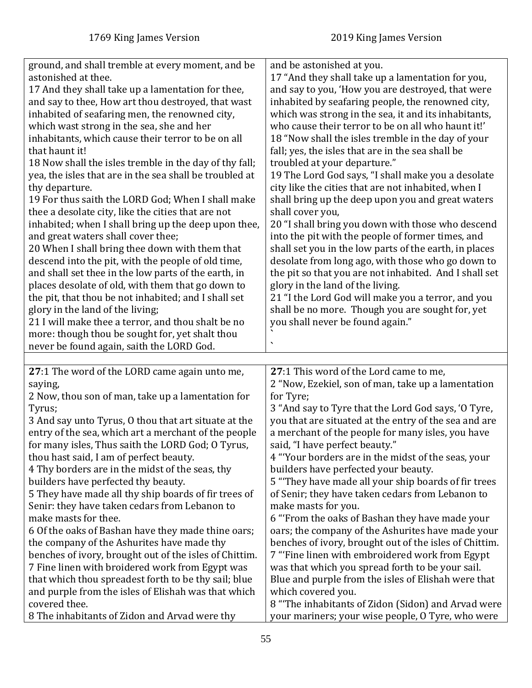| ground, and shall tremble at every moment, and be              | and be astonished at you.                                                                               |
|----------------------------------------------------------------|---------------------------------------------------------------------------------------------------------|
| astonished at thee.                                            | 17 "And they shall take up a lamentation for you,                                                       |
| 17 And they shall take up a lamentation for thee,              | and say to you, 'How you are destroyed, that were                                                       |
| and say to thee, How art thou destroyed, that wast             | inhabited by seafaring people, the renowned city,                                                       |
| inhabited of seafaring men, the renowned city,                 | which was strong in the sea, it and its inhabitants,                                                    |
| which wast strong in the sea, she and her                      | who cause their terror to be on all who haunt it!'                                                      |
| inhabitants, which cause their terror to be on all             | 18 "Now shall the isles tremble in the day of your                                                      |
| that haunt it!                                                 | fall; yes, the isles that are in the sea shall be                                                       |
| 18 Now shall the isles tremble in the day of thy fall;         | troubled at your departure."                                                                            |
| yea, the isles that are in the sea shall be troubled at        | 19 The Lord God says, "I shall make you a desolate                                                      |
| thy departure.                                                 | city like the cities that are not inhabited, when I                                                     |
| 19 For thus saith the LORD God; When I shall make              | shall bring up the deep upon you and great waters                                                       |
|                                                                |                                                                                                         |
| thee a desolate city, like the cities that are not             | shall cover you,                                                                                        |
| inhabited; when I shall bring up the deep upon thee,           | 20 "I shall bring you down with those who descend                                                       |
| and great waters shall cover thee;                             | into the pit with the people of former times, and                                                       |
| 20 When I shall bring thee down with them that                 | shall set you in the low parts of the earth, in places                                                  |
| descend into the pit, with the people of old time,             | desolate from long ago, with those who go down to                                                       |
| and shall set thee in the low parts of the earth, in           | the pit so that you are not inhabited. And I shall set                                                  |
| places desolate of old, with them that go down to              | glory in the land of the living.                                                                        |
| the pit, that thou be not inhabited; and I shall set           | 21 "I the Lord God will make you a terror, and you                                                      |
| glory in the land of the living;                               | shall be no more. Though you are sought for, yet                                                        |
| 21 I will make thee a terror, and thou shalt be no             | you shall never be found again."                                                                        |
| more: though thou be sought for, yet shalt thou                |                                                                                                         |
| never be found again, saith the LORD God.                      |                                                                                                         |
|                                                                |                                                                                                         |
| 27:1 The word of the LORD came again unto me,                  | 27:1 This word of the Lord came to me,                                                                  |
| saying,                                                        | 2 "Now, Ezekiel, son of man, take up a lamentation                                                      |
| 2 Now, thou son of man, take up a lamentation for              | for Tyre;                                                                                               |
| Tyrus;                                                         | 3 "And say to Tyre that the Lord God says, 'O Tyre,                                                     |
| 3 And say unto Tyrus, 0 thou that art situate at the           | you that are situated at the entry of the sea and are                                                   |
| entry of the sea, which art a merchant of the people           | a merchant of the people for many isles, you have                                                       |
| for many isles, Thus saith the LORD God; O Tyrus,              | said, "I have perfect beauty."                                                                          |
| thou hast said, I am of perfect beauty.                        | 4 "Your borders are in the midst of the seas, your                                                      |
| 4 Thy borders are in the midst of the seas, thy                | builders have perfected your beauty.                                                                    |
| builders have perfected thy beauty.                            | 5 "They have made all your ship boards of fir trees                                                     |
| 5 They have made all thy ship boards of fir trees of           | of Senir; they have taken cedars from Lebanon to                                                        |
| Senir: they have taken cedars from Lebanon to                  | make masts for you.                                                                                     |
| make masts for thee.                                           | 6 "From the oaks of Bashan they have made your                                                          |
|                                                                |                                                                                                         |
| 6 Of the oaks of Bashan have they made thine oars;             | oars; the company of the Ashurites have made your                                                       |
| the company of the Ashurites have made thy                     | benches of ivory, brought out of the isles of Chittim.                                                  |
| benches of ivory, brought out of the isles of Chittim.         |                                                                                                         |
|                                                                | 7 "Fine linen with embroidered work from Egypt                                                          |
| 7 Fine linen with broidered work from Egypt was                | was that which you spread forth to be your sail.                                                        |
| that which thou spreadest forth to be thy sail; blue           | Blue and purple from the isles of Elishah were that                                                     |
| and purple from the isles of Elishah was that which            | which covered you.                                                                                      |
| covered thee.<br>8 The inhabitants of Zidon and Arvad were thy | 8 "The inhabitants of Zidon (Sidon) and Arvad were<br>your mariners; your wise people, O Tyre, who were |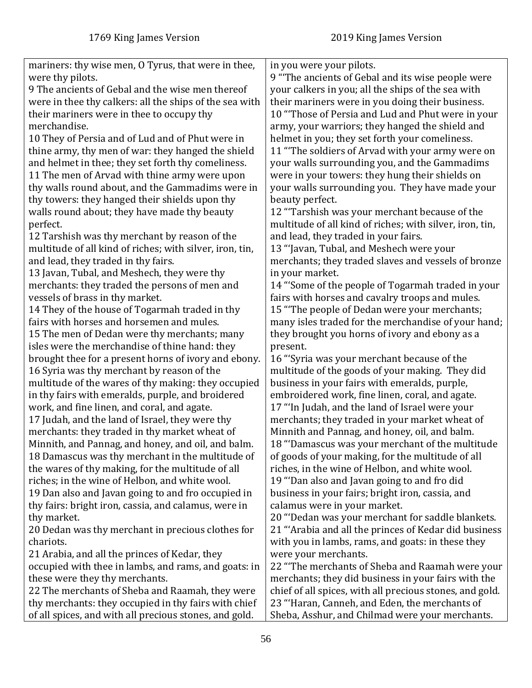| mariners: thy wise men, O Tyrus, that were in thee,      | in you were your pilots.                                 |
|----------------------------------------------------------|----------------------------------------------------------|
| were thy pilots.                                         | 9 "The ancients of Gebal and its wise people were        |
| 9 The ancients of Gebal and the wise men thereof         | your calkers in you; all the ships of the sea with       |
| were in thee thy calkers: all the ships of the sea with  | their mariners were in you doing their business.         |
| their mariners were in thee to occupy thy                | 10 "Those of Persia and Lud and Phut were in your        |
| merchandise.                                             | army, your warriors; they hanged the shield and          |
| 10 They of Persia and of Lud and of Phut were in         | helmet in you; they set forth your comeliness.           |
| thine army, thy men of war: they hanged the shield       | 11 "The soldiers of Arvad with your army were on         |
| and helmet in thee; they set forth thy comeliness.       | your walls surrounding you, and the Gammadims            |
| 11 The men of Arvad with thine army were upon            | were in your towers: they hung their shields on          |
| thy walls round about, and the Gammadims were in         | your walls surrounding you. They have made your          |
| thy towers: they hanged their shields upon thy           | beauty perfect.                                          |
| walls round about; they have made thy beauty             | 12 "Tarshish was your merchant because of the            |
| perfect.                                                 | multitude of all kind of riches; with silver, iron, tin, |
| 12 Tarshish was thy merchant by reason of the            | and lead, they traded in your fairs.                     |
| multitude of all kind of riches; with silver, iron, tin, | 13 "Javan, Tubal, and Meshech were your                  |
| and lead, they traded in thy fairs.                      | merchants; they traded slaves and vessels of bronze      |
| 13 Javan, Tubal, and Meshech, they were thy              | in your market.                                          |
| merchants: they traded the persons of men and            | 14 "Some of the people of Togarmah traded in your        |
| vessels of brass in thy market.                          | fairs with horses and cavalry troops and mules.          |
| 14 They of the house of Togarmah traded in thy           | 15 "The people of Dedan were your merchants;             |
| fairs with horses and horsemen and mules.                | many isles traded for the merchandise of your hand;      |
| 15 The men of Dedan were thy merchants; many             | they brought you horns of ivory and ebony as a           |
| isles were the merchandise of thine hand: they           | present.                                                 |
| brought thee for a present horns of ivory and ebony.     | 16 "Syria was your merchant because of the               |
| 16 Syria was thy merchant by reason of the               | multitude of the goods of your making. They did          |
| multitude of the wares of thy making: they occupied      | business in your fairs with emeralds, purple,            |
| in thy fairs with emeralds, purple, and broidered        | embroidered work, fine linen, coral, and agate.          |
| work, and fine linen, and coral, and agate.              | 17 "In Judah, and the land of Israel were your           |
| 17 Judah, and the land of Israel, they were thy          | merchants; they traded in your market wheat of           |
| merchants: they traded in thy market wheat of            | Minnith and Pannag, and honey, oil, and balm.            |
| Minnith, and Pannag, and honey, and oil, and balm.       | 18 "Damascus was your merchant of the multitude          |
| 18 Damascus was thy merchant in the multitude of         | of goods of your making, for the multitude of all        |
| the wares of thy making, for the multitude of all        | riches, in the wine of Helbon, and white wool.           |
| riches; in the wine of Helbon, and white wool.           | 19 "Dan also and Javan going to and fro did              |
| 19 Dan also and Javan going to and fro occupied in       | business in your fairs; bright iron, cassia, and         |
| thy fairs: bright iron, cassia, and calamus, were in     | calamus were in your market.                             |
| thy market.                                              | 20 "Dedan was your merchant for saddle blankets.         |
| 20 Dedan was thy merchant in precious clothes for        | 21 "Arabia and all the princes of Kedar did business     |
| chariots.                                                | with you in lambs, rams, and goats: in these they        |
| 21 Arabia, and all the princes of Kedar, they            | were your merchants.                                     |
| occupied with thee in lambs, and rams, and goats: in     | 22 "The merchants of Sheba and Raamah were your          |
| these were they thy merchants.                           | merchants; they did business in your fairs with the      |
| 22 The merchants of Sheba and Raamah, they were          | chief of all spices, with all precious stones, and gold. |
| thy merchants: they occupied in thy fairs with chief     | 23 "Haran, Canneh, and Eden, the merchants of            |
| of all spices, and with all precious stones, and gold.   | Sheba, Asshur, and Chilmad were your merchants.          |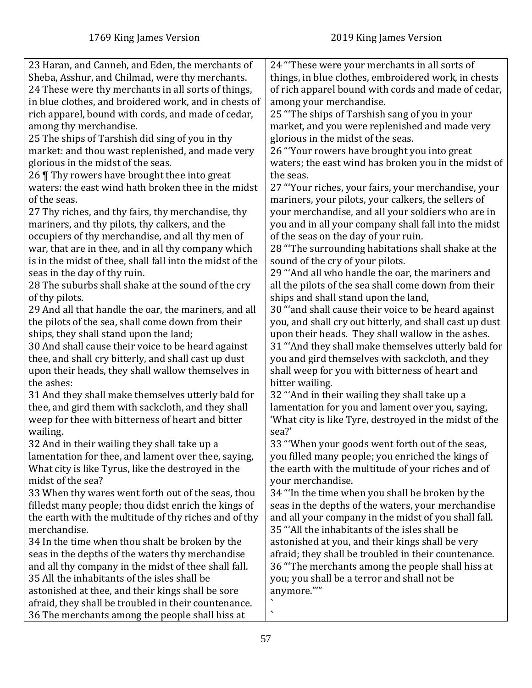| 23 Haran, and Canneh, and Eden, the merchants of          | 24 "These were your merchants in all sorts of           |
|-----------------------------------------------------------|---------------------------------------------------------|
| Sheba, Asshur, and Chilmad, were thy merchants.           | things, in blue clothes, embroidered work, in chests    |
| 24 These were thy merchants in all sorts of things,       | of rich apparel bound with cords and made of cedar,     |
| in blue clothes, and broidered work, and in chests of     | among your merchandise.                                 |
| rich apparel, bound with cords, and made of cedar,        | 25 "The ships of Tarshish sang of you in your           |
| among thy merchandise.                                    | market, and you were replenished and made very          |
| 25 The ships of Tarshish did sing of you in thy           | glorious in the midst of the seas.                      |
| market: and thou wast replenished, and made very          | 26 "Your rowers have brought you into great             |
| glorious in the midst of the seas.                        | waters; the east wind has broken you in the midst of    |
|                                                           |                                                         |
| 26 Thy rowers have brought thee into great                | the seas.                                               |
| waters: the east wind hath broken thee in the midst       | 27 "Your riches, your fairs, your merchandise, your     |
| of the seas.                                              | mariners, your pilots, your calkers, the sellers of     |
| 27 Thy riches, and thy fairs, thy merchandise, thy        | your merchandise, and all your soldiers who are in      |
| mariners, and thy pilots, thy calkers, and the            | you and in all your company shall fall into the midst   |
| occupiers of thy merchandise, and all thy men of          | of the seas on the day of your ruin.                    |
| war, that are in thee, and in all thy company which       | 28 "The surrounding habitations shall shake at the      |
| is in the midst of thee, shall fall into the midst of the | sound of the cry of your pilots.                        |
| seas in the day of thy ruin.                              | 29 "And all who handle the oar, the mariners and        |
| 28 The suburbs shall shake at the sound of the cry        | all the pilots of the sea shall come down from their    |
| of thy pilots.                                            | ships and shall stand upon the land,                    |
| 29 And all that handle the oar, the mariners, and all     | 30 "and shall cause their voice to be heard against     |
| the pilots of the sea, shall come down from their         | you, and shall cry out bitterly, and shall cast up dust |
| ships, they shall stand upon the land;                    | upon their heads. They shall wallow in the ashes.       |
| 30 And shall cause their voice to be heard against        | 31 "And they shall make themselves utterly bald for     |
| thee, and shall cry bitterly, and shall cast up dust      | you and gird themselves with sackcloth, and they        |
| upon their heads, they shall wallow themselves in         | shall weep for you with bitterness of heart and         |
| the ashes:                                                | bitter wailing.                                         |
| 31 And they shall make themselves utterly bald for        | 32 "And in their wailing they shall take up a           |
| thee, and gird them with sackcloth, and they shall        | lamentation for you and lament over you, saying,        |
| weep for thee with bitterness of heart and bitter         | 'What city is like Tyre, destroyed in the midst of the  |
| wailing.                                                  | sea?'                                                   |
| 32 And in their wailing they shall take up a              | 33 "When your goods went forth out of the seas,         |
| lamentation for thee, and lament over thee, saying,       | you filled many people; you enriched the kings of       |
| What city is like Tyrus, like the destroyed in the        | the earth with the multitude of your riches and of      |
| midst of the sea?                                         | your merchandise.                                       |
| 33 When thy wares went forth out of the seas, thou        | 34 "In the time when you shall be broken by the         |
| filledst many people; thou didst enrich the kings of      | seas in the depths of the waters, your merchandise      |
| the earth with the multitude of thy riches and of thy     | and all your company in the midst of you shall fall.    |
| merchandise.                                              | 35 "All the inhabitants of the isles shall be           |
| 34 In the time when thou shalt be broken by the           | astonished at you, and their kings shall be very        |
| seas in the depths of the waters thy merchandise          | afraid; they shall be troubled in their countenance.    |
| and all thy company in the midst of thee shall fall.      | 36 "The merchants among the people shall hiss at        |
| 35 All the inhabitants of the isles shall be              | you; you shall be a terror and shall not be             |
| astonished at thee, and their kings shall be sore         | anymore.""                                              |
| afraid, they shall be troubled in their countenance.      |                                                         |
| 36 The merchants among the people shall hiss at           | ╮                                                       |
|                                                           |                                                         |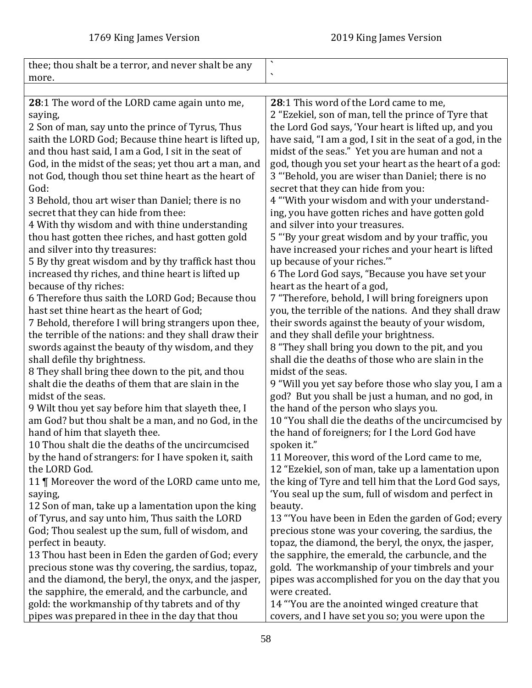|                                                        | $\boldsymbol{\checkmark}$                                  |
|--------------------------------------------------------|------------------------------------------------------------|
| thee; thou shalt be a terror, and never shalt be any   | $\overline{\phantom{a}}$                                   |
| more.                                                  |                                                            |
|                                                        |                                                            |
| 28:1 The word of the LORD came again unto me,          | 28:1 This word of the Lord came to me,                     |
| saying,                                                | 2 "Ezekiel, son of man, tell the prince of Tyre that       |
| 2 Son of man, say unto the prince of Tyrus, Thus       | the Lord God says, 'Your heart is lifted up, and you       |
| saith the LORD God; Because thine heart is lifted up,  | have said, "I am a god, I sit in the seat of a god, in the |
| and thou hast said, I am a God, I sit in the seat of   | midst of the seas." Yet you are human and not a            |
| God, in the midst of the seas; yet thou art a man, and | god, though you set your heart as the heart of a god:      |
| not God, though thou set thine heart as the heart of   | 3 "Behold, you are wiser than Daniel; there is no          |
| God:                                                   | secret that they can hide from you:                        |
| 3 Behold, thou art wiser than Daniel; there is no      | 4 "With your wisdom and with your understand-              |
| secret that they can hide from thee:                   | ing, you have gotten riches and have gotten gold           |
| 4 With thy wisdom and with thine understanding         | and silver into your treasures.                            |
| thou hast gotten thee riches, and hast gotten gold     | 5 "By your great wisdom and by your traffic, you           |
| and silver into thy treasures:                         | have increased your riches and your heart is lifted        |
| 5 By thy great wisdom and by thy traffick hast thou    | up because of your riches.""                               |
| increased thy riches, and thine heart is lifted up     | 6 The Lord God says, "Because you have set your            |
| because of thy riches:                                 | heart as the heart of a god,                               |
| 6 Therefore thus saith the LORD God; Because thou      | 7 "Therefore, behold, I will bring foreigners upon         |
| hast set thine heart as the heart of God;              | you, the terrible of the nations. And they shall draw      |
| 7 Behold, therefore I will bring strangers upon thee,  | their swords against the beauty of your wisdom,            |
| the terrible of the nations: and they shall draw their | and they shall defile your brightness.                     |
| swords against the beauty of thy wisdom, and they      | 8 "They shall bring you down to the pit, and you           |
| shall defile thy brightness.                           | shall die the deaths of those who are slain in the         |
| 8 They shall bring thee down to the pit, and thou      | midst of the seas.                                         |
| shalt die the deaths of them that are slain in the     | 9 "Will you yet say before those who slay you, I am a      |
| midst of the seas.                                     | god? But you shall be just a human, and no god, in         |
| 9 Wilt thou yet say before him that slayeth thee, I    | the hand of the person who slays you.                      |
| am God? but thou shalt be a man, and no God, in the    | 10 "You shall die the deaths of the uncircumcised by       |
| hand of him that slayeth thee.                         | the hand of foreigners; for I the Lord God have            |
| 10 Thou shalt die the deaths of the uncircumcised      | spoken it."                                                |
| by the hand of strangers: for I have spoken it, saith  | 11 Moreover, this word of the Lord came to me,             |
| the LORD God.                                          | 12 "Ezekiel, son of man, take up a lamentation upon        |
| 11   Moreover the word of the LORD came unto me,       | the king of Tyre and tell him that the Lord God says,      |
| saying,                                                | 'You seal up the sum, full of wisdom and perfect in        |
| 12 Son of man, take up a lamentation upon the king     | beauty.                                                    |
| of Tyrus, and say unto him, Thus saith the LORD        | 13 "You have been in Eden the garden of God; every         |
| God; Thou sealest up the sum, full of wisdom, and      | precious stone was your covering, the sardius, the         |
| perfect in beauty.                                     | topaz, the diamond, the beryl, the onyx, the jasper,       |
| 13 Thou hast been in Eden the garden of God; every     | the sapphire, the emerald, the carbuncle, and the          |
| precious stone was thy covering, the sardius, topaz,   | gold. The workmanship of your timbrels and your            |
| and the diamond, the beryl, the onyx, and the jasper,  | pipes was accomplished for you on the day that you         |
| the sapphire, the emerald, and the carbuncle, and      | were created.                                              |
| gold: the workmanship of thy tabrets and of thy        | 14 "You are the anointed winged creature that              |
| pipes was prepared in thee in the day that thou        | covers, and I have set you so; you were upon the           |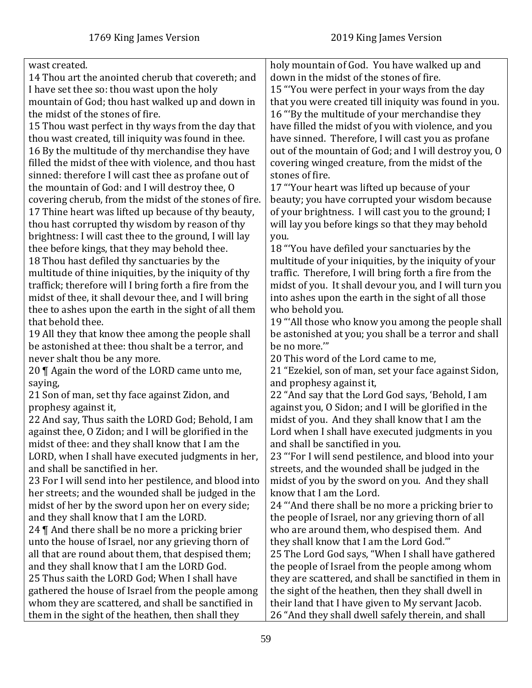| wast created.                                          | holy mountain of God. You have walked up and           |
|--------------------------------------------------------|--------------------------------------------------------|
| 14 Thou art the anointed cherub that covereth; and     | down in the midst of the stones of fire.               |
| I have set thee so: thou wast upon the holy            | 15 "You were perfect in your ways from the day         |
| mountain of God; thou hast walked up and down in       | that you were created till iniquity was found in you.  |
| the midst of the stones of fire.                       | 16 "By the multitude of your merchandise they          |
| 15 Thou wast perfect in thy ways from the day that     | have filled the midst of you with violence, and you    |
| thou wast created, till iniquity was found in thee.    | have sinned. Therefore, I will cast you as profane     |
| 16 By the multitude of thy merchandise they have       | out of the mountain of God; and I will destroy you, O  |
| filled the midst of thee with violence, and thou hast  | covering winged creature, from the midst of the        |
| sinned: therefore I will cast thee as profane out of   | stones of fire.                                        |
| the mountain of God: and I will destroy thee, O        | 17 "Your heart was lifted up because of your           |
| covering cherub, from the midst of the stones of fire. | beauty; you have corrupted your wisdom because         |
| 17 Thine heart was lifted up because of thy beauty,    | of your brightness. I will cast you to the ground; I   |
|                                                        |                                                        |
| thou hast corrupted thy wisdom by reason of thy        | will lay you before kings so that they may behold      |
| brightness: I will cast thee to the ground, I will lay | you.                                                   |
| thee before kings, that they may behold thee.          | 18 "You have defiled your sanctuaries by the           |
| 18 Thou hast defiled thy sanctuaries by the            | multitude of your iniquities, by the iniquity of your  |
| multitude of thine iniquities, by the iniquity of thy  | traffic. Therefore, I will bring forth a fire from the |
| traffick; therefore will I bring forth a fire from the | midst of you. It shall devour you, and I will turn you |
| midst of thee, it shall devour thee, and I will bring  | into ashes upon the earth in the sight of all those    |
| thee to ashes upon the earth in the sight of all them  | who behold you.                                        |
| that behold thee.                                      | 19 "All those who know you among the people shall      |
| 19 All they that know thee among the people shall      | be astonished at you; you shall be a terror and shall  |
| be astonished at thee: thou shalt be a terror, and     | be no more.""                                          |
| never shalt thou be any more.                          | 20 This word of the Lord came to me,                   |
| 20   Again the word of the LORD came unto me,          | 21 "Ezekiel, son of man, set your face against Sidon,  |
| saying,                                                | and prophesy against it,                               |
| 21 Son of man, set thy face against Zidon, and         | 22 "And say that the Lord God says, 'Behold, I am      |
| prophesy against it,                                   | against you, O Sidon; and I will be glorified in the   |
| 22 And say, Thus saith the LORD God; Behold, I am      | midst of you. And they shall know that I am the        |
| against thee, O Zidon; and I will be glorified in the  | Lord when I shall have executed judgments in you       |
| midst of thee: and they shall know that I am the       | and shall be sanctified in you.                        |
| LORD, when I shall have executed judgments in her,     | 23 "For I will send pestilence, and blood into your    |
| and shall be sanctified in her.                        | streets, and the wounded shall be judged in the        |
| 23 For I will send into her pestilence, and blood into | midst of you by the sword on you. And they shall       |
| her streets; and the wounded shall be judged in the    | know that I am the Lord.                               |
| midst of her by the sword upon her on every side;      | 24 "And there shall be no more a pricking brier to     |
| and they shall know that I am the LORD.                | the people of Israel, nor any grieving thorn of all    |
| 24 $\P$ And there shall be no more a pricking brier    | who are around them, who despised them. And            |
| unto the house of Israel, nor any grieving thorn of    | they shall know that I am the Lord God."               |
| all that are round about them, that despised them;     | 25 The Lord God says, "When I shall have gathered      |
| and they shall know that I am the LORD God.            | the people of Israel from the people among whom        |
| 25 Thus saith the LORD God; When I shall have          | they are scattered, and shall be sanctified in them in |
| gathered the house of Israel from the people among     | the sight of the heathen, then they shall dwell in     |
| whom they are scattered, and shall be sanctified in    | their land that I have given to My servant Jacob.      |
| them in the sight of the heathen, then shall they      | 26 "And they shall dwell safely therein, and shall     |
|                                                        |                                                        |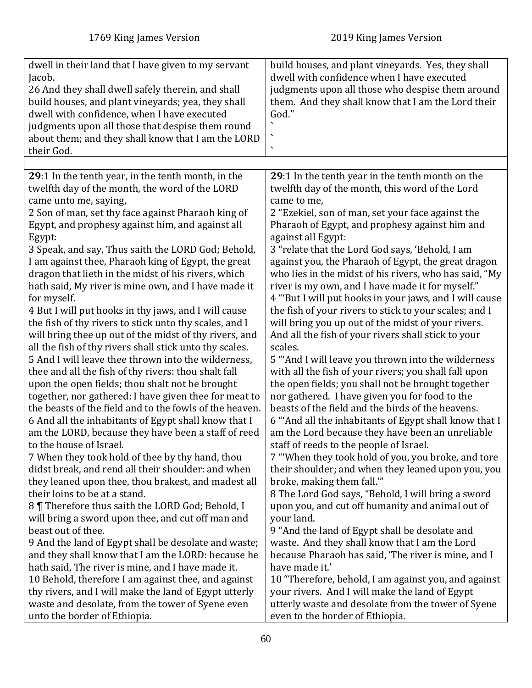| dwell in their land that I have given to my servant<br>Jacob.<br>26 And they shall dwell safely therein, and shall<br>build houses, and plant vineyards; yea, they shall<br>dwell with confidence, when I have executed<br>judgments upon all those that despise them round<br>about them; and they shall know that I am the LORD<br>their God. | build houses, and plant vineyards. Yes, they shall<br>dwell with confidence when I have executed<br>judgments upon all those who despise them around<br>them. And they shall know that I am the Lord their<br>God."<br>$\cdot$<br>$\overline{\phantom{a}}$ |
|-------------------------------------------------------------------------------------------------------------------------------------------------------------------------------------------------------------------------------------------------------------------------------------------------------------------------------------------------|------------------------------------------------------------------------------------------------------------------------------------------------------------------------------------------------------------------------------------------------------------|
| 29:1 In the tenth year, in the tenth month, in the                                                                                                                                                                                                                                                                                              | 29:1 In the tenth year in the tenth month on the                                                                                                                                                                                                           |
| twelfth day of the month, the word of the LORD                                                                                                                                                                                                                                                                                                  | twelfth day of the month, this word of the Lord                                                                                                                                                                                                            |
| came unto me, saying,                                                                                                                                                                                                                                                                                                                           | came to me,                                                                                                                                                                                                                                                |
| 2 Son of man, set thy face against Pharaoh king of                                                                                                                                                                                                                                                                                              | 2 "Ezekiel, son of man, set your face against the                                                                                                                                                                                                          |
| Egypt, and prophesy against him, and against all                                                                                                                                                                                                                                                                                                | Pharaoh of Egypt, and prophesy against him and                                                                                                                                                                                                             |
| Egypt:                                                                                                                                                                                                                                                                                                                                          | against all Egypt:                                                                                                                                                                                                                                         |
| 3 Speak, and say, Thus saith the LORD God; Behold,                                                                                                                                                                                                                                                                                              | 3 "relate that the Lord God says, 'Behold, I am                                                                                                                                                                                                            |
| I am against thee, Pharaoh king of Egypt, the great                                                                                                                                                                                                                                                                                             | against you, the Pharaoh of Egypt, the great dragon                                                                                                                                                                                                        |
| dragon that lieth in the midst of his rivers, which                                                                                                                                                                                                                                                                                             | who lies in the midst of his rivers, who has said, "My                                                                                                                                                                                                     |
| hath said, My river is mine own, and I have made it                                                                                                                                                                                                                                                                                             | river is my own, and I have made it for myself."                                                                                                                                                                                                           |
| for myself.                                                                                                                                                                                                                                                                                                                                     | 4 "But I will put hooks in your jaws, and I will cause                                                                                                                                                                                                     |
| 4 But I will put hooks in thy jaws, and I will cause                                                                                                                                                                                                                                                                                            | the fish of your rivers to stick to your scales; and I                                                                                                                                                                                                     |
| the fish of thy rivers to stick unto thy scales, and I                                                                                                                                                                                                                                                                                          | will bring you up out of the midst of your rivers.                                                                                                                                                                                                         |
| will bring thee up out of the midst of thy rivers, and                                                                                                                                                                                                                                                                                          | And all the fish of your rivers shall stick to your                                                                                                                                                                                                        |
| all the fish of thy rivers shall stick unto thy scales.                                                                                                                                                                                                                                                                                         | scales.                                                                                                                                                                                                                                                    |
| 5 And I will leave thee thrown into the wilderness,                                                                                                                                                                                                                                                                                             | 5 "And I will leave you thrown into the wilderness                                                                                                                                                                                                         |
| thee and all the fish of thy rivers: thou shalt fall                                                                                                                                                                                                                                                                                            | with all the fish of your rivers; you shall fall upon                                                                                                                                                                                                      |
| upon the open fields; thou shalt not be brought                                                                                                                                                                                                                                                                                                 | the open fields; you shall not be brought together                                                                                                                                                                                                         |
| together, nor gathered: I have given thee for meat to                                                                                                                                                                                                                                                                                           | nor gathered. I have given you for food to the                                                                                                                                                                                                             |
| the beasts of the field and to the fowls of the heaven.                                                                                                                                                                                                                                                                                         | beasts of the field and the birds of the heavens.                                                                                                                                                                                                          |
| 6 And all the inhabitants of Egypt shall know that I                                                                                                                                                                                                                                                                                            | 6 "And all the inhabitants of Egypt shall know that I                                                                                                                                                                                                      |
| am the LORD, because they have been a staff of reed                                                                                                                                                                                                                                                                                             | am the Lord because they have been an unreliable                                                                                                                                                                                                           |
| to the house of Israel.                                                                                                                                                                                                                                                                                                                         | staff of reeds to the people of Israel.                                                                                                                                                                                                                    |
| 7 When they took hold of thee by thy hand, thou                                                                                                                                                                                                                                                                                                 | 7 "When they took hold of you, you broke, and tore                                                                                                                                                                                                         |
| didst break, and rend all their shoulder: and when                                                                                                                                                                                                                                                                                              | their shoulder; and when they leaned upon you, you                                                                                                                                                                                                         |
| they leaned upon thee, thou brakest, and madest all                                                                                                                                                                                                                                                                                             | broke, making them fall."                                                                                                                                                                                                                                  |
| their loins to be at a stand.                                                                                                                                                                                                                                                                                                                   | 8 The Lord God says, "Behold, I will bring a sword                                                                                                                                                                                                         |
| 8 Therefore thus saith the LORD God; Behold, I                                                                                                                                                                                                                                                                                                  | upon you, and cut off humanity and animal out of                                                                                                                                                                                                           |
| will bring a sword upon thee, and cut off man and                                                                                                                                                                                                                                                                                               | your land.                                                                                                                                                                                                                                                 |
| beast out of thee.                                                                                                                                                                                                                                                                                                                              | 9 "And the land of Egypt shall be desolate and                                                                                                                                                                                                             |
| 9 And the land of Egypt shall be desolate and waste;                                                                                                                                                                                                                                                                                            | waste. And they shall know that I am the Lord                                                                                                                                                                                                              |
| and they shall know that I am the LORD: because he                                                                                                                                                                                                                                                                                              | because Pharaoh has said, 'The river is mine, and I                                                                                                                                                                                                        |
| hath said, The river is mine, and I have made it.                                                                                                                                                                                                                                                                                               | have made it.'                                                                                                                                                                                                                                             |
| 10 Behold, therefore I am against thee, and against                                                                                                                                                                                                                                                                                             | 10 "Therefore, behold, I am against you, and against                                                                                                                                                                                                       |
| thy rivers, and I will make the land of Egypt utterly                                                                                                                                                                                                                                                                                           | your rivers. And I will make the land of Egypt                                                                                                                                                                                                             |
| waste and desolate, from the tower of Syene even                                                                                                                                                                                                                                                                                                | utterly waste and desolate from the tower of Syene                                                                                                                                                                                                         |
| unto the border of Ethiopia.                                                                                                                                                                                                                                                                                                                    | even to the border of Ethiopia.                                                                                                                                                                                                                            |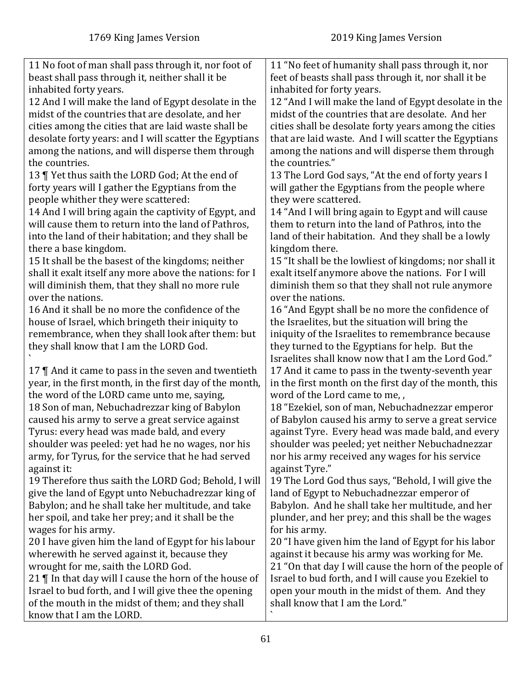| 11 No foot of man shall pass through it, nor foot of     | 11 "No feet of humanity shall pass through it, nor     |
|----------------------------------------------------------|--------------------------------------------------------|
| beast shall pass through it, neither shall it be         | feet of beasts shall pass through it, nor shall it be  |
| inhabited forty years.                                   | inhabited for forty years.                             |
| 12 And I will make the land of Egypt desolate in the     | 12 "And I will make the land of Egypt desolate in the  |
| midst of the countries that are desolate, and her        | midst of the countries that are desolate. And her      |
| cities among the cities that are laid waste shall be     | cities shall be desolate forty years among the cities  |
| desolate forty years: and I will scatter the Egyptians   | that are laid waste. And I will scatter the Egyptians  |
| among the nations, and will disperse them through        | among the nations and will disperse them through       |
| the countries.                                           | the countries."                                        |
| 13   Yet thus saith the LORD God; At the end of          | 13 The Lord God says, "At the end of forty years I     |
| forty years will I gather the Egyptians from the         | will gather the Egyptians from the people where        |
| people whither they were scattered:                      | they were scattered.                                   |
| 14 And I will bring again the captivity of Egypt, and    | 14 "And I will bring again to Egypt and will cause     |
| will cause them to return into the land of Pathros,      | them to return into the land of Pathros, into the      |
| into the land of their habitation; and they shall be     | land of their habitation. And they shall be a lowly    |
| there a base kingdom.                                    | kingdom there.                                         |
| 15 It shall be the basest of the kingdoms; neither       | 15 "It shall be the lowliest of kingdoms; nor shall it |
| shall it exalt itself any more above the nations: for I  | exalt itself anymore above the nations. For I will     |
| will diminish them, that they shall no more rule         | diminish them so that they shall not rule anymore      |
| over the nations.                                        | over the nations.                                      |
| 16 And it shall be no more the confidence of the         | 16 "And Egypt shall be no more the confidence of       |
| house of Israel, which bringeth their iniquity to        | the Israelites, but the situation will bring the       |
| remembrance, when they shall look after them: but        | iniquity of the Israelites to remembrance because      |
| they shall know that I am the LORD God.                  | they turned to the Egyptians for help. But the         |
|                                                          | Israelites shall know now that I am the Lord God."     |
| 17 $\P$ And it came to pass in the seven and twentieth   | 17 And it came to pass in the twenty-seventh year      |
| year, in the first month, in the first day of the month, | in the first month on the first day of the month, this |
| the word of the LORD came unto me, saying,               | word of the Lord came to me,,                          |
| 18 Son of man, Nebuchadrezzar king of Babylon            | 18 "Ezekiel, son of man, Nebuchadnezzar emperor        |
| caused his army to serve a great service against         | of Babylon caused his army to serve a great service    |
| Tyrus: every head was made bald, and every               | against Tyre. Every head was made bald, and every      |
| shoulder was peeled: yet had he no wages, nor his        | shoulder was peeled; yet neither Nebuchadnezzar        |
| army, for Tyrus, for the service that he had served      | nor his army received any wages for his service        |
| against it:                                              | against Tyre."                                         |
| 19 Therefore thus saith the LORD God; Behold, I will     | 19 The Lord God thus says, "Behold, I will give the    |
| give the land of Egypt unto Nebuchadrezzar king of       | land of Egypt to Nebuchadnezzar emperor of             |
| Babylon; and he shall take her multitude, and take       | Babylon. And he shall take her multitude, and her      |
|                                                          |                                                        |
| her spoil, and take her prey; and it shall be the        | plunder, and her prey; and this shall be the wages     |
| wages for his army.                                      | for his army.                                          |
| 20 I have given him the land of Egypt for his labour     | 20 "I have given him the land of Egypt for his labor   |
| wherewith he served against it, because they             | against it because his army was working for Me.        |
| wrought for me, saith the LORD God.                      | 21 "On that day I will cause the horn of the people of |
| 21    In that day will I cause the horn of the house of  | Israel to bud forth, and I will cause you Ezekiel to   |
| Israel to bud forth, and I will give thee the opening    | open your mouth in the midst of them. And they         |
| of the mouth in the midst of them; and they shall        | shall know that I am the Lord."                        |
| know that I am the LORD.                                 |                                                        |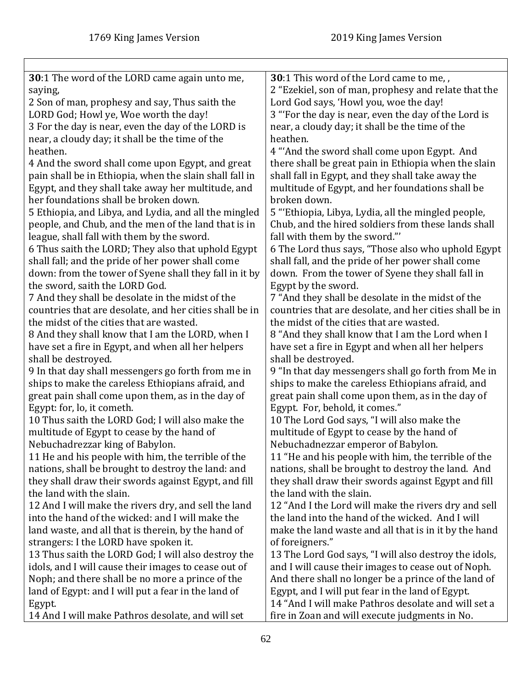| 30:1 The word of the LORD came again unto me,           | 30:1 This word of the Lord came to me,,                 |
|---------------------------------------------------------|---------------------------------------------------------|
| saying,                                                 | 2 "Ezekiel, son of man, prophesy and relate that the    |
| 2 Son of man, prophesy and say, Thus saith the          | Lord God says, 'Howl you, woe the day!                  |
| LORD God; Howl ye, Woe worth the day!                   | 3 "For the day is near, even the day of the Lord is     |
| 3 For the day is near, even the day of the LORD is      | near, a cloudy day; it shall be the time of the         |
| near, a cloudy day; it shall be the time of the         | heathen.                                                |
| heathen.                                                | 4 "'And the sword shall come upon Egypt. And            |
| 4 And the sword shall come upon Egypt, and great        | there shall be great pain in Ethiopia when the slain    |
| pain shall be in Ethiopia, when the slain shall fall in | shall fall in Egypt, and they shall take away the       |
| Egypt, and they shall take away her multitude, and      | multitude of Egypt, and her foundations shall be        |
| her foundations shall be broken down.                   | broken down.                                            |
| 5 Ethiopia, and Libya, and Lydia, and all the mingled   | 5 "Ethiopia, Libya, Lydia, all the mingled people,      |
| people, and Chub, and the men of the land that is in    | Chub, and the hired soldiers from these lands shall     |
| league, shall fall with them by the sword.              | fall with them by the sword."                           |
| 6 Thus saith the LORD; They also that uphold Egypt      | 6 The Lord thus says, "Those also who uphold Egypt      |
| shall fall; and the pride of her power shall come       | shall fall, and the pride of her power shall come       |
| down: from the tower of Syene shall they fall in it by  | down. From the tower of Syene they shall fall in        |
| the sword, saith the LORD God.                          | Egypt by the sword.                                     |
| 7 And they shall be desolate in the midst of the        | 7 "And they shall be desolate in the midst of the       |
| countries that are desolate, and her cities shall be in | countries that are desolate, and her cities shall be in |
| the midst of the cities that are wasted.                | the midst of the cities that are wasted.                |
| 8 And they shall know that I am the LORD, when I        | 8 "And they shall know that I am the Lord when I        |
| have set a fire in Egypt, and when all her helpers      | have set a fire in Egypt and when all her helpers       |
| shall be destroyed.                                     | shall be destroyed.                                     |
| 9 In that day shall messengers go forth from me in      | 9 "In that day messengers shall go forth from Me in     |
| ships to make the careless Ethiopians afraid, and       | ships to make the careless Ethiopians afraid, and       |
| great pain shall come upon them, as in the day of       | great pain shall come upon them, as in the day of       |
| Egypt: for, lo, it cometh.                              | Egypt. For, behold, it comes."                          |
| 10 Thus saith the LORD God; I will also make the        | 10 The Lord God says, "I will also make the             |
| multitude of Egypt to cease by the hand of              | multitude of Egypt to cease by the hand of              |
| Nebuchadrezzar king of Babylon.                         | Nebuchadnezzar emperor of Babylon.                      |
| 11 He and his people with him, the terrible of the      | 11 "He and his people with him, the terrible of the     |
| nations, shall be brought to destroy the land: and      | nations, shall be brought to destroy the land. And      |
| they shall draw their swords against Egypt, and fill    | they shall draw their swords against Egypt and fill     |
| the land with the slain.                                | the land with the slain.                                |
| 12 And I will make the rivers dry, and sell the land    | 12 "And I the Lord will make the rivers dry and sell    |
| into the hand of the wicked: and I will make the        | the land into the hand of the wicked. And I will        |
| land waste, and all that is therein, by the hand of     | make the land waste and all that is in it by the hand   |
| strangers: I the LORD have spoken it.                   | of foreigners."                                         |
| 13 Thus saith the LORD God; I will also destroy the     | 13 The Lord God says, "I will also destroy the idols,   |
| idols, and I will cause their images to cease out of    | and I will cause their images to cease out of Noph.     |
| Noph; and there shall be no more a prince of the        | And there shall no longer be a prince of the land of    |
| land of Egypt: and I will put a fear in the land of     | Egypt, and I will put fear in the land of Egypt.        |
| Egypt.                                                  | 14 "And I will make Pathros desolate and will set a     |
| 14 And I will make Pathros desolate, and will set       | fire in Zoan and will execute judgments in No.          |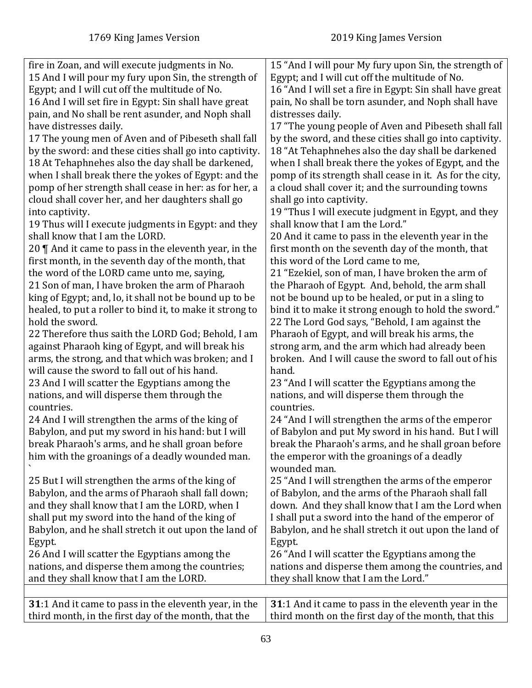| fire in Zoan, and will execute judgments in No.          | 15 "And I will pour My fury upon Sin, the strength of    |
|----------------------------------------------------------|----------------------------------------------------------|
| 15 And I will pour my fury upon Sin, the strength of     | Egypt; and I will cut off the multitude of No.           |
| Egypt; and I will cut off the multitude of No.           | 16 "And I will set a fire in Egypt: Sin shall have great |
| 16 And I will set fire in Egypt: Sin shall have great    | pain, No shall be torn asunder, and Noph shall have      |
| pain, and No shall be rent asunder, and Noph shall       | distresses daily.                                        |
| have distresses daily.                                   | 17 "The young people of Aven and Pibeseth shall fall     |
| 17 The young men of Aven and of Pibeseth shall fall      | by the sword, and these cities shall go into captivity.  |
| by the sword: and these cities shall go into captivity.  | 18 "At Tehaphnehes also the day shall be darkened        |
| 18 At Tehaphnehes also the day shall be darkened,        | when I shall break there the yokes of Egypt, and the     |
| when I shall break there the yokes of Egypt: and the     | pomp of its strength shall cease in it. As for the city, |
| pomp of her strength shall cease in her: as for her, a   | a cloud shall cover it; and the surrounding towns        |
| cloud shall cover her, and her daughters shall go        | shall go into captivity.                                 |
| into captivity.                                          | 19 "Thus I will execute judgment in Egypt, and they      |
| 19 Thus will I execute judgments in Egypt: and they      | shall know that I am the Lord."                          |
| shall know that I am the LORD.                           | 20 And it came to pass in the eleventh year in the       |
| 20 $\P$ And it came to pass in the eleventh year, in the | first month on the seventh day of the month, that        |
| first month, in the seventh day of the month, that       | this word of the Lord came to me,                        |
| the word of the LORD came unto me, saying,               | 21 "Ezekiel, son of man, I have broken the arm of        |
| 21 Son of man, I have broken the arm of Pharaoh          | the Pharaoh of Egypt. And, behold, the arm shall         |
| king of Egypt; and, lo, it shall not be bound up to be   | not be bound up to be healed, or put in a sling to       |
| healed, to put a roller to bind it, to make it strong to | bind it to make it strong enough to hold the sword."     |
| hold the sword.                                          | 22 The Lord God says, "Behold, I am against the          |
| 22 Therefore thus saith the LORD God; Behold, I am       | Pharaoh of Egypt, and will break his arms, the           |
| against Pharaoh king of Egypt, and will break his        | strong arm, and the arm which had already been           |
| arms, the strong, and that which was broken; and I       | broken. And I will cause the sword to fall out of his    |
| will cause the sword to fall out of his hand.            | hand.                                                    |
| 23 And I will scatter the Egyptians among the            | 23 "And I will scatter the Egyptians among the           |
| nations, and will disperse them through the              | nations, and will disperse them through the              |
| countries.                                               | countries.                                               |
| 24 And I will strengthen the arms of the king of         | 24 "And I will strengthen the arms of the emperor        |
| Babylon, and put my sword in his hand: but I will        | of Babylon and put My sword in his hand. But I will      |
| break Pharaoh's arms, and he shall groan before          | break the Pharaoh's arms, and he shall groan before      |
| him with the groanings of a deadly wounded man.          | the emperor with the groanings of a deadly               |
|                                                          | wounded man.                                             |
| 25 But I will strengthen the arms of the king of         | 25 "And I will strengthen the arms of the emperor        |
| Babylon, and the arms of Pharaoh shall fall down;        | of Babylon, and the arms of the Pharaoh shall fall       |
| and they shall know that I am the LORD, when I           | down. And they shall know that I am the Lord when        |
| shall put my sword into the hand of the king of          | I shall put a sword into the hand of the emperor of      |
| Babylon, and he shall stretch it out upon the land of    | Babylon, and he shall stretch it out upon the land of    |
|                                                          |                                                          |
| Egypt.                                                   | Egypt.<br>26 "And I will scatter the Egyptians among the |
| 26 And I will scatter the Egyptians among the            |                                                          |
| nations, and disperse them among the countries;          | nations and disperse them among the countries, and       |
| and they shall know that I am the LORD.                  | they shall know that I am the Lord."                     |
| 31:1 And it came to pass in the eleventh year, in the    | 31:1 And it came to pass in the eleventh year in the     |
| third month, in the first day of the month, that the     | third month on the first day of the month, that this     |
|                                                          |                                                          |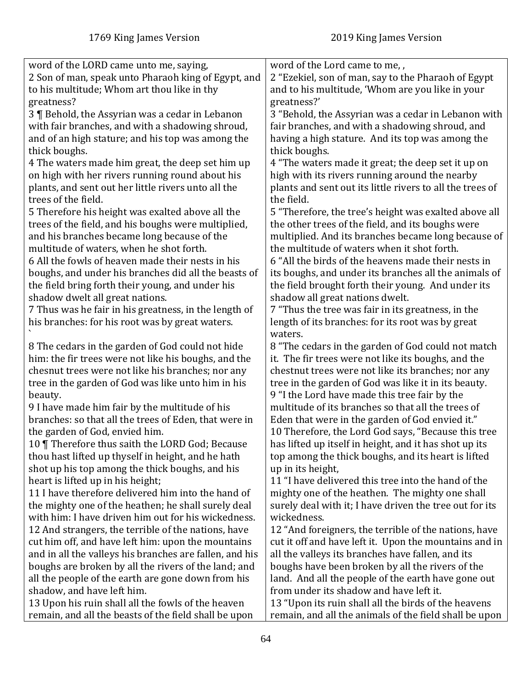| word of the LORD came unto me, saying,                  | word of the Lord came to me,,                             |
|---------------------------------------------------------|-----------------------------------------------------------|
| 2 Son of man, speak unto Pharaoh king of Egypt, and     | 2 "Ezekiel, son of man, say to the Pharaoh of Egypt       |
| to his multitude; Whom art thou like in thy             | and to his multitude, 'Whom are you like in your          |
| greatness?                                              | greatness?'                                               |
| 3 ¶ Behold, the Assyrian was a cedar in Lebanon         | 3 "Behold, the Assyrian was a cedar in Lebanon with       |
| with fair branches, and with a shadowing shroud,        | fair branches, and with a shadowing shroud, and           |
| and of an high stature; and his top was among the       | having a high stature. And its top was among the          |
| thick boughs.                                           | thick boughs.                                             |
| 4 The waters made him great, the deep set him up        | 4 "The waters made it great; the deep set it up on        |
| on high with her rivers running round about his         | high with its rivers running around the nearby            |
| plants, and sent out her little rivers unto all the     | plants and sent out its little rivers to all the trees of |
| trees of the field.                                     | the field.                                                |
| 5 Therefore his height was exalted above all the        | 5 "Therefore, the tree's height was exalted above all     |
| trees of the field, and his boughs were multiplied,     | the other trees of the field, and its boughs were         |
| and his branches became long because of the             | multiplied. And its branches became long because of       |
| multitude of waters, when he shot forth.                | the multitude of waters when it shot forth.               |
| 6 All the fowls of heaven made their nests in his       | 6 "All the birds of the heavens made their nests in       |
| boughs, and under his branches did all the beasts of    | its boughs, and under its branches all the animals of     |
| the field bring forth their young, and under his        | the field brought forth their young. And under its        |
| shadow dwelt all great nations.                         | shadow all great nations dwelt.                           |
| 7 Thus was he fair in his greatness, in the length of   | 7 "Thus the tree was fair in its greatness, in the        |
| his branches: for his root was by great waters.         | length of its branches: for its root was by great         |
|                                                         | waters.                                                   |
| 8 The cedars in the garden of God could not hide        | 8 "The cedars in the garden of God could not match        |
| him: the fir trees were not like his boughs, and the    | it. The fir trees were not like its boughs, and the       |
| chesnut trees were not like his branches; nor any       | chestnut trees were not like its branches; nor any        |
| tree in the garden of God was like unto him in his      | tree in the garden of God was like it in its beauty.      |
| beauty.                                                 | 9 "I the Lord have made this tree fair by the             |
| 9 I have made him fair by the multitude of his          | multitude of its branches so that all the trees of        |
| branches: so that all the trees of Eden, that were in   | Eden that were in the garden of God envied it."           |
| the garden of God, envied him.                          | 10 Therefore, the Lord God says, "Because this tree       |
| 10   Therefore thus saith the LORD God; Because         | has lifted up itself in height, and it has shot up its    |
| thou hast lifted up thyself in height, and he hath      | top among the thick boughs, and its heart is lifted       |
| shot up his top among the thick boughs, and his         | up in its height,                                         |
| heart is lifted up in his height;                       | 11 "I have delivered this tree into the hand of the       |
| 11 I have therefore delivered him into the hand of      | mighty one of the heathen. The mighty one shall           |
| the mighty one of the heathen; he shall surely deal     | surely deal with it; I have driven the tree out for its   |
| with him: I have driven him out for his wickedness.     | wickedness.                                               |
| 12 And strangers, the terrible of the nations, have     | 12 "And foreigners, the terrible of the nations, have     |
| cut him off, and have left him: upon the mountains      | cut it off and have left it. Upon the mountains and in    |
| and in all the valleys his branches are fallen, and his | all the valleys its branches have fallen, and its         |
| boughs are broken by all the rivers of the land; and    | boughs have been broken by all the rivers of the          |
| all the people of the earth are gone down from his      | land. And all the people of the earth have gone out       |
| shadow, and have left him.                              | from under its shadow and have left it.                   |
| 13 Upon his ruin shall all the fowls of the heaven      | 13 "Upon its ruin shall all the birds of the heavens      |
| remain, and all the beasts of the field shall be upon   | remain, and all the animals of the field shall be upon    |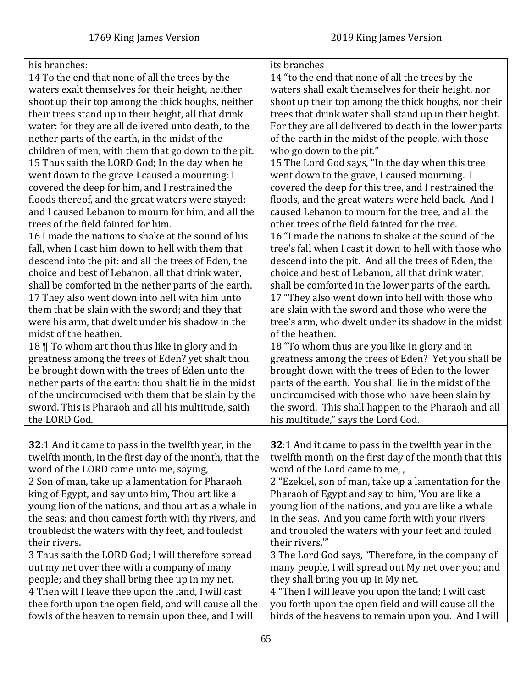| his branches:                                          | its branches                                           |
|--------------------------------------------------------|--------------------------------------------------------|
| 14 To the end that none of all the trees by the        | 14 "to the end that none of all the trees by the       |
| waters exalt themselves for their height, neither      | waters shall exalt themselves for their height, nor    |
| shoot up their top among the thick boughs, neither     | shoot up their top among the thick boughs, nor their   |
| their trees stand up in their height, all that drink   | trees that drink water shall stand up in their height. |
| water: for they are all delivered unto death, to the   | For they are all delivered to death in the lower parts |
| nether parts of the earth, in the midst of the         | of the earth in the midst of the people, with those    |
| children of men, with them that go down to the pit.    | who go down to the pit."                               |
| 15 Thus saith the LORD God; In the day when he         | 15 The Lord God says, "In the day when this tree       |
| went down to the grave I caused a mourning: I          | went down to the grave, I caused mourning. I           |
| covered the deep for him, and I restrained the         | covered the deep for this tree, and I restrained the   |
| floods thereof, and the great waters were stayed:      | floods, and the great waters were held back. And I     |
| and I caused Lebanon to mourn for him, and all the     | caused Lebanon to mourn for the tree, and all the      |
| trees of the field fainted for him.                    | other trees of the field fainted for the tree.         |
| 16 I made the nations to shake at the sound of his     | 16 "I made the nations to shake at the sound of the    |
| fall, when I cast him down to hell with them that      | tree's fall when I cast it down to hell with those who |
| descend into the pit: and all the trees of Eden, the   | descend into the pit. And all the trees of Eden, the   |
| choice and best of Lebanon, all that drink water,      | choice and best of Lebanon, all that drink water,      |
| shall be comforted in the nether parts of the earth.   | shall be comforted in the lower parts of the earth.    |
| 17 They also went down into hell with him unto         | 17 "They also went down into hell with those who       |
| them that be slain with the sword; and they that       | are slain with the sword and those who were the        |
| were his arm, that dwelt under his shadow in the       | tree's arm, who dwelt under its shadow in the midst    |
| midst of the heathen.                                  | of the heathen.                                        |
| 18 To whom art thou thus like in glory and in          | 18 "To whom thus are you like in glory and in          |
| greatness among the trees of Eden? yet shalt thou      | greatness among the trees of Eden? Yet you shall be    |
| be brought down with the trees of Eden unto the        | brought down with the trees of Eden to the lower       |
| nether parts of the earth: thou shalt lie in the midst | parts of the earth. You shall lie in the midst of the  |
| of the uncircumcised with them that be slain by the    | uncircumcised with those who have been slain by        |
| sword. This is Pharaoh and all his multitude, saith    | the sword. This shall happen to the Pharaoh and all    |
| the LORD God.                                          | his multitude," says the Lord God.                     |
|                                                        |                                                        |
| 32:1 And it came to pass in the twelfth year, in the   | 32:1 And it came to pass in the twelfth year in the    |
| twelfth month, in the first day of the month, that the | twelfth month on the first day of the month that this  |
| word of the LORD came unto me, saying,                 | word of the Lord came to me,,                          |
| 2 Son of man, take up a lamentation for Pharaoh        | 2 "Ezekiel, son of man, take up a lamentation for the  |
| king of Egypt, and say unto him, Thou art like a       | Pharaoh of Egypt and say to him, 'You are like a       |
| young lion of the nations, and thou art as a whale in  | young lion of the nations, and you are like a whale    |
| the seas: and thou camest forth with thy rivers, and   | in the seas. And you came forth with your rivers       |
| troubledst the waters with thy feet, and fouledst      | and troubled the waters with your feet and fouled      |
| their rivers.                                          | their rivers."                                         |
| 3 Thus saith the LORD God; I will therefore spread     | 3 The Lord God says, "Therefore, in the company of     |
| out my net over thee with a company of many            | many people, I will spread out My net over you; and    |
| people; and they shall bring thee up in my net.        | they shall bring you up in My net.                     |
| 4 Then will I leave thee upon the land, I will cast    | 4 "Then I will leave you upon the land; I will cast    |
| thee forth upon the open field, and will cause all the | you forth upon the open field and will cause all the   |
| fowls of the heaven to remain upon thee, and I will    | birds of the heavens to remain upon you. And I will    |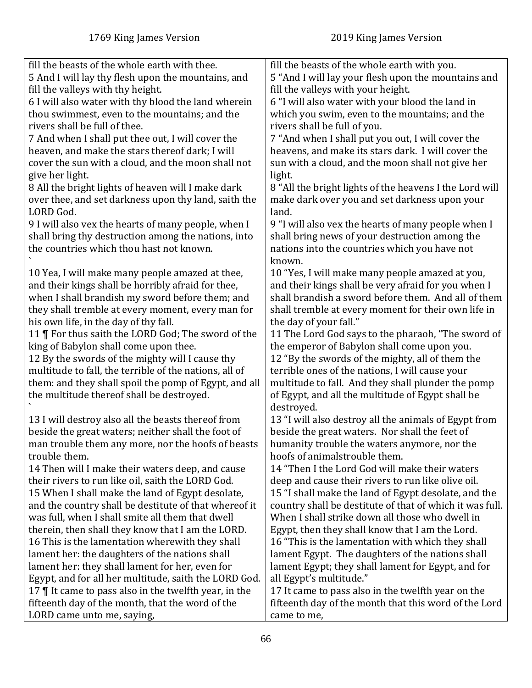| fill the beasts of the whole earth with thee.<br>fill the beasts of the whole earth with you.                     |  |
|-------------------------------------------------------------------------------------------------------------------|--|
| 5 And I will lay thy flesh upon the mountains, and<br>5 "And I will lay your flesh upon the mountains and         |  |
| fill the valleys with thy height.<br>fill the valleys with your height.                                           |  |
| 6 I will also water with thy blood the land wherein<br>6 "I will also water with your blood the land in           |  |
| thou swimmest, even to the mountains; and the<br>which you swim, even to the mountains; and the                   |  |
|                                                                                                                   |  |
| rivers shall be full of thee.<br>rivers shall be full of you.                                                     |  |
| 7 And when I shall put thee out, I will cover the<br>7 "And when I shall put you out, I will cover the            |  |
| heaven, and make the stars thereof dark; I will<br>heavens, and make its stars dark. I will cover the             |  |
| cover the sun with a cloud, and the moon shall not<br>sun with a cloud, and the moon shall not give her           |  |
| give her light.<br>light.                                                                                         |  |
| 8 All the bright lights of heaven will I make dark<br>8 "All the bright lights of the heavens I the Lord will     |  |
| over thee, and set darkness upon thy land, saith the<br>make dark over you and set darkness upon your             |  |
| LORD God.<br>land.                                                                                                |  |
| 9 I will also vex the hearts of many people, when I<br>9 "I will also vex the hearts of many people when I        |  |
| shall bring thy destruction among the nations, into<br>shall bring news of your destruction among the             |  |
| the countries which thou hast not known.                                                                          |  |
| nations into the countries which you have not                                                                     |  |
| known.<br>10 "Yes, I will make many people amazed at you,<br>10 Yea, I will make many people amazed at thee,      |  |
| and their kings shall be very afraid for you when I<br>and their kings shall be horribly afraid for thee,         |  |
| shall brandish a sword before them. And all of them<br>when I shall brandish my sword before them; and            |  |
|                                                                                                                   |  |
| they shall tremble at every moment, every man for<br>shall tremble at every moment for their own life in          |  |
| the day of your fall."<br>his own life, in the day of thy fall.                                                   |  |
| 11   For thus saith the LORD God; The sword of the<br>11 The Lord God says to the pharaoh, "The sword of          |  |
| king of Babylon shall come upon thee.<br>the emperor of Babylon shall come upon you.                              |  |
| 12 By the swords of the mighty will I cause thy<br>12 "By the swords of the mighty, all of them the               |  |
| multitude to fall, the terrible of the nations, all of<br>terrible ones of the nations, I will cause your         |  |
| them: and they shall spoil the pomp of Egypt, and all<br>multitude to fall. And they shall plunder the pomp       |  |
| the multitude thereof shall be destroyed.<br>of Egypt, and all the multitude of Egypt shall be                    |  |
| destroyed.                                                                                                        |  |
| 13 I will destroy also all the beasts thereof from<br>13 "I will also destroy all the animals of Egypt from       |  |
| beside the great waters; neither shall the foot of<br>beside the great waters. Nor shall the feet of              |  |
| humanity trouble the waters anymore, nor the<br>man trouble them any more, nor the hoofs of beasts                |  |
| hoofs of animalstrouble them.<br>trouble them.                                                                    |  |
| 14 "Then I the Lord God will make their waters<br>14 Then will I make their waters deep, and cause                |  |
| their rivers to run like oil, saith the LORD God.<br>deep and cause their rivers to run like olive oil.           |  |
| 15 When I shall make the land of Egypt desolate,                                                                  |  |
| 15 "I shall make the land of Egypt desolate, and the                                                              |  |
| and the country shall be destitute of that whereof it<br>country shall be destitute of that of which it was full. |  |
| was full, when I shall smite all them that dwell<br>When I shall strike down all those who dwell in               |  |
| Egypt, then they shall know that I am the Lord.<br>therein, then shall they know that I am the LORD.              |  |
| 16 "This is the lamentation with which they shall<br>16 This is the lamentation wherewith they shall              |  |
| lament her: the daughters of the nations shall<br>lament Egypt. The daughters of the nations shall                |  |
| lament her: they shall lament for her, even for<br>lament Egypt; they shall lament for Egypt, and for             |  |
| Egypt, and for all her multitude, saith the LORD God.<br>all Egypt's multitude."                                  |  |
| 17 $\P$ It came to pass also in the twelfth year, in the<br>17 It came to pass also in the twelfth year on the    |  |
| fifteenth day of the month, that the word of the<br>fifteenth day of the month that this word of the Lord         |  |
| LORD came unto me, saying,<br>came to me,                                                                         |  |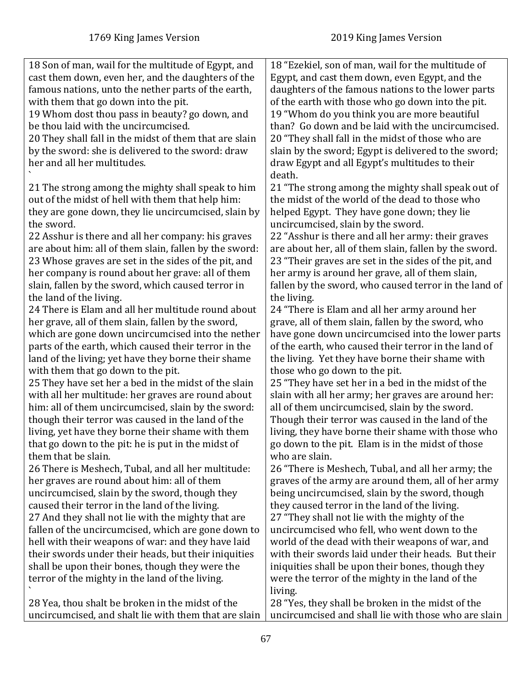| 18 Son of man, wail for the multitude of Egypt, and<br>18 "Ezekiel, son of man, wail for the multitude of<br>cast them down, even her, and the daughters of the<br>Egypt, and cast them down, even Egypt, and the<br>famous nations, unto the nether parts of the earth,<br>daughters of the famous nations to the lower parts<br>with them that go down into the pit.<br>of the earth with those who go down into the pit.<br>19 Whom dost thou pass in beauty? go down, and<br>19 "Whom do you think you are more beautiful<br>than? Go down and be laid with the uncircumcised.<br>be thou laid with the uncircumcised.<br>20 They shall fall in the midst of them that are slain<br>20 "They shall fall in the midst of those who are<br>by the sword: she is delivered to the sword: draw<br>slain by the sword; Egypt is delivered to the sword;<br>her and all her multitudes.<br>draw Egypt and all Egypt's multitudes to their<br>death.<br>21 "The strong among the mighty shall speak out of<br>21 The strong among the mighty shall speak to him<br>out of the midst of hell with them that help him:<br>the midst of the world of the dead to those who<br>helped Egypt. They have gone down; they lie<br>they are gone down, they lie uncircumcised, slain by<br>the sword.<br>uncircumcised, slain by the sword.<br>22 Asshur is there and all her company: his graves<br>22 "Asshur is there and all her army: their graves<br>are about her, all of them slain, fallen by the sword.<br>are about him: all of them slain, fallen by the sword:<br>23 Whose graves are set in the sides of the pit, and<br>23 "Their graves are set in the sides of the pit, and<br>her company is round about her grave: all of them<br>her army is around her grave, all of them slain,<br>fallen by the sword, who caused terror in the land of<br>slain, fallen by the sword, which caused terror in<br>the land of the living.<br>the living. |
|----------------------------------------------------------------------------------------------------------------------------------------------------------------------------------------------------------------------------------------------------------------------------------------------------------------------------------------------------------------------------------------------------------------------------------------------------------------------------------------------------------------------------------------------------------------------------------------------------------------------------------------------------------------------------------------------------------------------------------------------------------------------------------------------------------------------------------------------------------------------------------------------------------------------------------------------------------------------------------------------------------------------------------------------------------------------------------------------------------------------------------------------------------------------------------------------------------------------------------------------------------------------------------------------------------------------------------------------------------------------------------------------------------------------------------------------------------------------------------------------------------------------------------------------------------------------------------------------------------------------------------------------------------------------------------------------------------------------------------------------------------------------------------------------------------------------------------------------------------------------------------------------------------------------------------------------------|
|                                                                                                                                                                                                                                                                                                                                                                                                                                                                                                                                                                                                                                                                                                                                                                                                                                                                                                                                                                                                                                                                                                                                                                                                                                                                                                                                                                                                                                                                                                                                                                                                                                                                                                                                                                                                                                                                                                                                                    |
|                                                                                                                                                                                                                                                                                                                                                                                                                                                                                                                                                                                                                                                                                                                                                                                                                                                                                                                                                                                                                                                                                                                                                                                                                                                                                                                                                                                                                                                                                                                                                                                                                                                                                                                                                                                                                                                                                                                                                    |
|                                                                                                                                                                                                                                                                                                                                                                                                                                                                                                                                                                                                                                                                                                                                                                                                                                                                                                                                                                                                                                                                                                                                                                                                                                                                                                                                                                                                                                                                                                                                                                                                                                                                                                                                                                                                                                                                                                                                                    |
|                                                                                                                                                                                                                                                                                                                                                                                                                                                                                                                                                                                                                                                                                                                                                                                                                                                                                                                                                                                                                                                                                                                                                                                                                                                                                                                                                                                                                                                                                                                                                                                                                                                                                                                                                                                                                                                                                                                                                    |
|                                                                                                                                                                                                                                                                                                                                                                                                                                                                                                                                                                                                                                                                                                                                                                                                                                                                                                                                                                                                                                                                                                                                                                                                                                                                                                                                                                                                                                                                                                                                                                                                                                                                                                                                                                                                                                                                                                                                                    |
|                                                                                                                                                                                                                                                                                                                                                                                                                                                                                                                                                                                                                                                                                                                                                                                                                                                                                                                                                                                                                                                                                                                                                                                                                                                                                                                                                                                                                                                                                                                                                                                                                                                                                                                                                                                                                                                                                                                                                    |
|                                                                                                                                                                                                                                                                                                                                                                                                                                                                                                                                                                                                                                                                                                                                                                                                                                                                                                                                                                                                                                                                                                                                                                                                                                                                                                                                                                                                                                                                                                                                                                                                                                                                                                                                                                                                                                                                                                                                                    |
|                                                                                                                                                                                                                                                                                                                                                                                                                                                                                                                                                                                                                                                                                                                                                                                                                                                                                                                                                                                                                                                                                                                                                                                                                                                                                                                                                                                                                                                                                                                                                                                                                                                                                                                                                                                                                                                                                                                                                    |
|                                                                                                                                                                                                                                                                                                                                                                                                                                                                                                                                                                                                                                                                                                                                                                                                                                                                                                                                                                                                                                                                                                                                                                                                                                                                                                                                                                                                                                                                                                                                                                                                                                                                                                                                                                                                                                                                                                                                                    |
|                                                                                                                                                                                                                                                                                                                                                                                                                                                                                                                                                                                                                                                                                                                                                                                                                                                                                                                                                                                                                                                                                                                                                                                                                                                                                                                                                                                                                                                                                                                                                                                                                                                                                                                                                                                                                                                                                                                                                    |
|                                                                                                                                                                                                                                                                                                                                                                                                                                                                                                                                                                                                                                                                                                                                                                                                                                                                                                                                                                                                                                                                                                                                                                                                                                                                                                                                                                                                                                                                                                                                                                                                                                                                                                                                                                                                                                                                                                                                                    |
|                                                                                                                                                                                                                                                                                                                                                                                                                                                                                                                                                                                                                                                                                                                                                                                                                                                                                                                                                                                                                                                                                                                                                                                                                                                                                                                                                                                                                                                                                                                                                                                                                                                                                                                                                                                                                                                                                                                                                    |
|                                                                                                                                                                                                                                                                                                                                                                                                                                                                                                                                                                                                                                                                                                                                                                                                                                                                                                                                                                                                                                                                                                                                                                                                                                                                                                                                                                                                                                                                                                                                                                                                                                                                                                                                                                                                                                                                                                                                                    |
|                                                                                                                                                                                                                                                                                                                                                                                                                                                                                                                                                                                                                                                                                                                                                                                                                                                                                                                                                                                                                                                                                                                                                                                                                                                                                                                                                                                                                                                                                                                                                                                                                                                                                                                                                                                                                                                                                                                                                    |
|                                                                                                                                                                                                                                                                                                                                                                                                                                                                                                                                                                                                                                                                                                                                                                                                                                                                                                                                                                                                                                                                                                                                                                                                                                                                                                                                                                                                                                                                                                                                                                                                                                                                                                                                                                                                                                                                                                                                                    |
|                                                                                                                                                                                                                                                                                                                                                                                                                                                                                                                                                                                                                                                                                                                                                                                                                                                                                                                                                                                                                                                                                                                                                                                                                                                                                                                                                                                                                                                                                                                                                                                                                                                                                                                                                                                                                                                                                                                                                    |
|                                                                                                                                                                                                                                                                                                                                                                                                                                                                                                                                                                                                                                                                                                                                                                                                                                                                                                                                                                                                                                                                                                                                                                                                                                                                                                                                                                                                                                                                                                                                                                                                                                                                                                                                                                                                                                                                                                                                                    |
|                                                                                                                                                                                                                                                                                                                                                                                                                                                                                                                                                                                                                                                                                                                                                                                                                                                                                                                                                                                                                                                                                                                                                                                                                                                                                                                                                                                                                                                                                                                                                                                                                                                                                                                                                                                                                                                                                                                                                    |
|                                                                                                                                                                                                                                                                                                                                                                                                                                                                                                                                                                                                                                                                                                                                                                                                                                                                                                                                                                                                                                                                                                                                                                                                                                                                                                                                                                                                                                                                                                                                                                                                                                                                                                                                                                                                                                                                                                                                                    |
|                                                                                                                                                                                                                                                                                                                                                                                                                                                                                                                                                                                                                                                                                                                                                                                                                                                                                                                                                                                                                                                                                                                                                                                                                                                                                                                                                                                                                                                                                                                                                                                                                                                                                                                                                                                                                                                                                                                                                    |
| 24 There is Elam and all her multitude round about<br>24 "There is Elam and all her army around her                                                                                                                                                                                                                                                                                                                                                                                                                                                                                                                                                                                                                                                                                                                                                                                                                                                                                                                                                                                                                                                                                                                                                                                                                                                                                                                                                                                                                                                                                                                                                                                                                                                                                                                                                                                                                                                |
| her grave, all of them slain, fallen by the sword,<br>grave, all of them slain, fallen by the sword, who                                                                                                                                                                                                                                                                                                                                                                                                                                                                                                                                                                                                                                                                                                                                                                                                                                                                                                                                                                                                                                                                                                                                                                                                                                                                                                                                                                                                                                                                                                                                                                                                                                                                                                                                                                                                                                           |
| have gone down uncircumcised into the lower parts<br>which are gone down uncircumcised into the nether                                                                                                                                                                                                                                                                                                                                                                                                                                                                                                                                                                                                                                                                                                                                                                                                                                                                                                                                                                                                                                                                                                                                                                                                                                                                                                                                                                                                                                                                                                                                                                                                                                                                                                                                                                                                                                             |
|                                                                                                                                                                                                                                                                                                                                                                                                                                                                                                                                                                                                                                                                                                                                                                                                                                                                                                                                                                                                                                                                                                                                                                                                                                                                                                                                                                                                                                                                                                                                                                                                                                                                                                                                                                                                                                                                                                                                                    |
| parts of the earth, which caused their terror in the<br>of the earth, who caused their terror in the land of                                                                                                                                                                                                                                                                                                                                                                                                                                                                                                                                                                                                                                                                                                                                                                                                                                                                                                                                                                                                                                                                                                                                                                                                                                                                                                                                                                                                                                                                                                                                                                                                                                                                                                                                                                                                                                       |
| the living. Yet they have borne their shame with<br>land of the living; yet have they borne their shame                                                                                                                                                                                                                                                                                                                                                                                                                                                                                                                                                                                                                                                                                                                                                                                                                                                                                                                                                                                                                                                                                                                                                                                                                                                                                                                                                                                                                                                                                                                                                                                                                                                                                                                                                                                                                                            |
| with them that go down to the pit.<br>those who go down to the pit.                                                                                                                                                                                                                                                                                                                                                                                                                                                                                                                                                                                                                                                                                                                                                                                                                                                                                                                                                                                                                                                                                                                                                                                                                                                                                                                                                                                                                                                                                                                                                                                                                                                                                                                                                                                                                                                                                |
| 25 They have set her a bed in the midst of the slain<br>25 "They have set her in a bed in the midst of the                                                                                                                                                                                                                                                                                                                                                                                                                                                                                                                                                                                                                                                                                                                                                                                                                                                                                                                                                                                                                                                                                                                                                                                                                                                                                                                                                                                                                                                                                                                                                                                                                                                                                                                                                                                                                                         |
| with all her multitude: her graves are round about<br>slain with all her army; her graves are around her:                                                                                                                                                                                                                                                                                                                                                                                                                                                                                                                                                                                                                                                                                                                                                                                                                                                                                                                                                                                                                                                                                                                                                                                                                                                                                                                                                                                                                                                                                                                                                                                                                                                                                                                                                                                                                                          |
| him: all of them uncircumcised, slain by the sword:<br>all of them uncircumcised, slain by the sword.                                                                                                                                                                                                                                                                                                                                                                                                                                                                                                                                                                                                                                                                                                                                                                                                                                                                                                                                                                                                                                                                                                                                                                                                                                                                                                                                                                                                                                                                                                                                                                                                                                                                                                                                                                                                                                              |
| though their terror was caused in the land of the<br>Though their terror was caused in the land of the                                                                                                                                                                                                                                                                                                                                                                                                                                                                                                                                                                                                                                                                                                                                                                                                                                                                                                                                                                                                                                                                                                                                                                                                                                                                                                                                                                                                                                                                                                                                                                                                                                                                                                                                                                                                                                             |
| living, yet have they borne their shame with them<br>living, they have borne their shame with those who                                                                                                                                                                                                                                                                                                                                                                                                                                                                                                                                                                                                                                                                                                                                                                                                                                                                                                                                                                                                                                                                                                                                                                                                                                                                                                                                                                                                                                                                                                                                                                                                                                                                                                                                                                                                                                            |
| that go down to the pit: he is put in the midst of<br>go down to the pit. Elam is in the midst of those                                                                                                                                                                                                                                                                                                                                                                                                                                                                                                                                                                                                                                                                                                                                                                                                                                                                                                                                                                                                                                                                                                                                                                                                                                                                                                                                                                                                                                                                                                                                                                                                                                                                                                                                                                                                                                            |
| them that be slain.<br>who are slain.                                                                                                                                                                                                                                                                                                                                                                                                                                                                                                                                                                                                                                                                                                                                                                                                                                                                                                                                                                                                                                                                                                                                                                                                                                                                                                                                                                                                                                                                                                                                                                                                                                                                                                                                                                                                                                                                                                              |
| 26 There is Meshech, Tubal, and all her multitude:<br>26 "There is Meshech, Tubal, and all her army; the                                                                                                                                                                                                                                                                                                                                                                                                                                                                                                                                                                                                                                                                                                                                                                                                                                                                                                                                                                                                                                                                                                                                                                                                                                                                                                                                                                                                                                                                                                                                                                                                                                                                                                                                                                                                                                           |
| her graves are round about him: all of them<br>graves of the army are around them, all of her army                                                                                                                                                                                                                                                                                                                                                                                                                                                                                                                                                                                                                                                                                                                                                                                                                                                                                                                                                                                                                                                                                                                                                                                                                                                                                                                                                                                                                                                                                                                                                                                                                                                                                                                                                                                                                                                 |
| uncircumcised, slain by the sword, though they<br>being uncircumcised, slain by the sword, though                                                                                                                                                                                                                                                                                                                                                                                                                                                                                                                                                                                                                                                                                                                                                                                                                                                                                                                                                                                                                                                                                                                                                                                                                                                                                                                                                                                                                                                                                                                                                                                                                                                                                                                                                                                                                                                  |
| caused their terror in the land of the living.<br>they caused terror in the land of the living.                                                                                                                                                                                                                                                                                                                                                                                                                                                                                                                                                                                                                                                                                                                                                                                                                                                                                                                                                                                                                                                                                                                                                                                                                                                                                                                                                                                                                                                                                                                                                                                                                                                                                                                                                                                                                                                    |
| 27 And they shall not lie with the mighty that are<br>27 "They shall not lie with the mighty of the                                                                                                                                                                                                                                                                                                                                                                                                                                                                                                                                                                                                                                                                                                                                                                                                                                                                                                                                                                                                                                                                                                                                                                                                                                                                                                                                                                                                                                                                                                                                                                                                                                                                                                                                                                                                                                                |
| fallen of the uncircumcised, which are gone down to<br>uncircumcised who fell, who went down to the                                                                                                                                                                                                                                                                                                                                                                                                                                                                                                                                                                                                                                                                                                                                                                                                                                                                                                                                                                                                                                                                                                                                                                                                                                                                                                                                                                                                                                                                                                                                                                                                                                                                                                                                                                                                                                                |
| hell with their weapons of war: and they have laid<br>world of the dead with their weapons of war, and                                                                                                                                                                                                                                                                                                                                                                                                                                                                                                                                                                                                                                                                                                                                                                                                                                                                                                                                                                                                                                                                                                                                                                                                                                                                                                                                                                                                                                                                                                                                                                                                                                                                                                                                                                                                                                             |
| with their swords laid under their heads. But their<br>their swords under their heads, but their iniquities                                                                                                                                                                                                                                                                                                                                                                                                                                                                                                                                                                                                                                                                                                                                                                                                                                                                                                                                                                                                                                                                                                                                                                                                                                                                                                                                                                                                                                                                                                                                                                                                                                                                                                                                                                                                                                        |
| iniquities shall be upon their bones, though they<br>shall be upon their bones, though they were the                                                                                                                                                                                                                                                                                                                                                                                                                                                                                                                                                                                                                                                                                                                                                                                                                                                                                                                                                                                                                                                                                                                                                                                                                                                                                                                                                                                                                                                                                                                                                                                                                                                                                                                                                                                                                                               |
| terror of the mighty in the land of the living.<br>were the terror of the mighty in the land of the                                                                                                                                                                                                                                                                                                                                                                                                                                                                                                                                                                                                                                                                                                                                                                                                                                                                                                                                                                                                                                                                                                                                                                                                                                                                                                                                                                                                                                                                                                                                                                                                                                                                                                                                                                                                                                                |
| living.                                                                                                                                                                                                                                                                                                                                                                                                                                                                                                                                                                                                                                                                                                                                                                                                                                                                                                                                                                                                                                                                                                                                                                                                                                                                                                                                                                                                                                                                                                                                                                                                                                                                                                                                                                                                                                                                                                                                            |
| 28 Yea, thou shalt be broken in the midst of the<br>28 "Yes, they shall be broken in the midst of the                                                                                                                                                                                                                                                                                                                                                                                                                                                                                                                                                                                                                                                                                                                                                                                                                                                                                                                                                                                                                                                                                                                                                                                                                                                                                                                                                                                                                                                                                                                                                                                                                                                                                                                                                                                                                                              |
| uncircumcised, and shalt lie with them that are slain<br>uncircumcised and shall lie with those who are slain                                                                                                                                                                                                                                                                                                                                                                                                                                                                                                                                                                                                                                                                                                                                                                                                                                                                                                                                                                                                                                                                                                                                                                                                                                                                                                                                                                                                                                                                                                                                                                                                                                                                                                                                                                                                                                      |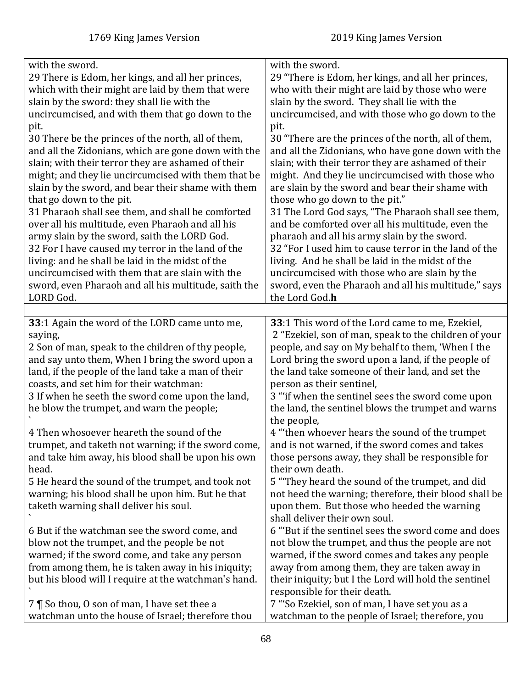| with the sword.                                                                                   | with the sword.                                                                                     |
|---------------------------------------------------------------------------------------------------|-----------------------------------------------------------------------------------------------------|
| 29 There is Edom, her kings, and all her princes,                                                 | 29 "There is Edom, her kings, and all her princes,                                                  |
| which with their might are laid by them that were                                                 | who with their might are laid by those who were                                                     |
| slain by the sword: they shall lie with the                                                       | slain by the sword. They shall lie with the                                                         |
| uncircumcised, and with them that go down to the                                                  | uncircumcised, and with those who go down to the                                                    |
| pit.                                                                                              | pit.                                                                                                |
| 30 There be the princes of the north, all of them,                                                | 30 "There are the princes of the north, all of them,                                                |
| and all the Zidonians, which are gone down with the                                               | and all the Zidonians, who have gone down with the                                                  |
| slain; with their terror they are ashamed of their                                                | slain; with their terror they are ashamed of their                                                  |
| might; and they lie uncircumcised with them that be                                               | might. And they lie uncircumcised with those who                                                    |
| slain by the sword, and bear their shame with them                                                | are slain by the sword and bear their shame with                                                    |
| that go down to the pit.                                                                          | those who go down to the pit."                                                                      |
| 31 Pharaoh shall see them, and shall be comforted                                                 | 31 The Lord God says, "The Pharaoh shall see them,                                                  |
| over all his multitude, even Pharaoh and all his                                                  | and be comforted over all his multitude, even the                                                   |
| army slain by the sword, saith the LORD God.                                                      | pharaoh and all his army slain by the sword.                                                        |
| 32 For I have caused my terror in the land of the                                                 | 32 "For I used him to cause terror in the land of the                                               |
| living: and he shall be laid in the midst of the                                                  | living. And he shall be laid in the midst of the                                                    |
| uncircumcised with them that are slain with the                                                   | uncircumcised with those who are slain by the                                                       |
| sword, even Pharaoh and all his multitude, saith the                                              | sword, even the Pharaoh and all his multitude," says                                                |
| LORD God.                                                                                         | the Lord God.h                                                                                      |
|                                                                                                   |                                                                                                     |
| 33:1 Again the word of the LORD came unto me,                                                     | 33:1 This word of the Lord came to me, Ezekiel,                                                     |
| saying,                                                                                           | 2 "Ezekiel, son of man, speak to the children of your                                               |
| 2 Son of man, speak to the children of thy people,                                                | people, and say on My behalf to them, 'When I the                                                   |
| and say unto them, When I bring the sword upon a                                                  | Lord bring the sword upon a land, if the people of                                                  |
| land, if the people of the land take a man of their                                               | the land take someone of their land, and set the                                                    |
| coasts, and set him for their watchman:                                                           | person as their sentinel,                                                                           |
| 3 If when he seeth the sword come upon the land,                                                  | 3 "'if when the sentinel sees the sword come upon                                                   |
| he blow the trumpet, and warn the people;                                                         | the land, the sentinel blows the trumpet and warns                                                  |
|                                                                                                   | the people,                                                                                         |
| 4 Then whosoever heareth the sound of the                                                         | 4 "then whoever hears the sound of the trumpet                                                      |
| trumpet, and taketh not warning; if the sword come,                                               | and is not warned, if the sword comes and takes                                                     |
| and take him away, his blood shall be upon his own                                                | those persons away, they shall be responsible for                                                   |
| head.                                                                                             | their own death.                                                                                    |
| 5 He heard the sound of the trumpet, and took not                                                 | 5 "They heard the sound of the trumpet, and did                                                     |
| warning; his blood shall be upon him. But he that                                                 | not heed the warning; therefore, their blood shall be                                               |
| taketh warning shall deliver his soul.                                                            | upon them. But those who heeded the warning                                                         |
|                                                                                                   | shall deliver their own soul.                                                                       |
| 6 But if the watchman see the sword come, and                                                     | 6 "But if the sentinel sees the sword come and does                                                 |
| blow not the trumpet, and the people be not                                                       | not blow the trumpet, and thus the people are not                                                   |
| warned; if the sword come, and take any person                                                    | warned, if the sword comes and takes any people                                                     |
| from among them, he is taken away in his iniquity;                                                |                                                                                                     |
|                                                                                                   |                                                                                                     |
|                                                                                                   | away from among them, they are taken away in                                                        |
| but his blood will I require at the watchman's hand.                                              | their iniquity; but I the Lord will hold the sentinel                                               |
|                                                                                                   | responsible for their death.                                                                        |
| 7   So thou, 0 son of man, I have set thee a<br>watchman unto the house of Israel; therefore thou | 7 "'So Ezekiel, son of man, I have set you as a<br>watchman to the people of Israel; therefore, you |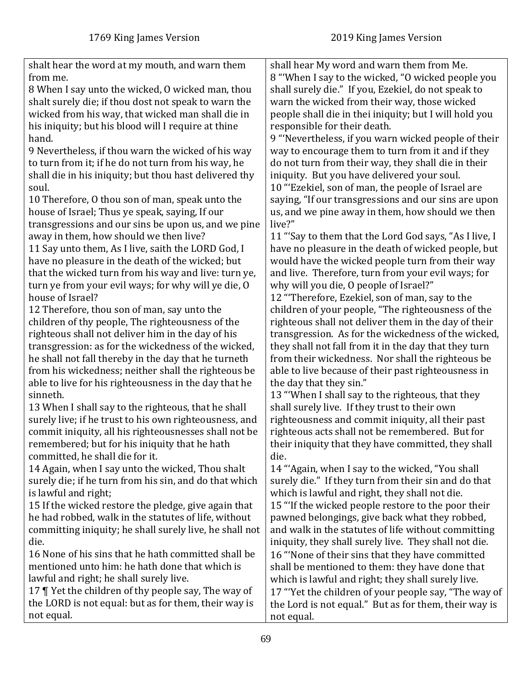| shalt hear the word at my mouth, and warn them          | shall hear My word and warn them from Me.              |
|---------------------------------------------------------|--------------------------------------------------------|
| from me.                                                | 8 "When I say to the wicked, "O wicked people you      |
| 8 When I say unto the wicked, 0 wicked man, thou        | shall surely die." If you, Ezekiel, do not speak to    |
| shalt surely die; if thou dost not speak to warn the    | warn the wicked from their way, those wicked           |
| wicked from his way, that wicked man shall die in       | people shall die in thei iniquity; but I will hold you |
| his iniquity; but his blood will I require at thine     | responsible for their death.                           |
| hand.                                                   | 9 "Nevertheless, if you warn wicked people of their    |
| 9 Nevertheless, if thou warn the wicked of his way      | way to encourage them to turn from it and if they      |
| to turn from it; if he do not turn from his way, he     | do not turn from their way, they shall die in their    |
| shall die in his iniquity; but thou hast delivered thy  | iniquity. But you have delivered your soul.            |
| soul.                                                   | 10 "Ezekiel, son of man, the people of Israel are      |
| 10 Therefore, O thou son of man, speak unto the         | saying, "If our transgressions and our sins are upon   |
| house of Israel; Thus ye speak, saying, If our          | us, and we pine away in them, how should we then       |
| transgressions and our sins be upon us, and we pine     | live?"                                                 |
| away in them, how should we then live?                  | 11 "Say to them that the Lord God says, "As I live, I  |
| 11 Say unto them, As I live, saith the LORD God, I      | have no pleasure in the death of wicked people, but    |
| have no pleasure in the death of the wicked; but        | would have the wicked people turn from their way       |
| that the wicked turn from his way and live: turn ye,    | and live. Therefore, turn from your evil ways; for     |
| turn ye from your evil ways; for why will ye die, O     | why will you die, O people of Israel?"                 |
| house of Israel?                                        | 12 "Therefore, Ezekiel, son of man, say to the         |
| 12 Therefore, thou son of man, say unto the             | children of your people, "The righteousness of the     |
|                                                         |                                                        |
| children of thy people, The righteousness of the        | righteous shall not deliver them in the day of their   |
| righteous shall not deliver him in the day of his       | transgression. As for the wickedness of the wicked,    |
| transgression: as for the wickedness of the wicked,     | they shall not fall from it in the day that they turn  |
| he shall not fall thereby in the day that he turneth    | from their wickedness. Nor shall the righteous be      |
| from his wickedness; neither shall the righteous be     | able to live because of their past righteousness in    |
| able to live for his righteousness in the day that he   | the day that they sin."                                |
| sinneth.                                                | 13 "When I shall say to the righteous, that they       |
| 13 When I shall say to the righteous, that he shall     | shall surely live. If they trust to their own          |
| surely live; if he trust to his own righteousness, and  | righteousness and commit iniquity, all their past      |
| commit iniquity, all his righteousnesses shall not be   | righteous acts shall not be remembered. But for        |
| remembered; but for his iniquity that he hath           | their iniquity that they have committed, they shall    |
| committed, he shall die for it.                         | die.                                                   |
| 14 Again, when I say unto the wicked, Thou shalt        | 14 "'Again, when I say to the wicked, "You shall       |
| surely die; if he turn from his sin, and do that which  | surely die." If they turn from their sin and do that   |
| is lawful and right;                                    | which is lawful and right, they shall not die.         |
| 15 If the wicked restore the pledge, give again that    | 15 "If the wicked people restore to the poor their     |
| he had robbed, walk in the statutes of life, without    | pawned belongings, give back what they robbed,         |
| committing iniquity; he shall surely live, he shall not | and walk in the statutes of life without committing    |
| die.                                                    | iniquity, they shall surely live. They shall not die.  |
| 16 None of his sins that he hath committed shall be     | 16 "None of their sins that they have committed        |
| mentioned unto him: he hath done that which is          | shall be mentioned to them: they have done that        |
| lawful and right; he shall surely live.                 | which is lawful and right; they shall surely live.     |
| 17   Yet the children of thy people say, The way of     | 17 "Yet the children of your people say, "The way of   |
| the LORD is not equal: but as for them, their way is    | the Lord is not equal." But as for them, their way is  |
| not equal.                                              | not equal.                                             |
|                                                         |                                                        |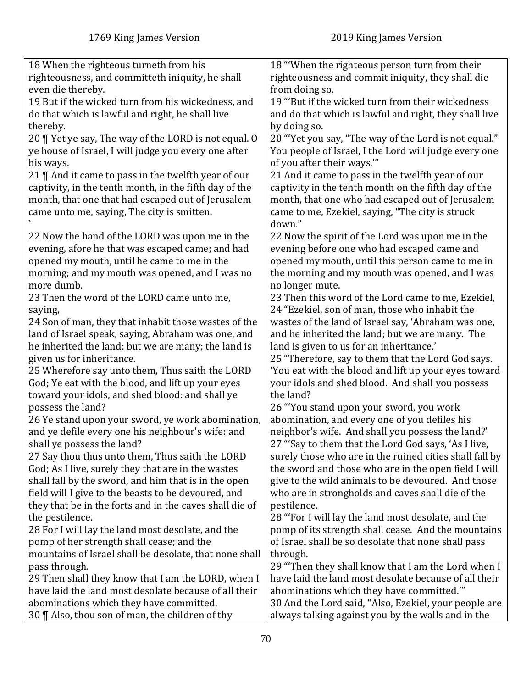| 18 When the righteous turneth from his                  | 18 "When the righteous person turn from their           |
|---------------------------------------------------------|---------------------------------------------------------|
| righteousness, and committeth iniquity, he shall        | righteousness and commit iniquity, they shall die       |
| even die thereby.                                       | from doing so.                                          |
| 19 But if the wicked turn from his wickedness, and      | 19 "But if the wicked turn from their wickedness        |
| do that which is lawful and right, he shall live        | and do that which is lawful and right, they shall live  |
| thereby.                                                | by doing so.                                            |
| 20   Yet ye say, The way of the LORD is not equal. O    | 20 "Yet you say, "The way of the Lord is not equal."    |
|                                                         |                                                         |
| ye house of Israel, I will judge you every one after    | You people of Israel, I the Lord will judge every one   |
| his ways.                                               | of you after their ways."                               |
| 21 $\P$ And it came to pass in the twelfth year of our  | 21 And it came to pass in the twelfth year of our       |
| captivity, in the tenth month, in the fifth day of the  | captivity in the tenth month on the fifth day of the    |
| month, that one that had escaped out of Jerusalem       | month, that one who had escaped out of Jerusalem        |
| came unto me, saying, The city is smitten.              | came to me, Ezekiel, saying, "The city is struck        |
|                                                         | down."                                                  |
| 22 Now the hand of the LORD was upon me in the          | 22 Now the spirit of the Lord was upon me in the        |
| evening, afore he that was escaped came; and had        | evening before one who had escaped came and             |
| opened my mouth, until he came to me in the             | opened my mouth, until this person came to me in        |
| morning; and my mouth was opened, and I was no          | the morning and my mouth was opened, and I was          |
| more dumb.                                              | no longer mute.                                         |
| 23 Then the word of the LORD came unto me,              | 23 Then this word of the Lord came to me, Ezekiel,      |
| saying,                                                 | 24 "Ezekiel, son of man, those who inhabit the          |
|                                                         |                                                         |
| 24 Son of man, they that inhabit those wastes of the    | wastes of the land of Israel say, 'Abraham was one,     |
| land of Israel speak, saying, Abraham was one, and      | and he inherited the land; but we are many. The         |
| he inherited the land: but we are many; the land is     | land is given to us for an inheritance.'                |
| given us for inheritance.                               | 25 "Therefore, say to them that the Lord God says.      |
| 25 Wherefore say unto them, Thus saith the LORD         | 'You eat with the blood and lift up your eyes toward    |
| God; Ye eat with the blood, and lift up your eyes       | your idols and shed blood. And shall you possess        |
| toward your idols, and shed blood: and shall ye         | the land?                                               |
| possess the land?                                       | 26 "You stand upon your sword, you work                 |
| 26 Ye stand upon your sword, ye work abomination,       | abomination, and every one of you defiles his           |
| and ye defile every one his neighbour's wife: and       | neighbor's wife. And shall you possess the land?'       |
| shall ye possess the land?                              | 27 "Say to them that the Lord God says, 'As I live,     |
| 27 Say thou thus unto them, Thus saith the LORD         | surely those who are in the ruined cities shall fall by |
| God; As I live, surely they that are in the wastes      | the sword and those who are in the open field I will    |
| shall fall by the sword, and him that is in the open    | give to the wild animals to be devoured. And those      |
| field will I give to the beasts to be devoured, and     | who are in strongholds and caves shall die of the       |
| they that be in the forts and in the caves shall die of | pestilence.                                             |
|                                                         |                                                         |
| the pestilence.                                         | 28 "For I will lay the land most desolate, and the      |
| 28 For I will lay the land most desolate, and the       | pomp of its strength shall cease. And the mountains     |
| pomp of her strength shall cease; and the               | of Israel shall be so desolate that none shall pass     |
| mountains of Israel shall be desolate, that none shall  | through.                                                |
| pass through.                                           | 29 "Then they shall know that I am the Lord when I      |
| 29 Then shall they know that I am the LORD, when I      | have laid the land most desolate because of all their   |
| have laid the land most desolate because of all their   | abominations which they have committed.""               |
| abominations which they have committed.                 | 30 And the Lord said, "Also, Ezekiel, your people are   |
| 30 ¶ Also, thou son of man, the children of thy         | always talking against you by the walls and in the      |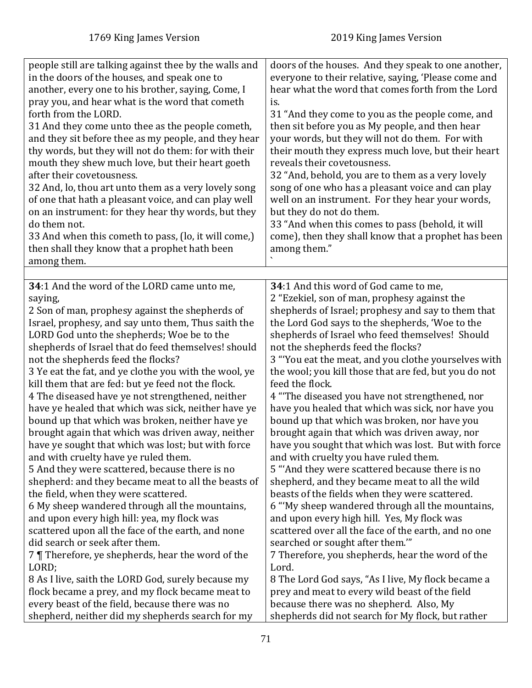| people still are talking against thee by the walls and<br>doors of the houses. And they speak to one another,<br>in the doors of the houses, and speak one to<br>everyone to their relative, saying, 'Please come and<br>another, every one to his brother, saying, Come, I<br>hear what the word that comes forth from the Lord<br>pray you, and hear what is the word that cometh<br>is.<br>forth from the LORD.<br>31 "And they come to you as the people come, and<br>31 And they come unto thee as the people cometh,<br>then sit before you as My people, and then hear<br>and they sit before thee as my people, and they hear<br>your words, but they will not do them. For with<br>thy words, but they will not do them: for with their<br>their mouth they express much love, but their heart<br>mouth they shew much love, but their heart goeth<br>reveals their covetousness.<br>after their covetousness.<br>32 "And, behold, you are to them as a very lovely<br>32 And, lo, thou art unto them as a very lovely song<br>song of one who has a pleasant voice and can play<br>of one that hath a pleasant voice, and can play well<br>well on an instrument. For they hear your words,<br>on an instrument: for they hear thy words, but they<br>but they do not do them.<br>do them not.<br>33 "And when this comes to pass (behold, it will<br>come), then they shall know that a prophet has been<br>33 And when this cometh to pass, (lo, it will come,)<br>then shall they know that a prophet hath been<br>among them."<br>among them.<br>34:1 And the word of the LORD came unto me,<br>34:1 And this word of God came to me,<br>2 "Ezekiel, son of man, prophesy against the<br>saying,<br>shepherds of Israel; prophesy and say to them that<br>2 Son of man, prophesy against the shepherds of<br>the Lord God says to the shepherds, 'Woe to the<br>Israel, prophesy, and say unto them, Thus saith the<br>LORD God unto the shepherds; Woe be to the<br>shepherds of Israel who feed themselves! Should<br>shepherds of Israel that do feed themselves! should<br>not the shepherds feed the flocks?<br>3 "You eat the meat, and you clothe yourselves with<br>not the shepherds feed the flocks?<br>3 Ye eat the fat, and ye clothe you with the wool, ye<br>the wool; you kill those that are fed, but you do not<br>kill them that are fed: but ye feed not the flock.<br>feed the flock.<br>4 "The diseased you have not strengthened, nor<br>4 The diseased have ye not strengthened, neither<br>have ye healed that which was sick, neither have ye<br>have you healed that which was sick, nor have you<br>bound up that which was broken, neither have ye<br>bound up that which was broken, nor have you<br>brought again that which was driven away, neither<br>brought again that which was driven away, nor<br>have ye sought that which was lost; but with force<br>have you sought that which was lost. But with force<br>and with cruelty have ye ruled them.<br>and with cruelty you have ruled them.<br>5 "And they were scattered because there is no<br>5 And they were scattered, because there is no<br>shepherd, and they became meat to all the wild<br>shepherd: and they became meat to all the beasts of<br>the field, when they were scattered.<br>beasts of the fields when they were scattered.<br>6 My sheep wandered through all the mountains,<br>6 "My sheep wandered through all the mountains,<br>and upon every high hill: yea, my flock was<br>and upon every high hill. Yes, My flock was<br>scattered upon all the face of the earth, and none<br>scattered over all the face of the earth, and no one<br>did search or seek after them.<br>searched or sought after them.""<br>7 Therefore, ye shepherds, hear the word of the<br>7 Therefore, you shepherds, hear the word of the<br>LORD;<br>Lord.<br>8 As I live, saith the LORD God, surely because my<br>8 The Lord God says, "As I live, My flock became a<br>prey and meat to every wild beast of the field<br>flock became a prey, and my flock became meat to<br>every beast of the field, because there was no<br>because there was no shepherd. Also, My |                                                  |                                                   |
|----------------------------------------------------------------------------------------------------------------------------------------------------------------------------------------------------------------------------------------------------------------------------------------------------------------------------------------------------------------------------------------------------------------------------------------------------------------------------------------------------------------------------------------------------------------------------------------------------------------------------------------------------------------------------------------------------------------------------------------------------------------------------------------------------------------------------------------------------------------------------------------------------------------------------------------------------------------------------------------------------------------------------------------------------------------------------------------------------------------------------------------------------------------------------------------------------------------------------------------------------------------------------------------------------------------------------------------------------------------------------------------------------------------------------------------------------------------------------------------------------------------------------------------------------------------------------------------------------------------------------------------------------------------------------------------------------------------------------------------------------------------------------------------------------------------------------------------------------------------------------------------------------------------------------------------------------------------------------------------------------------------------------------------------------------------------------------------------------------------------------------------------------------------------------------------------------------------------------------------------------------------------------------------------------------------------------------------------------------------------------------------------------------------------------------------------------------------------------------------------------------------------------------------------------------------------------------------------------------------------------------------------------------------------------------------------------------------------------------------------------------------------------------------------------------------------------------------------------------------------------------------------------------------------------------------------------------------------------------------------------------------------------------------------------------------------------------------------------------------------------------------------------------------------------------------------------------------------------------------------------------------------------------------------------------------------------------------------------------------------------------------------------------------------------------------------------------------------------------------------------------------------------------------------------------------------------------------------------------------------------------------------------------------------------------------------------------------------------------------------------------------------------------------------------------------------------------------------------------------------------------------------------------------------------------------------------------------------------------------------------------------------------------------------------------------------------------------------------------------------------------------------------------------------------------------|--------------------------------------------------|---------------------------------------------------|
|                                                                                                                                                                                                                                                                                                                                                                                                                                                                                                                                                                                                                                                                                                                                                                                                                                                                                                                                                                                                                                                                                                                                                                                                                                                                                                                                                                                                                                                                                                                                                                                                                                                                                                                                                                                                                                                                                                                                                                                                                                                                                                                                                                                                                                                                                                                                                                                                                                                                                                                                                                                                                                                                                                                                                                                                                                                                                                                                                                                                                                                                                                                                                                                                                                                                                                                                                                                                                                                                                                                                                                                                                                                                                                                                                                                                                                                                                                                                                                                                                                                                                                                                                                                        |                                                  |                                                   |
|                                                                                                                                                                                                                                                                                                                                                                                                                                                                                                                                                                                                                                                                                                                                                                                                                                                                                                                                                                                                                                                                                                                                                                                                                                                                                                                                                                                                                                                                                                                                                                                                                                                                                                                                                                                                                                                                                                                                                                                                                                                                                                                                                                                                                                                                                                                                                                                                                                                                                                                                                                                                                                                                                                                                                                                                                                                                                                                                                                                                                                                                                                                                                                                                                                                                                                                                                                                                                                                                                                                                                                                                                                                                                                                                                                                                                                                                                                                                                                                                                                                                                                                                                                                        |                                                  |                                                   |
|                                                                                                                                                                                                                                                                                                                                                                                                                                                                                                                                                                                                                                                                                                                                                                                                                                                                                                                                                                                                                                                                                                                                                                                                                                                                                                                                                                                                                                                                                                                                                                                                                                                                                                                                                                                                                                                                                                                                                                                                                                                                                                                                                                                                                                                                                                                                                                                                                                                                                                                                                                                                                                                                                                                                                                                                                                                                                                                                                                                                                                                                                                                                                                                                                                                                                                                                                                                                                                                                                                                                                                                                                                                                                                                                                                                                                                                                                                                                                                                                                                                                                                                                                                                        |                                                  |                                                   |
|                                                                                                                                                                                                                                                                                                                                                                                                                                                                                                                                                                                                                                                                                                                                                                                                                                                                                                                                                                                                                                                                                                                                                                                                                                                                                                                                                                                                                                                                                                                                                                                                                                                                                                                                                                                                                                                                                                                                                                                                                                                                                                                                                                                                                                                                                                                                                                                                                                                                                                                                                                                                                                                                                                                                                                                                                                                                                                                                                                                                                                                                                                                                                                                                                                                                                                                                                                                                                                                                                                                                                                                                                                                                                                                                                                                                                                                                                                                                                                                                                                                                                                                                                                                        |                                                  |                                                   |
|                                                                                                                                                                                                                                                                                                                                                                                                                                                                                                                                                                                                                                                                                                                                                                                                                                                                                                                                                                                                                                                                                                                                                                                                                                                                                                                                                                                                                                                                                                                                                                                                                                                                                                                                                                                                                                                                                                                                                                                                                                                                                                                                                                                                                                                                                                                                                                                                                                                                                                                                                                                                                                                                                                                                                                                                                                                                                                                                                                                                                                                                                                                                                                                                                                                                                                                                                                                                                                                                                                                                                                                                                                                                                                                                                                                                                                                                                                                                                                                                                                                                                                                                                                                        |                                                  |                                                   |
|                                                                                                                                                                                                                                                                                                                                                                                                                                                                                                                                                                                                                                                                                                                                                                                                                                                                                                                                                                                                                                                                                                                                                                                                                                                                                                                                                                                                                                                                                                                                                                                                                                                                                                                                                                                                                                                                                                                                                                                                                                                                                                                                                                                                                                                                                                                                                                                                                                                                                                                                                                                                                                                                                                                                                                                                                                                                                                                                                                                                                                                                                                                                                                                                                                                                                                                                                                                                                                                                                                                                                                                                                                                                                                                                                                                                                                                                                                                                                                                                                                                                                                                                                                                        |                                                  |                                                   |
|                                                                                                                                                                                                                                                                                                                                                                                                                                                                                                                                                                                                                                                                                                                                                                                                                                                                                                                                                                                                                                                                                                                                                                                                                                                                                                                                                                                                                                                                                                                                                                                                                                                                                                                                                                                                                                                                                                                                                                                                                                                                                                                                                                                                                                                                                                                                                                                                                                                                                                                                                                                                                                                                                                                                                                                                                                                                                                                                                                                                                                                                                                                                                                                                                                                                                                                                                                                                                                                                                                                                                                                                                                                                                                                                                                                                                                                                                                                                                                                                                                                                                                                                                                                        |                                                  |                                                   |
|                                                                                                                                                                                                                                                                                                                                                                                                                                                                                                                                                                                                                                                                                                                                                                                                                                                                                                                                                                                                                                                                                                                                                                                                                                                                                                                                                                                                                                                                                                                                                                                                                                                                                                                                                                                                                                                                                                                                                                                                                                                                                                                                                                                                                                                                                                                                                                                                                                                                                                                                                                                                                                                                                                                                                                                                                                                                                                                                                                                                                                                                                                                                                                                                                                                                                                                                                                                                                                                                                                                                                                                                                                                                                                                                                                                                                                                                                                                                                                                                                                                                                                                                                                                        |                                                  |                                                   |
|                                                                                                                                                                                                                                                                                                                                                                                                                                                                                                                                                                                                                                                                                                                                                                                                                                                                                                                                                                                                                                                                                                                                                                                                                                                                                                                                                                                                                                                                                                                                                                                                                                                                                                                                                                                                                                                                                                                                                                                                                                                                                                                                                                                                                                                                                                                                                                                                                                                                                                                                                                                                                                                                                                                                                                                                                                                                                                                                                                                                                                                                                                                                                                                                                                                                                                                                                                                                                                                                                                                                                                                                                                                                                                                                                                                                                                                                                                                                                                                                                                                                                                                                                                                        | shepherd, neither did my shepherds search for my | shepherds did not search for My flock, but rather |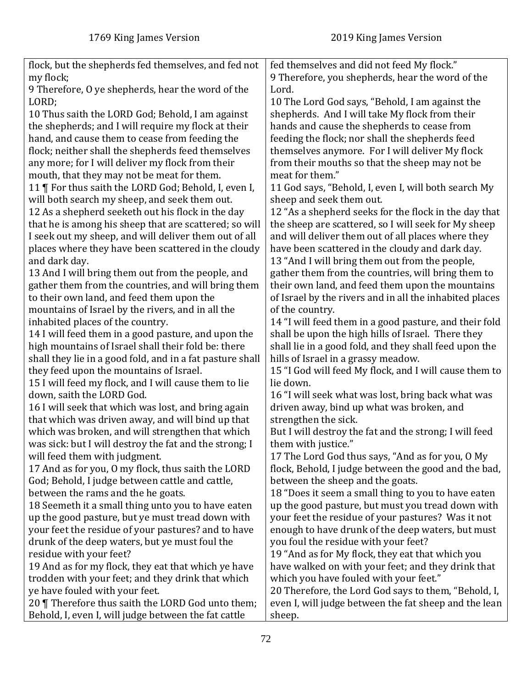| flock, but the shepherds fed themselves, and fed not      | fed themselves and did not feed My flock."              |
|-----------------------------------------------------------|---------------------------------------------------------|
| my flock;                                                 | 9 Therefore, you shepherds, hear the word of the        |
| 9 Therefore, O ye shepherds, hear the word of the         | Lord.                                                   |
| LORD;                                                     | 10 The Lord God says, "Behold, I am against the         |
| 10 Thus saith the LORD God; Behold, I am against          | shepherds. And I will take My flock from their          |
| the shepherds; and I will require my flock at their       | hands and cause the shepherds to cease from             |
| hand, and cause them to cease from feeding the            | feeding the flock; nor shall the shepherds feed         |
| flock; neither shall the shepherds feed themselves        | themselves anymore. For I will deliver My flock         |
| any more; for I will deliver my flock from their          | from their mouths so that the sheep may not be          |
| mouth, that they may not be meat for them.                | meat for them."                                         |
| 11   For thus saith the LORD God; Behold, I, even I,      | 11 God says, "Behold, I, even I, will both search My    |
| will both search my sheep, and seek them out.             | sheep and seek them out.                                |
| 12 As a shepherd seeketh out his flock in the day         | 12 "As a shepherd seeks for the flock in the day that   |
| that he is among his sheep that are scattered; so will    | the sheep are scattered, so I will seek for My sheep    |
| I seek out my sheep, and will deliver them out of all     | and will deliver them out of all places where they      |
| places where they have been scattered in the cloudy       | have been scattered in the cloudy and dark day.         |
| and dark day.                                             | 13 "And I will bring them out from the people,          |
| 13 And I will bring them out from the people, and         | gather them from the countries, will bring them to      |
| gather them from the countries, and will bring them       | their own land, and feed them upon the mountains        |
| to their own land, and feed them upon the                 | of Israel by the rivers and in all the inhabited places |
| mountains of Israel by the rivers, and in all the         | of the country.                                         |
| inhabited places of the country.                          | 14 "I will feed them in a good pasture, and their fold  |
| 14 I will feed them in a good pasture, and upon the       | shall be upon the high hills of Israel. There they      |
| high mountains of Israel shall their fold be: there       | shall lie in a good fold, and they shall feed upon the  |
| shall they lie in a good fold, and in a fat pasture shall | hills of Israel in a grassy meadow.                     |
| they feed upon the mountains of Israel.                   | 15 "I God will feed My flock, and I will cause them to  |
| 15 I will feed my flock, and I will cause them to lie     | lie down.                                               |
|                                                           |                                                         |
| down, saith the LORD God.                                 | 16 "I will seek what was lost, bring back what was      |
| 16 I will seek that which was lost, and bring again       | driven away, bind up what was broken, and               |
| that which was driven away, and will bind up that         | strengthen the sick.                                    |
| which was broken, and will strengthen that which          | But I will destroy the fat and the strong; I will feed  |
| was sick: but I will destroy the fat and the strong; I    | them with justice."                                     |
| will feed them with judgment.                             | 17 The Lord God thus says, "And as for you, O My        |
| 17 And as for you, O my flock, thus saith the LORD        | flock, Behold, I judge between the good and the bad,    |
| God; Behold, I judge between cattle and cattle,           | between the sheep and the goats.                        |
| between the rams and the he goats.                        | 18 "Does it seem a small thing to you to have eaten     |
| 18 Seemeth it a small thing unto you to have eaten        | up the good pasture, but must you tread down with       |
| up the good pasture, but ye must tread down with          | your feet the residue of your pastures? Was it not      |
| your feet the residue of your pastures? and to have       | enough to have drunk of the deep waters, but must       |
| drunk of the deep waters, but ye must foul the            | you foul the residue with your feet?                    |
| residue with your feet?                                   | 19 "And as for My flock, they eat that which you        |
| 19 And as for my flock, they eat that which ye have       | have walked on with your feet; and they drink that      |
| trodden with your feet; and they drink that which         | which you have fouled with your feet."                  |
| ye have fouled with your feet.                            | 20 Therefore, the Lord God says to them, "Behold, I,    |
| 20   Therefore thus saith the LORD God unto them;         | even I, will judge between the fat sheep and the lean   |
| Behold, I, even I, will judge between the fat cattle      | sheep.                                                  |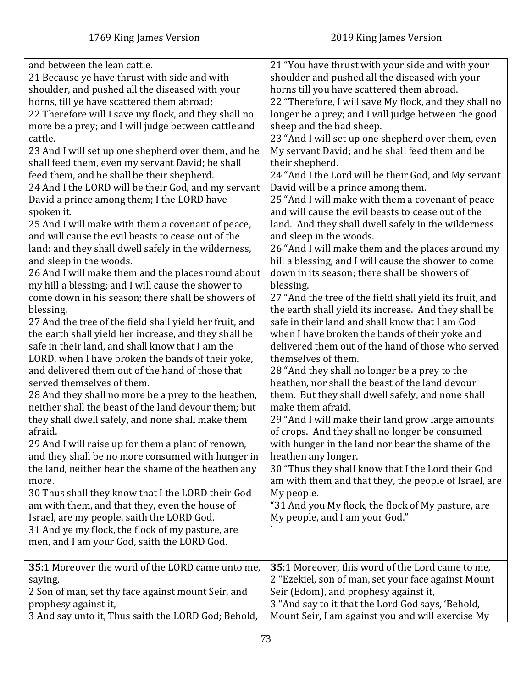| and between the lean cattle.<br>21 Because ye have thrust with side and with<br>shoulder, and pushed all the diseased with your<br>horns, till ye have scattered them abroad;<br>22 Therefore will I save my flock, and they shall no<br>more be a prey; and I will judge between cattle and<br>cattle.<br>23 And I will set up one shepherd over them, and he<br>shall feed them, even my servant David; he shall<br>feed them, and he shall be their shepherd.<br>24 And I the LORD will be their God, and my servant<br>David a prince among them; I the LORD have<br>spoken it.<br>25 And I will make with them a covenant of peace,<br>and will cause the evil beasts to cease out of the<br>land: and they shall dwell safely in the wilderness,<br>and sleep in the woods.<br>26 And I will make them and the places round about<br>my hill a blessing; and I will cause the shower to<br>come down in his season; there shall be showers of<br>blessing.<br>27 And the tree of the field shall yield her fruit, and<br>the earth shall yield her increase, and they shall be<br>safe in their land, and shall know that I am the<br>LORD, when I have broken the bands of their yoke,<br>and delivered them out of the hand of those that<br>served themselves of them.<br>28 And they shall no more be a prey to the heathen,<br>neither shall the beast of the land devour them; but<br>they shall dwell safely, and none shall make them<br>afraid.<br>29 And I will raise up for them a plant of renown,<br>and they shall be no more consumed with hunger in<br>the land, neither bear the shame of the heathen any<br>more.<br>30 Thus shall they know that I the LORD their God<br>am with them, and that they, even the house of<br>Israel, are my people, saith the LORD God.<br>31 And ye my flock, the flock of my pasture, are<br>men, and I am your God, saith the LORD God. | 21 "You have thrust with your side and with your<br>shoulder and pushed all the diseased with your<br>horns till you have scattered them abroad.<br>22 "Therefore, I will save My flock, and they shall no<br>longer be a prey; and I will judge between the good<br>sheep and the bad sheep.<br>23 "And I will set up one shepherd over them, even<br>My servant David; and he shall feed them and be<br>their shepherd.<br>24 "And I the Lord will be their God, and My servant<br>David will be a prince among them.<br>25 "And I will make with them a covenant of peace<br>and will cause the evil beasts to cease out of the<br>land. And they shall dwell safely in the wilderness<br>and sleep in the woods.<br>26 "And I will make them and the places around my<br>hill a blessing, and I will cause the shower to come<br>down in its season; there shall be showers of<br>blessing.<br>27 "And the tree of the field shall yield its fruit, and<br>the earth shall yield its increase. And they shall be<br>safe in their land and shall know that I am God<br>when I have broken the bands of their yoke and<br>delivered them out of the hand of those who served<br>themselves of them.<br>28 "And they shall no longer be a prey to the<br>heathen, nor shall the beast of the land devour<br>them. But they shall dwell safely, and none shall<br>make them afraid.<br>29 "And I will make their land grow large amounts<br>of crops. And they shall no longer be consumed<br>with hunger in the land nor bear the shame of the<br>heathen any longer.<br>30 "Thus they shall know that I the Lord their God<br>am with them and that they, the people of Israel, are<br>My people.<br>"31 And you My flock, the flock of My pasture, are<br>My people, and I am your God." |
|---------------------------------------------------------------------------------------------------------------------------------------------------------------------------------------------------------------------------------------------------------------------------------------------------------------------------------------------------------------------------------------------------------------------------------------------------------------------------------------------------------------------------------------------------------------------------------------------------------------------------------------------------------------------------------------------------------------------------------------------------------------------------------------------------------------------------------------------------------------------------------------------------------------------------------------------------------------------------------------------------------------------------------------------------------------------------------------------------------------------------------------------------------------------------------------------------------------------------------------------------------------------------------------------------------------------------------------------------------------------------------------------------------------------------------------------------------------------------------------------------------------------------------------------------------------------------------------------------------------------------------------------------------------------------------------------------------------------------------------------------------------------------------------------------------------------------------------------------------------------------------------------------|----------------------------------------------------------------------------------------------------------------------------------------------------------------------------------------------------------------------------------------------------------------------------------------------------------------------------------------------------------------------------------------------------------------------------------------------------------------------------------------------------------------------------------------------------------------------------------------------------------------------------------------------------------------------------------------------------------------------------------------------------------------------------------------------------------------------------------------------------------------------------------------------------------------------------------------------------------------------------------------------------------------------------------------------------------------------------------------------------------------------------------------------------------------------------------------------------------------------------------------------------------------------------------------------------------------------------------------------------------------------------------------------------------------------------------------------------------------------------------------------------------------------------------------------------------------------------------------------------------------------------------------------------------------------------------------------------------------------------------------------------------------------------------------------|
| 35:1 Moreover the word of the LORD came unto me,                                                                                                                                                                                                                                                                                                                                                                                                                                                                                                                                                                                                                                                                                                                                                                                                                                                                                                                                                                                                                                                                                                                                                                                                                                                                                                                                                                                                                                                                                                                                                                                                                                                                                                                                                                                                                                                  | 35:1 Moreover, this word of the Lord came to me,                                                                                                                                                                                                                                                                                                                                                                                                                                                                                                                                                                                                                                                                                                                                                                                                                                                                                                                                                                                                                                                                                                                                                                                                                                                                                                                                                                                                                                                                                                                                                                                                                                                                                                                                             |
| saying,<br>2 Son of man, set thy face against mount Seir, and<br>prophesy against it,<br>3 And say unto it, Thus saith the LORD God; Behold,                                                                                                                                                                                                                                                                                                                                                                                                                                                                                                                                                                                                                                                                                                                                                                                                                                                                                                                                                                                                                                                                                                                                                                                                                                                                                                                                                                                                                                                                                                                                                                                                                                                                                                                                                      | 2 "Ezekiel, son of man, set your face against Mount<br>Seir (Edom), and prophesy against it,<br>3 "And say to it that the Lord God says, 'Behold,<br>Mount Seir, I am against you and will exercise My                                                                                                                                                                                                                                                                                                                                                                                                                                                                                                                                                                                                                                                                                                                                                                                                                                                                                                                                                                                                                                                                                                                                                                                                                                                                                                                                                                                                                                                                                                                                                                                       |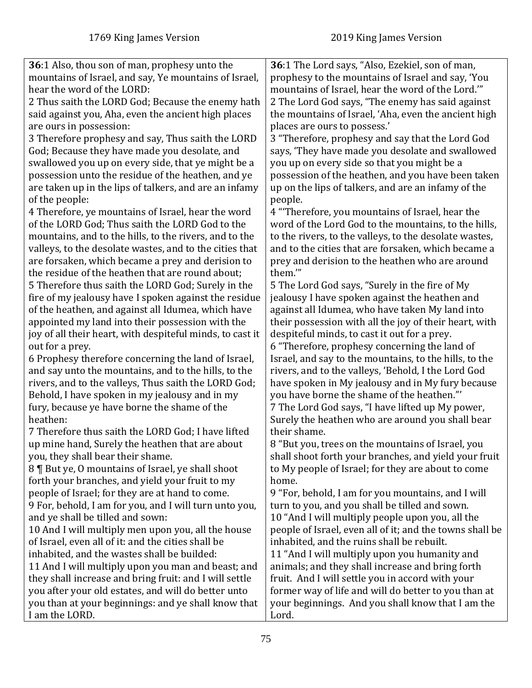| 36:1 Also, thou son of man, prophesy unto the                                                         | 36:1 The Lord says, "Also, Ezekiel, son of man,           |
|-------------------------------------------------------------------------------------------------------|-----------------------------------------------------------|
| mountains of Israel, and say, Ye mountains of Israel,                                                 | prophesy to the mountains of Israel and say, 'You         |
| hear the word of the LORD:                                                                            | mountains of Israel, hear the word of the Lord."          |
| 2 Thus saith the LORD God; Because the enemy hath                                                     | 2 The Lord God says, "The enemy has said against          |
| said against you, Aha, even the ancient high places                                                   | the mountains of Israel, 'Aha, even the ancient high      |
| are ours in possession:                                                                               | places are ours to possess.'                              |
| 3 Therefore prophesy and say, Thus saith the LORD                                                     | 3 "Therefore, prophesy and say that the Lord God          |
| God; Because they have made you desolate, and                                                         | says, 'They have made you desolate and swallowed          |
| swallowed you up on every side, that ye might be a                                                    | you up on every side so that you might be a               |
| possession unto the residue of the heathen, and ye                                                    | possession of the heathen, and you have been taken        |
| are taken up in the lips of talkers, and are an infamy                                                | up on the lips of talkers, and are an infamy of the       |
| of the people:                                                                                        | people.                                                   |
| 4 Therefore, ye mountains of Israel, hear the word                                                    | 4 "Therefore, you mountains of Israel, hear the           |
| of the LORD God; Thus saith the LORD God to the                                                       | word of the Lord God to the mountains, to the hills,      |
| mountains, and to the hills, to the rivers, and to the                                                | to the rivers, to the valleys, to the desolate wastes,    |
| valleys, to the desolate wastes, and to the cities that                                               | and to the cities that are forsaken, which became a       |
|                                                                                                       |                                                           |
| are forsaken, which became a prey and derision to<br>the residue of the heathen that are round about; | prey and derision to the heathen who are around<br>them." |
| 5 Therefore thus saith the LORD God; Surely in the                                                    |                                                           |
|                                                                                                       | 5 The Lord God says, "Surely in the fire of My            |
| fire of my jealousy have I spoken against the residue                                                 | jealousy I have spoken against the heathen and            |
| of the heathen, and against all Idumea, which have                                                    | against all Idumea, who have taken My land into           |
| appointed my land into their possession with the                                                      | their possession with all the joy of their heart, with    |
| joy of all their heart, with despiteful minds, to cast it                                             | despiteful minds, to cast it out for a prey.              |
| out for a prey.                                                                                       | 6 "Therefore, prophesy concerning the land of             |
| 6 Prophesy therefore concerning the land of Israel,                                                   | Israel, and say to the mountains, to the hills, to the    |
| and say unto the mountains, and to the hills, to the                                                  | rivers, and to the valleys, 'Behold, I the Lord God       |
| rivers, and to the valleys, Thus saith the LORD God;                                                  | have spoken in My jealousy and in My fury because         |
| Behold, I have spoken in my jealousy and in my                                                        | you have borne the shame of the heathen."                 |
| fury, because ye have borne the shame of the                                                          | 7 The Lord God says, "I have lifted up My power,          |
| heathen:                                                                                              | Surely the heathen who are around you shall bear          |
| 7 Therefore thus saith the LORD God; I have lifted                                                    | their shame.                                              |
| up mine hand, Surely the heathen that are about                                                       | 8 "But you, trees on the mountains of Israel, you         |
| you, they shall bear their shame.                                                                     | shall shoot forth your branches, and yield your fruit     |
| 8   But ye, 0 mountains of Israel, ye shall shoot                                                     | to My people of Israel; for they are about to come        |
| forth your branches, and yield your fruit to my                                                       | home.                                                     |
| people of Israel; for they are at hand to come.                                                       | 9 "For, behold, I am for you mountains, and I will        |
| 9 For, behold, I am for you, and I will turn unto you,                                                | turn to you, and you shall be tilled and sown.            |
| and ye shall be tilled and sown:                                                                      | 10 "And I will multiply people upon you, all the          |
| 10 And I will multiply men upon you, all the house                                                    | people of Israel, even all of it; and the towns shall be  |
| of Israel, even all of it: and the cities shall be                                                    | inhabited, and the ruins shall be rebuilt.                |
| inhabited, and the wastes shall be builded:                                                           | 11 "And I will multiply upon you humanity and             |
| 11 And I will multiply upon you man and beast; and                                                    | animals; and they shall increase and bring forth          |
| they shall increase and bring fruit: and I will settle                                                | fruit. And I will settle you in accord with your          |
| you after your old estates, and will do better unto                                                   | former way of life and will do better to you than at      |
| you than at your beginnings: and ye shall know that                                                   | your beginnings. And you shall know that I am the         |
| I am the LORD.                                                                                        | Lord.                                                     |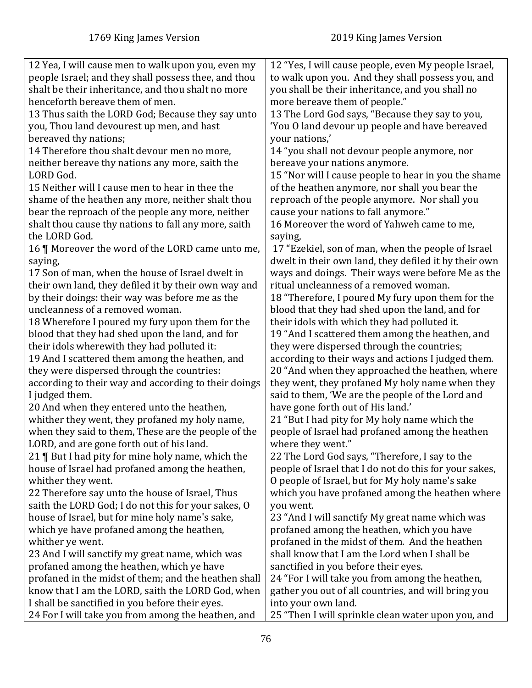| 12 Yea, I will cause men to walk upon you, even my   | 12 "Yes, I will cause people, even My people Israel,   |
|------------------------------------------------------|--------------------------------------------------------|
| people Israel; and they shall possess thee, and thou | to walk upon you. And they shall possess you, and      |
| shalt be their inheritance, and thou shalt no more   | you shall be their inheritance, and you shall no       |
| henceforth bereave them of men.                      | more bereave them of people."                          |
| 13 Thus saith the LORD God; Because they say unto    | 13 The Lord God says, "Because they say to you,        |
| you, Thou land devourest up men, and hast            | 'You O land devour up people and have bereaved         |
| bereaved thy nations;                                | your nations,'                                         |
| 14 Therefore thou shalt devour men no more,          | 14 "you shall not devour people anymore, nor           |
| neither bereave thy nations any more, saith the      | bereave your nations anymore.                          |
| LORD God.                                            | 15 "Nor will I cause people to hear in you the shame   |
| 15 Neither will I cause men to hear in thee the      | of the heathen anymore, nor shall you bear the         |
| shame of the heathen any more, neither shalt thou    | reproach of the people anymore. Nor shall you          |
| bear the reproach of the people any more, neither    | cause your nations to fall anymore."                   |
| shalt thou cause thy nations to fall any more, saith | 16 Moreover the word of Yahweh came to me,             |
| the LORD God.                                        | saying,                                                |
| 16   Moreover the word of the LORD came unto me,     | 17 "Ezekiel, son of man, when the people of Israel     |
| saying,                                              | dwelt in their own land, they defiled it by their own  |
| 17 Son of man, when the house of Israel dwelt in     | ways and doings. Their ways were before Me as the      |
| their own land, they defiled it by their own way and | ritual uncleanness of a removed woman.                 |
| by their doings: their way was before me as the      | 18 "Therefore, I poured My fury upon them for the      |
| uncleanness of a removed woman.                      | blood that they had shed upon the land, and for        |
|                                                      |                                                        |
| 18 Wherefore I poured my fury upon them for the      | their idols with which they had polluted it.           |
| blood that they had shed upon the land, and for      | 19 "And I scattered them among the heathen, and        |
| their idols wherewith they had polluted it:          | they were dispersed through the countries;             |
| 19 And I scattered them among the heathen, and       | according to their ways and actions I judged them.     |
| they were dispersed through the countries:           | 20 "And when they approached the heathen, where        |
| according to their way and according to their doings | they went, they profaned My holy name when they        |
| I judged them.                                       | said to them, 'We are the people of the Lord and       |
| 20 And when they entered unto the heathen,           | have gone forth out of His land.'                      |
| whither they went, they profaned my holy name,       | 21 "But I had pity for My holy name which the          |
| when they said to them, These are the people of the  | people of Israel had profaned among the heathen        |
| LORD, and are gone forth out of his land.            | where they went."                                      |
| 21   But I had pity for mine holy name, which the    | 22 The Lord God says, "Therefore, I say to the         |
| house of Israel had profaned among the heathen,      | people of Israel that I do not do this for your sakes, |
| whither they went.                                   | O people of Israel, but for My holy name's sake        |
| 22 Therefore say unto the house of Israel, Thus      | which you have profaned among the heathen where        |
| saith the LORD God; I do not this for your sakes, O  | you went.                                              |
| house of Israel, but for mine holy name's sake,      | 23 "And I will sanctify My great name which was        |
| which ye have profaned among the heathen,            | profaned among the heathen, which you have             |
| whither ye went.                                     | profaned in the midst of them. And the heathen         |
| 23 And I will sanctify my great name, which was      | shall know that I am the Lord when I shall be          |
| profaned among the heathen, which ye have            | sanctified in you before their eyes.                   |
| profaned in the midst of them; and the heathen shall | 24 "For I will take you from among the heathen,        |
| know that I am the LORD, saith the LORD God, when    | gather you out of all countries, and will bring you    |
| I shall be sanctified in you before their eyes.      | into your own land.                                    |
| 24 For I will take you from among the heathen, and   | 25 "Then I will sprinkle clean water upon you, and     |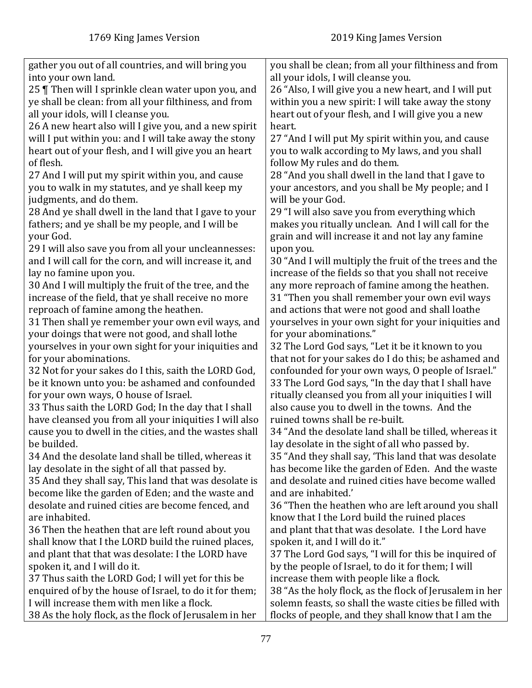| gather you out of all countries, and will bring you     | you shall be clean; from all your filthiness and from   |
|---------------------------------------------------------|---------------------------------------------------------|
| into your own land.                                     | all your idols, I will cleanse you.                     |
| 25   Then will I sprinkle clean water upon you, and     | 26 "Also, I will give you a new heart, and I will put   |
| ye shall be clean: from all your filthiness, and from   | within you a new spirit: I will take away the stony     |
| all your idols, will I cleanse you.                     | heart out of your flesh, and I will give you a new      |
| 26 A new heart also will I give you, and a new spirit   | heart.                                                  |
| will I put within you: and I will take away the stony   | 27 "And I will put My spirit within you, and cause      |
| heart out of your flesh, and I will give you an heart   | you to walk according to My laws, and you shall         |
| of flesh.                                               | follow My rules and do them.                            |
| 27 And I will put my spirit within you, and cause       | 28 "And you shall dwell in the land that I gave to      |
| you to walk in my statutes, and ye shall keep my        | your ancestors, and you shall be My people; and I       |
| judgments, and do them.                                 | will be your God.                                       |
| 28 And ye shall dwell in the land that I gave to your   | 29 "I will also save you from everything which          |
| fathers; and ye shall be my people, and I will be       | makes you ritually unclean. And I will call for the     |
| your God.                                               | grain and will increase it and not lay any famine       |
| 29 I will also save you from all your uncleannesses:    | upon you.                                               |
| and I will call for the corn, and will increase it, and | 30 "And I will multiply the fruit of the trees and the  |
| lay no famine upon you.                                 | increase of the fields so that you shall not receive    |
| 30 And I will multiply the fruit of the tree, and the   | any more reproach of famine among the heathen.          |
| increase of the field, that ye shall receive no more    | 31 "Then you shall remember your own evil ways          |
| reproach of famine among the heathen.                   | and actions that were not good and shall loathe         |
| 31 Then shall ye remember your own evil ways, and       | yourselves in your own sight for your iniquities and    |
| your doings that were not good, and shall lothe         | for your abominations."                                 |
| yourselves in your own sight for your iniquities and    | 32 The Lord God says, "Let it be it known to you        |
| for your abominations.                                  | that not for your sakes do I do this; be ashamed and    |
| 32 Not for your sakes do I this, saith the LORD God,    | confounded for your own ways, O people of Israel."      |
| be it known unto you: be ashamed and confounded         | 33 The Lord God says, "In the day that I shall have     |
| for your own ways, O house of Israel.                   | ritually cleansed you from all your iniquities I will   |
| 33 Thus saith the LORD God; In the day that I shall     | also cause you to dwell in the towns. And the           |
| have cleansed you from all your iniquities I will also  | ruined towns shall be re-built.                         |
| cause you to dwell in the cities, and the wastes shall  | 34 "And the desolate land shall be tilled, whereas it   |
| be builded.                                             | lay desolate in the sight of all who passed by.         |
| 34 And the desolate land shall be tilled, whereas it    | 35 "And they shall say, 'This land that was desolate    |
| lay desolate in the sight of all that passed by.        | has become like the garden of Eden. And the waste       |
| 35 And they shall say, This land that was desolate is   | and desolate and ruined cities have become walled       |
| become like the garden of Eden; and the waste and       | and are inhabited.'                                     |
| desolate and ruined cities are become fenced, and       | 36 "Then the heathen who are left around you shall      |
| are inhabited.                                          | know that I the Lord build the ruined places            |
| 36 Then the heathen that are left round about you       | and plant that that was desolate. I the Lord have       |
| shall know that I the LORD build the ruined places,     | spoken it, and I will do it."                           |
| and plant that that was desolate: I the LORD have       | 37 The Lord God says, "I will for this be inquired of   |
| spoken it, and I will do it.                            | by the people of Israel, to do it for them; I will      |
| 37 Thus saith the LORD God; I will yet for this be      | increase them with people like a flock.                 |
| enquired of by the house of Israel, to do it for them;  | 38 "As the holy flock, as the flock of Jerusalem in her |
| I will increase them with men like a flock.             | solemn feasts, so shall the waste cities be filled with |
| 38 As the holy flock, as the flock of Jerusalem in her  | flocks of people, and they shall know that I am the     |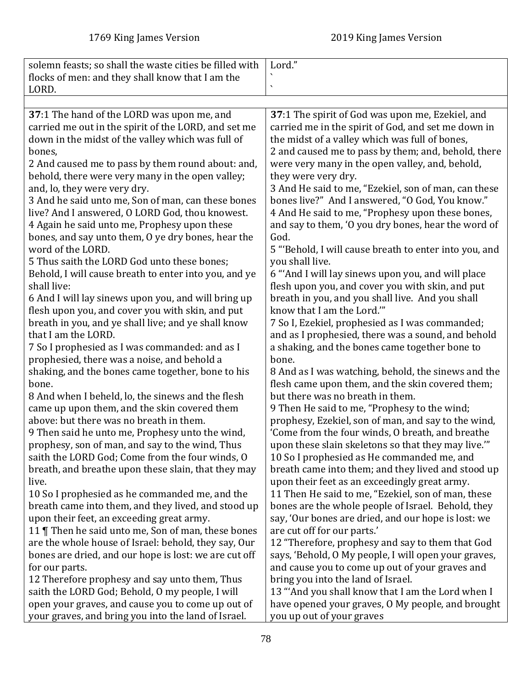| solemn feasts; so shall the waste cities be filled with<br>flocks of men: and they shall know that I am the | Lord."                                                                                              |
|-------------------------------------------------------------------------------------------------------------|-----------------------------------------------------------------------------------------------------|
| LORD.                                                                                                       | $\overline{\phantom{0}}$                                                                            |
|                                                                                                             |                                                                                                     |
| 37:1 The hand of the LORD was upon me, and                                                                  | 37:1 The spirit of God was upon me, Ezekiel, and                                                    |
| carried me out in the spirit of the LORD, and set me                                                        | carried me in the spirit of God, and set me down in                                                 |
| down in the midst of the valley which was full of                                                           | the midst of a valley which was full of bones,                                                      |
| bones,                                                                                                      | 2 and caused me to pass by them; and, behold, there                                                 |
| 2 And caused me to pass by them round about: and,                                                           | were very many in the open valley, and, behold,                                                     |
| behold, there were very many in the open valley;                                                            | they were very dry.                                                                                 |
| and, lo, they were very dry.                                                                                | 3 And He said to me, "Ezekiel, son of man, can these                                                |
| 3 And he said unto me, Son of man, can these bones                                                          | bones live?" And I answered, "O God, You know."                                                     |
| live? And I answered, O LORD God, thou knowest.                                                             | 4 And He said to me, "Prophesy upon these bones,                                                    |
| 4 Again he said unto me, Prophesy upon these                                                                | and say to them, 'O you dry bones, hear the word of                                                 |
| bones, and say unto them, O ye dry bones, hear the                                                          | God.                                                                                                |
| word of the LORD.                                                                                           | 5 "Behold, I will cause breath to enter into you, and                                               |
| 5 Thus saith the LORD God unto these bones;                                                                 | you shall live.                                                                                     |
| Behold, I will cause breath to enter into you, and ye                                                       | 6 "And I will lay sinews upon you, and will place                                                   |
| shall live:                                                                                                 | flesh upon you, and cover you with skin, and put                                                    |
| 6 And I will lay sinews upon you, and will bring up                                                         | breath in you, and you shall live. And you shall                                                    |
| flesh upon you, and cover you with skin, and put                                                            | know that I am the Lord."                                                                           |
| breath in you, and ye shall live; and ye shall know                                                         | 7 So I, Ezekiel, prophesied as I was commanded;                                                     |
| that I am the LORD.                                                                                         | and as I prophesied, there was a sound, and behold                                                  |
| 7 So I prophesied as I was commanded: and as I                                                              | a shaking, and the bones came together bone to                                                      |
| prophesied, there was a noise, and behold a                                                                 | bone.                                                                                               |
| shaking, and the bones came together, bone to his                                                           | 8 And as I was watching, behold, the sinews and the                                                 |
| bone.                                                                                                       | flesh came upon them, and the skin covered them;<br>but there was no breath in them.                |
| 8 And when I beheld, lo, the sinews and the flesh<br>came up upon them, and the skin covered them           |                                                                                                     |
| above: but there was no breath in them.                                                                     | 9 Then He said to me, "Prophesy to the wind;<br>prophesy, Ezekiel, son of man, and say to the wind, |
| 9 Then said he unto me, Prophesy unto the wind,                                                             | 'Come from the four winds, O breath, and breathe                                                    |
| prophesy, son of man, and say to the wind, Thus                                                             | upon these slain skeletons so that they may live."                                                  |
| saith the LORD God; Come from the four winds, O                                                             | 10 So I prophesied as He commanded me, and                                                          |
| breath, and breathe upon these slain, that they may                                                         | breath came into them; and they lived and stood up                                                  |
| live.                                                                                                       | upon their feet as an exceedingly great army.                                                       |
| 10 So I prophesied as he commanded me, and the                                                              | 11 Then He said to me, "Ezekiel, son of man, these                                                  |
| breath came into them, and they lived, and stood up                                                         | bones are the whole people of Israel. Behold, they                                                  |
| upon their feet, an exceeding great army.                                                                   | say, 'Our bones are dried, and our hope is lost: we                                                 |
| 11   Then he said unto me, Son of man, these bones                                                          | are cut off for our parts.'                                                                         |
| are the whole house of Israel: behold, they say, Our                                                        | 12 "Therefore, prophesy and say to them that God                                                    |
| bones are dried, and our hope is lost: we are cut off                                                       | says, 'Behold, O My people, I will open your graves,                                                |
| for our parts.                                                                                              | and cause you to come up out of your graves and                                                     |
| 12 Therefore prophesy and say unto them, Thus                                                               | bring you into the land of Israel.                                                                  |
| saith the LORD God; Behold, O my people, I will                                                             | 13 "'And you shall know that I am the Lord when I                                                   |
| open your graves, and cause you to come up out of                                                           | have opened your graves, O My people, and brought                                                   |
| your graves, and bring you into the land of Israel.                                                         | you up out of your graves                                                                           |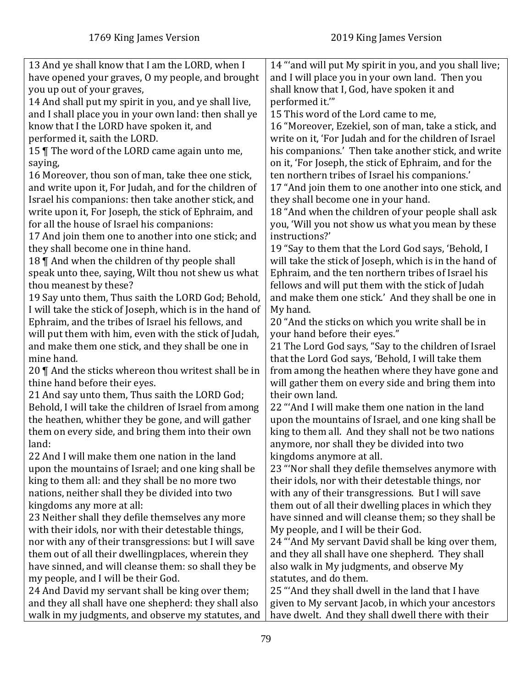| 13 And ye shall know that I am the LORD, when I<br>14 "and will put My spirit in you, and you shall live;<br>have opened your graves, O my people, and brought<br>and I will place you in your own land. Then you<br>shall know that I, God, have spoken it and<br>you up out of your graves,<br>performed it.""<br>14 And shall put my spirit in you, and ye shall live, |
|---------------------------------------------------------------------------------------------------------------------------------------------------------------------------------------------------------------------------------------------------------------------------------------------------------------------------------------------------------------------------|
|                                                                                                                                                                                                                                                                                                                                                                           |
|                                                                                                                                                                                                                                                                                                                                                                           |
|                                                                                                                                                                                                                                                                                                                                                                           |
|                                                                                                                                                                                                                                                                                                                                                                           |
| and I shall place you in your own land: then shall ye<br>15 This word of the Lord came to me,                                                                                                                                                                                                                                                                             |
| know that I the LORD have spoken it, and<br>16 "Moreover, Ezekiel, son of man, take a stick, and                                                                                                                                                                                                                                                                          |
| performed it, saith the LORD.<br>write on it, 'For Judah and for the children of Israel                                                                                                                                                                                                                                                                                   |
| 15   The word of the LORD came again unto me,<br>his companions.' Then take another stick, and write                                                                                                                                                                                                                                                                      |
| on it, 'For Joseph, the stick of Ephraim, and for the<br>saying,                                                                                                                                                                                                                                                                                                          |
| ten northern tribes of Israel his companions.'<br>16 Moreover, thou son of man, take thee one stick,                                                                                                                                                                                                                                                                      |
| and write upon it, For Judah, and for the children of<br>17 "And join them to one another into one stick, and                                                                                                                                                                                                                                                             |
| Israel his companions: then take another stick, and<br>they shall become one in your hand.                                                                                                                                                                                                                                                                                |
| 18 "And when the children of your people shall ask<br>write upon it, For Joseph, the stick of Ephraim, and                                                                                                                                                                                                                                                                |
| you, 'Will you not show us what you mean by these<br>for all the house of Israel his companions:                                                                                                                                                                                                                                                                          |
| 17 And join them one to another into one stick; and<br>instructions?'                                                                                                                                                                                                                                                                                                     |
| they shall become one in thine hand.<br>19 "Say to them that the Lord God says, 'Behold, I                                                                                                                                                                                                                                                                                |
| 18    And when the children of thy people shall<br>will take the stick of Joseph, which is in the hand of                                                                                                                                                                                                                                                                 |
| speak unto thee, saying, Wilt thou not shew us what<br>Ephraim, and the ten northern tribes of Israel his                                                                                                                                                                                                                                                                 |
| fellows and will put them with the stick of Judah<br>thou meanest by these?                                                                                                                                                                                                                                                                                               |
| 19 Say unto them, Thus saith the LORD God; Behold,<br>and make them one stick.' And they shall be one in                                                                                                                                                                                                                                                                  |
| I will take the stick of Joseph, which is in the hand of<br>My hand.                                                                                                                                                                                                                                                                                                      |
| Ephraim, and the tribes of Israel his fellows, and<br>20 "And the sticks on which you write shall be in                                                                                                                                                                                                                                                                   |
| will put them with him, even with the stick of Judah,<br>your hand before their eyes."                                                                                                                                                                                                                                                                                    |
| and make them one stick, and they shall be one in<br>21 The Lord God says, "Say to the children of Israel                                                                                                                                                                                                                                                                 |
| mine hand.<br>that the Lord God says, 'Behold, I will take them                                                                                                                                                                                                                                                                                                           |
| from among the heathen where they have gone and<br>20 $\parallel$ And the sticks whereon thou writest shall be in                                                                                                                                                                                                                                                         |
| thine hand before their eyes.<br>will gather them on every side and bring them into                                                                                                                                                                                                                                                                                       |
| 21 And say unto them, Thus saith the LORD God;<br>their own land.                                                                                                                                                                                                                                                                                                         |
| Behold, I will take the children of Israel from among<br>22 "And I will make them one nation in the land                                                                                                                                                                                                                                                                  |
| the heathen, whither they be gone, and will gather<br>upon the mountains of Israel, and one king shall be                                                                                                                                                                                                                                                                 |
| king to them all. And they shall not be two nations<br>them on every side, and bring them into their own                                                                                                                                                                                                                                                                  |
| anymore, nor shall they be divided into two<br>land:                                                                                                                                                                                                                                                                                                                      |
| 22 And I will make them one nation in the land<br>kingdoms anymore at all.                                                                                                                                                                                                                                                                                                |
| upon the mountains of Israel; and one king shall be<br>23 "Nor shall they defile themselves anymore with                                                                                                                                                                                                                                                                  |
| king to them all: and they shall be no more two<br>their idols, nor with their detestable things, nor                                                                                                                                                                                                                                                                     |
| nations, neither shall they be divided into two<br>with any of their transgressions. But I will save                                                                                                                                                                                                                                                                      |
| kingdoms any more at all:<br>them out of all their dwelling places in which they                                                                                                                                                                                                                                                                                          |
| 23 Neither shall they defile themselves any more<br>have sinned and will cleanse them; so they shall be                                                                                                                                                                                                                                                                   |
| with their idols, nor with their detestable things,<br>My people, and I will be their God.                                                                                                                                                                                                                                                                                |
| nor with any of their transgressions: but I will save<br>24 "And My servant David shall be king over them,                                                                                                                                                                                                                                                                |
| them out of all their dwellingplaces, wherein they<br>and they all shall have one shepherd. They shall                                                                                                                                                                                                                                                                    |
| have sinned, and will cleanse them: so shall they be<br>also walk in My judgments, and observe My                                                                                                                                                                                                                                                                         |
| my people, and I will be their God.<br>statutes, and do them.                                                                                                                                                                                                                                                                                                             |
| 25 "And they shall dwell in the land that I have<br>24 And David my servant shall be king over them;                                                                                                                                                                                                                                                                      |
| and they all shall have one shepherd: they shall also<br>given to My servant Jacob, in which your ancestors                                                                                                                                                                                                                                                               |
|                                                                                                                                                                                                                                                                                                                                                                           |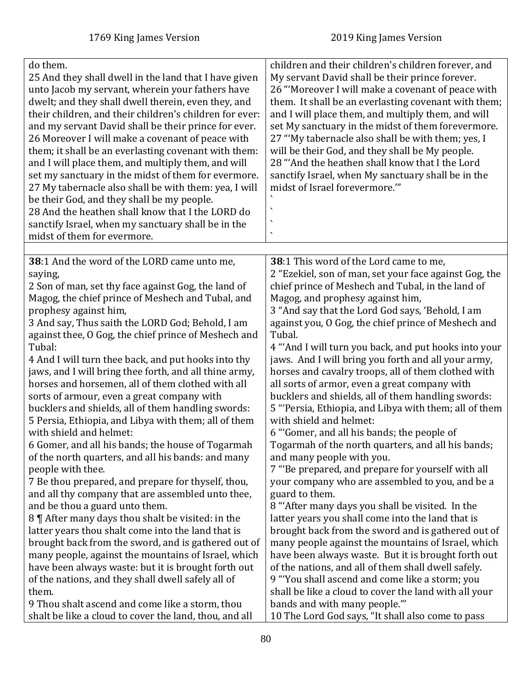| do them.<br>25 And they shall dwell in the land that I have given<br>unto Jacob my servant, wherein your fathers have<br>dwelt; and they shall dwell therein, even they, and<br>their children, and their children's children for ever:<br>and my servant David shall be their prince for ever.<br>26 Moreover I will make a covenant of peace with<br>them; it shall be an everlasting covenant with them:<br>and I will place them, and multiply them, and will<br>set my sanctuary in the midst of them for evermore.<br>27 My tabernacle also shall be with them: yea, I will<br>be their God, and they shall be my people.<br>28 And the heathen shall know that I the LORD do<br>sanctify Israel, when my sanctuary shall be in the<br>midst of them for evermore. | children and their children's children forever, and<br>My servant David shall be their prince forever.<br>26 "Moreover I will make a covenant of peace with<br>them. It shall be an everlasting covenant with them;<br>and I will place them, and multiply them, and will<br>set My sanctuary in the midst of them forevermore.<br>27 "My tabernacle also shall be with them; yes, I<br>will be their God, and they shall be My people.<br>28 "And the heathen shall know that I the Lord<br>sanctify Israel, when My sanctuary shall be in the<br>midst of Israel forevermore."" |
|--------------------------------------------------------------------------------------------------------------------------------------------------------------------------------------------------------------------------------------------------------------------------------------------------------------------------------------------------------------------------------------------------------------------------------------------------------------------------------------------------------------------------------------------------------------------------------------------------------------------------------------------------------------------------------------------------------------------------------------------------------------------------|-----------------------------------------------------------------------------------------------------------------------------------------------------------------------------------------------------------------------------------------------------------------------------------------------------------------------------------------------------------------------------------------------------------------------------------------------------------------------------------------------------------------------------------------------------------------------------------|
|                                                                                                                                                                                                                                                                                                                                                                                                                                                                                                                                                                                                                                                                                                                                                                          |                                                                                                                                                                                                                                                                                                                                                                                                                                                                                                                                                                                   |
| 38:1 And the word of the LORD came unto me,                                                                                                                                                                                                                                                                                                                                                                                                                                                                                                                                                                                                                                                                                                                              | 38:1 This word of the Lord came to me,                                                                                                                                                                                                                                                                                                                                                                                                                                                                                                                                            |
| saying,                                                                                                                                                                                                                                                                                                                                                                                                                                                                                                                                                                                                                                                                                                                                                                  | 2 "Ezekiel, son of man, set your face against Gog, the                                                                                                                                                                                                                                                                                                                                                                                                                                                                                                                            |
| 2 Son of man, set thy face against Gog, the land of                                                                                                                                                                                                                                                                                                                                                                                                                                                                                                                                                                                                                                                                                                                      | chief prince of Meshech and Tubal, in the land of                                                                                                                                                                                                                                                                                                                                                                                                                                                                                                                                 |
| Magog, the chief prince of Meshech and Tubal, and                                                                                                                                                                                                                                                                                                                                                                                                                                                                                                                                                                                                                                                                                                                        | Magog, and prophesy against him,                                                                                                                                                                                                                                                                                                                                                                                                                                                                                                                                                  |
| prophesy against him,                                                                                                                                                                                                                                                                                                                                                                                                                                                                                                                                                                                                                                                                                                                                                    | 3 "And say that the Lord God says, 'Behold, I am                                                                                                                                                                                                                                                                                                                                                                                                                                                                                                                                  |
| 3 And say, Thus saith the LORD God; Behold, I am                                                                                                                                                                                                                                                                                                                                                                                                                                                                                                                                                                                                                                                                                                                         | against you, O Gog, the chief prince of Meshech and                                                                                                                                                                                                                                                                                                                                                                                                                                                                                                                               |
| against thee, O Gog, the chief prince of Meshech and                                                                                                                                                                                                                                                                                                                                                                                                                                                                                                                                                                                                                                                                                                                     | Tubal.                                                                                                                                                                                                                                                                                                                                                                                                                                                                                                                                                                            |
| Tubal:                                                                                                                                                                                                                                                                                                                                                                                                                                                                                                                                                                                                                                                                                                                                                                   | 4 "And I will turn you back, and put hooks into your                                                                                                                                                                                                                                                                                                                                                                                                                                                                                                                              |
| 4 And I will turn thee back, and put hooks into thy                                                                                                                                                                                                                                                                                                                                                                                                                                                                                                                                                                                                                                                                                                                      | jaws. And I will bring you forth and all your army,                                                                                                                                                                                                                                                                                                                                                                                                                                                                                                                               |
| jaws, and I will bring thee forth, and all thine army,                                                                                                                                                                                                                                                                                                                                                                                                                                                                                                                                                                                                                                                                                                                   | horses and cavalry troops, all of them clothed with                                                                                                                                                                                                                                                                                                                                                                                                                                                                                                                               |
| horses and horsemen, all of them clothed with all                                                                                                                                                                                                                                                                                                                                                                                                                                                                                                                                                                                                                                                                                                                        | all sorts of armor, even a great company with                                                                                                                                                                                                                                                                                                                                                                                                                                                                                                                                     |
| sorts of armour, even a great company with                                                                                                                                                                                                                                                                                                                                                                                                                                                                                                                                                                                                                                                                                                                               | bucklers and shields, all of them handling swords:                                                                                                                                                                                                                                                                                                                                                                                                                                                                                                                                |
| bucklers and shields, all of them handling swords:                                                                                                                                                                                                                                                                                                                                                                                                                                                                                                                                                                                                                                                                                                                       | 5 "'Persia, Ethiopia, and Libya with them; all of them                                                                                                                                                                                                                                                                                                                                                                                                                                                                                                                            |
| 5 Persia, Ethiopia, and Libya with them; all of them                                                                                                                                                                                                                                                                                                                                                                                                                                                                                                                                                                                                                                                                                                                     | with shield and helmet:                                                                                                                                                                                                                                                                                                                                                                                                                                                                                                                                                           |
| with shield and helmet:                                                                                                                                                                                                                                                                                                                                                                                                                                                                                                                                                                                                                                                                                                                                                  | 6 "'Gomer, and all his bands; the people of                                                                                                                                                                                                                                                                                                                                                                                                                                                                                                                                       |
| 6 Gomer, and all his bands; the house of Togarmah                                                                                                                                                                                                                                                                                                                                                                                                                                                                                                                                                                                                                                                                                                                        | Togarmah of the north quarters, and all his bands;                                                                                                                                                                                                                                                                                                                                                                                                                                                                                                                                |
| of the north quarters, and all his bands: and many                                                                                                                                                                                                                                                                                                                                                                                                                                                                                                                                                                                                                                                                                                                       | and many people with you.                                                                                                                                                                                                                                                                                                                                                                                                                                                                                                                                                         |
| people with thee.                                                                                                                                                                                                                                                                                                                                                                                                                                                                                                                                                                                                                                                                                                                                                        | 7 "Be prepared, and prepare for yourself with all                                                                                                                                                                                                                                                                                                                                                                                                                                                                                                                                 |
| 7 Be thou prepared, and prepare for thyself, thou,                                                                                                                                                                                                                                                                                                                                                                                                                                                                                                                                                                                                                                                                                                                       | your company who are assembled to you, and be a                                                                                                                                                                                                                                                                                                                                                                                                                                                                                                                                   |
| and all thy company that are assembled unto thee,                                                                                                                                                                                                                                                                                                                                                                                                                                                                                                                                                                                                                                                                                                                        | guard to them.                                                                                                                                                                                                                                                                                                                                                                                                                                                                                                                                                                    |
| and be thou a guard unto them.                                                                                                                                                                                                                                                                                                                                                                                                                                                                                                                                                                                                                                                                                                                                           | 8 "After many days you shall be visited. In the                                                                                                                                                                                                                                                                                                                                                                                                                                                                                                                                   |
| 8    After many days thou shalt be visited: in the                                                                                                                                                                                                                                                                                                                                                                                                                                                                                                                                                                                                                                                                                                                       | latter years you shall come into the land that is                                                                                                                                                                                                                                                                                                                                                                                                                                                                                                                                 |
| latter years thou shalt come into the land that is                                                                                                                                                                                                                                                                                                                                                                                                                                                                                                                                                                                                                                                                                                                       | brought back from the sword and is gathered out of                                                                                                                                                                                                                                                                                                                                                                                                                                                                                                                                |
| brought back from the sword, and is gathered out of                                                                                                                                                                                                                                                                                                                                                                                                                                                                                                                                                                                                                                                                                                                      | many people against the mountains of Israel, which                                                                                                                                                                                                                                                                                                                                                                                                                                                                                                                                |
| many people, against the mountains of Israel, which                                                                                                                                                                                                                                                                                                                                                                                                                                                                                                                                                                                                                                                                                                                      | have been always waste. But it is brought forth out                                                                                                                                                                                                                                                                                                                                                                                                                                                                                                                               |
| have been always waste: but it is brought forth out                                                                                                                                                                                                                                                                                                                                                                                                                                                                                                                                                                                                                                                                                                                      | of the nations, and all of them shall dwell safely.                                                                                                                                                                                                                                                                                                                                                                                                                                                                                                                               |
| of the nations, and they shall dwell safely all of                                                                                                                                                                                                                                                                                                                                                                                                                                                                                                                                                                                                                                                                                                                       | 9 "You shall ascend and come like a storm; you                                                                                                                                                                                                                                                                                                                                                                                                                                                                                                                                    |
| them.                                                                                                                                                                                                                                                                                                                                                                                                                                                                                                                                                                                                                                                                                                                                                                    | shall be like a cloud to cover the land with all your                                                                                                                                                                                                                                                                                                                                                                                                                                                                                                                             |
| 9 Thou shalt ascend and come like a storm, thou                                                                                                                                                                                                                                                                                                                                                                                                                                                                                                                                                                                                                                                                                                                          | bands and with many people."                                                                                                                                                                                                                                                                                                                                                                                                                                                                                                                                                      |
| shalt be like a cloud to cover the land, thou, and all                                                                                                                                                                                                                                                                                                                                                                                                                                                                                                                                                                                                                                                                                                                   | 10 The Lord God says, "It shall also come to pass                                                                                                                                                                                                                                                                                                                                                                                                                                                                                                                                 |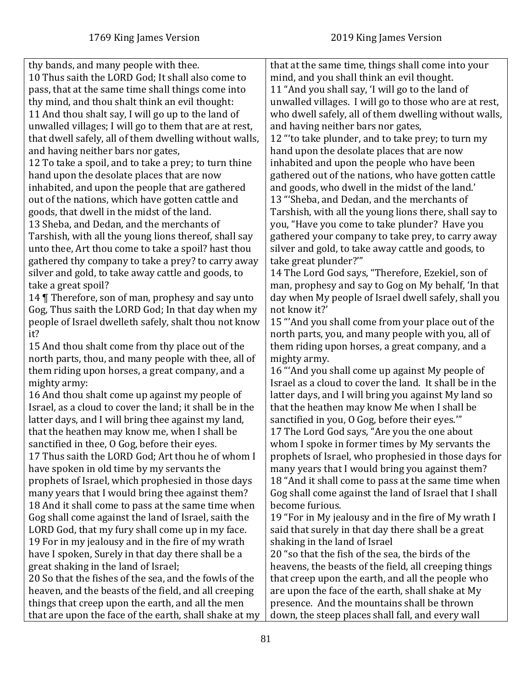| thy bands, and many people with thee.                    | that at the same time, things shall come into your      |
|----------------------------------------------------------|---------------------------------------------------------|
| 10 Thus saith the LORD God; It shall also come to        | mind, and you shall think an evil thought.              |
| pass, that at the same time shall things come into       | 11 "And you shall say, 'I will go to the land of        |
| thy mind, and thou shalt think an evil thought:          | unwalled villages. I will go to those who are at rest,  |
| 11 And thou shalt say, I will go up to the land of       | who dwell safely, all of them dwelling without walls,   |
| unwalled villages; I will go to them that are at rest,   | and having neither bars nor gates,                      |
| that dwell safely, all of them dwelling without walls,   | 12 "to take plunder, and to take prey; to turn my       |
| and having neither bars nor gates,                       | hand upon the desolate places that are now              |
| 12 To take a spoil, and to take a prey; to turn thine    | inhabited and upon the people who have been             |
| hand upon the desolate places that are now               | gathered out of the nations, who have gotten cattle     |
| inhabited, and upon the people that are gathered         | and goods, who dwell in the midst of the land.'         |
| out of the nations, which have gotten cattle and         | 13 "'Sheba, and Dedan, and the merchants of             |
| goods, that dwell in the midst of the land.              | Tarshish, with all the young lions there, shall say to  |
| 13 Sheba, and Dedan, and the merchants of                | you, "Have you come to take plunder? Have you           |
| Tarshish, with all the young lions thereof, shall say    | gathered your company to take prey, to carry away       |
| unto thee, Art thou come to take a spoil? hast thou      | silver and gold, to take away cattle and goods, to      |
| gathered thy company to take a prey? to carry away       | take great plunder?""                                   |
| silver and gold, to take away cattle and goods, to       | 14 The Lord God says, "Therefore, Ezekiel, son of       |
| take a great spoil?                                      | man, prophesy and say to Gog on My behalf, 'In that     |
| 14 Therefore, son of man, prophesy and say unto          | day when My people of Israel dwell safely, shall you    |
| Gog, Thus saith the LORD God; In that day when my        | not know it?'                                           |
| people of Israel dwelleth safely, shalt thou not know    | 15 "And you shall come from your place out of the       |
| it?                                                      | north parts, you, and many people with you, all of      |
| 15 And thou shalt come from thy place out of the         | them riding upon horses, a great company, and a         |
| north parts, thou, and many people with thee, all of     | mighty army.                                            |
| them riding upon horses, a great company, and a          | 16 "And you shall come up against My people of          |
| mighty army:                                             | Israel as a cloud to cover the land. It shall be in the |
| 16 And thou shalt come up against my people of           | latter days, and I will bring you against My land so    |
| Israel, as a cloud to cover the land; it shall be in the | that the heathen may know Me when I shall be            |
| latter days, and I will bring thee against my land,      | sanctified in you, O Gog, before their eyes."           |
| that the heathen may know me, when I shall be            | 17 The Lord God says, "Are you the one about            |
| sanctified in thee, O Gog, before their eyes.            | whom I spoke in former times by My servants the         |
| 17 Thus saith the LORD God; Art thou he of whom I        | prophets of Israel, who prophesied in those days for    |
| have spoken in old time by my servants the               | many years that I would bring you against them?         |
| prophets of Israel, which prophesied in those days       | 18 "And it shall come to pass at the same time when     |
| many years that I would bring thee against them?         | Gog shall come against the land of Israel that I shall  |
| 18 And it shall come to pass at the same time when       | become furious.                                         |
| Gog shall come against the land of Israel, saith the     | 19 "For in My jealousy and in the fire of My wrath I    |
| LORD God, that my fury shall come up in my face.         | said that surely in that day there shall be a great     |
| 19 For in my jealousy and in the fire of my wrath        | shaking in the land of Israel                           |
| have I spoken, Surely in that day there shall be a       | 20 "so that the fish of the sea, the birds of the       |
| great shaking in the land of Israel;                     | heavens, the beasts of the field, all creeping things   |
|                                                          |                                                         |
| 20 So that the fishes of the sea, and the fowls of the   | that creep upon the earth, and all the people who       |
| heaven, and the beasts of the field, and all creeping    | are upon the face of the earth, shall shake at My       |
| things that creep upon the earth, and all the men        | presence. And the mountains shall be thrown             |
| that are upon the face of the earth, shall shake at my   | down, the steep places shall fall, and every wall       |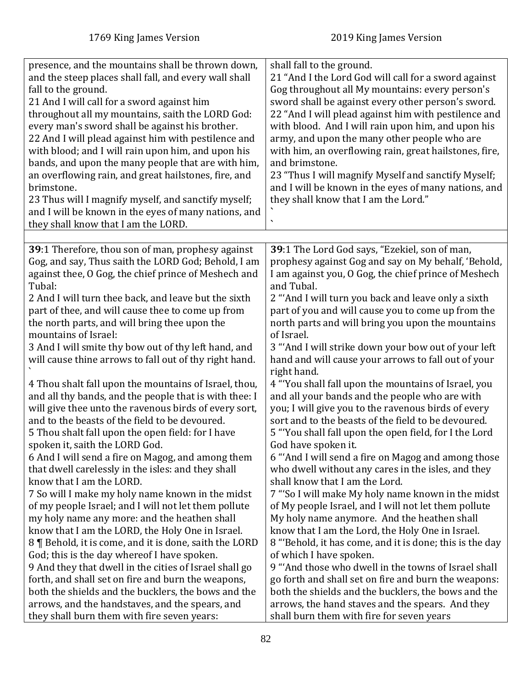| presence, and the mountains shall be thrown down,<br>and the steep places shall fall, and every wall shall<br>fall to the ground.<br>21 And I will call for a sword against him<br>throughout all my mountains, saith the LORD God:<br>every man's sword shall be against his brother.<br>22 And I will plead against him with pestilence and<br>with blood; and I will rain upon him, and upon his<br>bands, and upon the many people that are with him,<br>an overflowing rain, and great hailstones, fire, and<br>brimstone.<br>23 Thus will I magnify myself, and sanctify myself;<br>and I will be known in the eyes of many nations, and<br>they shall know that I am the LORD. | shall fall to the ground.<br>21 "And I the Lord God will call for a sword against<br>Gog throughout all My mountains: every person's<br>sword shall be against every other person's sword.<br>22 "And I will plead against him with pestilence and<br>with blood. And I will rain upon him, and upon his<br>army, and upon the many other people who are<br>with him, an overflowing rain, great hailstones, fire,<br>and brimstone.<br>23 "Thus I will magnify Myself and sanctify Myself;<br>and I will be known in the eyes of many nations, and<br>they shall know that I am the Lord." |
|---------------------------------------------------------------------------------------------------------------------------------------------------------------------------------------------------------------------------------------------------------------------------------------------------------------------------------------------------------------------------------------------------------------------------------------------------------------------------------------------------------------------------------------------------------------------------------------------------------------------------------------------------------------------------------------|---------------------------------------------------------------------------------------------------------------------------------------------------------------------------------------------------------------------------------------------------------------------------------------------------------------------------------------------------------------------------------------------------------------------------------------------------------------------------------------------------------------------------------------------------------------------------------------------|
|                                                                                                                                                                                                                                                                                                                                                                                                                                                                                                                                                                                                                                                                                       |                                                                                                                                                                                                                                                                                                                                                                                                                                                                                                                                                                                             |
| 39:1 Therefore, thou son of man, prophesy against                                                                                                                                                                                                                                                                                                                                                                                                                                                                                                                                                                                                                                     | 39:1 The Lord God says, "Ezekiel, son of man,                                                                                                                                                                                                                                                                                                                                                                                                                                                                                                                                               |
| Gog, and say, Thus saith the LORD God; Behold, I am                                                                                                                                                                                                                                                                                                                                                                                                                                                                                                                                                                                                                                   | prophesy against Gog and say on My behalf, 'Behold,                                                                                                                                                                                                                                                                                                                                                                                                                                                                                                                                         |
| against thee, O Gog, the chief prince of Meshech and                                                                                                                                                                                                                                                                                                                                                                                                                                                                                                                                                                                                                                  | I am against you, O Gog, the chief prince of Meshech                                                                                                                                                                                                                                                                                                                                                                                                                                                                                                                                        |
| Tubal:                                                                                                                                                                                                                                                                                                                                                                                                                                                                                                                                                                                                                                                                                | and Tubal.                                                                                                                                                                                                                                                                                                                                                                                                                                                                                                                                                                                  |
| 2 And I will turn thee back, and leave but the sixth                                                                                                                                                                                                                                                                                                                                                                                                                                                                                                                                                                                                                                  | 2 "And I will turn you back and leave only a sixth                                                                                                                                                                                                                                                                                                                                                                                                                                                                                                                                          |
| part of thee, and will cause thee to come up from                                                                                                                                                                                                                                                                                                                                                                                                                                                                                                                                                                                                                                     | part of you and will cause you to come up from the                                                                                                                                                                                                                                                                                                                                                                                                                                                                                                                                          |
| the north parts, and will bring thee upon the                                                                                                                                                                                                                                                                                                                                                                                                                                                                                                                                                                                                                                         | north parts and will bring you upon the mountains                                                                                                                                                                                                                                                                                                                                                                                                                                                                                                                                           |
| mountains of Israel:<br>3 And I will smite thy bow out of thy left hand, and<br>will cause thine arrows to fall out of thy right hand.                                                                                                                                                                                                                                                                                                                                                                                                                                                                                                                                                | of Israel.<br>3 "And I will strike down your bow out of your left<br>hand and will cause your arrows to fall out of your<br>right hand.                                                                                                                                                                                                                                                                                                                                                                                                                                                     |
| 4 Thou shalt fall upon the mountains of Israel, thou,                                                                                                                                                                                                                                                                                                                                                                                                                                                                                                                                                                                                                                 | 4 "You shall fall upon the mountains of Israel, you                                                                                                                                                                                                                                                                                                                                                                                                                                                                                                                                         |
| and all thy bands, and the people that is with thee: I                                                                                                                                                                                                                                                                                                                                                                                                                                                                                                                                                                                                                                | and all your bands and the people who are with                                                                                                                                                                                                                                                                                                                                                                                                                                                                                                                                              |
| will give thee unto the ravenous birds of every sort,                                                                                                                                                                                                                                                                                                                                                                                                                                                                                                                                                                                                                                 | you; I will give you to the ravenous birds of every                                                                                                                                                                                                                                                                                                                                                                                                                                                                                                                                         |
| and to the beasts of the field to be devoured.                                                                                                                                                                                                                                                                                                                                                                                                                                                                                                                                                                                                                                        | sort and to the beasts of the field to be devoured.                                                                                                                                                                                                                                                                                                                                                                                                                                                                                                                                         |
| 5 Thou shalt fall upon the open field: for I have                                                                                                                                                                                                                                                                                                                                                                                                                                                                                                                                                                                                                                     | 5 "You shall fall upon the open field, for I the Lord                                                                                                                                                                                                                                                                                                                                                                                                                                                                                                                                       |
| spoken it, saith the LORD God.                                                                                                                                                                                                                                                                                                                                                                                                                                                                                                                                                                                                                                                        | God have spoken it.                                                                                                                                                                                                                                                                                                                                                                                                                                                                                                                                                                         |
| 6 And I will send a fire on Magog, and among them                                                                                                                                                                                                                                                                                                                                                                                                                                                                                                                                                                                                                                     | 6 "And I will send a fire on Magog and among those                                                                                                                                                                                                                                                                                                                                                                                                                                                                                                                                          |
| that dwell carelessly in the isles: and they shall                                                                                                                                                                                                                                                                                                                                                                                                                                                                                                                                                                                                                                    | who dwell without any cares in the isles, and they                                                                                                                                                                                                                                                                                                                                                                                                                                                                                                                                          |
| know that I am the LORD.                                                                                                                                                                                                                                                                                                                                                                                                                                                                                                                                                                                                                                                              | shall know that I am the Lord.                                                                                                                                                                                                                                                                                                                                                                                                                                                                                                                                                              |
| 7 So will I make my holy name known in the midst                                                                                                                                                                                                                                                                                                                                                                                                                                                                                                                                                                                                                                      | 7 "So I will make My holy name known in the midst                                                                                                                                                                                                                                                                                                                                                                                                                                                                                                                                           |
| of my people Israel; and I will not let them pollute                                                                                                                                                                                                                                                                                                                                                                                                                                                                                                                                                                                                                                  | of My people Israel, and I will not let them pollute                                                                                                                                                                                                                                                                                                                                                                                                                                                                                                                                        |
| my holy name any more: and the heathen shall                                                                                                                                                                                                                                                                                                                                                                                                                                                                                                                                                                                                                                          | My holy name anymore. And the heathen shall                                                                                                                                                                                                                                                                                                                                                                                                                                                                                                                                                 |
| know that I am the LORD, the Holy One in Israel.                                                                                                                                                                                                                                                                                                                                                                                                                                                                                                                                                                                                                                      | know that I am the Lord, the Holy One in Israel.                                                                                                                                                                                                                                                                                                                                                                                                                                                                                                                                            |
| 8   Behold, it is come, and it is done, saith the LORD                                                                                                                                                                                                                                                                                                                                                                                                                                                                                                                                                                                                                                | 8 "Behold, it has come, and it is done; this is the day                                                                                                                                                                                                                                                                                                                                                                                                                                                                                                                                     |
| God; this is the day where of I have spoken.                                                                                                                                                                                                                                                                                                                                                                                                                                                                                                                                                                                                                                          | of which I have spoken.                                                                                                                                                                                                                                                                                                                                                                                                                                                                                                                                                                     |
| 9 And they that dwell in the cities of Israel shall go                                                                                                                                                                                                                                                                                                                                                                                                                                                                                                                                                                                                                                | 9 "And those who dwell in the towns of Israel shall                                                                                                                                                                                                                                                                                                                                                                                                                                                                                                                                         |
| forth, and shall set on fire and burn the weapons,                                                                                                                                                                                                                                                                                                                                                                                                                                                                                                                                                                                                                                    | go forth and shall set on fire and burn the weapons:                                                                                                                                                                                                                                                                                                                                                                                                                                                                                                                                        |
| both the shields and the bucklers, the bows and the                                                                                                                                                                                                                                                                                                                                                                                                                                                                                                                                                                                                                                   | both the shields and the bucklers, the bows and the                                                                                                                                                                                                                                                                                                                                                                                                                                                                                                                                         |
| arrows, and the handstaves, and the spears, and                                                                                                                                                                                                                                                                                                                                                                                                                                                                                                                                                                                                                                       | arrows, the hand staves and the spears. And they                                                                                                                                                                                                                                                                                                                                                                                                                                                                                                                                            |
| they shall burn them with fire seven years:                                                                                                                                                                                                                                                                                                                                                                                                                                                                                                                                                                                                                                           | shall burn them with fire for seven years                                                                                                                                                                                                                                                                                                                                                                                                                                                                                                                                                   |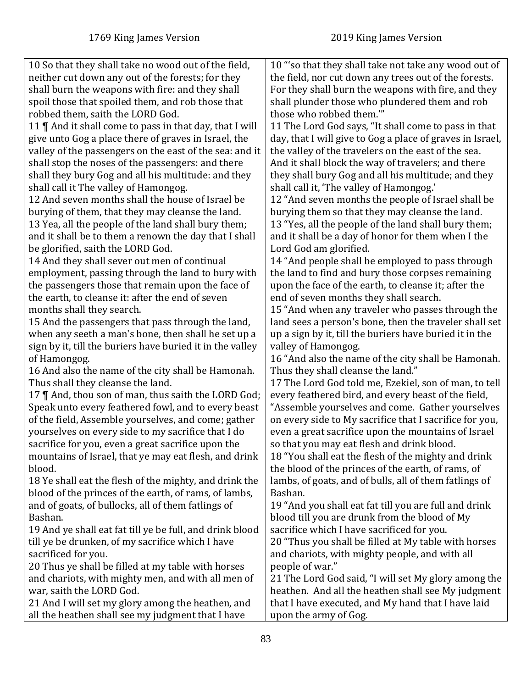| 10 So that they shall take no wood out of the field,<br>10 "'so that they shall take not take any wood out of                                                   |  |
|-----------------------------------------------------------------------------------------------------------------------------------------------------------------|--|
| neither cut down any out of the forests; for they<br>the field, nor cut down any trees out of the forests.                                                      |  |
| shall burn the weapons with fire: and they shall<br>For they shall burn the weapons with fire, and they                                                         |  |
| spoil those that spoiled them, and rob those that<br>shall plunder those who plundered them and rob                                                             |  |
| robbed them, saith the LORD God.<br>those who robbed them.""                                                                                                    |  |
|                                                                                                                                                                 |  |
| 11 The Lord God says, "It shall come to pass in that<br>11    And it shall come to pass in that day, that I will                                                |  |
| give unto Gog a place there of graves in Israel, the<br>day, that I will give to Gog a place of graves in Israel,                                               |  |
| valley of the passengers on the east of the sea: and it<br>the valley of the travelers on the east of the sea.                                                  |  |
| shall stop the noses of the passengers: and there<br>And it shall block the way of travelers; and there                                                         |  |
| shall they bury Gog and all his multitude: and they<br>they shall bury Gog and all his multitude; and they                                                      |  |
| shall call it, 'The valley of Hamongog.'<br>shall call it The valley of Hamongog.                                                                               |  |
| 12 And seven months shall the house of Israel be<br>12 "And seven months the people of Israel shall be                                                          |  |
| burying of them, that they may cleanse the land.<br>burying them so that they may cleanse the land.                                                             |  |
| 13 "Yes, all the people of the land shall bury them;<br>13 Yea, all the people of the land shall bury them;                                                     |  |
| and it shall be a day of honor for them when I the<br>and it shall be to them a renown the day that I shall                                                     |  |
| be glorified, saith the LORD God.<br>Lord God am glorified.                                                                                                     |  |
| 14 "And people shall be employed to pass through<br>14 And they shall sever out men of continual                                                                |  |
| employment, passing through the land to bury with<br>the land to find and bury those corpses remaining                                                          |  |
| upon the face of the earth, to cleanse it; after the<br>the passengers those that remain upon the face of                                                       |  |
| the earth, to cleanse it: after the end of seven<br>end of seven months they shall search.                                                                      |  |
| 15 "And when any traveler who passes through the<br>months shall they search.                                                                                   |  |
| 15 And the passengers that pass through the land,<br>land sees a person's bone, then the traveler shall set                                                     |  |
| when any seeth a man's bone, then shall he set up a<br>up a sign by it, till the buriers have buried it in the                                                  |  |
| sign by it, till the buriers have buried it in the valley<br>valley of Hamongog.                                                                                |  |
| 16 "And also the name of the city shall be Hamonah.<br>of Hamongog.<br>16 And also the name of the city shall be Hamonah.<br>Thus they shall cleanse the land." |  |
| Thus shall they cleanse the land.<br>17 The Lord God told me, Ezekiel, son of man, to tell                                                                      |  |
| 17    And, thou son of man, thus saith the LORD God;<br>every feathered bird, and every beast of the field,                                                     |  |
| "Assemble yourselves and come. Gather yourselves<br>Speak unto every feathered fowl, and to every beast                                                         |  |
| of the field, Assemble yourselves, and come; gather<br>on every side to My sacrifice that I sacrifice for you,                                                  |  |
| even a great sacrifice upon the mountains of Israel<br>yourselves on every side to my sacrifice that I do                                                       |  |
| so that you may eat flesh and drink blood.<br>sacrifice for you, even a great sacrifice upon the                                                                |  |
| 18 "You shall eat the flesh of the mighty and drink<br>mountains of Israel, that ye may eat flesh, and drink                                                    |  |
| the blood of the princes of the earth, of rams, of<br>blood.                                                                                                    |  |
| 18 Ye shall eat the flesh of the mighty, and drink the<br>lambs, of goats, and of bulls, all of them fatlings of                                                |  |
| blood of the princes of the earth, of rams, of lambs,<br>Bashan.                                                                                                |  |
| and of goats, of bullocks, all of them fatlings of<br>19 "And you shall eat fat till you are full and drink                                                     |  |
| blood till you are drunk from the blood of My<br>Bashan.                                                                                                        |  |
| 19 And ye shall eat fat till ye be full, and drink blood<br>sacrifice which I have sacrificed for you.                                                          |  |
| till ye be drunken, of my sacrifice which I have<br>20 "Thus you shall be filled at My table with horses                                                        |  |
| sacrificed for you.<br>and chariots, with mighty people, and with all                                                                                           |  |
| 20 Thus ye shall be filled at my table with horses<br>people of war."                                                                                           |  |
| and chariots, with mighty men, and with all men of<br>21 The Lord God said, "I will set My glory among the                                                      |  |
| war, saith the LORD God.<br>heathen. And all the heathen shall see My judgment                                                                                  |  |
| 21 And I will set my glory among the heathen, and<br>that I have executed, and My hand that I have laid                                                         |  |
| all the heathen shall see my judgment that I have<br>upon the army of Gog.                                                                                      |  |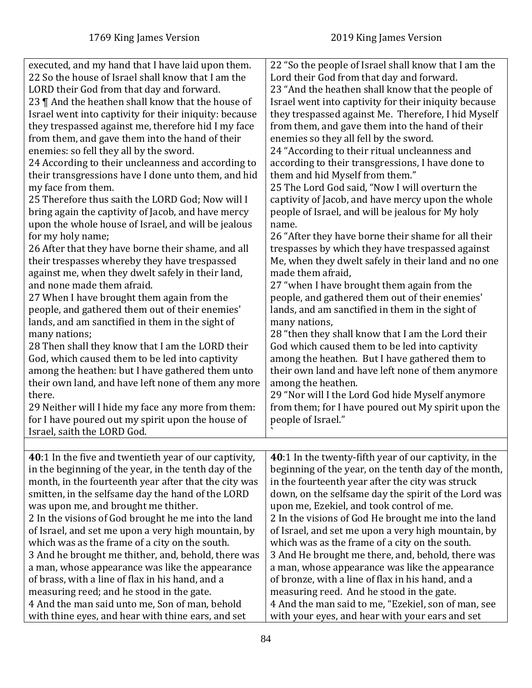| executed, and my hand that I have laid upon them.<br>22 So the house of Israel shall know that I am the<br>LORD their God from that day and forward.<br>23    And the heathen shall know that the house of<br>Israel went into captivity for their iniquity: because<br>they trespassed against me, therefore hid I my face<br>from them, and gave them into the hand of their<br>enemies: so fell they all by the sword.<br>24 According to their uncleanness and according to<br>their transgressions have I done unto them, and hid<br>my face from them.<br>25 Therefore thus saith the LORD God; Now will I<br>bring again the captivity of Jacob, and have mercy<br>upon the whole house of Israel, and will be jealous<br>for my holy name;<br>26 After that they have borne their shame, and all<br>their trespasses whereby they have trespassed<br>against me, when they dwelt safely in their land,<br>and none made them afraid.<br>27 When I have brought them again from the<br>people, and gathered them out of their enemies'<br>lands, and am sanctified in them in the sight of<br>many nations;<br>28 Then shall they know that I am the LORD their<br>God, which caused them to be led into captivity<br>among the heathen: but I have gathered them unto<br>their own land, and have left none of them any more<br>there.<br>29 Neither will I hide my face any more from them:<br>for I have poured out my spirit upon the house of<br>Israel, saith the LORD God. | 22 "So the people of Israel shall know that I am the<br>Lord their God from that day and forward.<br>23 "And the heathen shall know that the people of<br>Israel went into captivity for their iniquity because<br>they trespassed against Me. Therefore, I hid Myself<br>from them, and gave them into the hand of their<br>enemies so they all fell by the sword.<br>24 "According to their ritual uncleanness and<br>according to their transgressions, I have done to<br>them and hid Myself from them."<br>25 The Lord God said, "Now I will overturn the<br>captivity of Jacob, and have mercy upon the whole<br>people of Israel, and will be jealous for My holy<br>name.<br>26 "After they have borne their shame for all their<br>trespasses by which they have trespassed against<br>Me, when they dwelt safely in their land and no one<br>made them afraid,<br>27 "when I have brought them again from the<br>people, and gathered them out of their enemies'<br>lands, and am sanctified in them in the sight of<br>many nations,<br>28 "then they shall know that I am the Lord their<br>God which caused them to be led into captivity<br>among the heathen. But I have gathered them to<br>their own land and have left none of them anymore<br>among the heathen.<br>29 "Nor will I the Lord God hide Myself anymore<br>from them; for I have poured out My spirit upon the<br>people of Israel." |
|------------------------------------------------------------------------------------------------------------------------------------------------------------------------------------------------------------------------------------------------------------------------------------------------------------------------------------------------------------------------------------------------------------------------------------------------------------------------------------------------------------------------------------------------------------------------------------------------------------------------------------------------------------------------------------------------------------------------------------------------------------------------------------------------------------------------------------------------------------------------------------------------------------------------------------------------------------------------------------------------------------------------------------------------------------------------------------------------------------------------------------------------------------------------------------------------------------------------------------------------------------------------------------------------------------------------------------------------------------------------------------------------------------------------------------------------------------------------------------------|---------------------------------------------------------------------------------------------------------------------------------------------------------------------------------------------------------------------------------------------------------------------------------------------------------------------------------------------------------------------------------------------------------------------------------------------------------------------------------------------------------------------------------------------------------------------------------------------------------------------------------------------------------------------------------------------------------------------------------------------------------------------------------------------------------------------------------------------------------------------------------------------------------------------------------------------------------------------------------------------------------------------------------------------------------------------------------------------------------------------------------------------------------------------------------------------------------------------------------------------------------------------------------------------------------------------------------------------------------------------------------------------------------------------|
|                                                                                                                                                                                                                                                                                                                                                                                                                                                                                                                                                                                                                                                                                                                                                                                                                                                                                                                                                                                                                                                                                                                                                                                                                                                                                                                                                                                                                                                                                          |                                                                                                                                                                                                                                                                                                                                                                                                                                                                                                                                                                                                                                                                                                                                                                                                                                                                                                                                                                                                                                                                                                                                                                                                                                                                                                                                                                                                                     |
| 40:1 In the five and twentieth year of our captivity,<br>in the beginning of the year, in the tenth day of the<br>month, in the fourteenth year after that the city was<br>smitten, in the selfsame day the hand of the LORD<br>was upon me, and brought me thither.<br>2 In the visions of God brought he me into the land<br>of Israel, and set me upon a very high mountain, by<br>which was as the frame of a city on the south.<br>3 And he brought me thither, and, behold, there was<br>a man, whose appearance was like the appearance<br>of brass, with a line of flax in his hand, and a<br>measuring reed; and he stood in the gate.<br>4 And the man said unto me, Son of man, behold<br>with thine eyes, and hear with thine ears, and set                                                                                                                                                                                                                                                                                                                                                                                                                                                                                                                                                                                                                                                                                                                                  | 40:1 In the twenty-fifth year of our captivity, in the<br>beginning of the year, on the tenth day of the month,<br>in the fourteenth year after the city was struck<br>down, on the selfsame day the spirit of the Lord was<br>upon me, Ezekiel, and took control of me.<br>2 In the visions of God He brought me into the land<br>of Israel, and set me upon a very high mountain, by<br>which was as the frame of a city on the south.<br>3 And He brought me there, and, behold, there was<br>a man, whose appearance was like the appearance<br>of bronze, with a line of flax in his hand, and a<br>measuring reed. And he stood in the gate.<br>4 And the man said to me, "Ezekiel, son of man, see<br>with your eyes, and hear with your ears and set                                                                                                                                                                                                                                                                                                                                                                                                                                                                                                                                                                                                                                                        |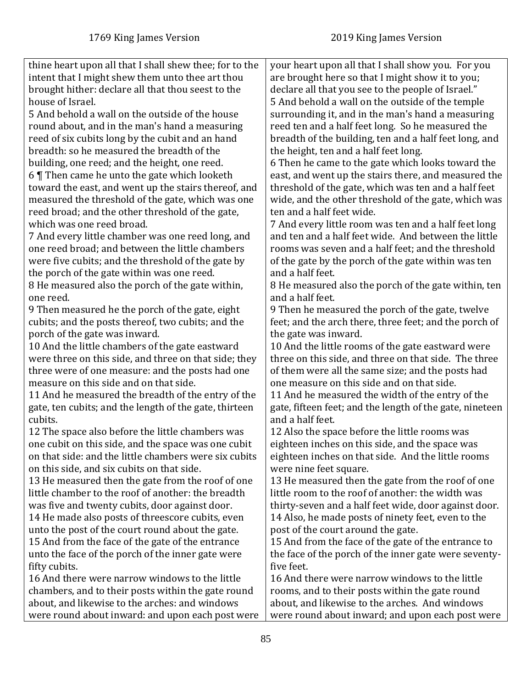| thine heart upon all that I shall shew thee; for to the | your heart upon all that I shall show you. For you       |
|---------------------------------------------------------|----------------------------------------------------------|
| intent that I might shew them unto thee art thou        | are brought here so that I might show it to you;         |
| brought hither: declare all that thou seest to the      | declare all that you see to the people of Israel."       |
| house of Israel.                                        | 5 And behold a wall on the outside of the temple         |
| 5 And behold a wall on the outside of the house         | surrounding it, and in the man's hand a measuring        |
| round about, and in the man's hand a measuring          | reed ten and a half feet long. So he measured the        |
| reed of six cubits long by the cubit and an hand        | breadth of the building, ten and a half feet long, and   |
| breadth: so he measured the breadth of the              | the height, ten and a half feet long.                    |
| building, one reed; and the height, one reed.           | 6 Then he came to the gate which looks toward the        |
| 6 $\P$ Then came he unto the gate which looketh         | east, and went up the stairs there, and measured the     |
| toward the east, and went up the stairs thereof, and    | threshold of the gate, which was ten and a half feet     |
| measured the threshold of the gate, which was one       | wide, and the other threshold of the gate, which was     |
| reed broad; and the other threshold of the gate,        | ten and a half feet wide.                                |
| which was one reed broad.                               | 7 And every little room was ten and a half feet long     |
| 7 And every little chamber was one reed long, and       | and ten and a half feet wide. And between the little     |
| one reed broad; and between the little chambers         | rooms was seven and a half feet; and the threshold       |
| were five cubits; and the threshold of the gate by      | of the gate by the porch of the gate within was ten      |
| the porch of the gate within was one reed.              | and a half feet.                                         |
| 8 He measured also the porch of the gate within,        | 8 He measured also the porch of the gate within, ten     |
| one reed.                                               | and a half feet.                                         |
| 9 Then measured he the porch of the gate, eight         | 9 Then he measured the porch of the gate, twelve         |
| cubits; and the posts thereof, two cubits; and the      | feet; and the arch there, three feet; and the porch of   |
| porch of the gate was inward.                           | the gate was inward.                                     |
| 10 And the little chambers of the gate eastward         | 10 And the little rooms of the gate eastward were        |
| were three on this side, and three on that side; they   | three on this side, and three on that side. The three    |
| three were of one measure: and the posts had one        | of them were all the same size; and the posts had        |
| measure on this side and on that side.                  | one measure on this side and on that side.               |
| 11 And he measured the breadth of the entry of the      | 11 And he measured the width of the entry of the         |
| gate, ten cubits; and the length of the gate, thirteen  | gate, fifteen feet; and the length of the gate, nineteen |
| cubits.                                                 | and a half feet.                                         |
| 12 The space also before the little chambers was        | 12 Also the space before the little rooms was            |
| one cubit on this side, and the space was one cubit     | eighteen inches on this side, and the space was          |
| on that side: and the little chambers were six cubits   | eighteen inches on that side. And the little rooms       |
| on this side, and six cubits on that side.              | were nine feet square.                                   |
| 13 He measured then the gate from the roof of one       | 13 He measured then the gate from the roof of one        |
| little chamber to the roof of another: the breadth      | little room to the roof of another: the width was        |
| was five and twenty cubits, door against door.          | thirty-seven and a half feet wide, door against door.    |
| 14 He made also posts of threescore cubits, even        | 14 Also, he made posts of ninety feet, even to the       |
| unto the post of the court round about the gate.        | post of the court around the gate.                       |
| 15 And from the face of the gate of the entrance        | 15 And from the face of the gate of the entrance to      |
| unto the face of the porch of the inner gate were       | the face of the porch of the inner gate were seventy-    |
| fifty cubits.                                           | five feet.                                               |
| 16 And there were narrow windows to the little          | 16 And there were narrow windows to the little           |
| chambers, and to their posts within the gate round      | rooms, and to their posts within the gate round          |
| about, and likewise to the arches: and windows          | about, and likewise to the arches. And windows           |
| were round about inward: and upon each post were        | were round about inward; and upon each post were         |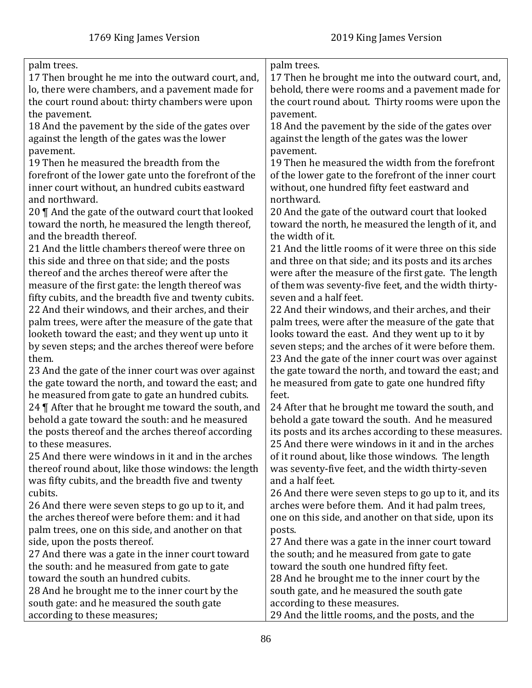| palm trees.                                           | palm trees.                                           |
|-------------------------------------------------------|-------------------------------------------------------|
| 17 Then brought he me into the outward court, and,    | 17 Then he brought me into the outward court, and,    |
| lo, there were chambers, and a pavement made for      | behold, there were rooms and a pavement made for      |
| the court round about: thirty chambers were upon      | the court round about. Thirty rooms were upon the     |
| the pavement.                                         | pavement.                                             |
| 18 And the pavement by the side of the gates over     | 18 And the pavement by the side of the gates over     |
| against the length of the gates was the lower         | against the length of the gates was the lower         |
| pavement.                                             | pavement.                                             |
| 19 Then he measured the breadth from the              | 19 Then he measured the width from the forefront      |
| forefront of the lower gate unto the forefront of the | of the lower gate to the forefront of the inner court |
| inner court without, an hundred cubits eastward       | without, one hundred fifty feet eastward and          |
| and northward.                                        | northward.                                            |
| 20    And the gate of the outward court that looked   | 20 And the gate of the outward court that looked      |
| toward the north, he measured the length thereof,     | toward the north, he measured the length of it, and   |
| and the breadth thereof.                              | the width of it.                                      |
| 21 And the little chambers thereof were three on      | 21 And the little rooms of it were three on this side |
| this side and three on that side; and the posts       | and three on that side; and its posts and its arches  |
| thereof and the arches thereof were after the         | were after the measure of the first gate. The length  |
| measure of the first gate: the length thereof was     | of them was seventy-five feet, and the width thirty-  |
| fifty cubits, and the breadth five and twenty cubits. | seven and a half feet.                                |
| 22 And their windows, and their arches, and their     | 22 And their windows, and their arches, and their     |
| palm trees, were after the measure of the gate that   | palm trees, were after the measure of the gate that   |
| looketh toward the east; and they went up unto it     | looks toward the east. And they went up to it by      |
| by seven steps; and the arches thereof were before    | seven steps; and the arches of it were before them.   |
| them.                                                 | 23 And the gate of the inner court was over against   |
| 23 And the gate of the inner court was over against   | the gate toward the north, and toward the east; and   |
| the gate toward the north, and toward the east; and   | he measured from gate to gate one hundred fifty       |
| he measured from gate to gate an hundred cubits.      | feet.                                                 |
| 24   After that he brought me toward the south, and   | 24 After that he brought me toward the south, and     |
| behold a gate toward the south: and he measured       | behold a gate toward the south. And he measured       |
| the posts thereof and the arches thereof according    | its posts and its arches according to these measures. |
| to these measures.                                    | 25 And there were windows in it and in the arches     |
| 25 And there were windows in it and in the arches     | of it round about, like those windows. The length     |
| thereof round about, like those windows: the length   | was seventy-five feet, and the width thirty-seven     |
| was fifty cubits, and the breadth five and twenty     | and a half feet.                                      |
| cubits.                                               | 26 And there were seven steps to go up to it, and its |
| 26 And there were seven steps to go up to it, and     | arches were before them. And it had palm trees,       |
| the arches thereof were before them: and it had       | one on this side, and another on that side, upon its  |
| palm trees, one on this side, and another on that     | posts.                                                |
| side, upon the posts thereof.                         | 27 And there was a gate in the inner court toward     |
| 27 And there was a gate in the inner court toward     | the south; and he measured from gate to gate          |
| the south: and he measured from gate to gate          | toward the south one hundred fifty feet.              |
| toward the south an hundred cubits.                   | 28 And he brought me to the inner court by the        |
| 28 And he brought me to the inner court by the        | south gate, and he measured the south gate            |
| south gate: and he measured the south gate            | according to these measures.                          |
| according to these measures;                          | 29 And the little rooms, and the posts, and the       |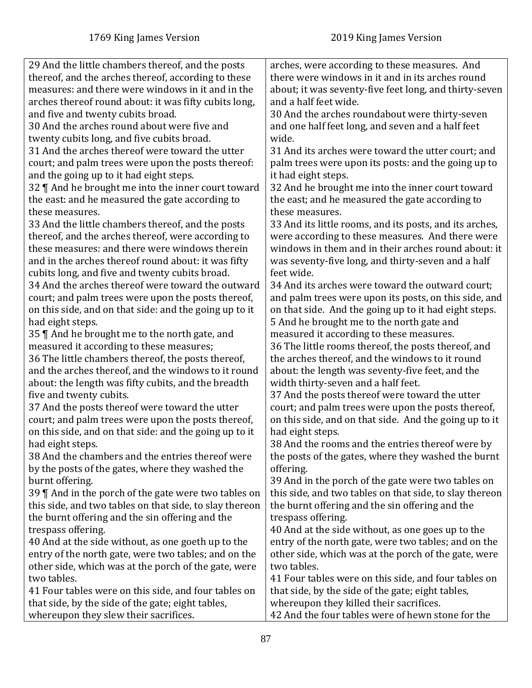| 29 And the little chambers thereof, and the posts       | arches, were according to these measures. And           |
|---------------------------------------------------------|---------------------------------------------------------|
| thereof, and the arches thereof, according to these     | there were windows in it and in its arches round        |
| measures: and there were windows in it and in the       | about; it was seventy-five feet long, and thirty-seven  |
| arches thereof round about: it was fifty cubits long,   | and a half feet wide.                                   |
| and five and twenty cubits broad.                       | 30 And the arches roundabout were thirty-seven          |
| 30 And the arches round about were five and             | and one half feet long, and seven and a half feet       |
| twenty cubits long, and five cubits broad.              | wide.                                                   |
| 31 And the arches thereof were toward the utter         | 31 And its arches were toward the utter court; and      |
| court; and palm trees were upon the posts thereof:      | palm trees were upon its posts: and the going up to     |
| and the going up to it had eight steps.                 | it had eight steps.                                     |
| 32    And he brought me into the inner court toward     | 32 And he brought me into the inner court toward        |
| the east: and he measured the gate according to         | the east; and he measured the gate according to         |
| these measures.                                         | these measures.                                         |
| 33 And the little chambers thereof, and the posts       | 33 And its little rooms, and its posts, and its arches, |
| thereof, and the arches thereof, were according to      | were according to these measures. And there were        |
| these measures: and there were windows therein          | windows in them and in their arches round about: it     |
| and in the arches thereof round about: it was fifty     | was seventy-five long, and thirty-seven and a half      |
| cubits long, and five and twenty cubits broad.          | feet wide.                                              |
| 34 And the arches thereof were toward the outward       | 34 And its arches were toward the outward court;        |
| court; and palm trees were upon the posts thereof,      | and palm trees were upon its posts, on this side, and   |
| on this side, and on that side: and the going up to it  | on that side. And the going up to it had eight steps.   |
| had eight steps.                                        | 5 And he brought me to the north gate and               |
| 35    And he brought me to the north gate, and          | measured it according to these measures.                |
| measured it according to these measures;                | 36 The little rooms thereof, the posts thereof, and     |
| 36 The little chambers thereof, the posts thereof,      | the arches thereof, and the windows to it round         |
| and the arches thereof, and the windows to it round     | about: the length was seventy-five feet, and the        |
| about: the length was fifty cubits, and the breadth     | width thirty-seven and a half feet.                     |
| five and twenty cubits.                                 | 37 And the posts thereof were toward the utter          |
| 37 And the posts thereof were toward the utter          | court; and palm trees were upon the posts thereof,      |
| court; and palm trees were upon the posts thereof,      | on this side, and on that side. And the going up to it  |
| on this side, and on that side: and the going up to it  | had eight steps.                                        |
| had eight steps.                                        | 38 And the rooms and the entries thereof were by        |
| 38 And the chambers and the entries thereof were        | the posts of the gates, where they washed the burnt     |
| by the posts of the gates, where they washed the        | offering.                                               |
| burnt offering.                                         | 39 And in the porch of the gate were two tables on      |
| 39 $\P$ And in the porch of the gate were two tables on | this side, and two tables on that side, to slay thereon |
| this side, and two tables on that side, to slay thereon | the burnt offering and the sin offering and the         |
| the burnt offering and the sin offering and the         | trespass offering.                                      |
| trespass offering.                                      | 40 And at the side without, as one goes up to the       |
| 40 And at the side without, as one goeth up to the      | entry of the north gate, were two tables; and on the    |
| entry of the north gate, were two tables; and on the    | other side, which was at the porch of the gate, were    |
| other side, which was at the porch of the gate, were    | two tables.                                             |
| two tables.                                             | 41 Four tables were on this side, and four tables on    |
| 41 Four tables were on this side, and four tables on    | that side, by the side of the gate; eight tables,       |
| that side, by the side of the gate; eight tables,       | whereupon they killed their sacrifices.                 |
| whereupon they slew their sacrifices.                   | 42 And the four tables were of hewn stone for the       |
|                                                         |                                                         |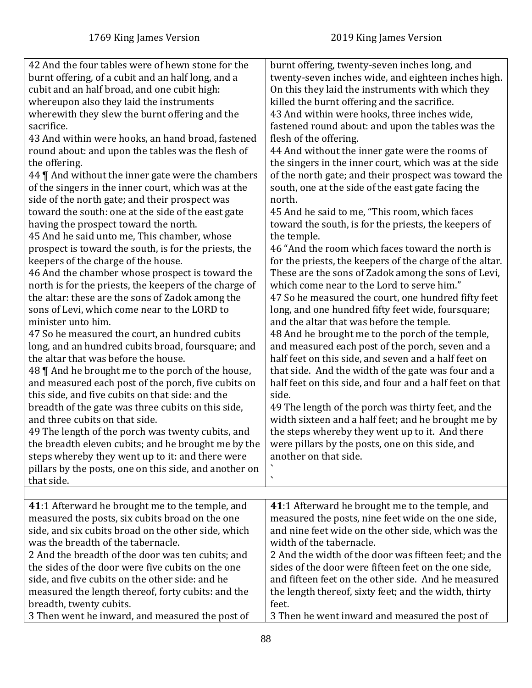| burnt offering, twenty-seven inches long, and<br>twenty-seven inches wide, and eighteen inches high.<br>On this they laid the instruments with which they<br>killed the burnt offering and the sacrifice.<br>43 And within were hooks, three inches wide,<br>fastened round about: and upon the tables was the<br>flesh of the offering.<br>44 And without the inner gate were the rooms of<br>the singers in the inner court, which was at the side<br>of the north gate; and their prospect was toward the<br>south, one at the side of the east gate facing the<br>north.<br>45 And he said to me, "This room, which faces<br>toward the south, is for the priests, the keepers of<br>the temple.<br>46 "And the room which faces toward the north is<br>for the priests, the keepers of the charge of the altar.<br>These are the sons of Zadok among the sons of Levi,<br>which come near to the Lord to serve him."<br>47 So he measured the court, one hundred fifty feet<br>long, and one hundred fifty feet wide, foursquare;<br>and the altar that was before the temple.<br>48 And he brought me to the porch of the temple,<br>and measured each post of the porch, seven and a<br>half feet on this side, and seven and a half feet on<br>that side. And the width of the gate was four and a<br>half feet on this side, and four and a half feet on that<br>side.<br>49 The length of the porch was thirty feet, and the<br>width sixteen and a half feet; and he brought me by<br>the steps whereby they went up to it. And there<br>were pillars by the posts, one on this side, and<br>another on that side.<br>$\blacktriangledown$ |
|-------------------------------------------------------------------------------------------------------------------------------------------------------------------------------------------------------------------------------------------------------------------------------------------------------------------------------------------------------------------------------------------------------------------------------------------------------------------------------------------------------------------------------------------------------------------------------------------------------------------------------------------------------------------------------------------------------------------------------------------------------------------------------------------------------------------------------------------------------------------------------------------------------------------------------------------------------------------------------------------------------------------------------------------------------------------------------------------------------------------------------------------------------------------------------------------------------------------------------------------------------------------------------------------------------------------------------------------------------------------------------------------------------------------------------------------------------------------------------------------------------------------------------------------------------------------------------------------------------------------------------------------------------|
|                                                                                                                                                                                                                                                                                                                                                                                                                                                                                                                                                                                                                                                                                                                                                                                                                                                                                                                                                                                                                                                                                                                                                                                                                                                                                                                                                                                                                                                                                                                                                                                                                                                       |
| 41:1 Afterward he brought me to the temple, and<br>measured the posts, nine feet wide on the one side,<br>and nine feet wide on the other side, which was the<br>width of the tabernacle.<br>2 And the width of the door was fifteen feet; and the<br>sides of the door were fifteen feet on the one side,<br>and fifteen feet on the other side. And he measured<br>the length thereof, sixty feet; and the width, thirty<br>feet.<br>3 Then he went inward and measured the post of                                                                                                                                                                                                                                                                                                                                                                                                                                                                                                                                                                                                                                                                                                                                                                                                                                                                                                                                                                                                                                                                                                                                                                 |
|                                                                                                                                                                                                                                                                                                                                                                                                                                                                                                                                                                                                                                                                                                                                                                                                                                                                                                                                                                                                                                                                                                                                                                                                                                                                                                                                                                                                                                                                                                                                                                                                                                                       |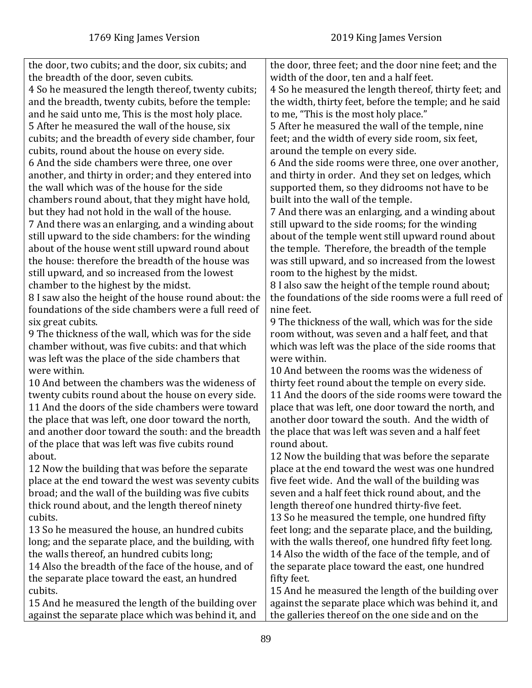| the door, two cubits; and the door, six cubits; and   | the door, three feet; and the door nine feet; and the  |
|-------------------------------------------------------|--------------------------------------------------------|
| the breadth of the door, seven cubits.                | width of the door, ten and a half feet.                |
| 4 So he measured the length thereof, twenty cubits;   | 4 So he measured the length thereof, thirty feet; and  |
| and the breadth, twenty cubits, before the temple:    | the width, thirty feet, before the temple; and he said |
| and he said unto me, This is the most holy place.     | to me, "This is the most holy place."                  |
| 5 After he measured the wall of the house, six        | 5 After he measured the wall of the temple, nine       |
| cubits; and the breadth of every side chamber, four   | feet; and the width of every side room, six feet,      |
| cubits, round about the house on every side.          | around the temple on every side.                       |
| 6 And the side chambers were three, one over          | 6 And the side rooms were three, one over another,     |
| another, and thirty in order; and they entered into   | and thirty in order. And they set on ledges, which     |
| the wall which was of the house for the side          | supported them, so they didrooms not have to be        |
| chambers round about, that they might have hold,      | built into the wall of the temple.                     |
| but they had not hold in the wall of the house.       | 7 And there was an enlarging, and a winding about      |
| 7 And there was an enlarging, and a winding about     | still upward to the side rooms; for the winding        |
| still upward to the side chambers: for the winding    | about of the temple went still upward round about      |
| about of the house went still upward round about      | the temple. Therefore, the breadth of the temple       |
| the house: therefore the breadth of the house was     | was still upward, and so increased from the lowest     |
| still upward, and so increased from the lowest        | room to the highest by the midst.                      |
| chamber to the highest by the midst.                  | 8 I also saw the height of the temple round about;     |
| 8 I saw also the height of the house round about: the | the foundations of the side rooms were a full reed of  |
| foundations of the side chambers were a full reed of  | nine feet.                                             |
| six great cubits.                                     | 9 The thickness of the wall, which was for the side    |
| 9 The thickness of the wall, which was for the side   | room without, was seven and a half feet, and that      |
| chamber without, was five cubits: and that which      | which was left was the place of the side rooms that    |
| was left was the place of the side chambers that      | were within.                                           |
| were within.                                          | 10 And between the rooms was the wideness of           |
| 10 And between the chambers was the wideness of       | thirty feet round about the temple on every side.      |
| twenty cubits round about the house on every side.    | 11 And the doors of the side rooms were toward the     |
| 11 And the doors of the side chambers were toward     | place that was left, one door toward the north, and    |
| the place that was left, one door toward the north,   | another door toward the south. And the width of        |
| and another door toward the south: and the breadth    | the place that was left was seven and a half feet      |
| of the place that was left was five cubits round      | round about.                                           |
| about.                                                | 12 Now the building that was before the separate       |
| 12 Now the building that was before the separate      | place at the end toward the west was one hundred       |
| place at the end toward the west was seventy cubits   | five feet wide. And the wall of the building was       |
| broad; and the wall of the building was five cubits   | seven and a half feet thick round about, and the       |
| thick round about, and the length thereof ninety      | length thereof one hundred thirty-five feet.           |
| cubits.                                               | 13 So he measured the temple, one hundred fifty        |
| 13 So he measured the house, an hundred cubits        |                                                        |
| long; and the separate place, and the building, with  | feet long; and the separate place, and the building,   |
|                                                       | with the walls thereof, one hundred fifty feet long.   |
| the walls thereof, an hundred cubits long;            | 14 Also the width of the face of the temple, and of    |
| 14 Also the breadth of the face of the house, and of  | the separate place toward the east, one hundred        |
| the separate place toward the east, an hundred        | fifty feet.                                            |
| cubits.                                               | 15 And he measured the length of the building over     |
| 15 And he measured the length of the building over    | against the separate place which was behind it, and    |
| against the separate place which was behind it, and   | the galleries thereof on the one side and on the       |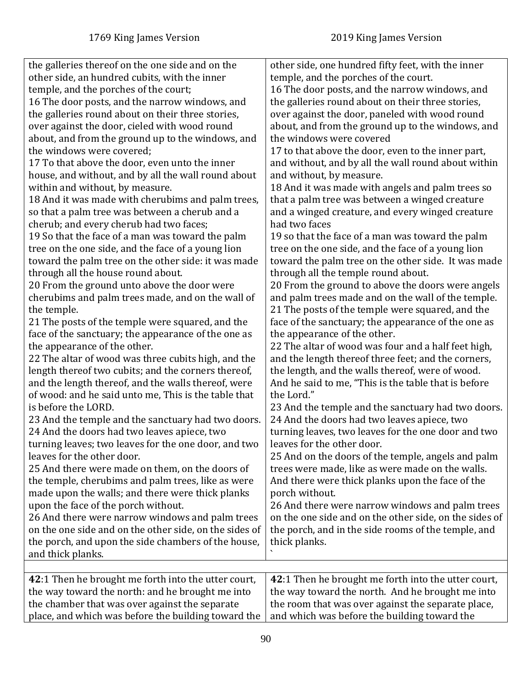| the galleries thereof on the one side and on the                                                                                                                                                                                                                                                                                                                                                                                                                                                                                                                                                                                                                                                                                                                                                                                                                                                                                                                                                                                                                                                                                                    | other side, one hundred fifty feet, with the inner                                                                                                                                                                                                                                                                                                                                                                                                                                                                                                                                                                                                                                                                                                                                                                                                                                                                                                                                                                                                   |
|-----------------------------------------------------------------------------------------------------------------------------------------------------------------------------------------------------------------------------------------------------------------------------------------------------------------------------------------------------------------------------------------------------------------------------------------------------------------------------------------------------------------------------------------------------------------------------------------------------------------------------------------------------------------------------------------------------------------------------------------------------------------------------------------------------------------------------------------------------------------------------------------------------------------------------------------------------------------------------------------------------------------------------------------------------------------------------------------------------------------------------------------------------|------------------------------------------------------------------------------------------------------------------------------------------------------------------------------------------------------------------------------------------------------------------------------------------------------------------------------------------------------------------------------------------------------------------------------------------------------------------------------------------------------------------------------------------------------------------------------------------------------------------------------------------------------------------------------------------------------------------------------------------------------------------------------------------------------------------------------------------------------------------------------------------------------------------------------------------------------------------------------------------------------------------------------------------------------|
| other side, an hundred cubits, with the inner                                                                                                                                                                                                                                                                                                                                                                                                                                                                                                                                                                                                                                                                                                                                                                                                                                                                                                                                                                                                                                                                                                       | temple, and the porches of the court.                                                                                                                                                                                                                                                                                                                                                                                                                                                                                                                                                                                                                                                                                                                                                                                                                                                                                                                                                                                                                |
| temple, and the porches of the court;                                                                                                                                                                                                                                                                                                                                                                                                                                                                                                                                                                                                                                                                                                                                                                                                                                                                                                                                                                                                                                                                                                               | 16 The door posts, and the narrow windows, and                                                                                                                                                                                                                                                                                                                                                                                                                                                                                                                                                                                                                                                                                                                                                                                                                                                                                                                                                                                                       |
| 16 The door posts, and the narrow windows, and                                                                                                                                                                                                                                                                                                                                                                                                                                                                                                                                                                                                                                                                                                                                                                                                                                                                                                                                                                                                                                                                                                      | the galleries round about on their three stories,                                                                                                                                                                                                                                                                                                                                                                                                                                                                                                                                                                                                                                                                                                                                                                                                                                                                                                                                                                                                    |
| the galleries round about on their three stories,                                                                                                                                                                                                                                                                                                                                                                                                                                                                                                                                                                                                                                                                                                                                                                                                                                                                                                                                                                                                                                                                                                   | over against the door, paneled with wood round                                                                                                                                                                                                                                                                                                                                                                                                                                                                                                                                                                                                                                                                                                                                                                                                                                                                                                                                                                                                       |
| over against the door, cieled with wood round                                                                                                                                                                                                                                                                                                                                                                                                                                                                                                                                                                                                                                                                                                                                                                                                                                                                                                                                                                                                                                                                                                       | about, and from the ground up to the windows, and                                                                                                                                                                                                                                                                                                                                                                                                                                                                                                                                                                                                                                                                                                                                                                                                                                                                                                                                                                                                    |
| about, and from the ground up to the windows, and                                                                                                                                                                                                                                                                                                                                                                                                                                                                                                                                                                                                                                                                                                                                                                                                                                                                                                                                                                                                                                                                                                   | the windows were covered                                                                                                                                                                                                                                                                                                                                                                                                                                                                                                                                                                                                                                                                                                                                                                                                                                                                                                                                                                                                                             |
| the windows were covered;                                                                                                                                                                                                                                                                                                                                                                                                                                                                                                                                                                                                                                                                                                                                                                                                                                                                                                                                                                                                                                                                                                                           | 17 to that above the door, even to the inner part,                                                                                                                                                                                                                                                                                                                                                                                                                                                                                                                                                                                                                                                                                                                                                                                                                                                                                                                                                                                                   |
| 17 To that above the door, even unto the inner                                                                                                                                                                                                                                                                                                                                                                                                                                                                                                                                                                                                                                                                                                                                                                                                                                                                                                                                                                                                                                                                                                      | and without, and by all the wall round about within                                                                                                                                                                                                                                                                                                                                                                                                                                                                                                                                                                                                                                                                                                                                                                                                                                                                                                                                                                                                  |
| house, and without, and by all the wall round about                                                                                                                                                                                                                                                                                                                                                                                                                                                                                                                                                                                                                                                                                                                                                                                                                                                                                                                                                                                                                                                                                                 | and without, by measure.                                                                                                                                                                                                                                                                                                                                                                                                                                                                                                                                                                                                                                                                                                                                                                                                                                                                                                                                                                                                                             |
| within and without, by measure.                                                                                                                                                                                                                                                                                                                                                                                                                                                                                                                                                                                                                                                                                                                                                                                                                                                                                                                                                                                                                                                                                                                     | 18 And it was made with angels and palm trees so                                                                                                                                                                                                                                                                                                                                                                                                                                                                                                                                                                                                                                                                                                                                                                                                                                                                                                                                                                                                     |
| 18 And it was made with cherubims and palm trees,                                                                                                                                                                                                                                                                                                                                                                                                                                                                                                                                                                                                                                                                                                                                                                                                                                                                                                                                                                                                                                                                                                   | that a palm tree was between a winged creature                                                                                                                                                                                                                                                                                                                                                                                                                                                                                                                                                                                                                                                                                                                                                                                                                                                                                                                                                                                                       |
| so that a palm tree was between a cherub and a                                                                                                                                                                                                                                                                                                                                                                                                                                                                                                                                                                                                                                                                                                                                                                                                                                                                                                                                                                                                                                                                                                      | and a winged creature, and every winged creature                                                                                                                                                                                                                                                                                                                                                                                                                                                                                                                                                                                                                                                                                                                                                                                                                                                                                                                                                                                                     |
| cherub; and every cherub had two faces;                                                                                                                                                                                                                                                                                                                                                                                                                                                                                                                                                                                                                                                                                                                                                                                                                                                                                                                                                                                                                                                                                                             | had two faces                                                                                                                                                                                                                                                                                                                                                                                                                                                                                                                                                                                                                                                                                                                                                                                                                                                                                                                                                                                                                                        |
| 19 So that the face of a man was toward the palm                                                                                                                                                                                                                                                                                                                                                                                                                                                                                                                                                                                                                                                                                                                                                                                                                                                                                                                                                                                                                                                                                                    | 19 so that the face of a man was toward the palm                                                                                                                                                                                                                                                                                                                                                                                                                                                                                                                                                                                                                                                                                                                                                                                                                                                                                                                                                                                                     |
| tree on the one side, and the face of a young lion                                                                                                                                                                                                                                                                                                                                                                                                                                                                                                                                                                                                                                                                                                                                                                                                                                                                                                                                                                                                                                                                                                  | tree on the one side, and the face of a young lion                                                                                                                                                                                                                                                                                                                                                                                                                                                                                                                                                                                                                                                                                                                                                                                                                                                                                                                                                                                                   |
| toward the palm tree on the other side: it was made                                                                                                                                                                                                                                                                                                                                                                                                                                                                                                                                                                                                                                                                                                                                                                                                                                                                                                                                                                                                                                                                                                 | toward the palm tree on the other side. It was made                                                                                                                                                                                                                                                                                                                                                                                                                                                                                                                                                                                                                                                                                                                                                                                                                                                                                                                                                                                                  |
| through all the house round about.                                                                                                                                                                                                                                                                                                                                                                                                                                                                                                                                                                                                                                                                                                                                                                                                                                                                                                                                                                                                                                                                                                                  | through all the temple round about.                                                                                                                                                                                                                                                                                                                                                                                                                                                                                                                                                                                                                                                                                                                                                                                                                                                                                                                                                                                                                  |
| 20 From the ground unto above the door were                                                                                                                                                                                                                                                                                                                                                                                                                                                                                                                                                                                                                                                                                                                                                                                                                                                                                                                                                                                                                                                                                                         | 20 From the ground to above the doors were angels                                                                                                                                                                                                                                                                                                                                                                                                                                                                                                                                                                                                                                                                                                                                                                                                                                                                                                                                                                                                    |
| cherubims and palm trees made, and on the wall of                                                                                                                                                                                                                                                                                                                                                                                                                                                                                                                                                                                                                                                                                                                                                                                                                                                                                                                                                                                                                                                                                                   | and palm trees made and on the wall of the temple.                                                                                                                                                                                                                                                                                                                                                                                                                                                                                                                                                                                                                                                                                                                                                                                                                                                                                                                                                                                                   |
| the temple.                                                                                                                                                                                                                                                                                                                                                                                                                                                                                                                                                                                                                                                                                                                                                                                                                                                                                                                                                                                                                                                                                                                                         | 21 The posts of the temple were squared, and the                                                                                                                                                                                                                                                                                                                                                                                                                                                                                                                                                                                                                                                                                                                                                                                                                                                                                                                                                                                                     |
| 21 The posts of the temple were squared, and the                                                                                                                                                                                                                                                                                                                                                                                                                                                                                                                                                                                                                                                                                                                                                                                                                                                                                                                                                                                                                                                                                                    | face of the sanctuary; the appearance of the one as                                                                                                                                                                                                                                                                                                                                                                                                                                                                                                                                                                                                                                                                                                                                                                                                                                                                                                                                                                                                  |
| face of the sanctuary; the appearance of the one as<br>the appearance of the other.<br>22 The altar of wood was three cubits high, and the<br>length thereof two cubits; and the corners thereof,<br>and the length thereof, and the walls thereof, were<br>of wood: and he said unto me, This is the table that<br>is before the LORD.<br>23 And the temple and the sanctuary had two doors.<br>24 And the doors had two leaves apiece, two<br>turning leaves; two leaves for the one door, and two<br>leaves for the other door.<br>25 And there were made on them, on the doors of<br>the temple, cherubims and palm trees, like as were<br>made upon the walls; and there were thick planks<br>upon the face of the porch without.<br>26 And there were narrow windows and palm trees<br>on the one side and on the other side, on the sides of<br>the porch, and upon the side chambers of the house,<br>and thick planks.<br>42:1 Then he brought me forth into the utter court,<br>the way toward the north: and he brought me into<br>the chamber that was over against the separate<br>place, and which was before the building toward the | the appearance of the other.<br>22 The altar of wood was four and a half feet high,<br>and the length thereof three feet; and the corners,<br>the length, and the walls thereof, were of wood.<br>And he said to me, "This is the table that is before<br>the Lord."<br>23 And the temple and the sanctuary had two doors.<br>24 And the doors had two leaves apiece, two<br>turning leaves, two leaves for the one door and two<br>leaves for the other door.<br>25 And on the doors of the temple, angels and palm<br>trees were made, like as were made on the walls.<br>And there were thick planks upon the face of the<br>porch without.<br>26 And there were narrow windows and palm trees<br>on the one side and on the other side, on the sides of<br>the porch, and in the side rooms of the temple, and<br>thick planks.<br>42:1 Then he brought me forth into the utter court,<br>the way toward the north. And he brought me into<br>the room that was over against the separate place,<br>and which was before the building toward the |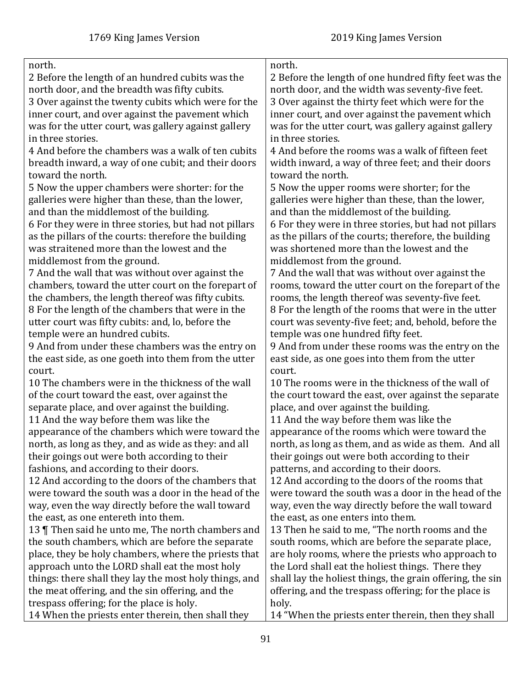| north.                                                 | north.                                                    |
|--------------------------------------------------------|-----------------------------------------------------------|
| 2 Before the length of an hundred cubits was the       | 2 Before the length of one hundred fifty feet was the     |
| north door, and the breadth was fifty cubits.          | north door, and the width was seventy-five feet.          |
| 3 Over against the twenty cubits which were for the    | 3 Over against the thirty feet which were for the         |
| inner court, and over against the pavement which       | inner court, and over against the pavement which          |
| was for the utter court, was gallery against gallery   | was for the utter court, was gallery against gallery      |
| in three stories.                                      | in three stories.                                         |
| 4 And before the chambers was a walk of ten cubits     | 4 And before the rooms was a walk of fifteen feet         |
| breadth inward, a way of one cubit; and their doors    | width inward, a way of three feet; and their doors        |
| toward the north.                                      | toward the north.                                         |
| 5 Now the upper chambers were shorter: for the         | 5 Now the upper rooms were shorter; for the               |
| galleries were higher than these, than the lower,      | galleries were higher than these, than the lower,         |
| and than the middlemost of the building.               | and than the middlemost of the building.                  |
| 6 For they were in three stories, but had not pillars  | 6 For they were in three stories, but had not pillars     |
| as the pillars of the courts: therefore the building   | as the pillars of the courts; therefore, the building     |
| was straitened more than the lowest and the            | was shortened more than the lowest and the                |
| middlemost from the ground.                            | middlemost from the ground.                               |
| 7 And the wall that was without over against the       | 7 And the wall that was without over against the          |
| chambers, toward the utter court on the forepart of    | rooms, toward the utter court on the forepart of the      |
| the chambers, the length thereof was fifty cubits.     | rooms, the length thereof was seventy-five feet.          |
| 8 For the length of the chambers that were in the      | 8 For the length of the rooms that were in the utter      |
| utter court was fifty cubits: and, lo, before the      | court was seventy-five feet; and, behold, before the      |
| temple were an hundred cubits.                         | temple was one hundred fifty feet.                        |
| 9 And from under these chambers was the entry on       | 9 And from under these rooms was the entry on the         |
| the east side, as one goeth into them from the utter   | east side, as one goes into them from the utter           |
| court.                                                 | court.                                                    |
| 10 The chambers were in the thickness of the wall      | 10 The rooms were in the thickness of the wall of         |
| of the court toward the east, over against the         | the court toward the east, over against the separate      |
| separate place, and over against the building.         | place, and over against the building.                     |
| 11 And the way before them was like the                | 11 And the way before them was like the                   |
| appearance of the chambers which were toward the       | appearance of the rooms which were toward the             |
|                                                        |                                                           |
| north, as long as they, and as wide as they: and all   | north, as long as them, and as wide as them. And all      |
| their goings out were both according to their          | their goings out were both according to their             |
| fashions, and according to their doors.                | patterns, and according to their doors.                   |
| 12 And according to the doors of the chambers that     | 12 And according to the doors of the rooms that           |
| were toward the south was a door in the head of the    | were toward the south was a door in the head of the       |
| way, even the way directly before the wall toward      | way, even the way directly before the wall toward         |
| the east, as one entereth into them.                   | the east, as one enters into them.                        |
| 13 Then said he unto me, The north chambers and        | 13 Then he said to me, "The north rooms and the           |
| the south chambers, which are before the separate      | south rooms, which are before the separate place,         |
| place, they be holy chambers, where the priests that   | are holy rooms, where the priests who approach to         |
| approach unto the LORD shall eat the most holy         | the Lord shall eat the holiest things. There they         |
| things: there shall they lay the most holy things, and | shall lay the holiest things, the grain offering, the sin |
| the meat offering, and the sin offering, and the       | offering, and the trespass offering; for the place is     |
| trespass offering; for the place is holy.              | holy.                                                     |
| 14 When the priests enter therein, then shall they     | 14 "When the priests enter therein, then they shall       |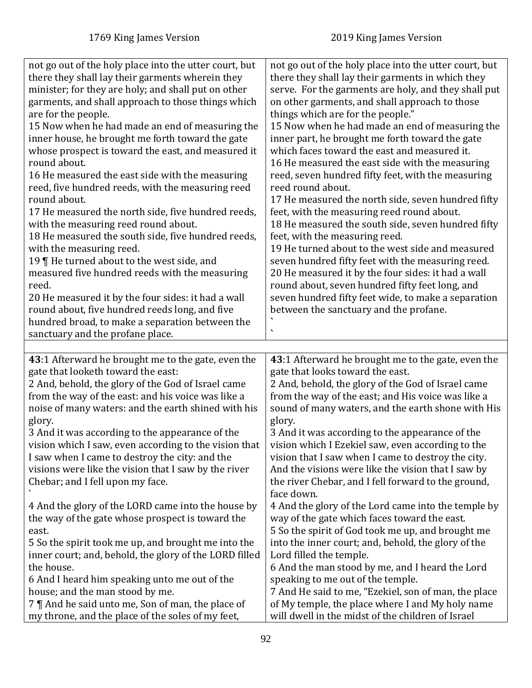| not go out of the holy place into the utter court, but<br>there they shall lay their garments wherein they<br>minister; for they are holy; and shall put on other<br>garments, and shall approach to those things which<br>are for the people.<br>15 Now when he had made an end of measuring the<br>inner house, he brought me forth toward the gate<br>whose prospect is toward the east, and measured it<br>round about.<br>16 He measured the east side with the measuring<br>reed, five hundred reeds, with the measuring reed<br>round about.<br>17 He measured the north side, five hundred reeds,<br>with the measuring reed round about.<br>18 He measured the south side, five hundred reeds,<br>with the measuring reed.<br>19 $\P$ He turned about to the west side, and<br>measured five hundred reeds with the measuring<br>reed.<br>20 He measured it by the four sides: it had a wall<br>round about, five hundred reeds long, and five<br>hundred broad, to make a separation between the<br>sanctuary and the profane place. | not go out of the holy place into the utter court, but<br>there they shall lay their garments in which they<br>serve. For the garments are holy, and they shall put<br>on other garments, and shall approach to those<br>things which are for the people."<br>15 Now when he had made an end of measuring the<br>inner part, he brought me forth toward the gate<br>which faces toward the east and measured it.<br>16 He measured the east side with the measuring<br>reed, seven hundred fifty feet, with the measuring<br>reed round about.<br>17 He measured the north side, seven hundred fifty<br>feet, with the measuring reed round about.<br>18 He measured the south side, seven hundred fifty<br>feet, with the measuring reed.<br>19 He turned about to the west side and measured<br>seven hundred fifty feet with the measuring reed.<br>20 He measured it by the four sides: it had a wall<br>round about, seven hundred fifty feet long, and<br>seven hundred fifty feet wide, to make a separation<br>between the sanctuary and the profane. |
|------------------------------------------------------------------------------------------------------------------------------------------------------------------------------------------------------------------------------------------------------------------------------------------------------------------------------------------------------------------------------------------------------------------------------------------------------------------------------------------------------------------------------------------------------------------------------------------------------------------------------------------------------------------------------------------------------------------------------------------------------------------------------------------------------------------------------------------------------------------------------------------------------------------------------------------------------------------------------------------------------------------------------------------------|---------------------------------------------------------------------------------------------------------------------------------------------------------------------------------------------------------------------------------------------------------------------------------------------------------------------------------------------------------------------------------------------------------------------------------------------------------------------------------------------------------------------------------------------------------------------------------------------------------------------------------------------------------------------------------------------------------------------------------------------------------------------------------------------------------------------------------------------------------------------------------------------------------------------------------------------------------------------------------------------------------------------------------------------------------------|
|                                                                                                                                                                                                                                                                                                                                                                                                                                                                                                                                                                                                                                                                                                                                                                                                                                                                                                                                                                                                                                                |                                                                                                                                                                                                                                                                                                                                                                                                                                                                                                                                                                                                                                                                                                                                                                                                                                                                                                                                                                                                                                                               |
|                                                                                                                                                                                                                                                                                                                                                                                                                                                                                                                                                                                                                                                                                                                                                                                                                                                                                                                                                                                                                                                |                                                                                                                                                                                                                                                                                                                                                                                                                                                                                                                                                                                                                                                                                                                                                                                                                                                                                                                                                                                                                                                               |
| 43:1 Afterward he brought me to the gate, even the<br>gate that looketh toward the east:<br>2 And, behold, the glory of the God of Israel came<br>from the way of the east: and his voice was like a<br>noise of many waters: and the earth shined with his<br>glory.<br>3 And it was according to the appearance of the<br>vision which I saw, even according to the vision that<br>I saw when I came to destroy the city: and the<br>visions were like the vision that I saw by the river<br>Chebar; and I fell upon my face.                                                                                                                                                                                                                                                                                                                                                                                                                                                                                                                | 43:1 Afterward he brought me to the gate, even the<br>gate that looks toward the east.<br>2 And, behold, the glory of the God of Israel came<br>from the way of the east; and His voice was like a<br>sound of many waters, and the earth shone with His<br>glory.<br>3 And it was according to the appearance of the<br>vision which I Ezekiel saw, even according to the<br>vision that I saw when I came to destroy the city.<br>And the visions were like the vision that I saw by<br>the river Chebar, and I fell forward to the ground,<br>face down.                                                                                                                                                                                                                                                                                                                                                                                                                                                                                                   |
| 4 And the glory of the LORD came into the house by<br>the way of the gate whose prospect is toward the<br>east.<br>5 So the spirit took me up, and brought me into the<br>inner court; and, behold, the glory of the LORD filled<br>the house.<br>6 And I heard him speaking unto me out of the<br>house; and the man stood by me.<br>7    And he said unto me, Son of man, the place of<br>my throne, and the place of the soles of my feet,                                                                                                                                                                                                                                                                                                                                                                                                                                                                                                                                                                                                  | 4 And the glory of the Lord came into the temple by<br>way of the gate which faces toward the east.<br>5 So the spirit of God took me up, and brought me<br>into the inner court; and, behold, the glory of the<br>Lord filled the temple.<br>6 And the man stood by me, and I heard the Lord<br>speaking to me out of the temple.<br>7 And He said to me, "Ezekiel, son of man, the place<br>of My temple, the place where I and My holy name<br>will dwell in the midst of the children of Israel                                                                                                                                                                                                                                                                                                                                                                                                                                                                                                                                                           |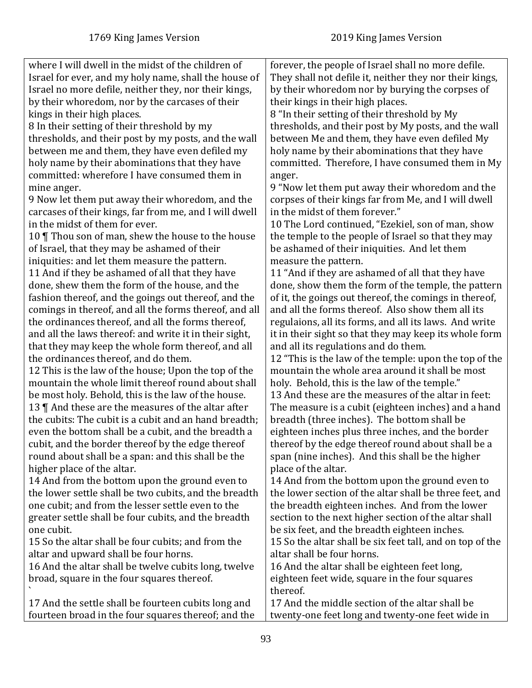| where I will dwell in the midst of the children of     | forever, the people of Israel shall no more defile.       |
|--------------------------------------------------------|-----------------------------------------------------------|
| Israel for ever, and my holy name, shall the house of  | They shall not defile it, neither they nor their kings,   |
| Israel no more defile, neither they, nor their kings,  | by their whoredom nor by burying the corpses of           |
| by their whoredom, nor by the carcases of their        | their kings in their high places.                         |
| kings in their high places.                            | 8 "In their setting of their threshold by My              |
| 8 In their setting of their threshold by my            | thresholds, and their post by My posts, and the wall      |
| thresholds, and their post by my posts, and the wall   | between Me and them, they have even defiled My            |
| between me and them, they have even defiled my         | holy name by their abominations that they have            |
| holy name by their abominations that they have         | committed. Therefore, I have consumed them in My          |
| committed: wherefore I have consumed them in           | anger.                                                    |
| mine anger.                                            | 9 "Now let them put away their whoredom and the           |
| 9 Now let them put away their whoredom, and the        | corpses of their kings far from Me, and I will dwell      |
| carcases of their kings, far from me, and I will dwell | in the midst of them forever."                            |
| in the midst of them for ever.                         | 10 The Lord continued, "Ezekiel, son of man, show         |
| 10 Thou son of man, shew the house to the house        | the temple to the people of Israel so that they may       |
| of Israel, that they may be ashamed of their           | be ashamed of their iniquities. And let them              |
| iniquities: and let them measure the pattern.          | measure the pattern.                                      |
| 11 And if they be ashamed of all that they have        | 11 "And if they are ashamed of all that they have         |
| done, shew them the form of the house, and the         | done, show them the form of the temple, the pattern       |
| fashion thereof, and the goings out thereof, and the   | of it, the goings out thereof, the comings in thereof,    |
| comings in thereof, and all the forms thereof, and all | and all the forms thereof. Also show them all its         |
| the ordinances thereof, and all the forms thereof,     | regulaions, all its forms, and all its laws. And write    |
| and all the laws thereof: and write it in their sight, | it in their sight so that they may keep its whole form    |
| that they may keep the whole form thereof, and all     | and all its regulations and do them.                      |
| the ordinances thereof, and do them.                   | 12 "This is the law of the temple: upon the top of the    |
| 12 This is the law of the house; Upon the top of the   | mountain the whole area around it shall be most           |
| mountain the whole limit thereof round about shall     | holy. Behold, this is the law of the temple."             |
| be most holy. Behold, this is the law of the house.    | 13 And these are the measures of the altar in feet:       |
| 13 $\P$ And these are the measures of the altar after  | The measure is a cubit (eighteen inches) and a hand       |
| the cubits: The cubit is a cubit and an hand breadth;  | breadth (three inches). The bottom shall be               |
| even the bottom shall be a cubit, and the breadth a    | eighteen inches plus three inches, and the border         |
| cubit, and the border thereof by the edge thereof      | thereof by the edge thereof round about shall be a        |
| round about shall be a span: and this shall be the     | span (nine inches). And this shall be the higher          |
| higher place of the altar.                             | place of the altar.                                       |
| 14 And from the bottom upon the ground even to         | 14 And from the bottom upon the ground even to            |
| the lower settle shall be two cubits, and the breadth  | the lower section of the altar shall be three feet, and   |
| one cubit; and from the lesser settle even to the      | the breadth eighteen inches. And from the lower           |
| greater settle shall be four cubits, and the breadth   | section to the next higher section of the altar shall     |
| one cubit.                                             | be six feet, and the breadth eighteen inches.             |
| 15 So the altar shall be four cubits; and from the     | 15 So the altar shall be six feet tall, and on top of the |
| altar and upward shall be four horns.                  | altar shall be four horns.                                |
| 16 And the altar shall be twelve cubits long, twelve   | 16 And the altar shall be eighteen feet long,             |
| broad, square in the four squares thereof.             | eighteen feet wide, square in the four squares            |
|                                                        | thereof.                                                  |
| 17 And the settle shall be fourteen cubits long and    | 17 And the middle section of the altar shall be           |
| fourteen broad in the four squares thereof; and the    | twenty-one feet long and twenty-one feet wide in          |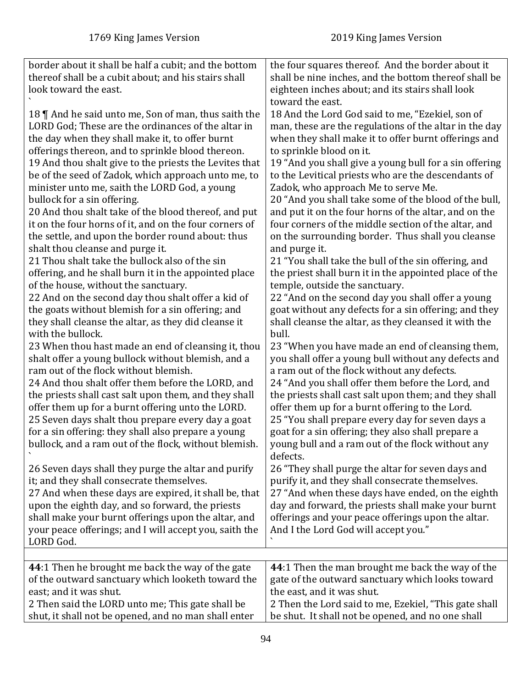| border about it shall be half a cubit; and the bottom  | the four squares thereof. And the border about it             |
|--------------------------------------------------------|---------------------------------------------------------------|
| thereof shall be a cubit about; and his stairs shall   | shall be nine inches, and the bottom thereof shall be         |
| look toward the east.                                  | eighteen inches about; and its stairs shall look              |
|                                                        | toward the east.                                              |
| 18    And he said unto me, Son of man, thus saith the  | 18 And the Lord God said to me, "Ezekiel, son of              |
| LORD God; These are the ordinances of the altar in     | man, these are the regulations of the altar in the day        |
| the day when they shall make it, to offer burnt        | when they shall make it to offer burnt offerings and          |
| offerings thereon, and to sprinkle blood thereon.      | to sprinkle blood on it.                                      |
| 19 And thou shalt give to the priests the Levites that | 19 "And you shall give a young bull for a sin offering        |
| be of the seed of Zadok, which approach unto me, to    | to the Levitical priests who are the descendants of           |
| minister unto me, saith the LORD God, a young          | Zadok, who approach Me to serve Me.                           |
| bullock for a sin offering.                            | 20 "And you shall take some of the blood of the bull,         |
| 20 And thou shalt take of the blood thereof, and put   | and put it on the four horns of the altar, and on the         |
| it on the four horns of it, and on the four corners of | four corners of the middle section of the altar, and          |
| the settle, and upon the border round about: thus      | on the surrounding border. Thus shall you cleanse             |
| shalt thou cleanse and purge it.                       | and purge it.                                                 |
| 21 Thou shalt take the bullock also of the sin         | 21 "You shall take the bull of the sin offering, and          |
| offering, and he shall burn it in the appointed place  | the priest shall burn it in the appointed place of the        |
| of the house, without the sanctuary.                   | temple, outside the sanctuary.                                |
| 22 And on the second day thou shalt offer a kid of     | 22 "And on the second day you shall offer a young             |
| the goats without blemish for a sin offering; and      | goat without any defects for a sin offering; and they         |
| they shall cleanse the altar, as they did cleanse it   | shall cleanse the altar, as they cleansed it with the         |
| with the bullock.                                      | bull.                                                         |
| 23 When thou hast made an end of cleansing it, thou    | 23 "When you have made an end of cleansing them,              |
| shalt offer a young bullock without blemish, and a     | you shall offer a young bull without any defects and          |
| ram out of the flock without blemish.                  | a ram out of the flock without any defects.                   |
| 24 And thou shalt offer them before the LORD, and      | 24 "And you shall offer them before the Lord, and             |
| the priests shall cast salt upon them, and they shall  | the priests shall cast salt upon them; and they shall         |
| offer them up for a burnt offering unto the LORD.      | offer them up for a burnt offering to the Lord.               |
| 25 Seven days shalt thou prepare every day a goat      | 25 "You shall prepare every day for seven days a              |
| for a sin offering: they shall also prepare a young    | goat for a sin offering; they also shall prepare a            |
| bullock, and a ram out of the flock, without blemish.  | young bull and a ram out of the flock without any<br>defects. |
| 26 Seven days shall they purge the altar and purify    | 26 "They shall purge the altar for seven days and             |
| it; and they shall consecrate themselves.              | purify it, and they shall consecrate themselves.              |
| 27 And when these days are expired, it shall be, that  | 27 "And when these days have ended, on the eighth             |
| upon the eighth day, and so forward, the priests       | day and forward, the priests shall make your burnt            |
| shall make your burnt offerings upon the altar, and    | offerings and your peace offerings upon the altar.            |
| your peace offerings; and I will accept you, saith the | And I the Lord God will accept you."                          |
| LORD God.                                              |                                                               |
|                                                        |                                                               |
| 44:1 Then he brought me back the way of the gate       | 44:1 Then the man brought me back the way of the              |
| of the outward sanctuary which looketh toward the      | gate of the outward sanctuary which looks toward              |
| east; and it was shut.                                 | the east, and it was shut.                                    |
| 2 Then said the LORD unto me; This gate shall be       | 2 Then the Lord said to me, Ezekiel, "This gate shall         |
| shut, it shall not be opened, and no man shall enter   | be shut. It shall not be opened, and no one shall             |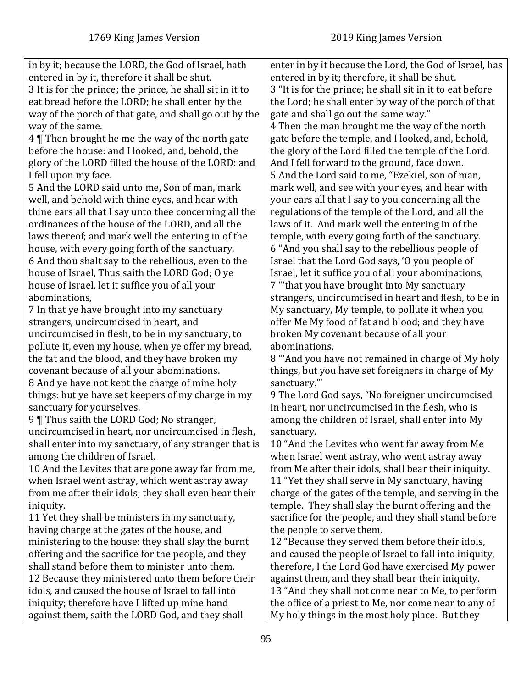| in by it; because the LORD, the God of Israel, hath       | enter in by it because the Lord, the God of Israel, has   |
|-----------------------------------------------------------|-----------------------------------------------------------|
| entered in by it, therefore it shall be shut.             | entered in by it; therefore, it shall be shut.            |
| 3 It is for the prince; the prince, he shall sit in it to | 3 "It is for the prince; he shall sit in it to eat before |
| eat bread before the LORD; he shall enter by the          | the Lord; he shall enter by way of the porch of that      |
| way of the porch of that gate, and shall go out by the    | gate and shall go out the same way."                      |
| way of the same.                                          | 4 Then the man brought me the way of the north            |
| 4 Then brought he me the way of the north gate            | gate before the temple, and I looked, and, behold,        |
| before the house: and I looked, and, behold, the          | the glory of the Lord filled the temple of the Lord.      |
| glory of the LORD filled the house of the LORD: and       | And I fell forward to the ground, face down.              |
| I fell upon my face.                                      | 5 And the Lord said to me, "Ezekiel, son of man,          |
| 5 And the LORD said unto me, Son of man, mark             | mark well, and see with your eyes, and hear with          |
| well, and behold with thine eyes, and hear with           | your ears all that I say to you concerning all the        |
| thine ears all that I say unto thee concerning all the    | regulations of the temple of the Lord, and all the        |
| ordinances of the house of the LORD, and all the          | laws of it. And mark well the entering in of the          |
| laws thereof; and mark well the entering in of the        | temple, with every going forth of the sanctuary.          |
| house, with every going forth of the sanctuary.           | 6 "And you shall say to the rebellious people of          |
| 6 And thou shalt say to the rebellious, even to the       | Israel that the Lord God says, 'O you people of           |
| house of Israel, Thus saith the LORD God; O ye            | Israel, let it suffice you of all your abominations,      |
| house of Israel, let it suffice you of all your           | 7 "that you have brought into My sanctuary                |
| abominations,                                             | strangers, uncircumcised in heart and flesh, to be in     |
| 7 In that ye have brought into my sanctuary               | My sanctuary, My temple, to pollute it when you           |
| strangers, uncircumcised in heart, and                    | offer Me My food of fat and blood; and they have          |
| uncircumcised in flesh, to be in my sanctuary, to         | broken My covenant because of all your                    |
| pollute it, even my house, when ye offer my bread,        | abominations.                                             |
| the fat and the blood, and they have broken my            | 8 "And you have not remained in charge of My holy         |
| covenant because of all your abominations.                | things, but you have set foreigners in charge of My       |
| 8 And ye have not kept the charge of mine holy            | sanctuary.""                                              |
| things: but ye have set keepers of my charge in my        | 9 The Lord God says, "No foreigner uncircumcised          |
| sanctuary for yourselves.                                 | in heart, nor uncircumcised in the flesh, who is          |
| 9 Thus saith the LORD God; No stranger,                   | among the children of Israel, shall enter into My         |
| uncircumcised in heart, nor uncircumcised in flesh,       | sanctuary.                                                |
| shall enter into my sanctuary, of any stranger that is    | 10 "And the Levites who went far away from Me             |
| among the children of Israel.                             | when Israel went astray, who went astray away             |
| 10 And the Levites that are gone away far from me,        | from Me after their idols, shall bear their iniquity.     |
| when Israel went astray, which went astray away           | 11 "Yet they shall serve in My sanctuary, having          |
| from me after their idols; they shall even bear their     | charge of the gates of the temple, and serving in the     |
| iniquity.                                                 | temple. They shall slay the burnt offering and the        |
| 11 Yet they shall be ministers in my sanctuary,           | sacrifice for the people, and they shall stand before     |
| having charge at the gates of the house, and              | the people to serve them.                                 |
| ministering to the house: they shall slay the burnt       | 12 "Because they served them before their idols,          |
| offering and the sacrifice for the people, and they       | and caused the people of Israel to fall into iniquity,    |
| shall stand before them to minister unto them.            | therefore, I the Lord God have exercised My power         |
| 12 Because they ministered unto them before their         | against them, and they shall bear their iniquity.         |
| idols, and caused the house of Israel to fall into        | 13 "And they shall not come near to Me, to perform        |
| iniquity; therefore have I lifted up mine hand            | the office of a priest to Me, nor come near to any of     |
| against them, saith the LORD God, and they shall          | My holy things in the most holy place. But they           |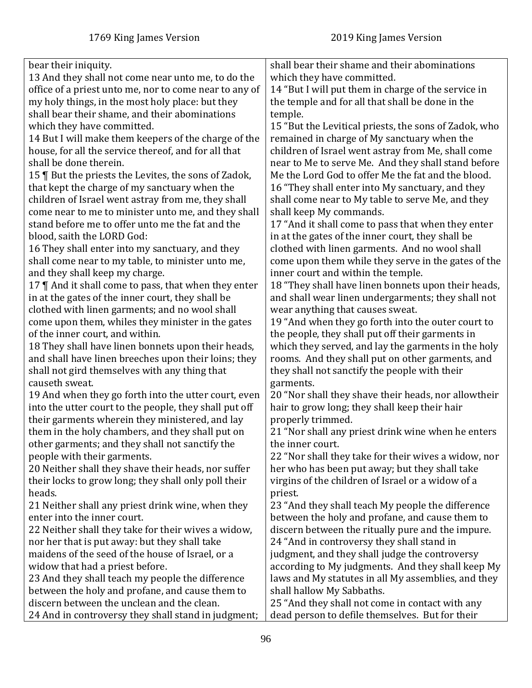| bear their iniquity.                                   | shall bear their shame and their abominations         |
|--------------------------------------------------------|-------------------------------------------------------|
| 13 And they shall not come near unto me, to do the     | which they have committed.                            |
| office of a priest unto me, nor to come near to any of | 14 "But I will put them in charge of the service in   |
| my holy things, in the most holy place: but they       | the temple and for all that shall be done in the      |
| shall bear their shame, and their abominations         | temple.                                               |
| which they have committed.                             | 15 "But the Levitical priests, the sons of Zadok, who |
| 14 But I will make them keepers of the charge of the   | remained in charge of My sanctuary when the           |
| house, for all the service thereof, and for all that   | children of Israel went astray from Me, shall come    |
| shall be done therein.                                 | near to Me to serve Me. And they shall stand before   |
| 15   But the priests the Levites, the sons of Zadok,   | Me the Lord God to offer Me the fat and the blood.    |
| that kept the charge of my sanctuary when the          | 16 "They shall enter into My sanctuary, and they      |
| children of Israel went astray from me, they shall     | shall come near to My table to serve Me, and they     |
| come near to me to minister unto me, and they shall    | shall keep My commands.                               |
| stand before me to offer unto me the fat and the       | 17 "And it shall come to pass that when they enter    |
|                                                        |                                                       |
| blood, saith the LORD God:                             | in at the gates of the inner court, they shall be     |
| 16 They shall enter into my sanctuary, and they        | clothed with linen garments. And no wool shall        |
| shall come near to my table, to minister unto me,      | come upon them while they serve in the gates of the   |
| and they shall keep my charge.                         | inner court and within the temple.                    |
| 17    And it shall come to pass, that when they enter  | 18 "They shall have linen bonnets upon their heads,   |
| in at the gates of the inner court, they shall be      | and shall wear linen undergarments; they shall not    |
| clothed with linen garments; and no wool shall         | wear anything that causes sweat.                      |
| come upon them, whiles they minister in the gates      | 19 "And when they go forth into the outer court to    |
| of the inner court, and within.                        | the people, they shall put off their garments in      |
| 18 They shall have linen bonnets upon their heads,     | which they served, and lay the garments in the holy   |
| and shall have linen breeches upon their loins; they   | rooms. And they shall put on other garments, and      |
| shall not gird themselves with any thing that          | they shall not sanctify the people with their         |
| causeth sweat.                                         | garments.                                             |
| 19 And when they go forth into the utter court, even   | 20 "Nor shall they shave their heads, nor allowtheir  |
| into the utter court to the people, they shall put off | hair to grow long; they shall keep their hair         |
| their garments wherein they ministered, and lay        | properly trimmed.                                     |
| them in the holy chambers, and they shall put on       | 21 "Nor shall any priest drink wine when he enters    |
| other garments; and they shall not sanctify the        | the inner court.                                      |
| people with their garments.                            | 22 "Nor shall they take for their wives a widow, nor  |
| 20 Neither shall they shave their heads, nor suffer    | her who has been put away; but they shall take        |
| their locks to grow long; they shall only poll their   | virgins of the children of Israel or a widow of a     |
| heads.                                                 | priest.                                               |
| 21 Neither shall any priest drink wine, when they      | 23 "And they shall teach My people the difference     |
| enter into the inner court.                            | between the holy and profane, and cause them to       |
| 22 Neither shall they take for their wives a widow,    | discern between the ritually pure and the impure.     |
| nor her that is put away: but they shall take          | 24 "And in controversy they shall stand in            |
| maidens of the seed of the house of Israel, or a       | judgment, and they shall judge the controversy        |
| widow that had a priest before.                        |                                                       |
|                                                        | according to My judgments. And they shall keep My     |
| 23 And they shall teach my people the difference       | laws and My statutes in all My assemblies, and they   |
| between the holy and profane, and cause them to        | shall hallow My Sabbaths.                             |
| discern between the unclean and the clean.             | 25 "And they shall not come in contact with any       |
| 24 And in controversy they shall stand in judgment;    | dead person to defile themselves. But for their       |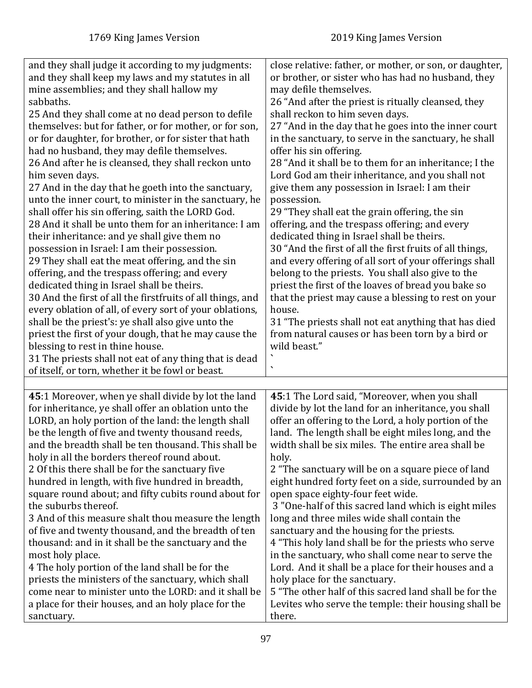| and they shall judge it according to my judgments:<br>and they shall keep my laws and my statutes in all<br>mine assemblies; and they shall hallow my<br>sabbaths.<br>25 And they shall come at no dead person to defile<br>themselves: but for father, or for mother, or for son,<br>or for daughter, for brother, or for sister that hath<br>had no husband, they may defile themselves.<br>26 And after he is cleansed, they shall reckon unto<br>him seven days.<br>27 And in the day that he goeth into the sanctuary,<br>unto the inner court, to minister in the sanctuary, he<br>shall offer his sin offering, saith the LORD God.<br>28 And it shall be unto them for an inheritance: I am<br>their inheritance: and ye shall give them no<br>possession in Israel: I am their possession.<br>29 They shall eat the meat offering, and the sin<br>offering, and the trespass offering; and every<br>dedicated thing in Israel shall be theirs.<br>30 And the first of all the firstfruits of all things, and<br>every oblation of all, of every sort of your oblations,<br>shall be the priest's: ye shall also give unto the<br>priest the first of your dough, that he may cause the<br>blessing to rest in thine house.<br>31 The priests shall not eat of any thing that is dead<br>of itself, or torn, whether it be fowl or beast. | close relative: father, or mother, or son, or daughter,<br>or brother, or sister who has had no husband, they<br>may defile themselves.<br>26 "And after the priest is ritually cleansed, they<br>shall reckon to him seven days.<br>27 "And in the day that he goes into the inner court<br>in the sanctuary, to serve in the sanctuary, he shall<br>offer his sin offering.<br>28 "And it shall be to them for an inheritance; I the<br>Lord God am their inheritance, and you shall not<br>give them any possession in Israel: I am their<br>possession.<br>29 "They shall eat the grain offering, the sin<br>offering, and the trespass offering; and every<br>dedicated thing in Israel shall be theirs.<br>30 "And the first of all the first fruits of all things,<br>and every offering of all sort of your offerings shall<br>belong to the priests. You shall also give to the<br>priest the first of the loaves of bread you bake so<br>that the priest may cause a blessing to rest on your<br>house.<br>31 "The priests shall not eat anything that has died<br>from natural causes or has been torn by a bird or<br>wild beast." |
|---------------------------------------------------------------------------------------------------------------------------------------------------------------------------------------------------------------------------------------------------------------------------------------------------------------------------------------------------------------------------------------------------------------------------------------------------------------------------------------------------------------------------------------------------------------------------------------------------------------------------------------------------------------------------------------------------------------------------------------------------------------------------------------------------------------------------------------------------------------------------------------------------------------------------------------------------------------------------------------------------------------------------------------------------------------------------------------------------------------------------------------------------------------------------------------------------------------------------------------------------------------------------------------------------------------------------------------------------|------------------------------------------------------------------------------------------------------------------------------------------------------------------------------------------------------------------------------------------------------------------------------------------------------------------------------------------------------------------------------------------------------------------------------------------------------------------------------------------------------------------------------------------------------------------------------------------------------------------------------------------------------------------------------------------------------------------------------------------------------------------------------------------------------------------------------------------------------------------------------------------------------------------------------------------------------------------------------------------------------------------------------------------------------------------------------------------------------------------------------------------------|
| 45:1 Moreover, when ye shall divide by lot the land<br>for inheritance, ye shall offer an oblation unto the<br>LORD, an holy portion of the land: the length shall<br>be the length of five and twenty thousand reeds,<br>and the breadth shall be ten thousand. This shall be<br>holy in all the borders thereof round about.<br>2 Of this there shall be for the sanctuary five<br>hundred in length, with five hundred in breadth,<br>square round about; and fifty cubits round about for<br>the suburbs thereof.<br>3 And of this measure shalt thou measure the length<br>of five and twenty thousand, and the breadth of ten<br>thousand: and in it shall be the sanctuary and the<br>most holy place.<br>4 The holy portion of the land shall be for the<br>priests the ministers of the sanctuary, which shall<br>come near to minister unto the LORD: and it shall be<br>a place for their houses, and an holy place for the                                                                                                                                                                                                                                                                                                                                                                                                            | 45:1 The Lord said, "Moreover, when you shall<br>divide by lot the land for an inheritance, you shall<br>offer an offering to the Lord, a holy portion of the<br>land. The length shall be eight miles long, and the<br>width shall be six miles. The entire area shall be<br>holy.<br>2 "The sanctuary will be on a square piece of land<br>eight hundred forty feet on a side, surrounded by an<br>open space eighty-four feet wide.<br>3 "One-half of this sacred land which is eight miles<br>long and three miles wide shall contain the<br>sanctuary and the housing for the priests.<br>4 "This holy land shall be for the priests who serve<br>in the sanctuary, who shall come near to serve the<br>Lord. And it shall be a place for their houses and a<br>holy place for the sanctuary.<br>5 "The other half of this sacred land shall be for the<br>Levites who serve the temple: their housing shall be                                                                                                                                                                                                                           |
| sanctuary.                                                                                                                                                                                                                                                                                                                                                                                                                                                                                                                                                                                                                                                                                                                                                                                                                                                                                                                                                                                                                                                                                                                                                                                                                                                                                                                                        | there.                                                                                                                                                                                                                                                                                                                                                                                                                                                                                                                                                                                                                                                                                                                                                                                                                                                                                                                                                                                                                                                                                                                                         |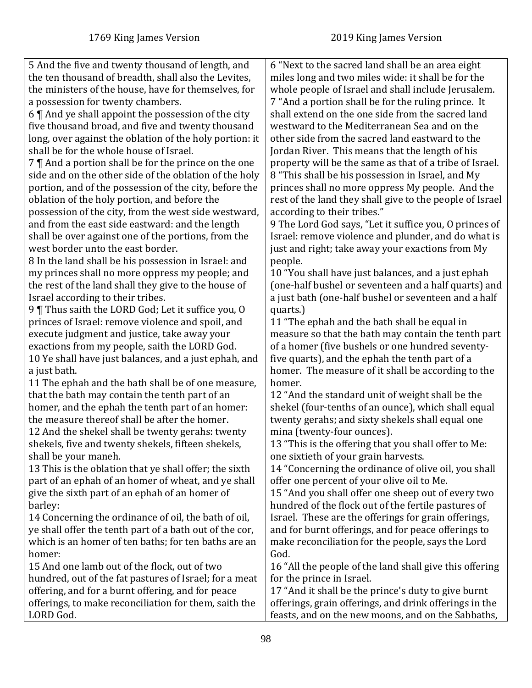5 And the five and twenty thousand of length, and the ten thousand of breadth, shall also the Levites, the ministers of the house, have for themselves, for a possession for twenty chambers.

6 ¶ And ye shall appoint the possession of the city five thousand broad, and five and twenty thousand long, over against the oblation of the holy portion: it shall be for the whole house of Israel.

7 ¶ And a portion shall be for the prince on the one side and on the other side of the oblation of the holy portion, and of the possession of the city, before the oblation of the holy portion, and before the

possession of the city, from the west side westward, and from the east side eastward: and the length shall be over against one of the portions, from the west border unto the east border.

8 In the land shall be his possession in Israel: and my princes shall no more oppress my people; and the rest of the land shall they give to the house of Israel according to their tribes.

9 ¶ Thus saith the LORD God; Let it suffice you, O princes of Israel: remove violence and spoil, and execute judgment and justice, take away your exactions from my people, saith the LORD God. 10 Ye shall have just balances, and a just ephah, and a just bath.

11 The ephah and the bath shall be of one measure, that the bath may contain the tenth part of an homer, and the ephah the tenth part of an homer: the measure thereof shall be after the homer.

12 And the shekel shall be twenty gerahs: twenty shekels, five and twenty shekels, fifteen shekels, shall be your maneh.

13 This is the oblation that ye shall offer; the sixth part of an ephah of an homer of wheat, and ye shall give the sixth part of an ephah of an homer of barley:

14 Concerning the ordinance of oil, the bath of oil, ye shall offer the tenth part of a bath out of the cor, which is an homer of ten baths; for ten baths are an homer:

15 And one lamb out of the flock, out of two hundred, out of the fat pastures of Israel; for a meat offering, and for a burnt offering, and for peace offerings, to make reconciliation for them, saith the LORD God.

6 "Next to the sacred land shall be an area eight miles long and two miles wide: it shall be for the whole people of Israel and shall include Jerusalem. 7 "And a portion shall be for the ruling prince. It shall extend on the one side from the sacred land westward to the Mediterranean Sea and on the other side from the sacred land eastward to the Jordan River. This means that the length of his property will be the same as that of a tribe of Israel. 8 "This shall be his possession in Israel, and My princes shall no more oppress My people. And the rest of the land they shall give to the people of Israel according to their tribes."

9 The Lord God says, "Let it suffice you, O princes of Israel: remove violence and plunder, and do what is just and right; take away your exactions from My people.

10 "You shall have just balances, and a just ephah (one-half bushel or seventeen and a half quarts) and a just bath (one-half bushel or seventeen and a half quarts.)

11 "The ephah and the bath shall be equal in measure so that the bath may contain the tenth part of a homer (five bushels or one hundred seventyfive quarts), and the ephah the tenth part of a homer. The measure of it shall be according to the homer.

12 "And the standard unit of weight shall be the shekel (four-tenths of an ounce), which shall equal twenty gerahs; and sixty shekels shall equal one mina (twenty-four ounces).

13 "This is the offering that you shall offer to Me: one sixtieth of your grain harvests.

14 "Concerning the ordinance of olive oil, you shall offer one percent of your olive oil to Me.

15 "And you shall offer one sheep out of every two hundred of the flock out of the fertile pastures of Israel. These are the offerings for grain offerings, and for burnt offerings, and for peace offerings to make reconciliation for the people, says the Lord God.

16 "All the people of the land shall give this offering for the prince in Israel.

17 "And it shall be the prince's duty to give burnt offerings, grain offerings, and drink offerings in the feasts, and on the new moons, and on the Sabbaths,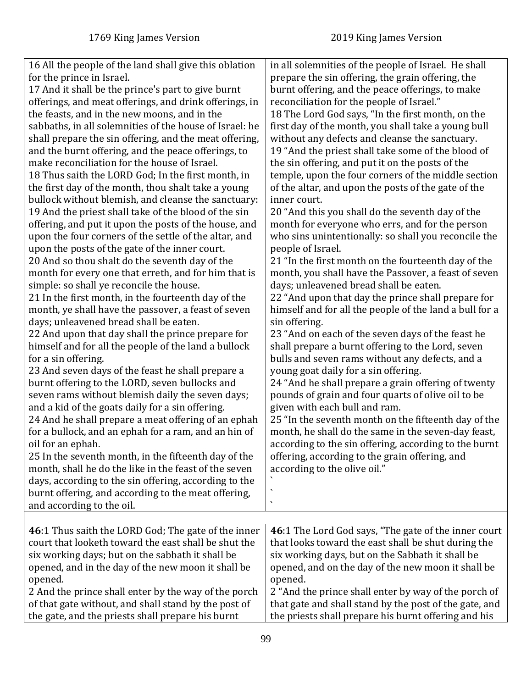| 16 All the people of the land shall give this oblation<br>for the prince in Israel.<br>17 And it shall be the prince's part to give burnt<br>offerings, and meat offerings, and drink offerings, in<br>the feasts, and in the new moons, and in the<br>sabbaths, in all solemnities of the house of Israel: he<br>shall prepare the sin offering, and the meat offering,<br>and the burnt offering, and the peace offerings, to<br>make reconciliation for the house of Israel.<br>18 Thus saith the LORD God; In the first month, in<br>the first day of the month, thou shalt take a young<br>bullock without blemish, and cleanse the sanctuary:<br>19 And the priest shall take of the blood of the sin<br>offering, and put it upon the posts of the house, and<br>upon the four corners of the settle of the altar, and<br>upon the posts of the gate of the inner court.<br>20 And so thou shalt do the seventh day of the<br>month for every one that erreth, and for him that is<br>simple: so shall ye reconcile the house.<br>21 In the first month, in the fourteenth day of the<br>month, ye shall have the passover, a feast of seven<br>days; unleavened bread shall be eaten.<br>22 And upon that day shall the prince prepare for<br>himself and for all the people of the land a bullock<br>for a sin offering.<br>23 And seven days of the feast he shall prepare a<br>burnt offering to the LORD, seven bullocks and<br>seven rams without blemish daily the seven days;<br>and a kid of the goats daily for a sin offering.<br>24 And he shall prepare a meat offering of an ephah<br>for a bullock, and an ephah for a ram, and an hin of<br>oil for an ephah.<br>25 In the seventh month, in the fifteenth day of the<br>month, shall he do the like in the feast of the seven<br>days, according to the sin offering, according to the<br>burnt offering, and according to the meat offering,<br>and according to the oil. | in all solemnities of the people of Israel. He shall<br>prepare the sin offering, the grain offering, the<br>burnt offering, and the peace offerings, to make<br>reconciliation for the people of Israel."<br>18 The Lord God says, "In the first month, on the<br>first day of the month, you shall take a young bull<br>without any defects and cleanse the sanctuary.<br>19 "And the priest shall take some of the blood of<br>the sin offering, and put it on the posts of the<br>temple, upon the four corners of the middle section<br>of the altar, and upon the posts of the gate of the<br>inner court.<br>20 "And this you shall do the seventh day of the<br>month for everyone who errs, and for the person<br>who sins unintentionally: so shall you reconcile the<br>people of Israel.<br>21 "In the first month on the fourteenth day of the<br>month, you shall have the Passover, a feast of seven<br>days; unleavened bread shall be eaten.<br>22 "And upon that day the prince shall prepare for<br>himself and for all the people of the land a bull for a<br>sin offering.<br>23 "And on each of the seven days of the feast he<br>shall prepare a burnt offering to the Lord, seven<br>bulls and seven rams without any defects, and a<br>young goat daily for a sin offering.<br>24 "And he shall prepare a grain offering of twenty<br>pounds of grain and four quarts of olive oil to be<br>given with each bull and ram.<br>25 "In the seventh month on the fifteenth day of the<br>month, he shall do the same in the seven-day feast,<br>according to the sin offering, according to the burnt<br>offering, according to the grain offering, and<br>according to the olive oil."<br>$\checkmark$<br>$\overline{\phantom{0}}$ |
|----------------------------------------------------------------------------------------------------------------------------------------------------------------------------------------------------------------------------------------------------------------------------------------------------------------------------------------------------------------------------------------------------------------------------------------------------------------------------------------------------------------------------------------------------------------------------------------------------------------------------------------------------------------------------------------------------------------------------------------------------------------------------------------------------------------------------------------------------------------------------------------------------------------------------------------------------------------------------------------------------------------------------------------------------------------------------------------------------------------------------------------------------------------------------------------------------------------------------------------------------------------------------------------------------------------------------------------------------------------------------------------------------------------------------------------------------------------------------------------------------------------------------------------------------------------------------------------------------------------------------------------------------------------------------------------------------------------------------------------------------------------------------------------------------------------------------------------------------------------------------------------------------------------------------------------------------|----------------------------------------------------------------------------------------------------------------------------------------------------------------------------------------------------------------------------------------------------------------------------------------------------------------------------------------------------------------------------------------------------------------------------------------------------------------------------------------------------------------------------------------------------------------------------------------------------------------------------------------------------------------------------------------------------------------------------------------------------------------------------------------------------------------------------------------------------------------------------------------------------------------------------------------------------------------------------------------------------------------------------------------------------------------------------------------------------------------------------------------------------------------------------------------------------------------------------------------------------------------------------------------------------------------------------------------------------------------------------------------------------------------------------------------------------------------------------------------------------------------------------------------------------------------------------------------------------------------------------------------------------------------------------------------------------------------------------------------------------------|
|                                                                                                                                                                                                                                                                                                                                                                                                                                                                                                                                                                                                                                                                                                                                                                                                                                                                                                                                                                                                                                                                                                                                                                                                                                                                                                                                                                                                                                                                                                                                                                                                                                                                                                                                                                                                                                                                                                                                                    |                                                                                                                                                                                                                                                                                                                                                                                                                                                                                                                                                                                                                                                                                                                                                                                                                                                                                                                                                                                                                                                                                                                                                                                                                                                                                                                                                                                                                                                                                                                                                                                                                                                                                                                                                          |
|                                                                                                                                                                                                                                                                                                                                                                                                                                                                                                                                                                                                                                                                                                                                                                                                                                                                                                                                                                                                                                                                                                                                                                                                                                                                                                                                                                                                                                                                                                                                                                                                                                                                                                                                                                                                                                                                                                                                                    |                                                                                                                                                                                                                                                                                                                                                                                                                                                                                                                                                                                                                                                                                                                                                                                                                                                                                                                                                                                                                                                                                                                                                                                                                                                                                                                                                                                                                                                                                                                                                                                                                                                                                                                                                          |
| 46:1 Thus saith the LORD God; The gate of the inner<br>court that looketh toward the east shall be shut the                                                                                                                                                                                                                                                                                                                                                                                                                                                                                                                                                                                                                                                                                                                                                                                                                                                                                                                                                                                                                                                                                                                                                                                                                                                                                                                                                                                                                                                                                                                                                                                                                                                                                                                                                                                                                                        | 46:1 The Lord God says, "The gate of the inner court                                                                                                                                                                                                                                                                                                                                                                                                                                                                                                                                                                                                                                                                                                                                                                                                                                                                                                                                                                                                                                                                                                                                                                                                                                                                                                                                                                                                                                                                                                                                                                                                                                                                                                     |
| six working days; but on the sabbath it shall be                                                                                                                                                                                                                                                                                                                                                                                                                                                                                                                                                                                                                                                                                                                                                                                                                                                                                                                                                                                                                                                                                                                                                                                                                                                                                                                                                                                                                                                                                                                                                                                                                                                                                                                                                                                                                                                                                                   | that looks toward the east shall be shut during the<br>six working days, but on the Sabbath it shall be                                                                                                                                                                                                                                                                                                                                                                                                                                                                                                                                                                                                                                                                                                                                                                                                                                                                                                                                                                                                                                                                                                                                                                                                                                                                                                                                                                                                                                                                                                                                                                                                                                                  |
|                                                                                                                                                                                                                                                                                                                                                                                                                                                                                                                                                                                                                                                                                                                                                                                                                                                                                                                                                                                                                                                                                                                                                                                                                                                                                                                                                                                                                                                                                                                                                                                                                                                                                                                                                                                                                                                                                                                                                    |                                                                                                                                                                                                                                                                                                                                                                                                                                                                                                                                                                                                                                                                                                                                                                                                                                                                                                                                                                                                                                                                                                                                                                                                                                                                                                                                                                                                                                                                                                                                                                                                                                                                                                                                                          |
| opened, and in the day of the new moon it shall be                                                                                                                                                                                                                                                                                                                                                                                                                                                                                                                                                                                                                                                                                                                                                                                                                                                                                                                                                                                                                                                                                                                                                                                                                                                                                                                                                                                                                                                                                                                                                                                                                                                                                                                                                                                                                                                                                                 | opened, and on the day of the new moon it shall be                                                                                                                                                                                                                                                                                                                                                                                                                                                                                                                                                                                                                                                                                                                                                                                                                                                                                                                                                                                                                                                                                                                                                                                                                                                                                                                                                                                                                                                                                                                                                                                                                                                                                                       |
| opened.                                                                                                                                                                                                                                                                                                                                                                                                                                                                                                                                                                                                                                                                                                                                                                                                                                                                                                                                                                                                                                                                                                                                                                                                                                                                                                                                                                                                                                                                                                                                                                                                                                                                                                                                                                                                                                                                                                                                            | opened.                                                                                                                                                                                                                                                                                                                                                                                                                                                                                                                                                                                                                                                                                                                                                                                                                                                                                                                                                                                                                                                                                                                                                                                                                                                                                                                                                                                                                                                                                                                                                                                                                                                                                                                                                  |
| 2 And the prince shall enter by the way of the porch                                                                                                                                                                                                                                                                                                                                                                                                                                                                                                                                                                                                                                                                                                                                                                                                                                                                                                                                                                                                                                                                                                                                                                                                                                                                                                                                                                                                                                                                                                                                                                                                                                                                                                                                                                                                                                                                                               | 2 "And the prince shall enter by way of the porch of                                                                                                                                                                                                                                                                                                                                                                                                                                                                                                                                                                                                                                                                                                                                                                                                                                                                                                                                                                                                                                                                                                                                                                                                                                                                                                                                                                                                                                                                                                                                                                                                                                                                                                     |
| of that gate without, and shall stand by the post of                                                                                                                                                                                                                                                                                                                                                                                                                                                                                                                                                                                                                                                                                                                                                                                                                                                                                                                                                                                                                                                                                                                                                                                                                                                                                                                                                                                                                                                                                                                                                                                                                                                                                                                                                                                                                                                                                               | that gate and shall stand by the post of the gate, and                                                                                                                                                                                                                                                                                                                                                                                                                                                                                                                                                                                                                                                                                                                                                                                                                                                                                                                                                                                                                                                                                                                                                                                                                                                                                                                                                                                                                                                                                                                                                                                                                                                                                                   |
| the gate, and the priests shall prepare his burnt                                                                                                                                                                                                                                                                                                                                                                                                                                                                                                                                                                                                                                                                                                                                                                                                                                                                                                                                                                                                                                                                                                                                                                                                                                                                                                                                                                                                                                                                                                                                                                                                                                                                                                                                                                                                                                                                                                  | the priests shall prepare his burnt offering and his                                                                                                                                                                                                                                                                                                                                                                                                                                                                                                                                                                                                                                                                                                                                                                                                                                                                                                                                                                                                                                                                                                                                                                                                                                                                                                                                                                                                                                                                                                                                                                                                                                                                                                     |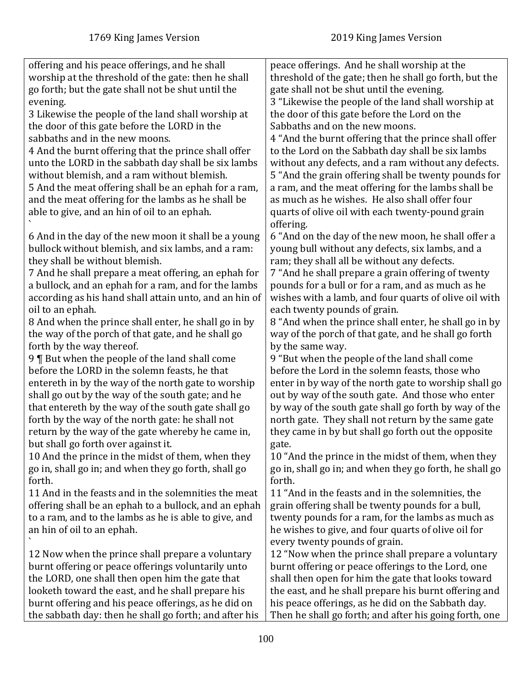| offering and his peace offerings, and he shall         | peace offerings. And he shall worship at the            |
|--------------------------------------------------------|---------------------------------------------------------|
| worship at the threshold of the gate: then he shall    | threshold of the gate; then he shall go forth, but the  |
| go forth; but the gate shall not be shut until the     | gate shall not be shut until the evening.               |
| evening.                                               | 3 "Likewise the people of the land shall worship at     |
| 3 Likewise the people of the land shall worship at     | the door of this gate before the Lord on the            |
| the door of this gate before the LORD in the           | Sabbaths and on the new moons.                          |
| sabbaths and in the new moons.                         | 4 "And the burnt offering that the prince shall offer   |
| 4 And the burnt offering that the prince shall offer   | to the Lord on the Sabbath day shall be six lambs       |
| unto the LORD in the sabbath day shall be six lambs    | without any defects, and a ram without any defects.     |
| without blemish, and a ram without blemish.            | 5 "And the grain offering shall be twenty pounds for    |
| 5 And the meat offering shall be an ephah for a ram,   | a ram, and the meat offering for the lambs shall be     |
| and the meat offering for the lambs as he shall be     | as much as he wishes. He also shall offer four          |
| able to give, and an hin of oil to an ephah.           | quarts of olive oil with each twenty-pound grain        |
|                                                        | offering.                                               |
| 6 And in the day of the new moon it shall be a young   | 6 "And on the day of the new moon, he shall offer a     |
| bullock without blemish, and six lambs, and a ram:     | young bull without any defects, six lambs, and a        |
| they shall be without blemish.                         | ram; they shall all be without any defects.             |
| 7 And he shall prepare a meat offering, an ephah for   | 7 "And he shall prepare a grain offering of twenty      |
| a bullock, and an ephah for a ram, and for the lambs   | pounds for a bull or for a ram, and as much as he       |
| according as his hand shall attain unto, and an hin of | wishes with a lamb, and four quarts of olive oil with   |
| oil to an ephah.                                       | each twenty pounds of grain.                            |
| 8 And when the prince shall enter, he shall go in by   | 8 "And when the prince shall enter, he shall go in by   |
| the way of the porch of that gate, and he shall go     | way of the porch of that gate, and he shall go forth    |
| forth by the way thereof.                              | by the same way.                                        |
| 9   But when the people of the land shall come         | 9 "But when the people of the land shall come           |
| before the LORD in the solemn feasts, he that          | before the Lord in the solemn feasts, those who         |
| entereth in by the way of the north gate to worship    | enter in by way of the north gate to worship shall go   |
| shall go out by the way of the south gate; and he      | out by way of the south gate. And those who enter       |
| that entereth by the way of the south gate shall go    | by way of the south gate shall go forth by way of the   |
| forth by the way of the north gate: he shall not       | north gate. They shall not return by the same gate      |
| return by the way of the gate whereby he came in,      | they came in by but shall go forth out the opposite     |
| but shall go forth over against it.                    | gate.                                                   |
| 10 And the prince in the midst of them, when they      | 10 "And the prince in the midst of them, when they      |
| go in, shall go in; and when they go forth, shall go   | go in, shall go in; and when they go forth, he shall go |
| forth.                                                 | forth.                                                  |
| 11 And in the feasts and in the solemnities the meat   | 11 "And in the feasts and in the solemnities, the       |
| offering shall be an ephah to a bullock, and an ephah  | grain offering shall be twenty pounds for a bull,       |
| to a ram, and to the lambs as he is able to give, and  | twenty pounds for a ram, for the lambs as much as       |
| an hin of oil to an ephah.                             | he wishes to give, and four quarts of olive oil for     |
|                                                        | every twenty pounds of grain.                           |
| 12 Now when the prince shall prepare a voluntary       | 12 "Now when the prince shall prepare a voluntary       |
| burnt offering or peace offerings voluntarily unto     | burnt offering or peace offerings to the Lord, one      |
| the LORD, one shall then open him the gate that        | shall then open for him the gate that looks toward      |
| looketh toward the east, and he shall prepare his      | the east, and he shall prepare his burnt offering and   |
| burnt offering and his peace offerings, as he did on   | his peace offerings, as he did on the Sabbath day.      |
| the sabbath day: then he shall go forth; and after his | Then he shall go forth; and after his going forth, one  |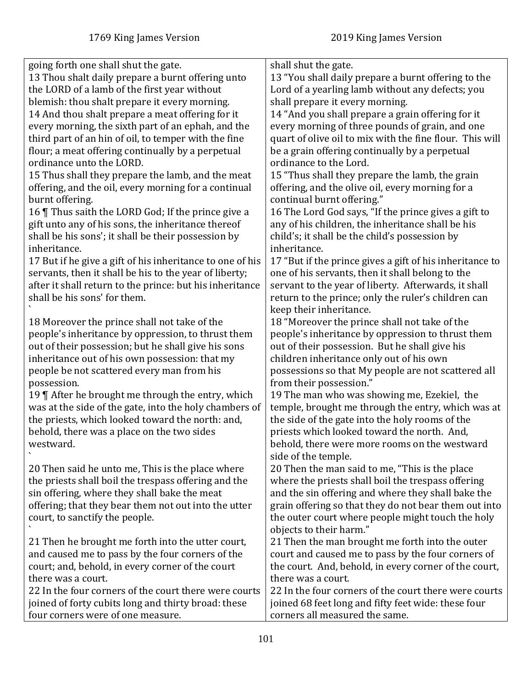| 13 Thou shalt daily prepare a burnt offering unto<br>13 "You shall daily prepare a burnt offering to the<br>the LORD of a lamb of the first year without<br>Lord of a yearling lamb without any defects; you<br>blemish: thou shalt prepare it every morning.<br>shall prepare it every morning.<br>14 "And you shall prepare a grain offering for it<br>14 And thou shalt prepare a meat offering for it |  |
|-----------------------------------------------------------------------------------------------------------------------------------------------------------------------------------------------------------------------------------------------------------------------------------------------------------------------------------------------------------------------------------------------------------|--|
|                                                                                                                                                                                                                                                                                                                                                                                                           |  |
|                                                                                                                                                                                                                                                                                                                                                                                                           |  |
|                                                                                                                                                                                                                                                                                                                                                                                                           |  |
|                                                                                                                                                                                                                                                                                                                                                                                                           |  |
| every morning, the sixth part of an ephah, and the<br>every morning of three pounds of grain, and one                                                                                                                                                                                                                                                                                                     |  |
| quart of olive oil to mix with the fine flour. This will<br>third part of an hin of oil, to temper with the fine                                                                                                                                                                                                                                                                                          |  |
| flour; a meat offering continually by a perpetual<br>be a grain offering continually by a perpetual                                                                                                                                                                                                                                                                                                       |  |
| ordinance unto the LORD.<br>ordinance to the Lord.                                                                                                                                                                                                                                                                                                                                                        |  |
| 15 Thus shall they prepare the lamb, and the meat<br>15 "Thus shall they prepare the lamb, the grain                                                                                                                                                                                                                                                                                                      |  |
| offering, and the olive oil, every morning for a<br>offering, and the oil, every morning for a continual                                                                                                                                                                                                                                                                                                  |  |
| continual burnt offering."<br>burnt offering.                                                                                                                                                                                                                                                                                                                                                             |  |
| 16 Thus saith the LORD God; If the prince give a<br>16 The Lord God says, "If the prince gives a gift to                                                                                                                                                                                                                                                                                                  |  |
| gift unto any of his sons, the inheritance thereof<br>any of his children, the inheritance shall be his                                                                                                                                                                                                                                                                                                   |  |
| shall be his sons'; it shall be their possession by<br>child's; it shall be the child's possession by                                                                                                                                                                                                                                                                                                     |  |
| inheritance.<br>inheritance.                                                                                                                                                                                                                                                                                                                                                                              |  |
| 17 But if he give a gift of his inheritance to one of his<br>17 "But if the prince gives a gift of his inheritance to                                                                                                                                                                                                                                                                                     |  |
| servants, then it shall be his to the year of liberty;<br>one of his servants, then it shall belong to the                                                                                                                                                                                                                                                                                                |  |
| after it shall return to the prince: but his inheritance<br>servant to the year of liberty. Afterwards, it shall                                                                                                                                                                                                                                                                                          |  |
| shall be his sons' for them.<br>return to the prince; only the ruler's children can                                                                                                                                                                                                                                                                                                                       |  |
| keep their inheritance.                                                                                                                                                                                                                                                                                                                                                                                   |  |
| 18 "Moreover the prince shall not take of the<br>18 Moreover the prince shall not take of the                                                                                                                                                                                                                                                                                                             |  |
| people's inheritance by oppression, to thrust them<br>people's inheritance by oppression to thrust them                                                                                                                                                                                                                                                                                                   |  |
| out of their possession; but he shall give his sons<br>out of their possession. But he shall give his                                                                                                                                                                                                                                                                                                     |  |
| inheritance out of his own possession: that my<br>children inheritance only out of his own                                                                                                                                                                                                                                                                                                                |  |
| people be not scattered every man from his<br>possessions so that My people are not scattered all                                                                                                                                                                                                                                                                                                         |  |
| possession.<br>from their possession."                                                                                                                                                                                                                                                                                                                                                                    |  |
| 19 The man who was showing me, Ezekiel, the<br>19 ¶ After he brought me through the entry, which                                                                                                                                                                                                                                                                                                          |  |
| was at the side of the gate, into the holy chambers of<br>temple, brought me through the entry, which was at                                                                                                                                                                                                                                                                                              |  |
| the priests, which looked toward the north: and,<br>the side of the gate into the holy rooms of the                                                                                                                                                                                                                                                                                                       |  |
| behold, there was a place on the two sides<br>priests which looked toward the north. And,                                                                                                                                                                                                                                                                                                                 |  |
| behold, there were more rooms on the westward<br>westward.                                                                                                                                                                                                                                                                                                                                                |  |
| side of the temple.                                                                                                                                                                                                                                                                                                                                                                                       |  |
| 20 Then the man said to me, "This is the place<br>20 Then said he unto me, This is the place where                                                                                                                                                                                                                                                                                                        |  |
| the priests shall boil the trespass offering and the<br>where the priests shall boil the trespass offering                                                                                                                                                                                                                                                                                                |  |
| sin offering, where they shall bake the meat<br>and the sin offering and where they shall bake the                                                                                                                                                                                                                                                                                                        |  |
| offering; that they bear them not out into the utter<br>grain offering so that they do not bear them out into                                                                                                                                                                                                                                                                                             |  |
| the outer court where people might touch the holy<br>court, to sanctify the people.                                                                                                                                                                                                                                                                                                                       |  |
| objects to their harm."                                                                                                                                                                                                                                                                                                                                                                                   |  |
| 21 Then he brought me forth into the utter court,<br>21 Then the man brought me forth into the outer                                                                                                                                                                                                                                                                                                      |  |
| court and caused me to pass by the four corners of<br>and caused me to pass by the four corners of the                                                                                                                                                                                                                                                                                                    |  |
| the court. And, behold, in every corner of the court,<br>court; and, behold, in every corner of the court                                                                                                                                                                                                                                                                                                 |  |
| there was a court.<br>there was a court.                                                                                                                                                                                                                                                                                                                                                                  |  |
| 22 In the four corners of the court there were courts<br>22 In the four corners of the court there were courts                                                                                                                                                                                                                                                                                            |  |
| joined of forty cubits long and thirty broad: these<br>joined 68 feet long and fifty feet wide: these four                                                                                                                                                                                                                                                                                                |  |
| four corners were of one measure.<br>corners all measured the same.                                                                                                                                                                                                                                                                                                                                       |  |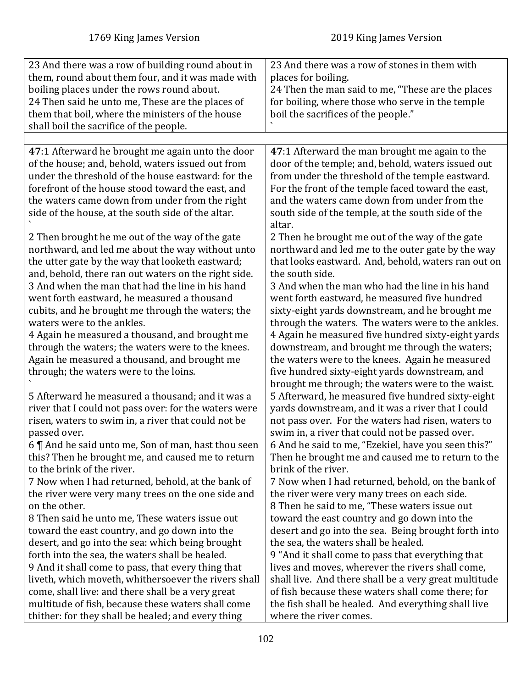| 23 And there was a row of building round about in     | 23 And there was a row of stones in them with         |
|-------------------------------------------------------|-------------------------------------------------------|
|                                                       |                                                       |
| them, round about them four, and it was made with     | places for boiling.                                   |
| boiling places under the rows round about.            | 24 Then the man said to me, "These are the places     |
| 24 Then said he unto me, These are the places of      | for boiling, where those who serve in the temple      |
| them that boil, where the ministers of the house      | boil the sacrifices of the people."                   |
| shall boil the sacrifice of the people.               |                                                       |
|                                                       |                                                       |
| 47:1 Afterward he brought me again unto the door      | 47:1 Afterward the man brought me again to the        |
| of the house; and, behold, waters issued out from     | door of the temple; and, behold, waters issued out    |
| under the threshold of the house eastward: for the    | from under the threshold of the temple eastward.      |
| forefront of the house stood toward the east, and     | For the front of the temple faced toward the east,    |
| the waters came down from under from the right        | and the waters came down from under from the          |
| side of the house, at the south side of the altar.    | south side of the temple, at the south side of the    |
|                                                       | altar.                                                |
| 2 Then brought he me out of the way of the gate       | 2 Then he brought me out of the way of the gate       |
| northward, and led me about the way without unto      | northward and led me to the outer gate by the way     |
| the utter gate by the way that looketh eastward;      | that looks eastward. And, behold, waters ran out on   |
| and, behold, there ran out waters on the right side.  | the south side.                                       |
| 3 And when the man that had the line in his hand      | 3 And when the man who had the line in his hand       |
| went forth eastward, he measured a thousand           | went forth eastward, he measured five hundred         |
| cubits, and he brought me through the waters; the     | sixty-eight yards downstream, and he brought me       |
| waters were to the ankles.                            | through the waters. The waters were to the ankles.    |
| 4 Again he measured a thousand, and brought me        | 4 Again he measured five hundred sixty-eight yards    |
| through the waters; the waters were to the knees.     | downstream, and brought me through the waters;        |
|                                                       |                                                       |
| Again he measured a thousand, and brought me          | the waters were to the knees. Again he measured       |
| through; the waters were to the loins.                | five hundred sixty-eight yards downstream, and        |
|                                                       | brought me through; the waters were to the waist.     |
| 5 Afterward he measured a thousand; and it was a      | 5 Afterward, he measured five hundred sixty-eight     |
| river that I could not pass over: for the waters were | yards downstream, and it was a river that I could     |
| risen, waters to swim in, a river that could not be   | not pass over. For the waters had risen, waters to    |
| passed over.                                          | swim in, a river that could not be passed over.       |
| 6   And he said unto me, Son of man, hast thou seen   | 6 And he said to me, "Ezekiel, have you seen this?"   |
| this? Then he brought me, and caused me to return     | Then he brought me and caused me to return to the     |
| to the brink of the river.                            | brink of the river.                                   |
| 7 Now when I had returned, behold, at the bank of     | 7 Now when I had returned, behold, on the bank of     |
| the river were very many trees on the one side and    | the river were very many trees on each side.          |
| on the other.                                         | 8 Then he said to me, "These waters issue out         |
| 8 Then said he unto me, These waters issue out        | toward the east country and go down into the          |
| toward the east country, and go down into the         | desert and go into the sea. Being brought forth into  |
| desert, and go into the sea: which being brought      | the sea, the waters shall be healed.                  |
| forth into the sea, the waters shall be healed.       | 9 "And it shall come to pass that everything that     |
| 9 And it shall come to pass, that every thing that    | lives and moves, wherever the rivers shall come,      |
| liveth, which moveth, whithersoever the rivers shall  | shall live. And there shall be a very great multitude |
| come, shall live: and there shall be a very great     | of fish because these waters shall come there; for    |
| multitude of fish, because these waters shall come    | the fish shall be healed. And everything shall live   |
| thither: for they shall be healed; and every thing    | where the river comes.                                |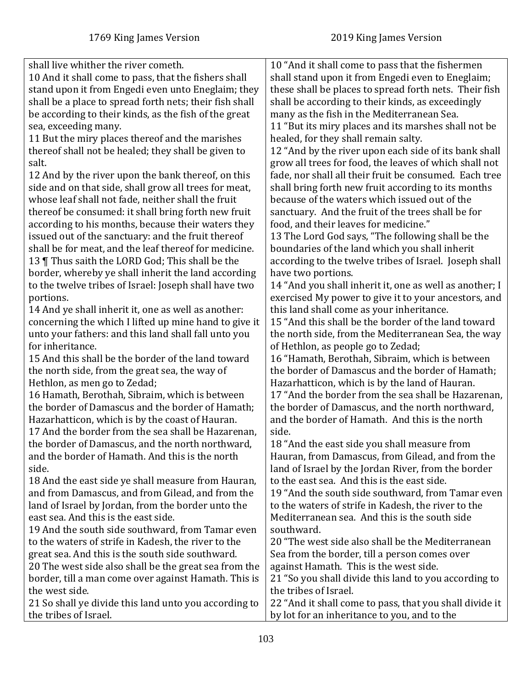| shall live whither the river cometh.                    | 10 "And it shall come to pass that the fishermen        |
|---------------------------------------------------------|---------------------------------------------------------|
| 10 And it shall come to pass, that the fishers shall    | shall stand upon it from Engedi even to Eneglaim;       |
| stand upon it from Engedi even unto Eneglaim; they      | these shall be places to spread forth nets. Their fish  |
| shall be a place to spread forth nets; their fish shall | shall be according to their kinds, as exceedingly       |
| be according to their kinds, as the fish of the great   | many as the fish in the Mediterranean Sea.              |
| sea, exceeding many.                                    | 11 "But its miry places and its marshes shall not be    |
| 11 But the miry places thereof and the marishes         | healed, for they shall remain salty.                    |
| thereof shall not be healed; they shall be given to     | 12 "And by the river upon each side of its bank shall   |
| salt.                                                   | grow all trees for food, the leaves of which shall not  |
| 12 And by the river upon the bank thereof, on this      | fade, nor shall all their fruit be consumed. Each tree  |
| side and on that side, shall grow all trees for meat,   | shall bring forth new fruit according to its months     |
| whose leaf shall not fade, neither shall the fruit      | because of the waters which issued out of the           |
| thereof be consumed: it shall bring forth new fruit     | sanctuary. And the fruit of the trees shall be for      |
| according to his months, because their waters they      | food, and their leaves for medicine."                   |
| issued out of the sanctuary: and the fruit thereof      | 13 The Lord God says, "The following shall be the       |
| shall be for meat, and the leaf thereof for medicine.   | boundaries of the land which you shall inherit          |
| 13   Thus saith the LORD God; This shall be the         | according to the twelve tribes of Israel. Joseph shall  |
| border, whereby ye shall inherit the land according     | have two portions.                                      |
| to the twelve tribes of Israel: Joseph shall have two   | 14 "And you shall inherit it, one as well as another; I |
| portions.                                               | exercised My power to give it to your ancestors, and    |
| 14 And ye shall inherit it, one as well as another:     | this land shall come as your inheritance.               |
| concerning the which I lifted up mine hand to give it   | 15 "And this shall be the border of the land toward     |
| unto your fathers: and this land shall fall unto you    | the north side, from the Mediterranean Sea, the way     |
| for inheritance.                                        | of Hethlon, as people go to Zedad;                      |
| 15 And this shall be the border of the land toward      | 16 "Hamath, Berothah, Sibraim, which is between         |
| the north side, from the great sea, the way of          | the border of Damascus and the border of Hamath;        |
| Hethlon, as men go to Zedad;                            | Hazarhatticon, which is by the land of Hauran.          |
| 16 Hamath, Berothah, Sibraim, which is between          | 17 "And the border from the sea shall be Hazarenan,     |
| the border of Damascus and the border of Hamath;        | the border of Damascus, and the north northward,        |
| Hazarhatticon, which is by the coast of Hauran.         | and the border of Hamath. And this is the north         |
| 17 And the border from the sea shall be Hazarenan,      | side.                                                   |
| the border of Damascus, and the north northward         | 18 "And the east side you shall measure from            |
| and the border of Hamath. And this is the north         | Hauran, from Damascus, from Gilead, and from the        |
| side.                                                   | land of Israel by the Jordan River, from the border     |
| 18 And the east side ye shall measure from Hauran,      | to the east sea. And this is the east side.             |
| and from Damascus, and from Gilead, and from the        | 19 "And the south side southward, from Tamar even       |
| land of Israel by Jordan, from the border unto the      | to the waters of strife in Kadesh, the river to the     |
| east sea. And this is the east side.                    | Mediterranean sea. And this is the south side           |
| 19 And the south side southward, from Tamar even        | southward.                                              |
| to the waters of strife in Kadesh, the river to the     | 20 "The west side also shall be the Mediterranean       |
| great sea. And this is the south side southward.        | Sea from the border, till a person comes over           |
| 20 The west side also shall be the great sea from the   | against Hamath. This is the west side.                  |
| border, till a man come over against Hamath. This is    | 21 "So you shall divide this land to you according to   |
| the west side.                                          | the tribes of Israel.                                   |
| 21 So shall ye divide this land unto you according to   | 22 "And it shall come to pass, that you shall divide it |
| the tribes of Israel.                                   | by lot for an inheritance to you, and to the            |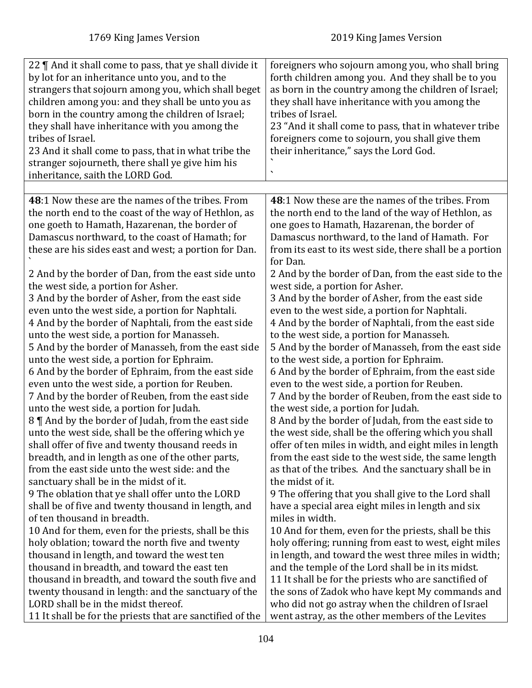| 22    And it shall come to pass, that ye shall divide it<br>by lot for an inheritance unto you, and to the<br>strangers that sojourn among you, which shall beget<br>children among you: and they shall be unto you as<br>born in the country among the children of Israel;<br>they shall have inheritance with you among the<br>tribes of Israel.<br>23 And it shall come to pass, that in what tribe the<br>stranger sojourneth, there shall ye give him his<br>inheritance, saith the LORD God.                                 | foreigners who sojourn among you, who shall bring<br>forth children among you. And they shall be to you<br>as born in the country among the children of Israel;<br>they shall have inheritance with you among the<br>tribes of Israel.<br>23 "And it shall come to pass, that in whatever tribe<br>foreigners come to sojourn, you shall give them<br>their inheritance," says the Lord God.                                                                                                                                               |
|------------------------------------------------------------------------------------------------------------------------------------------------------------------------------------------------------------------------------------------------------------------------------------------------------------------------------------------------------------------------------------------------------------------------------------------------------------------------------------------------------------------------------------|--------------------------------------------------------------------------------------------------------------------------------------------------------------------------------------------------------------------------------------------------------------------------------------------------------------------------------------------------------------------------------------------------------------------------------------------------------------------------------------------------------------------------------------------|
|                                                                                                                                                                                                                                                                                                                                                                                                                                                                                                                                    |                                                                                                                                                                                                                                                                                                                                                                                                                                                                                                                                            |
| 48:1 Now these are the names of the tribes. From<br>the north end to the coast of the way of Hethlon, as<br>one goeth to Hamath, Hazarenan, the border of<br>Damascus northward, to the coast of Hamath; for<br>these are his sides east and west; a portion for Dan.<br>2 And by the border of Dan, from the east side unto<br>the west side, a portion for Asher.<br>3 And by the border of Asher, from the east side<br>even unto the west side, a portion for Naphtali.<br>4 And by the border of Naphtali, from the east side | 48:1 Now these are the names of the tribes. From<br>the north end to the land of the way of Hethlon, as<br>one goes to Hamath, Hazarenan, the border of<br>Damascus northward, to the land of Hamath. For<br>from its east to its west side, there shall be a portion<br>for Dan.<br>2 And by the border of Dan, from the east side to the<br>west side, a portion for Asher.<br>3 And by the border of Asher, from the east side<br>even to the west side, a portion for Naphtali.<br>4 And by the border of Naphtali, from the east side |
| unto the west side, a portion for Manasseh.                                                                                                                                                                                                                                                                                                                                                                                                                                                                                        | to the west side, a portion for Manasseh.                                                                                                                                                                                                                                                                                                                                                                                                                                                                                                  |
| 5 And by the border of Manasseh, from the east side                                                                                                                                                                                                                                                                                                                                                                                                                                                                                | 5 And by the border of Manasseh, from the east side                                                                                                                                                                                                                                                                                                                                                                                                                                                                                        |
| unto the west side, a portion for Ephraim.                                                                                                                                                                                                                                                                                                                                                                                                                                                                                         | to the west side, a portion for Ephraim.                                                                                                                                                                                                                                                                                                                                                                                                                                                                                                   |
| 6 And by the border of Ephraim, from the east side                                                                                                                                                                                                                                                                                                                                                                                                                                                                                 | 6 And by the border of Ephraim, from the east side                                                                                                                                                                                                                                                                                                                                                                                                                                                                                         |
| even unto the west side, a portion for Reuben.                                                                                                                                                                                                                                                                                                                                                                                                                                                                                     | even to the west side, a portion for Reuben.                                                                                                                                                                                                                                                                                                                                                                                                                                                                                               |
| 7 And by the border of Reuben, from the east side                                                                                                                                                                                                                                                                                                                                                                                                                                                                                  | 7 And by the border of Reuben, from the east side to                                                                                                                                                                                                                                                                                                                                                                                                                                                                                       |
| unto the west side, a portion for Judah.                                                                                                                                                                                                                                                                                                                                                                                                                                                                                           | the west side, a portion for Judah.                                                                                                                                                                                                                                                                                                                                                                                                                                                                                                        |
| 8    And by the border of Judah, from the east side                                                                                                                                                                                                                                                                                                                                                                                                                                                                                | 8 And by the border of Judah, from the east side to                                                                                                                                                                                                                                                                                                                                                                                                                                                                                        |
| unto the west side, shall be the offering which ye                                                                                                                                                                                                                                                                                                                                                                                                                                                                                 | the west side, shall be the offering which you shall                                                                                                                                                                                                                                                                                                                                                                                                                                                                                       |
| shall offer of five and twenty thousand reeds in                                                                                                                                                                                                                                                                                                                                                                                                                                                                                   | offer of ten miles in width, and eight miles in length                                                                                                                                                                                                                                                                                                                                                                                                                                                                                     |
| breadth, and in length as one of the other parts,                                                                                                                                                                                                                                                                                                                                                                                                                                                                                  | from the east side to the west side, the same length                                                                                                                                                                                                                                                                                                                                                                                                                                                                                       |
| from the east side unto the west side: and the                                                                                                                                                                                                                                                                                                                                                                                                                                                                                     | as that of the tribes. And the sanctuary shall be in                                                                                                                                                                                                                                                                                                                                                                                                                                                                                       |
| sanctuary shall be in the midst of it.                                                                                                                                                                                                                                                                                                                                                                                                                                                                                             | the midst of it.                                                                                                                                                                                                                                                                                                                                                                                                                                                                                                                           |
| 9 The oblation that ye shall offer unto the LORD                                                                                                                                                                                                                                                                                                                                                                                                                                                                                   | 9 The offering that you shall give to the Lord shall                                                                                                                                                                                                                                                                                                                                                                                                                                                                                       |
| shall be of five and twenty thousand in length, and                                                                                                                                                                                                                                                                                                                                                                                                                                                                                | have a special area eight miles in length and six                                                                                                                                                                                                                                                                                                                                                                                                                                                                                          |
| of ten thousand in breadth.                                                                                                                                                                                                                                                                                                                                                                                                                                                                                                        | miles in width.                                                                                                                                                                                                                                                                                                                                                                                                                                                                                                                            |
| 10 And for them, even for the priests, shall be this                                                                                                                                                                                                                                                                                                                                                                                                                                                                               | 10 And for them, even for the priests, shall be this                                                                                                                                                                                                                                                                                                                                                                                                                                                                                       |
| holy oblation; toward the north five and twenty                                                                                                                                                                                                                                                                                                                                                                                                                                                                                    | holy offering; running from east to west, eight miles                                                                                                                                                                                                                                                                                                                                                                                                                                                                                      |
| thousand in length, and toward the west ten                                                                                                                                                                                                                                                                                                                                                                                                                                                                                        | in length, and toward the west three miles in width;                                                                                                                                                                                                                                                                                                                                                                                                                                                                                       |
| thousand in breadth, and toward the east ten                                                                                                                                                                                                                                                                                                                                                                                                                                                                                       | and the temple of the Lord shall be in its midst.                                                                                                                                                                                                                                                                                                                                                                                                                                                                                          |
| thousand in breadth, and toward the south five and                                                                                                                                                                                                                                                                                                                                                                                                                                                                                 | 11 It shall be for the priests who are sanctified of                                                                                                                                                                                                                                                                                                                                                                                                                                                                                       |
| twenty thousand in length: and the sanctuary of the                                                                                                                                                                                                                                                                                                                                                                                                                                                                                | the sons of Zadok who have kept My commands and                                                                                                                                                                                                                                                                                                                                                                                                                                                                                            |
| LORD shall be in the midst thereof.                                                                                                                                                                                                                                                                                                                                                                                                                                                                                                | who did not go astray when the children of Israel                                                                                                                                                                                                                                                                                                                                                                                                                                                                                          |
| 11 It shall be for the priests that are sanctified of the                                                                                                                                                                                                                                                                                                                                                                                                                                                                          | went astray, as the other members of the Levites                                                                                                                                                                                                                                                                                                                                                                                                                                                                                           |